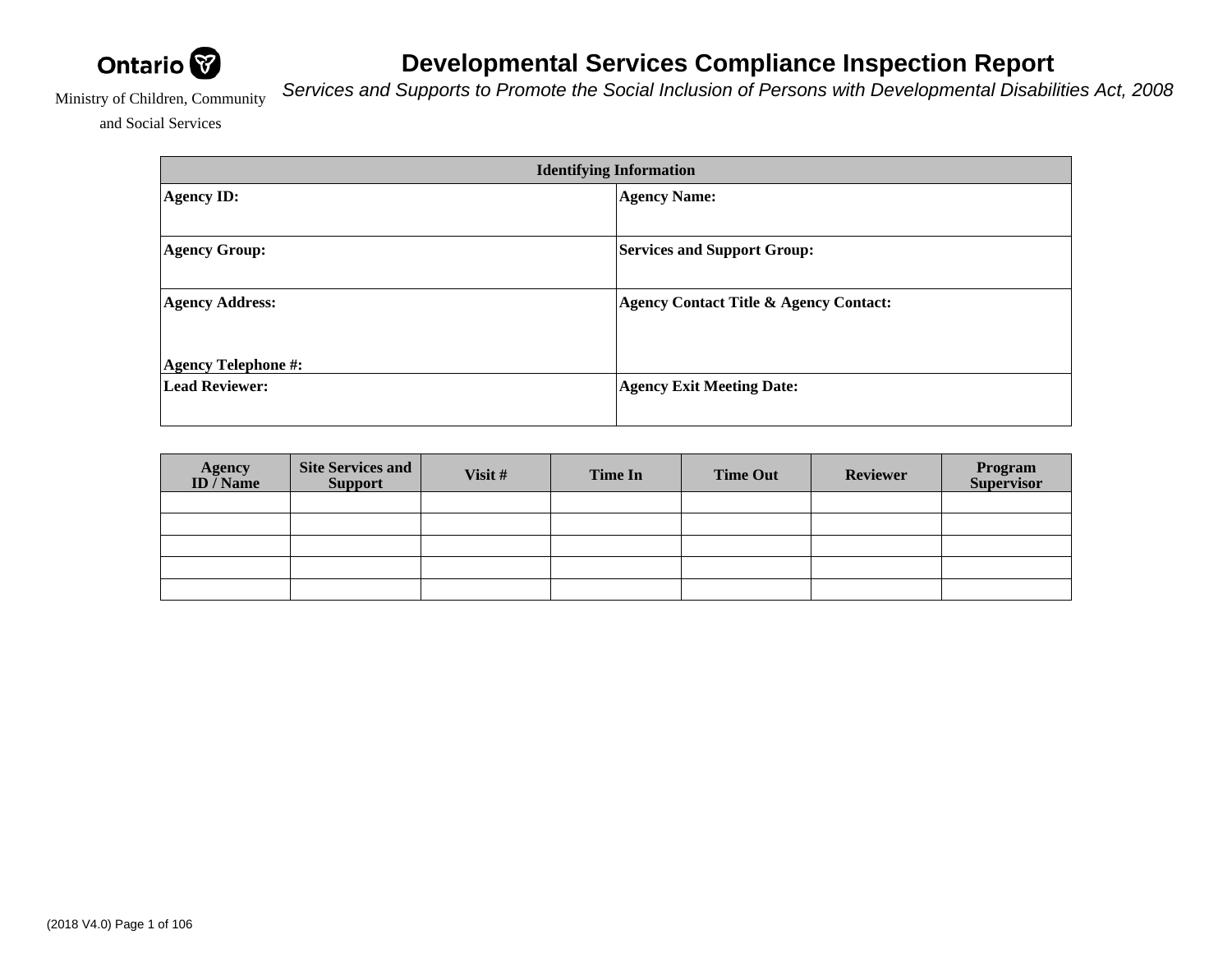

## **Developmental Services Compliance Inspection Report**

Services and Supports to Promote the Social Inclusion of Persons with Developmental Disabilities Act, 2008

Ministry of Children, Community

and Social Services

| <b>Identifying Information</b> |                                                   |  |  |  |  |  |
|--------------------------------|---------------------------------------------------|--|--|--|--|--|
| <b>Agency ID:</b>              | <b>Agency Name:</b>                               |  |  |  |  |  |
|                                |                                                   |  |  |  |  |  |
| <b>Agency Group:</b>           | <b>Services and Support Group:</b>                |  |  |  |  |  |
|                                |                                                   |  |  |  |  |  |
| <b>Agency Address:</b>         | <b>Agency Contact Title &amp; Agency Contact:</b> |  |  |  |  |  |
|                                |                                                   |  |  |  |  |  |
| <b>Agency Telephone #:</b>     |                                                   |  |  |  |  |  |
| <b>Lead Reviewer:</b>          | <b>Agency Exit Meeting Date:</b>                  |  |  |  |  |  |
|                                |                                                   |  |  |  |  |  |

| <b>Agency</b><br>ID / Name | Site Services and<br><b>Support</b> | Visit # | Time In | <b>Time Out</b> | <b>Reviewer</b> | Program<br>Supervisor |
|----------------------------|-------------------------------------|---------|---------|-----------------|-----------------|-----------------------|
|                            |                                     |         |         |                 |                 |                       |
|                            |                                     |         |         |                 |                 |                       |
|                            |                                     |         |         |                 |                 |                       |
|                            |                                     |         |         |                 |                 |                       |
|                            |                                     |         |         |                 |                 |                       |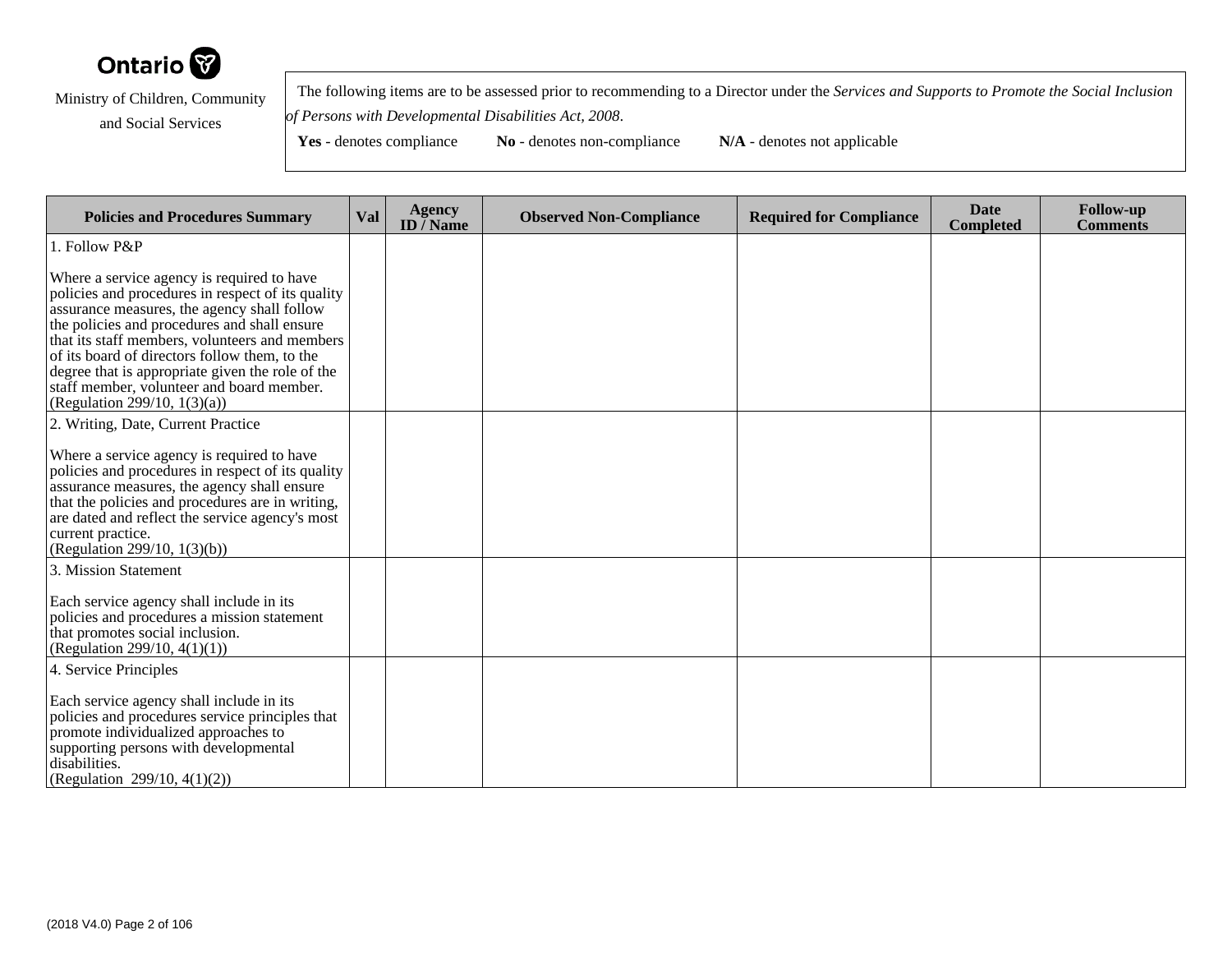

 The following items are to be assessed prior to recommending to a Director under the *Services and Supports to Promote the Social Inclusionof Persons with Developmental Disabilities Act, 2008*.

| <b>Policies and Procedures Summary</b>                                                                                                                                                                                                                                                                                                                                                                                                | Val | <b>Agency</b><br>ID $\bar{}/$ Name | <b>Observed Non-Compliance</b> | <b>Required for Compliance</b> | <b>Date</b><br><b>Completed</b> | <b>Follow-up</b><br><b>Comments</b> |
|---------------------------------------------------------------------------------------------------------------------------------------------------------------------------------------------------------------------------------------------------------------------------------------------------------------------------------------------------------------------------------------------------------------------------------------|-----|------------------------------------|--------------------------------|--------------------------------|---------------------------------|-------------------------------------|
| 1. Follow P&P                                                                                                                                                                                                                                                                                                                                                                                                                         |     |                                    |                                |                                |                                 |                                     |
| Where a service agency is required to have<br>policies and procedures in respect of its quality<br>assurance measures, the agency shall follow<br>the policies and procedures and shall ensure<br>that its staff members, volunteers and members<br>of its board of directors follow them, to the<br>degree that is appropriate given the role of the<br>staff member, volunteer and board member.<br>(Regulation 299/10, $1(3)(a)$ ) |     |                                    |                                |                                |                                 |                                     |
| 2. Writing, Date, Current Practice                                                                                                                                                                                                                                                                                                                                                                                                    |     |                                    |                                |                                |                                 |                                     |
| Where a service agency is required to have<br>policies and procedures in respect of its quality<br>assurance measures, the agency shall ensure<br>that the policies and procedures are in writing,<br>are dated and reflect the service agency's most<br>current practice.<br>(Regulation 299/10, $1(3)(b)$ )                                                                                                                         |     |                                    |                                |                                |                                 |                                     |
| 3. Mission Statement                                                                                                                                                                                                                                                                                                                                                                                                                  |     |                                    |                                |                                |                                 |                                     |
| Each service agency shall include in its<br>policies and procedures a mission statement<br>that promotes social inclusion.<br>(Regulation 299/10, $4(1)(1)$ )                                                                                                                                                                                                                                                                         |     |                                    |                                |                                |                                 |                                     |
| 4. Service Principles                                                                                                                                                                                                                                                                                                                                                                                                                 |     |                                    |                                |                                |                                 |                                     |
| Each service agency shall include in its<br>policies and procedures service principles that<br>promote individualized approaches to<br>supporting persons with developmental<br>disabilities.<br>(Regulation 299/10, 4(1)(2))                                                                                                                                                                                                         |     |                                    |                                |                                |                                 |                                     |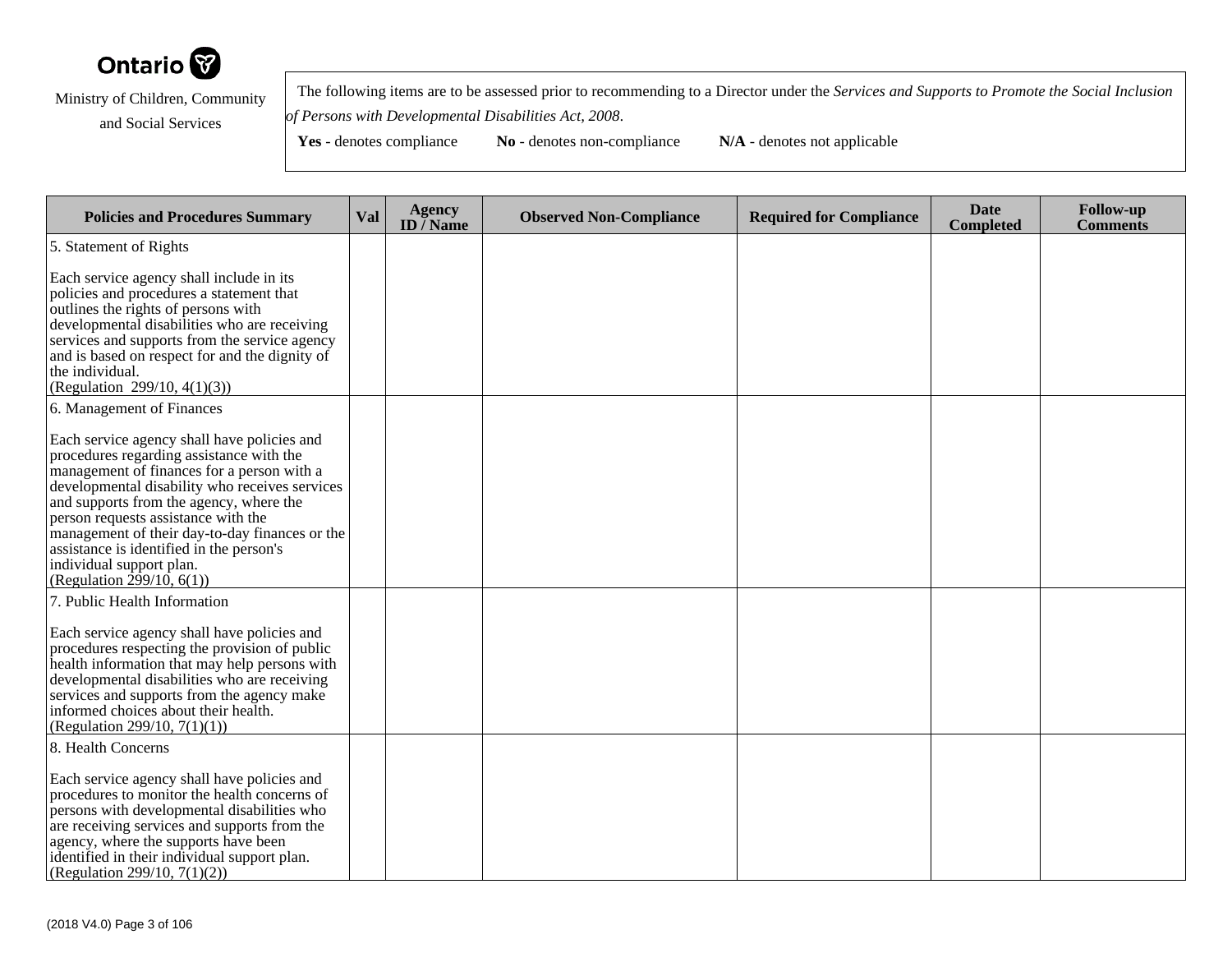

 The following items are to be assessed prior to recommending to a Director under the *Services and Supports to Promote the Social Inclusionof Persons with Developmental Disabilities Act, 2008*.

**Yes** - denotes compliance **No** - denotes non-compliance **N/A** - denotes not applicable

**Policies and Procedures Summary Val Agency ID / NameObserved Non-Compliance Required for Compliance Date Completed Follow-up Comments** 5. Statement of RightsEach service agency shall include in its policies and procedures a statement thatoutlines the rights of persons with developmental disabilities who are receiving services and supports from the service agency and is based on respect for and the dignity ofthe individual. (Regulation 299/10, 4(1)(3))6. Management of FinancesEach service agency shall have policies andprocedures regarding assistance with the management of finances for a person with a developmental disability who receives servicesand supports from the agency, where theperson requests assistance with the management of their day-to-day finances or theassistance is identified in the person'sindividual support plan. (Regulation 299/10, 6(1))7. Public Health InformationEach service agency shall have policies and procedures respecting the provision of public health information that may help persons with developmental disabilities who are receiving services and supports from the agency makeinformed choices about their health.(Regulation 299/10, 7(1)(1))8. Health ConcernsEach service agency shall have policies and procedures to monitor the health concerns of persons with developmental disabilities who are receiving services and supports from theagency, where the supports have been identified in their individual support plan.(Regulation 299/10, 7(1)(2))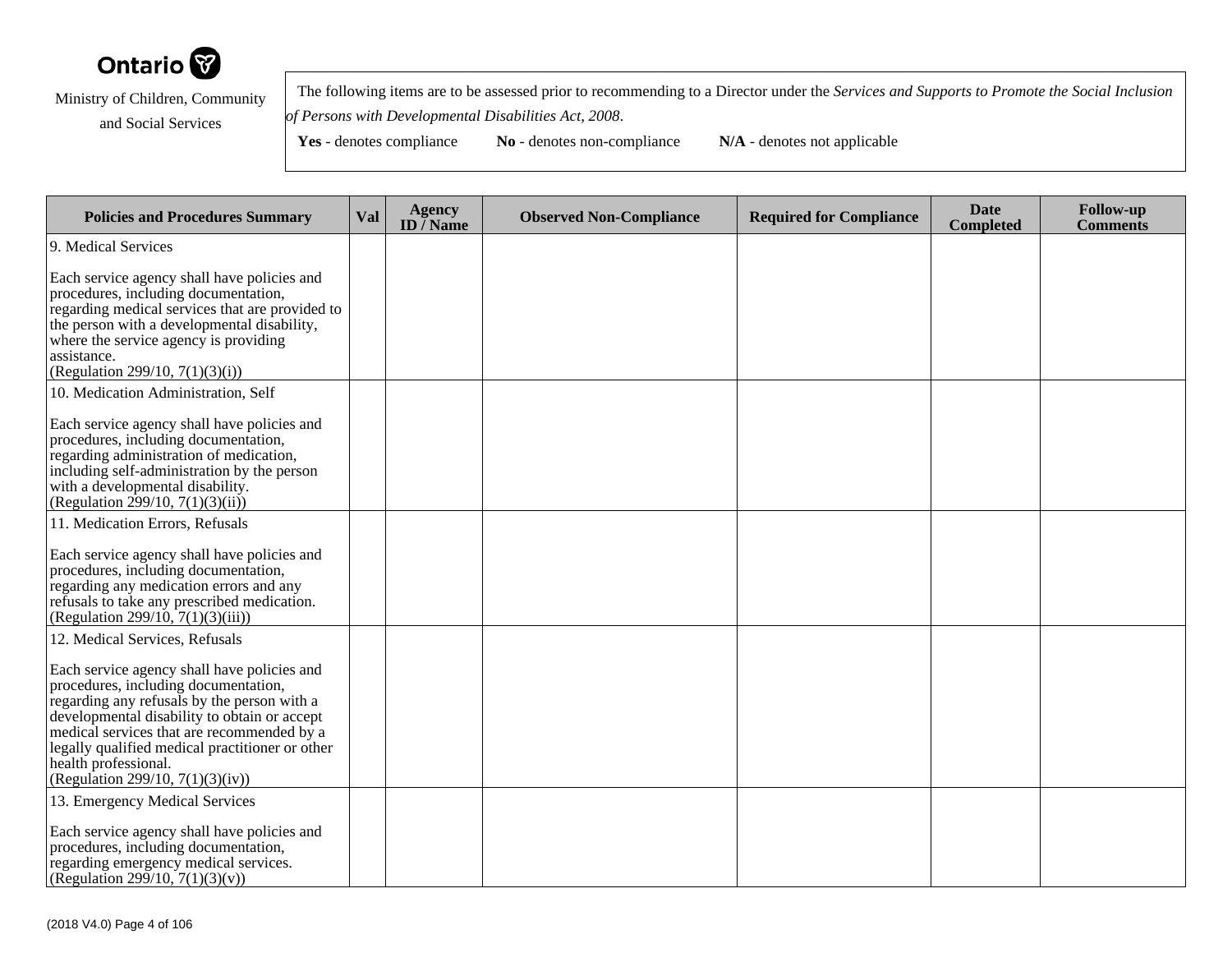

 The following items are to be assessed prior to recommending to a Director under the *Services and Supports to Promote the Social Inclusionof Persons with Developmental Disabilities Act, 2008*.

| <b>Policies and Procedures Summary</b>                                                                                                                                                                                                                                                                                                          | Val | <b>Agency</b><br>ID $\overline{}/$ Name | <b>Observed Non-Compliance</b> | <b>Required for Compliance</b> | <b>Date</b><br><b>Completed</b> | <b>Follow-up</b><br><b>Comments</b> |
|-------------------------------------------------------------------------------------------------------------------------------------------------------------------------------------------------------------------------------------------------------------------------------------------------------------------------------------------------|-----|-----------------------------------------|--------------------------------|--------------------------------|---------------------------------|-------------------------------------|
| 9. Medical Services                                                                                                                                                                                                                                                                                                                             |     |                                         |                                |                                |                                 |                                     |
| Each service agency shall have policies and<br>procedures, including documentation,<br>regarding medical services that are provided to<br>the person with a developmental disability,<br>where the service agency is providing<br>assistance.<br>(Regulation 299/10, $7(1)(3)(i)$ )                                                             |     |                                         |                                |                                |                                 |                                     |
| 10. Medication Administration, Self                                                                                                                                                                                                                                                                                                             |     |                                         |                                |                                |                                 |                                     |
| Each service agency shall have policies and<br>procedures, including documentation,<br>regarding administration of medication,<br>including self-administration by the person<br>with a developmental disability.<br>(Regulation 299/10, 7(1)(3)(ii))                                                                                           |     |                                         |                                |                                |                                 |                                     |
| 11. Medication Errors, Refusals                                                                                                                                                                                                                                                                                                                 |     |                                         |                                |                                |                                 |                                     |
| Each service agency shall have policies and<br>procedures, including documentation,<br>regarding any medication errors and any<br>refusals to take any prescribed medication.<br>(Regulation 299/10, $7(1)(3)(iii)$ )                                                                                                                           |     |                                         |                                |                                |                                 |                                     |
| 12. Medical Services, Refusals                                                                                                                                                                                                                                                                                                                  |     |                                         |                                |                                |                                 |                                     |
| Each service agency shall have policies and<br>procedures, including documentation,<br>regarding any refusals by the person with a<br>developmental disability to obtain or accept<br>medical services that are recommended by a<br>legally qualified medical practitioner or other<br>health professional.<br>(Regulation 299/10, 7(1)(3)(iv)) |     |                                         |                                |                                |                                 |                                     |
| 13. Emergency Medical Services                                                                                                                                                                                                                                                                                                                  |     |                                         |                                |                                |                                 |                                     |
| Each service agency shall have policies and<br>procedures, including documentation,<br>regarding emergency medical services.<br>(Regulation 299/10, 7(1)(3)(v))                                                                                                                                                                                 |     |                                         |                                |                                |                                 |                                     |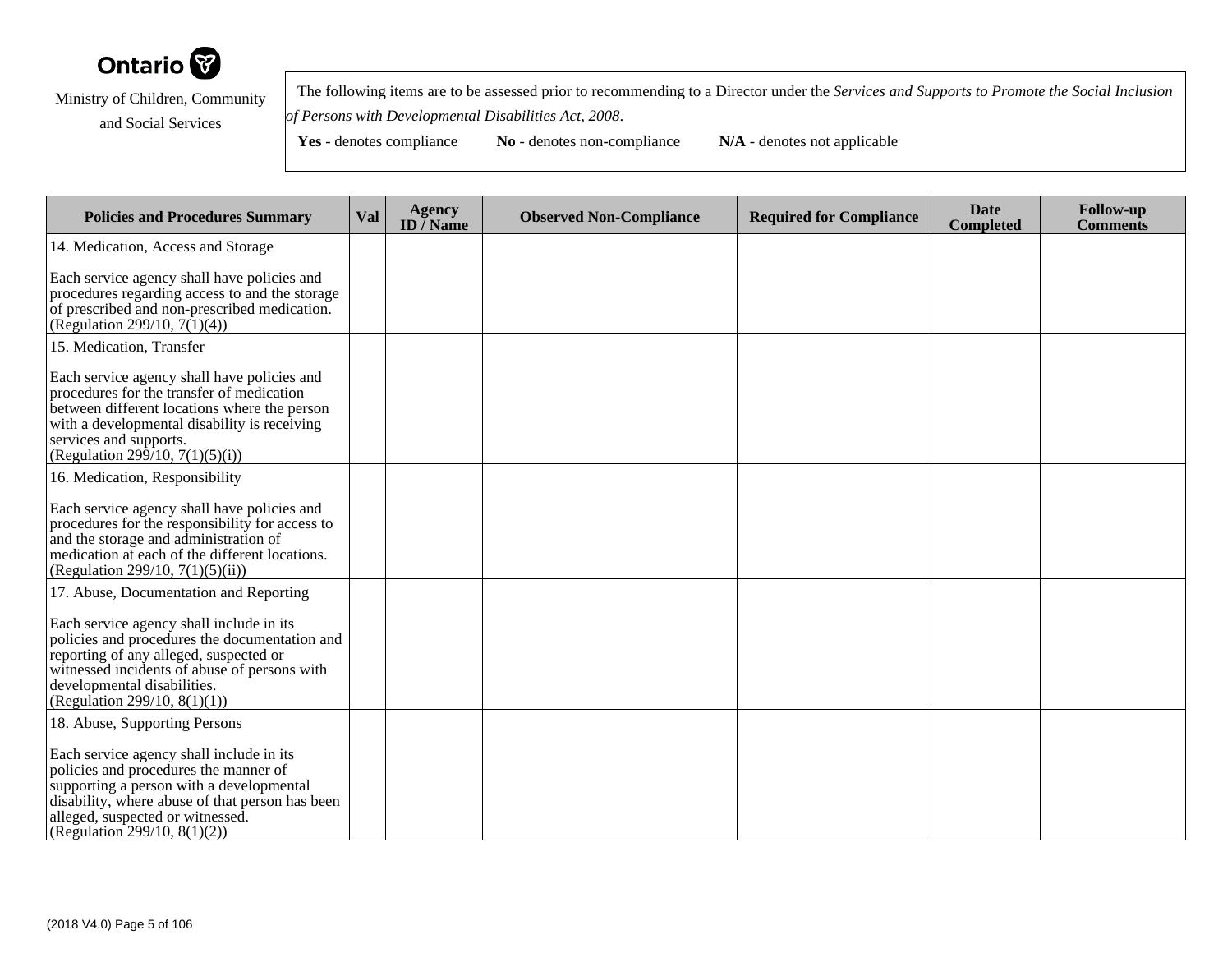

 The following items are to be assessed prior to recommending to a Director under the *Services and Supports to Promote the Social Inclusionof Persons with Developmental Disabilities Act, 2008*.

| <b>Policies and Procedures Summary</b>                                                                                                                                                                                                                | Val | <b>Agency</b><br>ID $\overline{}/$ Name | <b>Observed Non-Compliance</b> | <b>Required for Compliance</b> | <b>Date</b><br><b>Completed</b> | <b>Follow-up</b><br><b>Comments</b> |
|-------------------------------------------------------------------------------------------------------------------------------------------------------------------------------------------------------------------------------------------------------|-----|-----------------------------------------|--------------------------------|--------------------------------|---------------------------------|-------------------------------------|
| 14. Medication, Access and Storage                                                                                                                                                                                                                    |     |                                         |                                |                                |                                 |                                     |
| Each service agency shall have policies and<br>procedures regarding access to and the storage<br>of prescribed and non-prescribed medication.<br>(Regulation 299/10, $7(1)(4)$ )                                                                      |     |                                         |                                |                                |                                 |                                     |
| 15. Medication, Transfer                                                                                                                                                                                                                              |     |                                         |                                |                                |                                 |                                     |
| Each service agency shall have policies and<br>procedures for the transfer of medication<br>between different locations where the person<br>with a developmental disability is receiving<br>services and supports.<br>(Regulation 299/10, 7(1)(5)(i)) |     |                                         |                                |                                |                                 |                                     |
| 16. Medication, Responsibility                                                                                                                                                                                                                        |     |                                         |                                |                                |                                 |                                     |
| Each service agency shall have policies and<br>procedures for the responsibility for access to<br>and the storage and administration of<br>medication at each of the different locations.<br>(Regulation 299/10, $7(1)(5)(ii)$ )                      |     |                                         |                                |                                |                                 |                                     |
| 17. Abuse, Documentation and Reporting                                                                                                                                                                                                                |     |                                         |                                |                                |                                 |                                     |
| Each service agency shall include in its<br>policies and procedures the documentation and<br>reporting of any alleged, suspected or<br>witnessed incidents of abuse of persons with<br>developmental disabilities.<br>(Regulation 299/10, $8(1)(1)$ ) |     |                                         |                                |                                |                                 |                                     |
| 18. Abuse, Supporting Persons                                                                                                                                                                                                                         |     |                                         |                                |                                |                                 |                                     |
| Each service agency shall include in its<br>policies and procedures the manner of<br>supporting a person with a developmental<br>disability, where abuse of that person has been<br>alleged, suspected or witnessed.<br>(Regulation 299/10, 8(1)(2))  |     |                                         |                                |                                |                                 |                                     |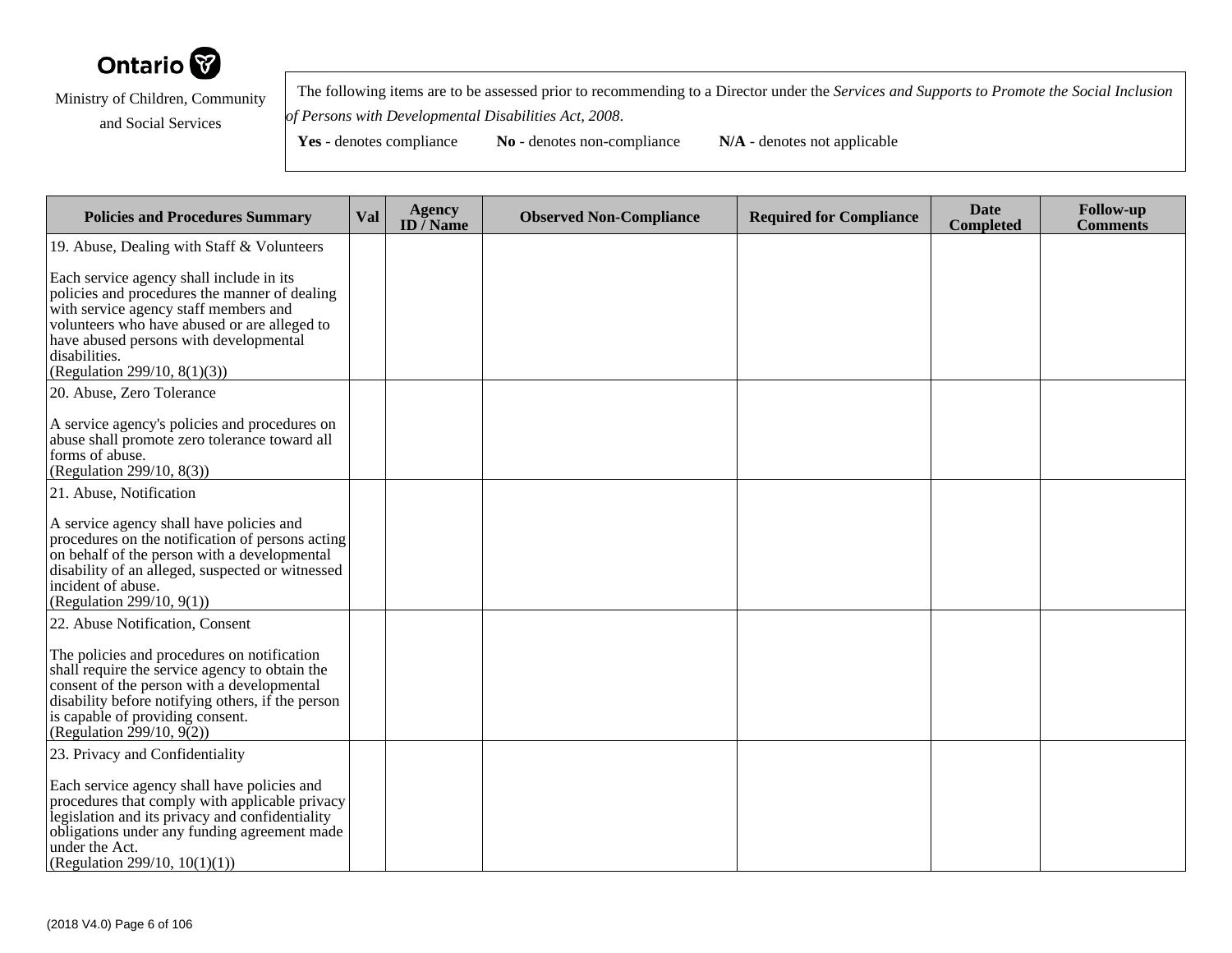

 The following items are to be assessed prior to recommending to a Director under the *Services and Supports to Promote the Social Inclusionof Persons with Developmental Disabilities Act, 2008*.

| <b>Policies and Procedures Summary</b>                                                                                                                                                                                                                                        | Val | <b>Agency</b><br>ID $\overline{}/$ Name | <b>Observed Non-Compliance</b> | <b>Required for Compliance</b> | <b>Date</b><br><b>Completed</b> | <b>Follow-up</b><br><b>Comments</b> |
|-------------------------------------------------------------------------------------------------------------------------------------------------------------------------------------------------------------------------------------------------------------------------------|-----|-----------------------------------------|--------------------------------|--------------------------------|---------------------------------|-------------------------------------|
| 19. Abuse, Dealing with Staff & Volunteers                                                                                                                                                                                                                                    |     |                                         |                                |                                |                                 |                                     |
| Each service agency shall include in its<br>policies and procedures the manner of dealing<br>with service agency staff members and<br>volunteers who have abused or are alleged to<br>have abused persons with developmental<br>disabilities.<br>(Regulation 299/10, 8(1)(3)) |     |                                         |                                |                                |                                 |                                     |
| 20. Abuse, Zero Tolerance                                                                                                                                                                                                                                                     |     |                                         |                                |                                |                                 |                                     |
| A service agency's policies and procedures on<br>abuse shall promote zero tolerance toward all<br>forms of abuse.<br>(Regulation 299/10, 8(3))                                                                                                                                |     |                                         |                                |                                |                                 |                                     |
| 21. Abuse, Notification                                                                                                                                                                                                                                                       |     |                                         |                                |                                |                                 |                                     |
| A service agency shall have policies and<br>procedures on the notification of persons acting<br>on behalf of the person with a developmental<br>disability of an alleged, suspected or witnessed<br>incident of abuse.<br>(Regulation 299/10, 9(1))                           |     |                                         |                                |                                |                                 |                                     |
| 22. Abuse Notification, Consent                                                                                                                                                                                                                                               |     |                                         |                                |                                |                                 |                                     |
| The policies and procedures on notification<br>shall require the service agency to obtain the<br>consent of the person with a developmental<br>disability before notifying others, if the person<br>is capable of providing consent.<br>(Regulation 299/10, $9(2)$ )          |     |                                         |                                |                                |                                 |                                     |
| 23. Privacy and Confidentiality                                                                                                                                                                                                                                               |     |                                         |                                |                                |                                 |                                     |
| Each service agency shall have policies and<br>procedures that comply with applicable privacy<br>legislation and its privacy and confidentiality<br>obligations under any funding agreement made<br>under the Act.<br>(Regulation 299/10, $10(1)(1)$ )                        |     |                                         |                                |                                |                                 |                                     |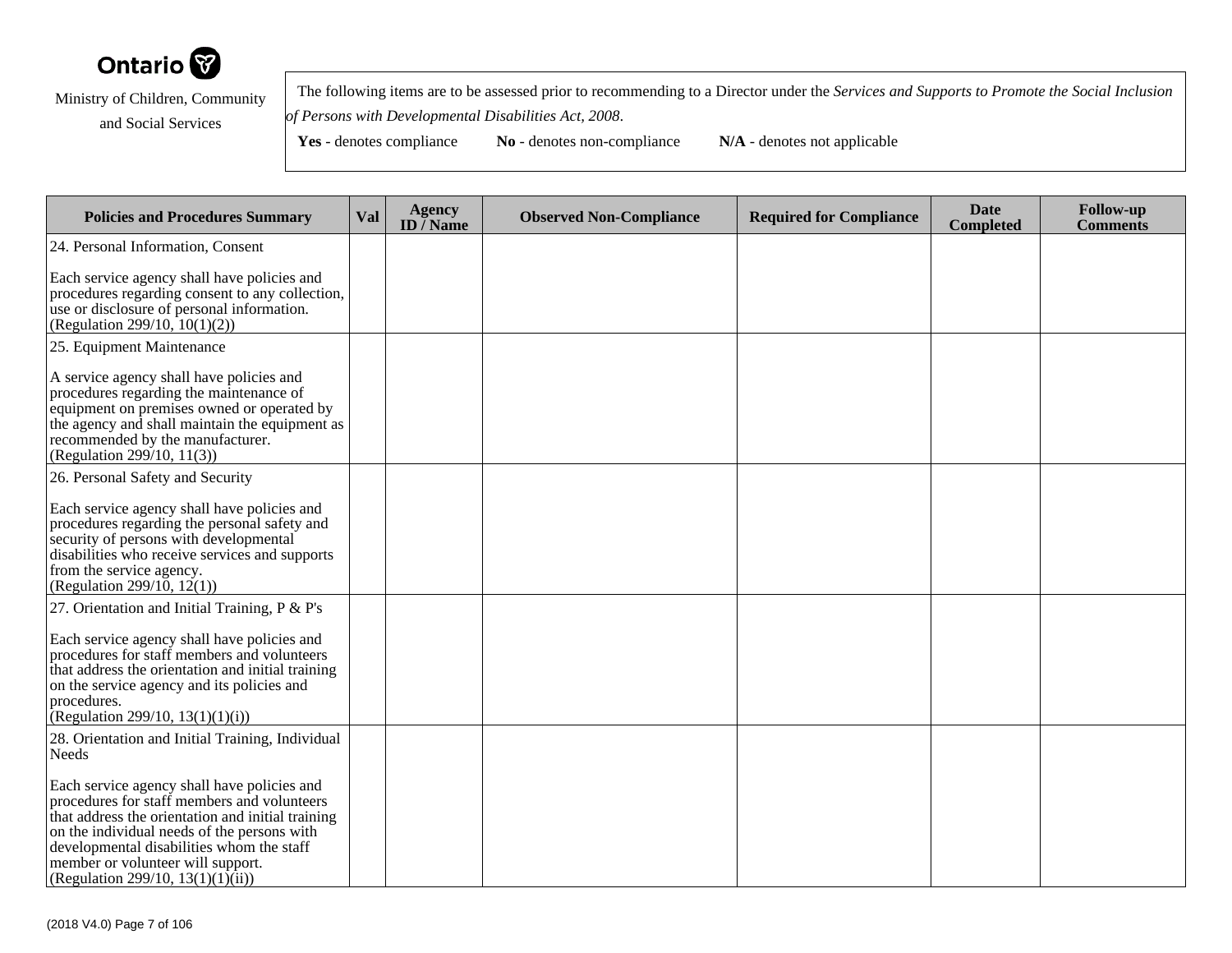

 The following items are to be assessed prior to recommending to a Director under the *Services and Supports to Promote the Social Inclusionof Persons with Developmental Disabilities Act, 2008*.

| <b>Policies and Procedures Summary</b>                                                                                                                                                                                                                                                                                | Val | <b>Agency</b><br>ID $\overline{/}$ Name | <b>Observed Non-Compliance</b> | <b>Required for Compliance</b> | <b>Date</b><br><b>Completed</b> | <b>Follow-up</b><br><b>Comments</b> |
|-----------------------------------------------------------------------------------------------------------------------------------------------------------------------------------------------------------------------------------------------------------------------------------------------------------------------|-----|-----------------------------------------|--------------------------------|--------------------------------|---------------------------------|-------------------------------------|
| 24. Personal Information, Consent                                                                                                                                                                                                                                                                                     |     |                                         |                                |                                |                                 |                                     |
| Each service agency shall have policies and<br>procedures regarding consent to any collection,<br>use or disclosure of personal information.<br>(Regulation 299/10, $10(1)(2)$ )                                                                                                                                      |     |                                         |                                |                                |                                 |                                     |
| 25. Equipment Maintenance                                                                                                                                                                                                                                                                                             |     |                                         |                                |                                |                                 |                                     |
| A service agency shall have policies and<br>procedures regarding the maintenance of<br>equipment on premises owned or operated by<br>the agency and shall maintain the equipment as<br>recommended by the manufacturer.<br>(Regulation 299/10, 11(3))                                                                 |     |                                         |                                |                                |                                 |                                     |
| 26. Personal Safety and Security                                                                                                                                                                                                                                                                                      |     |                                         |                                |                                |                                 |                                     |
| Each service agency shall have policies and<br>procedures regarding the personal safety and<br>security of persons with developmental<br>disabilities who receive services and supports<br>from the service agency.<br>(Regulation 299/10, $12(1)$ )                                                                  |     |                                         |                                |                                |                                 |                                     |
| 27. Orientation and Initial Training, $P \& P's$                                                                                                                                                                                                                                                                      |     |                                         |                                |                                |                                 |                                     |
| Each service agency shall have policies and<br>procedures for staff members and volunteers<br>that address the orientation and initial training<br>on the service agency and its policies and<br>procedures.<br>(Regulation 299/10, 13(1)(1)(i))                                                                      |     |                                         |                                |                                |                                 |                                     |
| 28. Orientation and Initial Training, Individual<br>Needs                                                                                                                                                                                                                                                             |     |                                         |                                |                                |                                 |                                     |
| Each service agency shall have policies and<br>procedures for staff members and volunteers<br>that address the orientation and initial training<br>on the individual needs of the persons with<br>developmental disabilities whom the staff<br>member or volunteer will support.<br>(Regulation 299/10, 13(1)(1)(ii)) |     |                                         |                                |                                |                                 |                                     |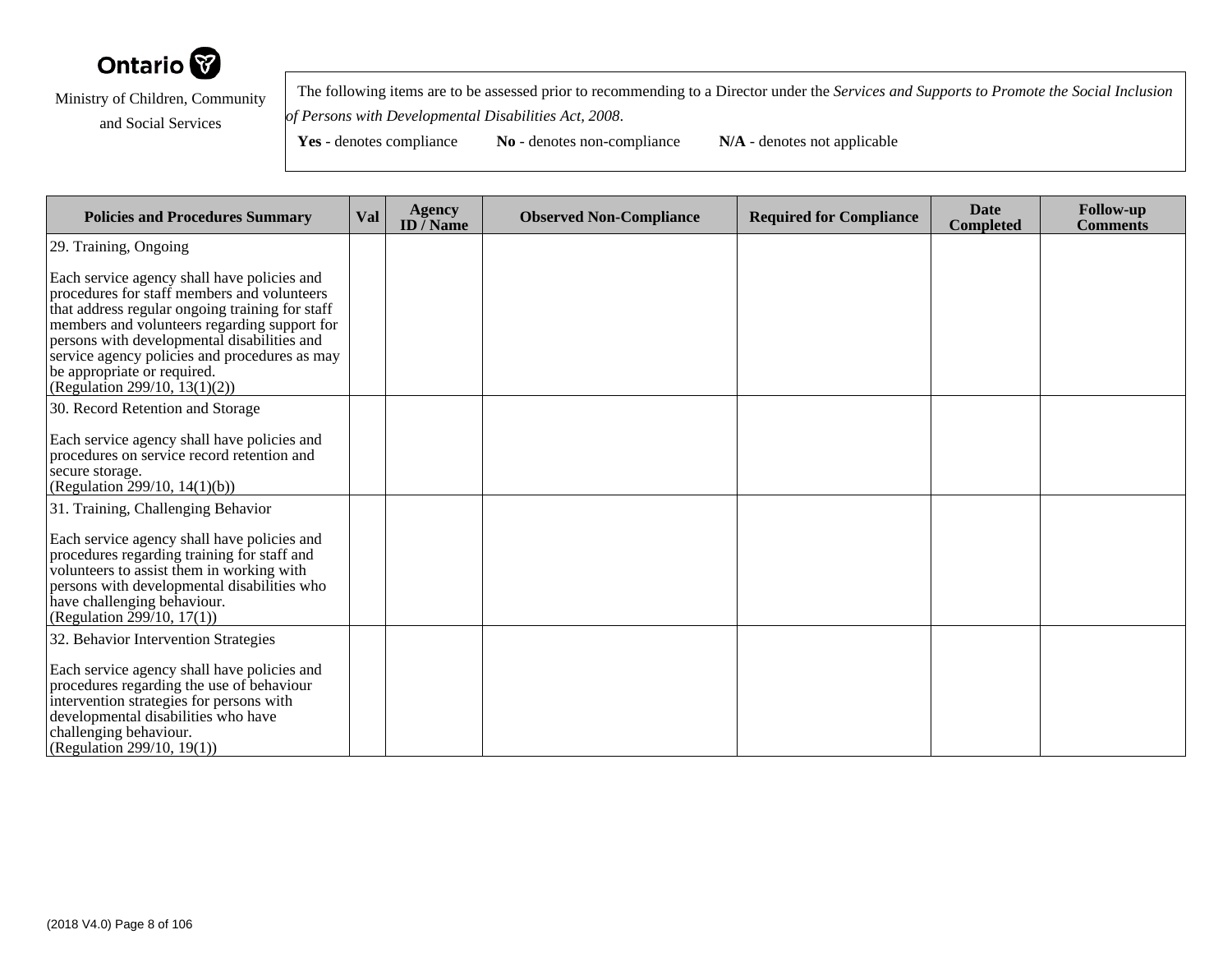

 The following items are to be assessed prior to recommending to a Director under the *Services and Supports to Promote the Social Inclusionof Persons with Developmental Disabilities Act, 2008*.

Yes - denotes compliance **No** - denotes non-compliance **N/A** - denotes not applicable

**Policies and Procedures Summary Val Agency ID / NameObserved Non-Compliance Required for Compliance Date Completed Follow-up Comments** 29. Training, OngoingEach service agency shall have policies and procedures for staff members and volunteers that address regular ongoing training for staff members and volunteers regarding support forpersons with developmental disabilities and service agency policies and procedures as maybe appropriate or required. (Regulation 299/10, 13(1)(2))30. Record Retention and StorageEach service agency shall have policies and procedures on service record retention andsecure storage. (Regulation 299/10, 14(1)(b))31. Training, Challenging BehaviorEach service agency shall have policies and procedures regarding training for staff and volunteers to assist them in working with persons with developmental disabilities whohave challenging behaviour. $(Regularian Equation 299/10, 17(1))$ 32. Behavior Intervention StrategiesEach service agency shall have policies and procedures regarding the use of behaviourintervention strategies for persons withdevelopmental disabilities who havechallenging behaviour.(Regulation 299/10, 19(1))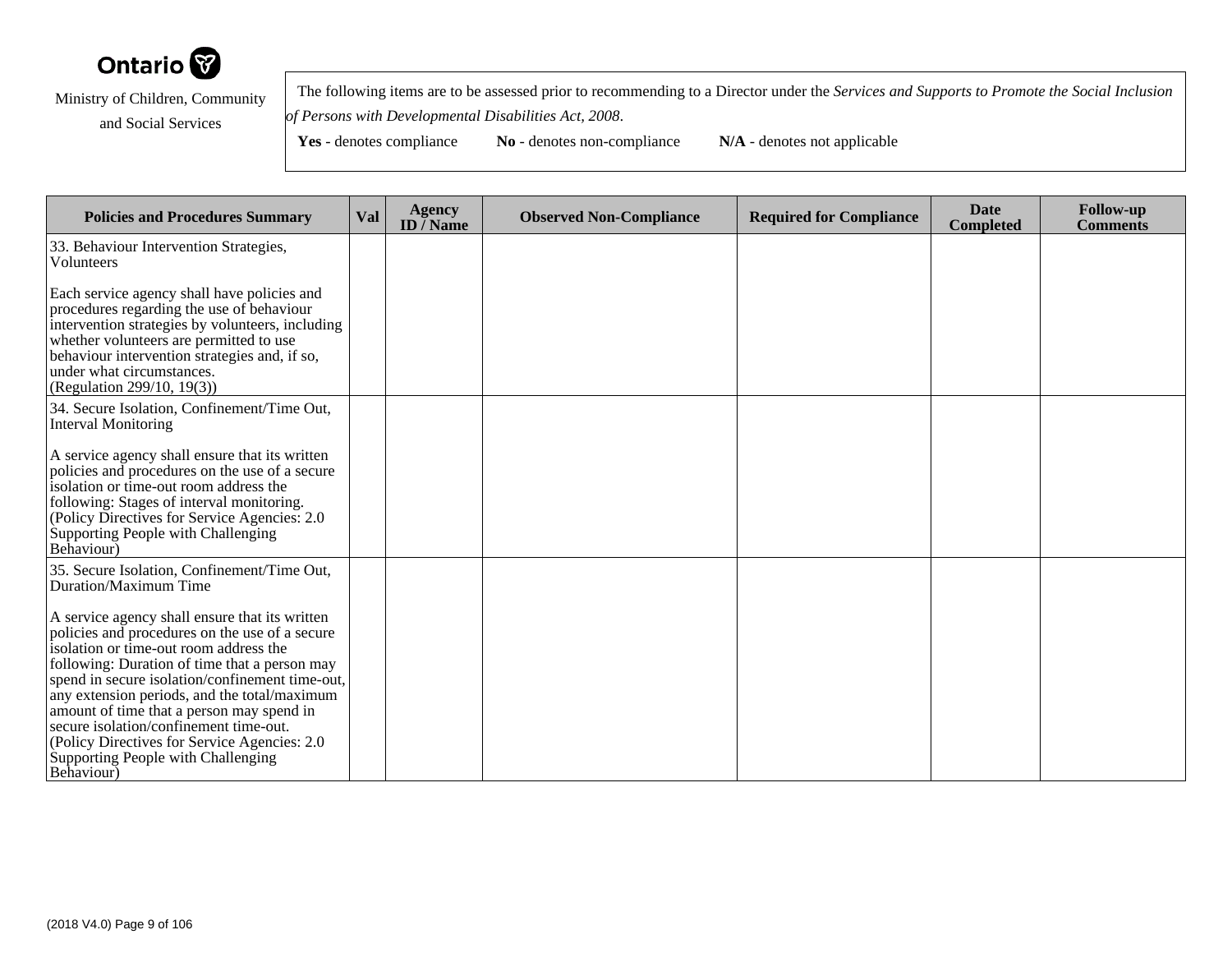

 The following items are to be assessed prior to recommending to a Director under the *Services and Supports to Promote the Social Inclusionof Persons with Developmental Disabilities Act, 2008*.

| <b>Policies and Procedures Summary</b>                                                                                                                                                                                                                                                                                                                                                                                                                                                     | Val | <b>Agency</b><br>ID $\bar{}/$ Name | <b>Observed Non-Compliance</b> | <b>Required for Compliance</b> | <b>Date</b><br><b>Completed</b> | <b>Follow-up</b><br><b>Comments</b> |
|--------------------------------------------------------------------------------------------------------------------------------------------------------------------------------------------------------------------------------------------------------------------------------------------------------------------------------------------------------------------------------------------------------------------------------------------------------------------------------------------|-----|------------------------------------|--------------------------------|--------------------------------|---------------------------------|-------------------------------------|
| 33. Behaviour Intervention Strategies,<br><b>Volunteers</b>                                                                                                                                                                                                                                                                                                                                                                                                                                |     |                                    |                                |                                |                                 |                                     |
| Each service agency shall have policies and<br>procedures regarding the use of behaviour<br>intervention strategies by volunteers, including<br>whether volunteers are permitted to use<br>behaviour intervention strategies and, if so,<br>under what circumstances.<br>(Regulation 299/10, 19(3))                                                                                                                                                                                        |     |                                    |                                |                                |                                 |                                     |
| 34. Secure Isolation, Confinement/Time Out,<br><b>Interval Monitoring</b>                                                                                                                                                                                                                                                                                                                                                                                                                  |     |                                    |                                |                                |                                 |                                     |
| A service agency shall ensure that its written<br>policies and procedures on the use of a secure<br>isolation or time-out room address the<br>following: Stages of interval monitoring.<br>(Policy Directives for Service Agencies: 2.0)<br>Supporting People with Challenging<br>Behaviour)                                                                                                                                                                                               |     |                                    |                                |                                |                                 |                                     |
| 35. Secure Isolation, Confinement/Time Out,<br>Duration/Maximum Time                                                                                                                                                                                                                                                                                                                                                                                                                       |     |                                    |                                |                                |                                 |                                     |
| A service agency shall ensure that its written<br>policies and procedures on the use of a secure<br>isolation or time-out room address the<br>following: Duration of time that a person may<br>spend in secure isolation/confinement time-out,<br>any extension periods, and the total/maximum<br>amount of time that a person may spend in<br>secure isolation/confinement time-out.<br>(Policy Directives for Service Agencies: 2.0)<br>Supporting People with Challenging<br>Behaviour) |     |                                    |                                |                                |                                 |                                     |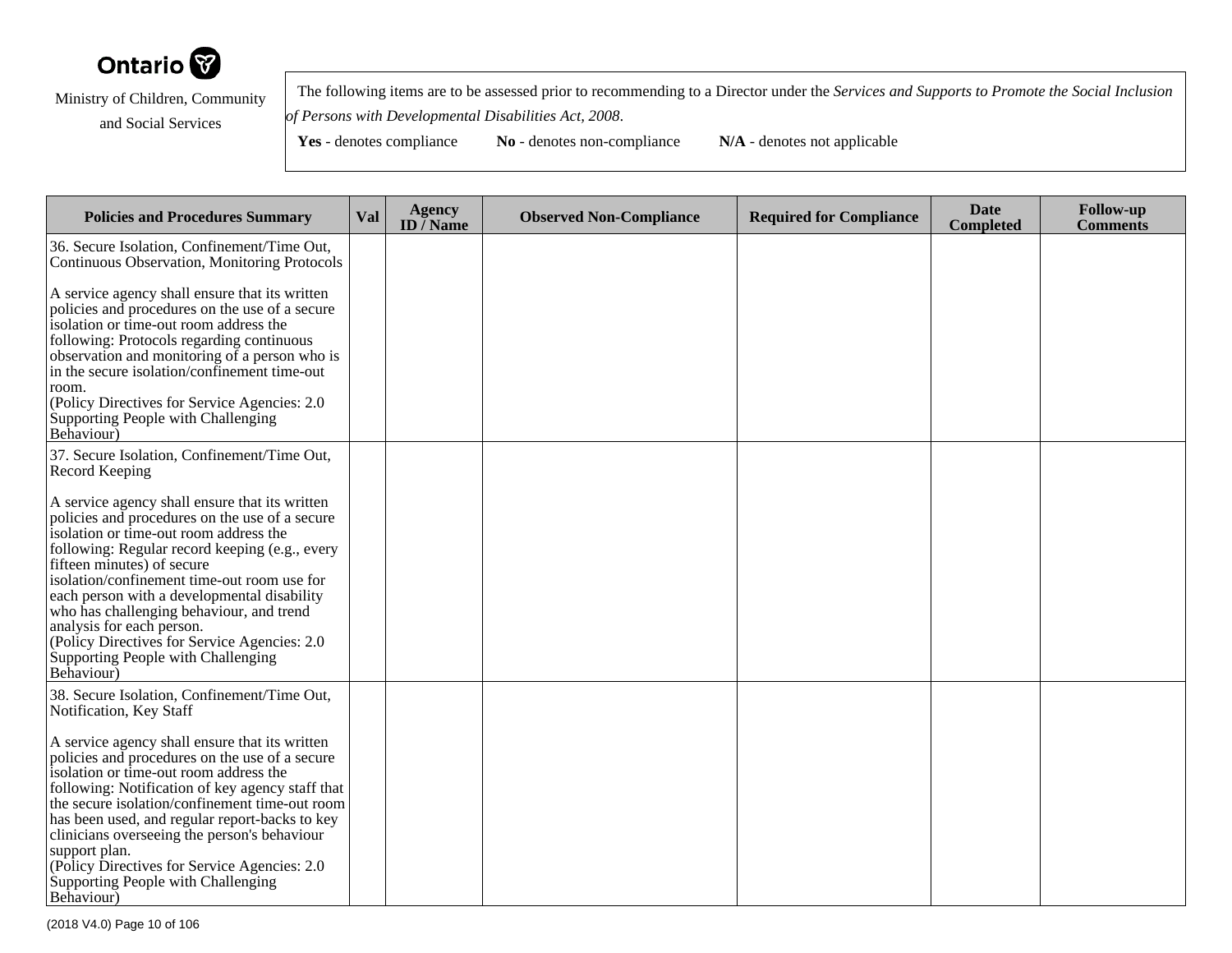

 The following items are to be assessed prior to recommending to a Director under the *Services and Supports to Promote the Social Inclusionof Persons with Developmental Disabilities Act, 2008*.

| <b>Policies and Procedures Summary</b>                                                                                                                                                                                                                                                                                                                                                                                                                                                                                                             | Val | <b>Agency</b><br>ID $\bar{I}$ Name | <b>Observed Non-Compliance</b> | <b>Required for Compliance</b> | <b>Date</b><br><b>Completed</b> | <b>Follow-up</b><br><b>Comments</b> |
|----------------------------------------------------------------------------------------------------------------------------------------------------------------------------------------------------------------------------------------------------------------------------------------------------------------------------------------------------------------------------------------------------------------------------------------------------------------------------------------------------------------------------------------------------|-----|------------------------------------|--------------------------------|--------------------------------|---------------------------------|-------------------------------------|
| 36. Secure Isolation, Confinement/Time Out,<br>Continuous Observation, Monitoring Protocols                                                                                                                                                                                                                                                                                                                                                                                                                                                        |     |                                    |                                |                                |                                 |                                     |
| A service agency shall ensure that its written<br>policies and procedures on the use of a secure<br>isolation or time-out room address the<br>following: Protocols regarding continuous<br>observation and monitoring of a person who is<br>in the secure isolation/confinement time-out<br>room.<br>(Policy Directives for Service Agencies: 2.0<br>Supporting People with Challenging<br>Behaviour)                                                                                                                                              |     |                                    |                                |                                |                                 |                                     |
| 37. Secure Isolation, Confinement/Time Out,<br>Record Keeping                                                                                                                                                                                                                                                                                                                                                                                                                                                                                      |     |                                    |                                |                                |                                 |                                     |
| A service agency shall ensure that its written<br>policies and procedures on the use of a secure<br>isolation or time-out room address the<br>following: Regular record keeping (e.g., every<br>fifteen minutes) of secure<br>isolation/confinement time-out room use for<br>each person with a developmental disability<br>who has challenging behaviour, and trend<br>analysis for each person.<br>(Policy Directives for Service Agencies: 2.0)<br>Supporting People with Challenging<br>Behaviour)                                             |     |                                    |                                |                                |                                 |                                     |
| 38. Secure Isolation, Confinement/Time Out,<br>Notification, Key Staff<br>A service agency shall ensure that its written<br>policies and procedures on the use of a secure<br>isolation or time-out room address the<br>following: Notification of key agency staff that<br>the secure isolation/confinement time-out room<br>has been used, and regular report-backs to key<br>clinicians overseeing the person's behaviour<br>support plan.<br>(Policy Directives for Service Agencies: 2.0)<br>Supporting People with Challenging<br>Behaviour) |     |                                    |                                |                                |                                 |                                     |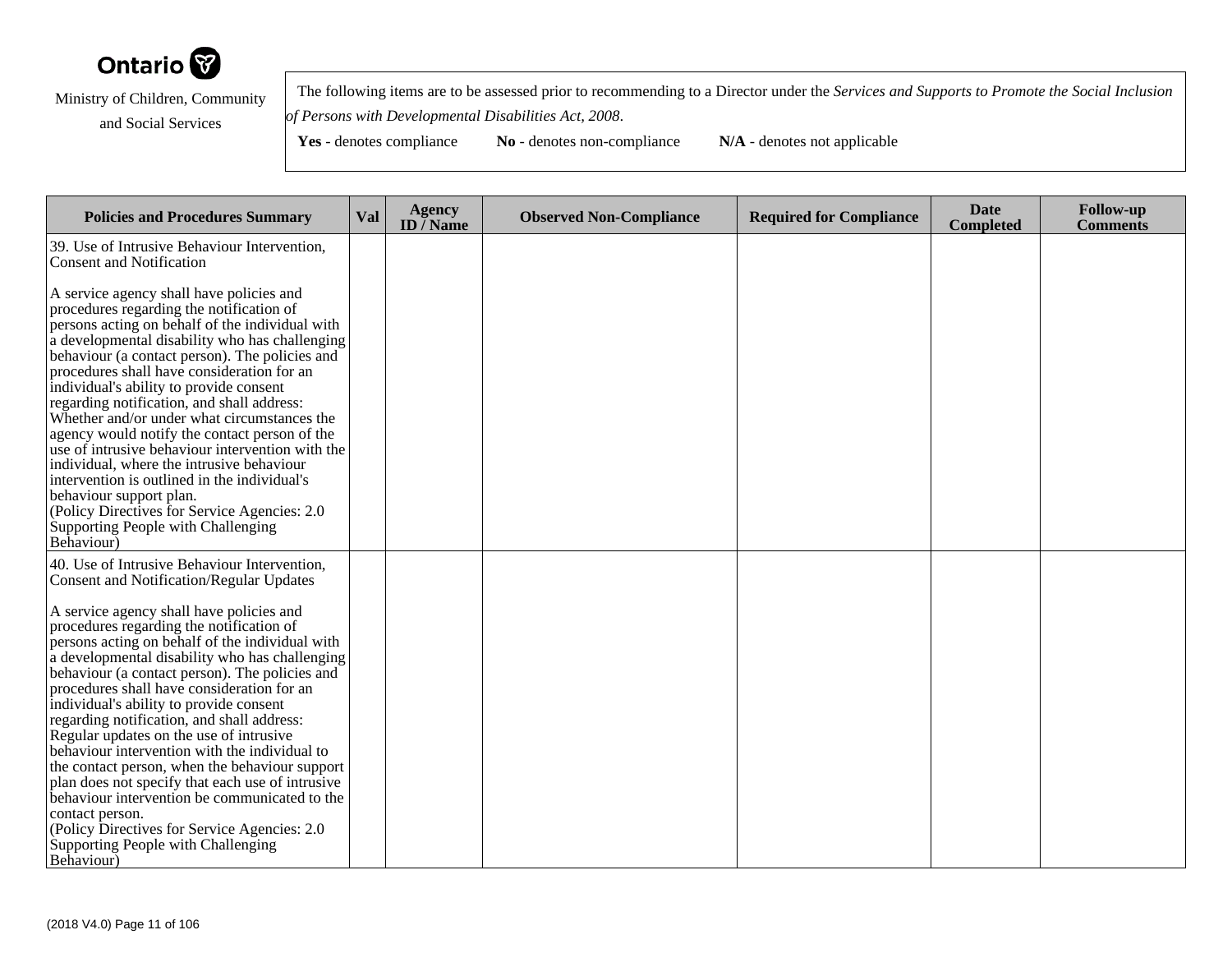

 The following items are to be assessed prior to recommending to a Director under the *Services and Supports to Promote the Social Inclusionof Persons with Developmental Disabilities Act, 2008*.

| <b>Policies and Procedures Summary</b>                                                                                                                                                                                                                                                                                                                                                                                                                                                                                                                                                                                                                                                                                                                              | Val | <b>Agency</b><br>ID $\overline{}/$ Name | <b>Observed Non-Compliance</b> | <b>Required for Compliance</b> | <b>Date</b><br><b>Completed</b> | <b>Follow-up</b><br><b>Comments</b> |
|---------------------------------------------------------------------------------------------------------------------------------------------------------------------------------------------------------------------------------------------------------------------------------------------------------------------------------------------------------------------------------------------------------------------------------------------------------------------------------------------------------------------------------------------------------------------------------------------------------------------------------------------------------------------------------------------------------------------------------------------------------------------|-----|-----------------------------------------|--------------------------------|--------------------------------|---------------------------------|-------------------------------------|
| 39. Use of Intrusive Behaviour Intervention,<br>Consent and Notification                                                                                                                                                                                                                                                                                                                                                                                                                                                                                                                                                                                                                                                                                            |     |                                         |                                |                                |                                 |                                     |
| A service agency shall have policies and<br>procedures regarding the notification of<br>persons acting on behalf of the individual with<br>a developmental disability who has challenging<br>behaviour (a contact person). The policies and<br>procedures shall have consideration for an<br>individual's ability to provide consent<br>regarding notification, and shall address:<br>Whether and/or under what circumstances the<br>agency would notify the contact person of the<br>use of intrusive behaviour intervention with the<br>individual, where the intrusive behaviour<br>intervention is outlined in the individual's<br>behaviour support plan.<br>(Policy Directives for Service Agencies: 2.0)<br>Supporting People with Challenging<br>Behaviour) |     |                                         |                                |                                |                                 |                                     |
| 40. Use of Intrusive Behaviour Intervention,<br><b>Consent and Notification/Regular Updates</b>                                                                                                                                                                                                                                                                                                                                                                                                                                                                                                                                                                                                                                                                     |     |                                         |                                |                                |                                 |                                     |
| A service agency shall have policies and<br>procedures regarding the notification of<br>persons acting on behalf of the individual with<br>a developmental disability who has challenging<br>behaviour (a contact person). The policies and<br>procedures shall have consideration for an<br>individual's ability to provide consent<br>regarding notification, and shall address:<br>Regular updates on the use of intrusive<br>behaviour intervention with the individual to<br>the contact person, when the behaviour support<br>plan does not specify that each use of intrusive<br>behaviour intervention be communicated to the<br>contact person.<br>(Policy Directives for Service Agencies: 2.0)<br>Supporting People with Challenging<br>Behaviour)       |     |                                         |                                |                                |                                 |                                     |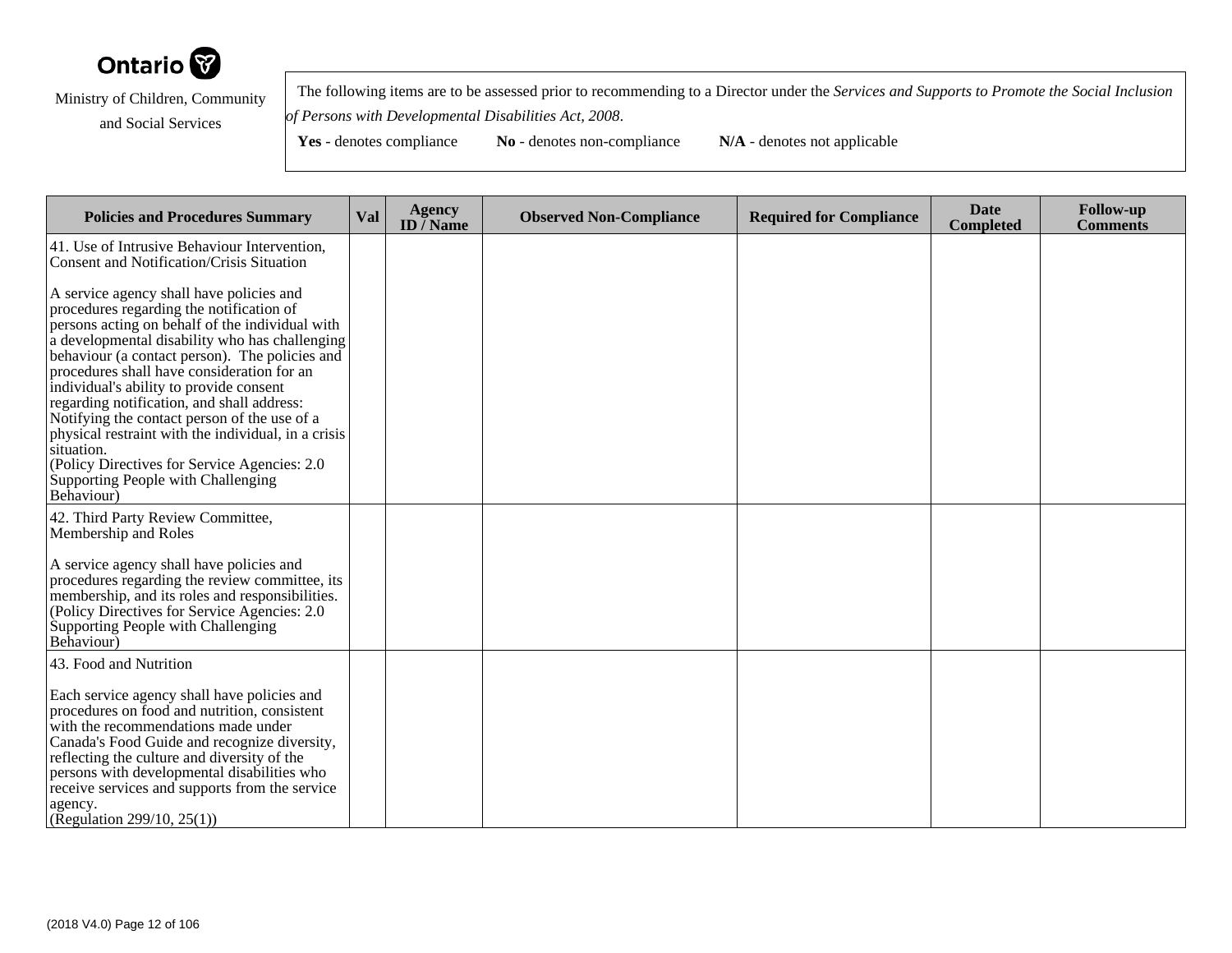

 The following items are to be assessed prior to recommending to a Director under the *Services and Supports to Promote the Social Inclusionof Persons with Developmental Disabilities Act, 2008*.

| <b>Policies and Procedures Summary</b>                                                                                                                                                                                                                                                                                                                                                                                                                                                                                                                                                                      | <b>Val</b> | <b>Agency</b><br>ID $\bar{}/$ Name | <b>Observed Non-Compliance</b> | <b>Required for Compliance</b> | <b>Date</b><br><b>Completed</b> | <b>Follow-up</b><br><b>Comments</b> |
|-------------------------------------------------------------------------------------------------------------------------------------------------------------------------------------------------------------------------------------------------------------------------------------------------------------------------------------------------------------------------------------------------------------------------------------------------------------------------------------------------------------------------------------------------------------------------------------------------------------|------------|------------------------------------|--------------------------------|--------------------------------|---------------------------------|-------------------------------------|
| 41. Use of Intrusive Behaviour Intervention,<br>Consent and Notification/Crisis Situation                                                                                                                                                                                                                                                                                                                                                                                                                                                                                                                   |            |                                    |                                |                                |                                 |                                     |
| A service agency shall have policies and<br>procedures regarding the notification of<br>persons acting on behalf of the individual with<br>a developmental disability who has challenging<br>behaviour (a contact person). The policies and<br>procedures shall have consideration for an<br>individual's ability to provide consent<br>regarding notification, and shall address:<br>Notifying the contact person of the use of a<br>physical restraint with the individual, in a crisis<br>situation.<br>(Policy Directives for Service Agencies: 2.0<br>Supporting People with Challenging<br>Behaviour) |            |                                    |                                |                                |                                 |                                     |
| 42. Third Party Review Committee,<br>Membership and Roles                                                                                                                                                                                                                                                                                                                                                                                                                                                                                                                                                   |            |                                    |                                |                                |                                 |                                     |
| A service agency shall have policies and<br>procedures regarding the review committee, its<br>membership, and its roles and responsibilities.<br>(Policy Directives for Service Agencies: 2.0)<br>Supporting People with Challenging<br>Behaviour)                                                                                                                                                                                                                                                                                                                                                          |            |                                    |                                |                                |                                 |                                     |
| 43. Food and Nutrition                                                                                                                                                                                                                                                                                                                                                                                                                                                                                                                                                                                      |            |                                    |                                |                                |                                 |                                     |
| Each service agency shall have policies and<br>procedures on food and nutrition, consistent<br>with the recommendations made under<br>Canada's Food Guide and recognize diversity,<br>reflecting the culture and diversity of the<br>persons with developmental disabilities who<br>receive services and supports from the service<br>agency.<br>(Regulation 299/10, 25(1))                                                                                                                                                                                                                                 |            |                                    |                                |                                |                                 |                                     |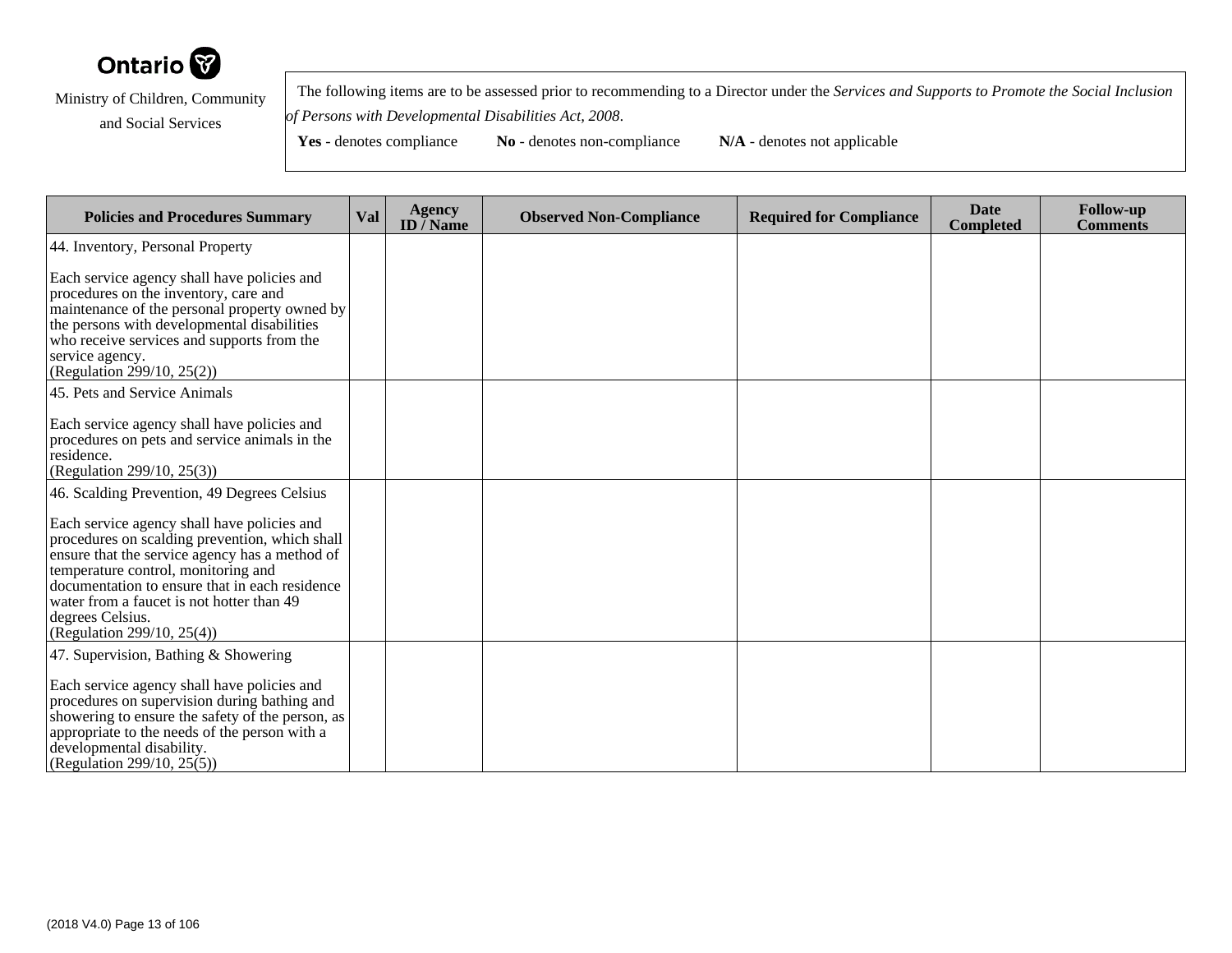

 The following items are to be assessed prior to recommending to a Director under the *Services and Supports to Promote the Social Inclusionof Persons with Developmental Disabilities Act, 2008*.

**Yes** - denotes compliance **No** - denotes non-compliance **N/A** - denotes not applicable

**Policies and Procedures Summary Val Agency ID / NameObserved Non-Compliance Required for Compliance Date Completed Follow-up Comments** 44. Inventory, Personal PropertyEach service agency shall have policies andprocedures on the inventory, care and maintenance of the personal property owned bythe persons with developmental disabilities who receive services and supports from theservice agency. (Regulation 299/10, 25(2))45. Pets and Service AnimalsEach service agency shall have policies and procedures on pets and service animals in theresidence. (Regulation 299/10, 25(3))46. Scalding Prevention, 49 Degrees CelsiusEach service agency shall have policies and procedures on scalding prevention, which shall ensure that the service agency has a method oftemperature control, monitoring and documentation to ensure that in each residencewater from a faucet is not hotter than 49degrees Celsius. (Regulation 299/10, 25(4))47. Supervision, Bathing & ShoweringEach service agency shall have policies and procedures on supervision during bathing and showering to ensure the safety of the person, asappropriate to the needs of the person with adevelopmental disability.(Regulation 299/10, 25(5))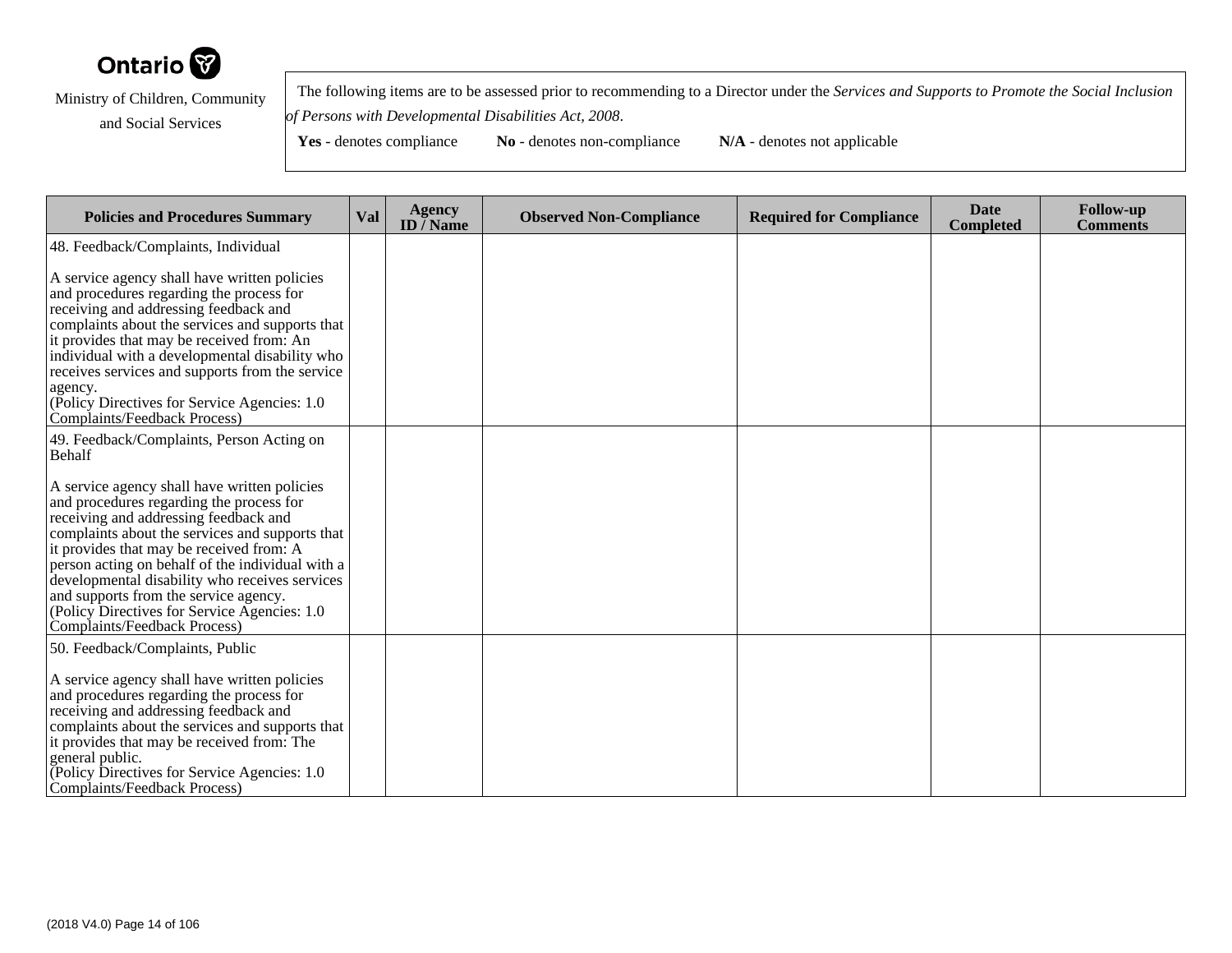

 The following items are to be assessed prior to recommending to a Director under the *Services and Supports to Promote the Social Inclusionof Persons with Developmental Disabilities Act, 2008*.

| <b>Policies and Procedures Summary</b>                                                                                                                                                                                                                                                                                                                                                                                                                           | <b>Val</b> | <b>Agency</b><br>ID $\overline{/}$ Name | <b>Observed Non-Compliance</b> | <b>Required for Compliance</b> | <b>Date</b><br><b>Completed</b> | <b>Follow-up</b><br><b>Comments</b> |
|------------------------------------------------------------------------------------------------------------------------------------------------------------------------------------------------------------------------------------------------------------------------------------------------------------------------------------------------------------------------------------------------------------------------------------------------------------------|------------|-----------------------------------------|--------------------------------|--------------------------------|---------------------------------|-------------------------------------|
| 48. Feedback/Complaints, Individual                                                                                                                                                                                                                                                                                                                                                                                                                              |            |                                         |                                |                                |                                 |                                     |
| A service agency shall have written policies<br>and procedures regarding the process for<br>receiving and addressing feedback and<br>complaints about the services and supports that<br>it provides that may be received from: An<br>individual with a developmental disability who<br>receives services and supports from the service<br>agency.<br>(Policy Directives for Service Agencies: 1.0)<br>Complaints/Feedback Process)                               |            |                                         |                                |                                |                                 |                                     |
| 49. Feedback/Complaints, Person Acting on<br>Behalf                                                                                                                                                                                                                                                                                                                                                                                                              |            |                                         |                                |                                |                                 |                                     |
| A service agency shall have written policies<br>and procedures regarding the process for<br>receiving and addressing feedback and<br>complaints about the services and supports that<br>it provides that may be received from: A<br>person acting on behalf of the individual with a<br>developmental disability who receives services<br>and supports from the service agency.<br>(Policy Directives for Service Agencies: 1.0)<br>Complaints/Feedback Process) |            |                                         |                                |                                |                                 |                                     |
| 50. Feedback/Complaints, Public<br>A service agency shall have written policies<br>and procedures regarding the process for<br>receiving and addressing feedback and<br>complaints about the services and supports that<br>it provides that may be received from: The<br>general public.<br>(Policy Directives for Service Agencies: 1.0)<br>Complaints/Feedback Process)                                                                                        |            |                                         |                                |                                |                                 |                                     |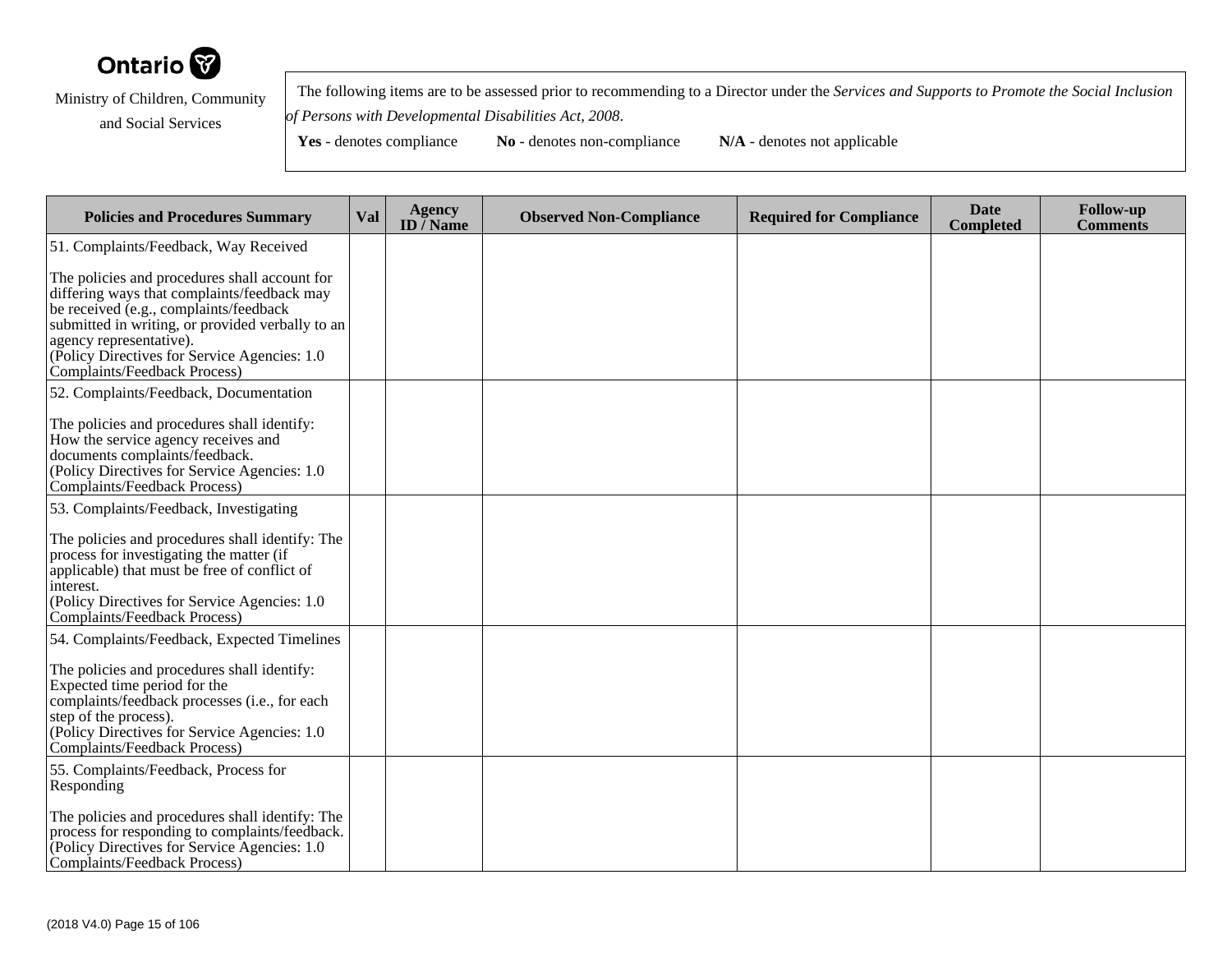

 The following items are to be assessed prior to recommending to a Director under the *Services and Supports to Promote the Social Inclusionof Persons with Developmental Disabilities Act, 2008*.

| <b>Policies and Procedures Summary</b>                                                                                                                                                                                                                                                                 | Val | <b>Agency</b><br>ID $\bar{}/$ Name | <b>Observed Non-Compliance</b> | <b>Required for Compliance</b> | <b>Date</b><br><b>Completed</b> | <b>Follow-up</b><br><b>Comments</b> |
|--------------------------------------------------------------------------------------------------------------------------------------------------------------------------------------------------------------------------------------------------------------------------------------------------------|-----|------------------------------------|--------------------------------|--------------------------------|---------------------------------|-------------------------------------|
| 51. Complaints/Feedback, Way Received                                                                                                                                                                                                                                                                  |     |                                    |                                |                                |                                 |                                     |
| The policies and procedures shall account for<br>differing ways that complaints/feedback may<br>be received (e.g., complaints/feedback<br>submitted in writing, or provided verbally to an<br>agency representative).<br>(Policy Directives for Service Agencies: 1.0)<br>Complaints/Feedback Process) |     |                                    |                                |                                |                                 |                                     |
| 52. Complaints/Feedback, Documentation                                                                                                                                                                                                                                                                 |     |                                    |                                |                                |                                 |                                     |
| The policies and procedures shall identify:<br>How the service agency receives and<br>documents complaints/feedback.<br>(Policy Directives for Service Agencies: 1.0)<br>Complaints/Feedback Process)                                                                                                  |     |                                    |                                |                                |                                 |                                     |
| 53. Complaints/Feedback, Investigating                                                                                                                                                                                                                                                                 |     |                                    |                                |                                |                                 |                                     |
| The policies and procedures shall identify: The<br>process for investigating the matter (if<br>applicable) that must be free of conflict of<br>interest.<br>(Policy Directives for Service Agencies: 1.0)<br>Complaints/Feedback Process)                                                              |     |                                    |                                |                                |                                 |                                     |
| 54. Complaints/Feedback, Expected Timelines                                                                                                                                                                                                                                                            |     |                                    |                                |                                |                                 |                                     |
| The policies and procedures shall identify:<br>Expected time period for the<br>complaints/feedback processes (i.e., for each<br>step of the process).<br>(Policy Directives for Service Agencies: 1.0)<br>Complaints/Feedback Process)                                                                 |     |                                    |                                |                                |                                 |                                     |
| 55. Complaints/Feedback, Process for<br>Responding                                                                                                                                                                                                                                                     |     |                                    |                                |                                |                                 |                                     |
| The policies and procedures shall identify: The<br>process for responding to complaints/feedback.<br>(Policy Directives for Service Agencies: 1.0)<br>Complaints/Feedback Process)                                                                                                                     |     |                                    |                                |                                |                                 |                                     |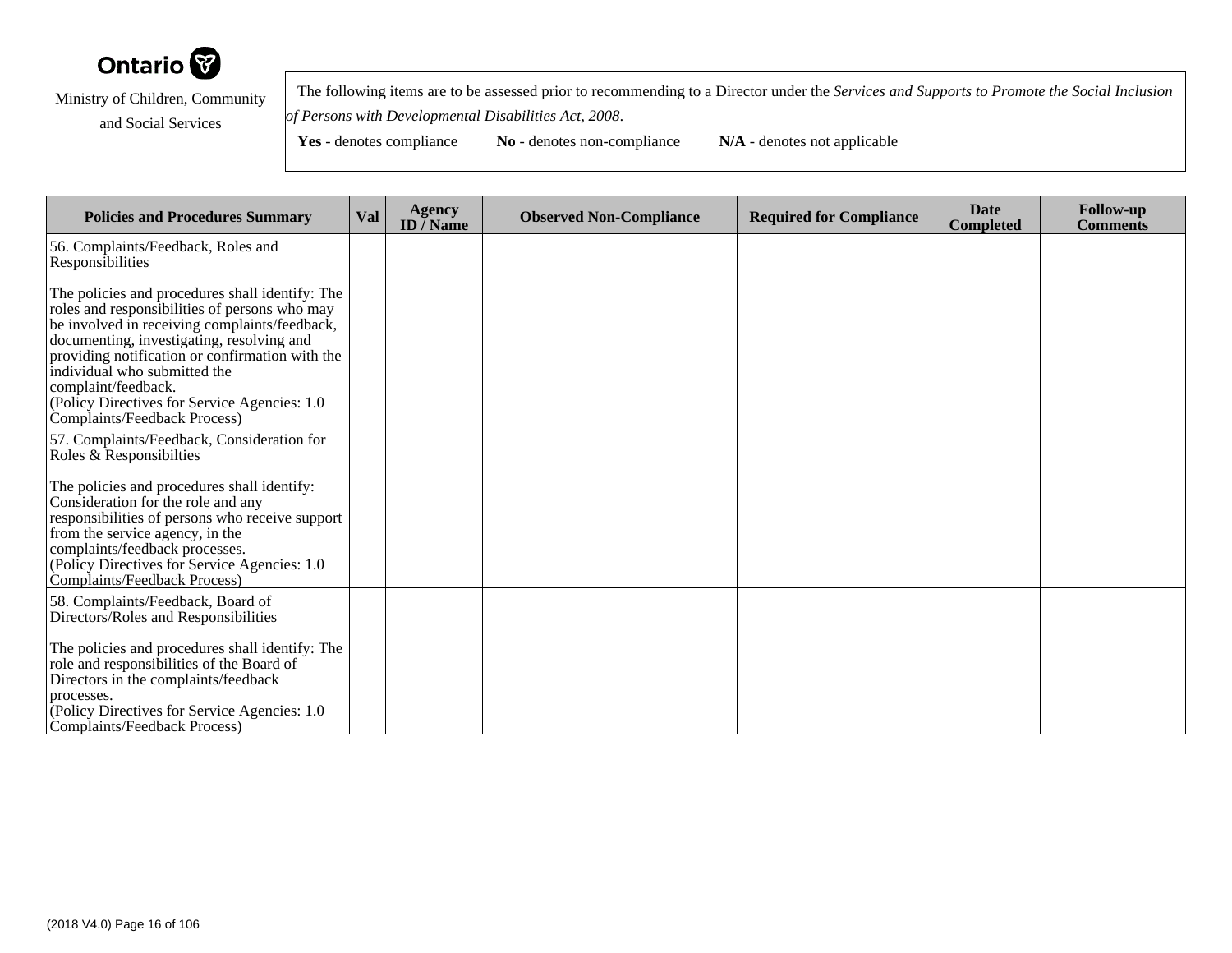

 The following items are to be assessed prior to recommending to a Director under the *Services and Supports to Promote the Social Inclusionof Persons with Developmental Disabilities Act, 2008*.

Yes - denotes compliance **No** - denotes non-compliance **N/A** - denotes not applicable

**Policies and Procedures Summary Val Agency ID / NameObserved Non-Compliance Required for Compliance Date Completed Follow-up Comments** 56. Complaints/Feedback, Roles andResponsibilitiesThe policies and procedures shall identify: The roles and responsibilities of persons who may be involved in receiving complaints/feedback,documenting, investigating, resolving and providing notification or confirmation with theindividual who submitted thecomplaint/feedback. (Policy Directives for Service Agencies: 1.0Complaints/Feedback Process)57. Complaints/Feedback, Consideration forRoles & ResponsibiltiesThe policies and procedures shall identify:Consideration for the role and any responsibilities of persons who receive supportfrom the service agency, in the complaints/feedback processes. (Policy Directives for Service Agencies: 1.0Complaints/Feedback Process)58. Complaints/Feedback, Board of Directors/Roles and ResponsibilitiesThe policies and procedures shall identify: Therole and responsibilities of the Board ofDirectors in the complaints/feedbackprocesses. (Policy Directives for Service Agencies: 1.0Complaints/Feedback Process)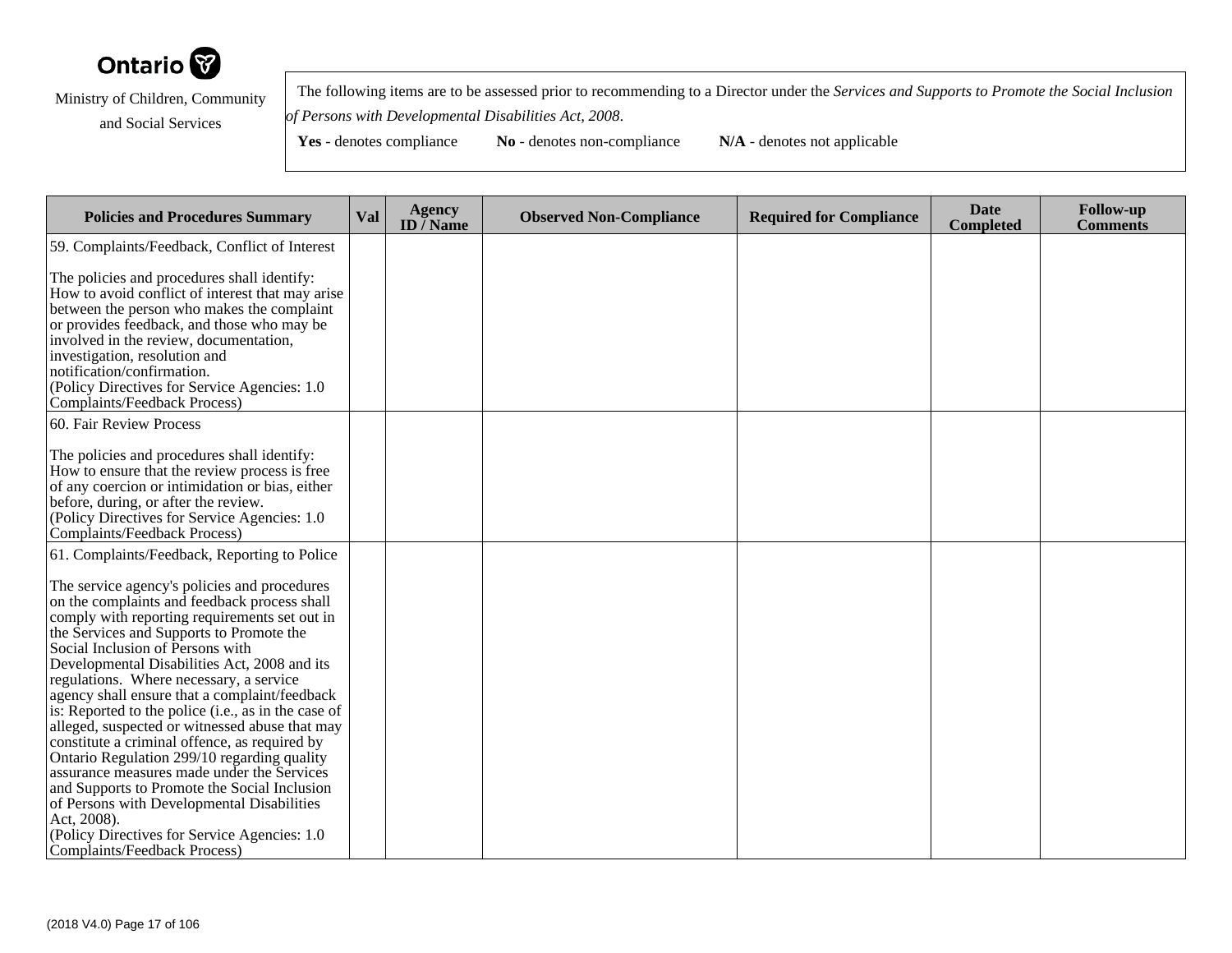

 The following items are to be assessed prior to recommending to a Director under the *Services and Supports to Promote the Social Inclusionof Persons with Developmental Disabilities Act, 2008*.

| <b>Policies and Procedures Summary</b>                                                                                                                                                                                                                                                                                                                                                                                                                                                                                                                                                                                                                                                                                                                                                         | Val | <b>Agency</b><br>ID $\overline{}/$ Name | <b>Observed Non-Compliance</b> | <b>Required for Compliance</b> | <b>Date</b><br><b>Completed</b> | <b>Follow-up</b><br><b>Comments</b> |
|------------------------------------------------------------------------------------------------------------------------------------------------------------------------------------------------------------------------------------------------------------------------------------------------------------------------------------------------------------------------------------------------------------------------------------------------------------------------------------------------------------------------------------------------------------------------------------------------------------------------------------------------------------------------------------------------------------------------------------------------------------------------------------------------|-----|-----------------------------------------|--------------------------------|--------------------------------|---------------------------------|-------------------------------------|
| 59. Complaints/Feedback, Conflict of Interest                                                                                                                                                                                                                                                                                                                                                                                                                                                                                                                                                                                                                                                                                                                                                  |     |                                         |                                |                                |                                 |                                     |
| The policies and procedures shall identify:<br>How to avoid conflict of interest that may arise<br>between the person who makes the complaint<br>or provides feedback, and those who may be<br>involved in the review, documentation,<br>investigation, resolution and<br>notification/confirmation.<br>(Policy Directives for Service Agencies: 1.0)<br><b>Complaints/Feedback Process)</b>                                                                                                                                                                                                                                                                                                                                                                                                   |     |                                         |                                |                                |                                 |                                     |
| 60. Fair Review Process                                                                                                                                                                                                                                                                                                                                                                                                                                                                                                                                                                                                                                                                                                                                                                        |     |                                         |                                |                                |                                 |                                     |
| The policies and procedures shall identify:<br>How to ensure that the review process is free<br>of any coercion or intimidation or bias, either<br>before, during, or after the review.<br>(Policy Directives for Service Agencies: 1.0)<br>Complaints/Feedback Process)                                                                                                                                                                                                                                                                                                                                                                                                                                                                                                                       |     |                                         |                                |                                |                                 |                                     |
| 61. Complaints/Feedback, Reporting to Police                                                                                                                                                                                                                                                                                                                                                                                                                                                                                                                                                                                                                                                                                                                                                   |     |                                         |                                |                                |                                 |                                     |
| The service agency's policies and procedures<br>on the complaints and feedback process shall<br>comply with reporting requirements set out in<br>the Services and Supports to Promote the<br>Social Inclusion of Persons with<br>Developmental Disabilities Act, 2008 and its<br>regulations. Where necessary, a service<br>agency shall ensure that a complaint/feedback<br>is: Reported to the police (i.e., as in the case of<br>alleged, suspected or witnessed abuse that may<br>constitute a criminal offence, as required by<br>Ontario Regulation 299/10 regarding quality<br>assurance measures made under the Services<br>and Supports to Promote the Social Inclusion<br>of Persons with Developmental Disabilities<br>Act, 2008).<br>(Policy Directives for Service Agencies: 1.0) |     |                                         |                                |                                |                                 |                                     |
| Complaints/Feedback Process)                                                                                                                                                                                                                                                                                                                                                                                                                                                                                                                                                                                                                                                                                                                                                                   |     |                                         |                                |                                |                                 |                                     |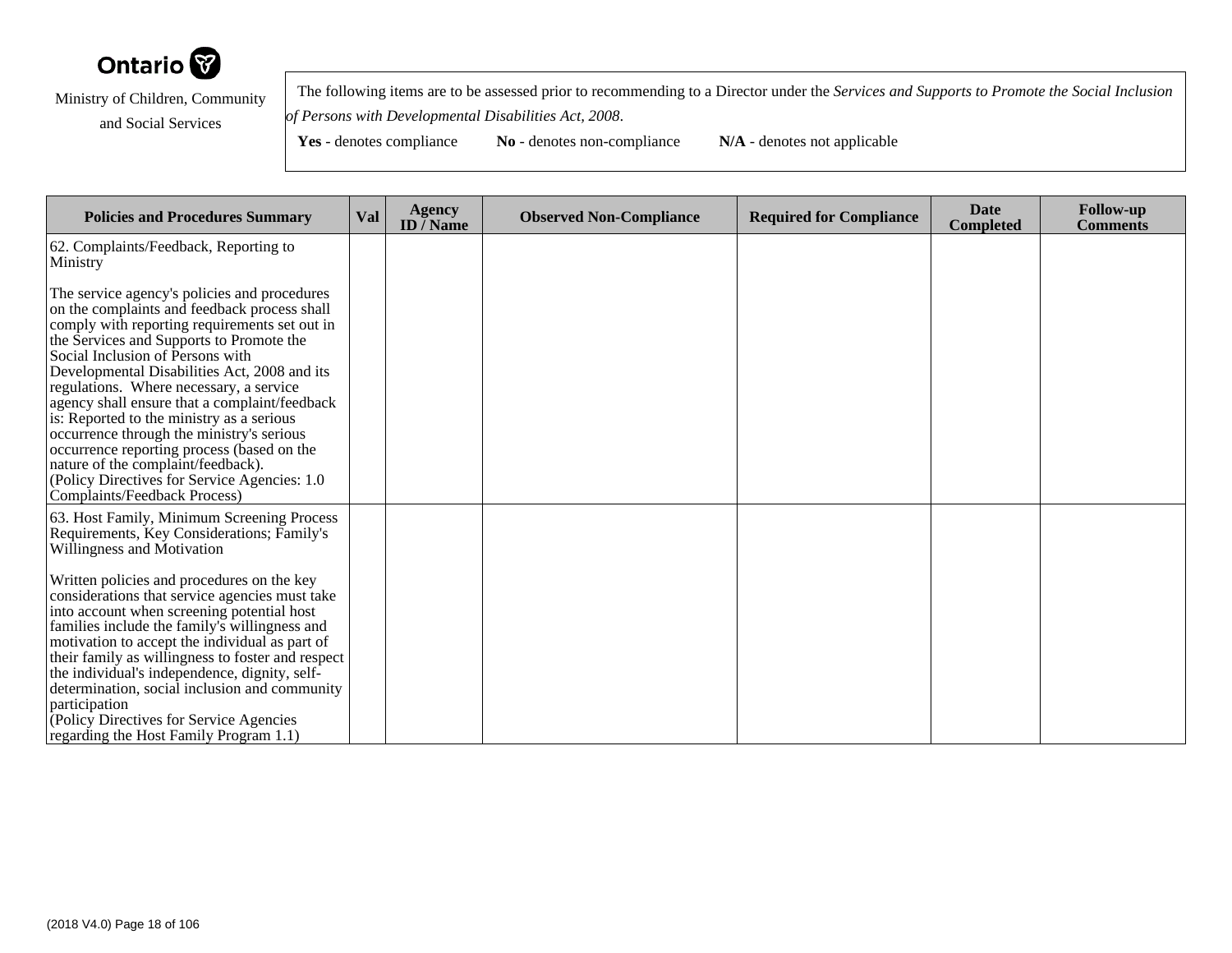

 The following items are to be assessed prior to recommending to a Director under the *Services and Supports to Promote the Social Inclusionof Persons with Developmental Disabilities Act, 2008*.

| <b>Policies and Procedures Summary</b>                                                                                                                                                                                                                                                                                                                                                                                                                                                                                                                                                                                                   | Val | Agency<br><b>ID</b> / Name | <b>Observed Non-Compliance</b> | <b>Required for Compliance</b> | <b>Date</b><br><b>Completed</b> | <b>Follow-up</b><br><b>Comments</b> |
|------------------------------------------------------------------------------------------------------------------------------------------------------------------------------------------------------------------------------------------------------------------------------------------------------------------------------------------------------------------------------------------------------------------------------------------------------------------------------------------------------------------------------------------------------------------------------------------------------------------------------------------|-----|----------------------------|--------------------------------|--------------------------------|---------------------------------|-------------------------------------|
| 62. Complaints/Feedback, Reporting to<br>Ministry                                                                                                                                                                                                                                                                                                                                                                                                                                                                                                                                                                                        |     |                            |                                |                                |                                 |                                     |
| The service agency's policies and procedures<br>on the complaints and feedback process shall<br>comply with reporting requirements set out in<br>the Services and Supports to Promote the<br>Social Inclusion of Persons with<br>Developmental Disabilities Act, 2008 and its<br>regulations. Where necessary, a service<br>agency shall ensure that a complaint/feedback<br>is: Reported to the ministry as a serious<br>occurrence through the ministry's serious<br>occurrence reporting process (based on the<br>nature of the complaint/feedback).<br>(Policy Directives for Service Agencies: 1.0)<br>Complaints/Feedback Process) |     |                            |                                |                                |                                 |                                     |
| 63. Host Family, Minimum Screening Process<br>Requirements, Key Considerations; Family's<br>Willingness and Motivation                                                                                                                                                                                                                                                                                                                                                                                                                                                                                                                   |     |                            |                                |                                |                                 |                                     |
| Written policies and procedures on the key<br>considerations that service agencies must take<br>into account when screening potential host<br>families include the family's willingness and<br>motivation to accept the individual as part of<br>their family as willingness to foster and respect<br>the individual's independence, dignity, self-<br>determination, social inclusion and community<br>participation<br>(Policy Directives for Service Agencies)                                                                                                                                                                        |     |                            |                                |                                |                                 |                                     |
| regarding the Host Family Program 1.1)                                                                                                                                                                                                                                                                                                                                                                                                                                                                                                                                                                                                   |     |                            |                                |                                |                                 |                                     |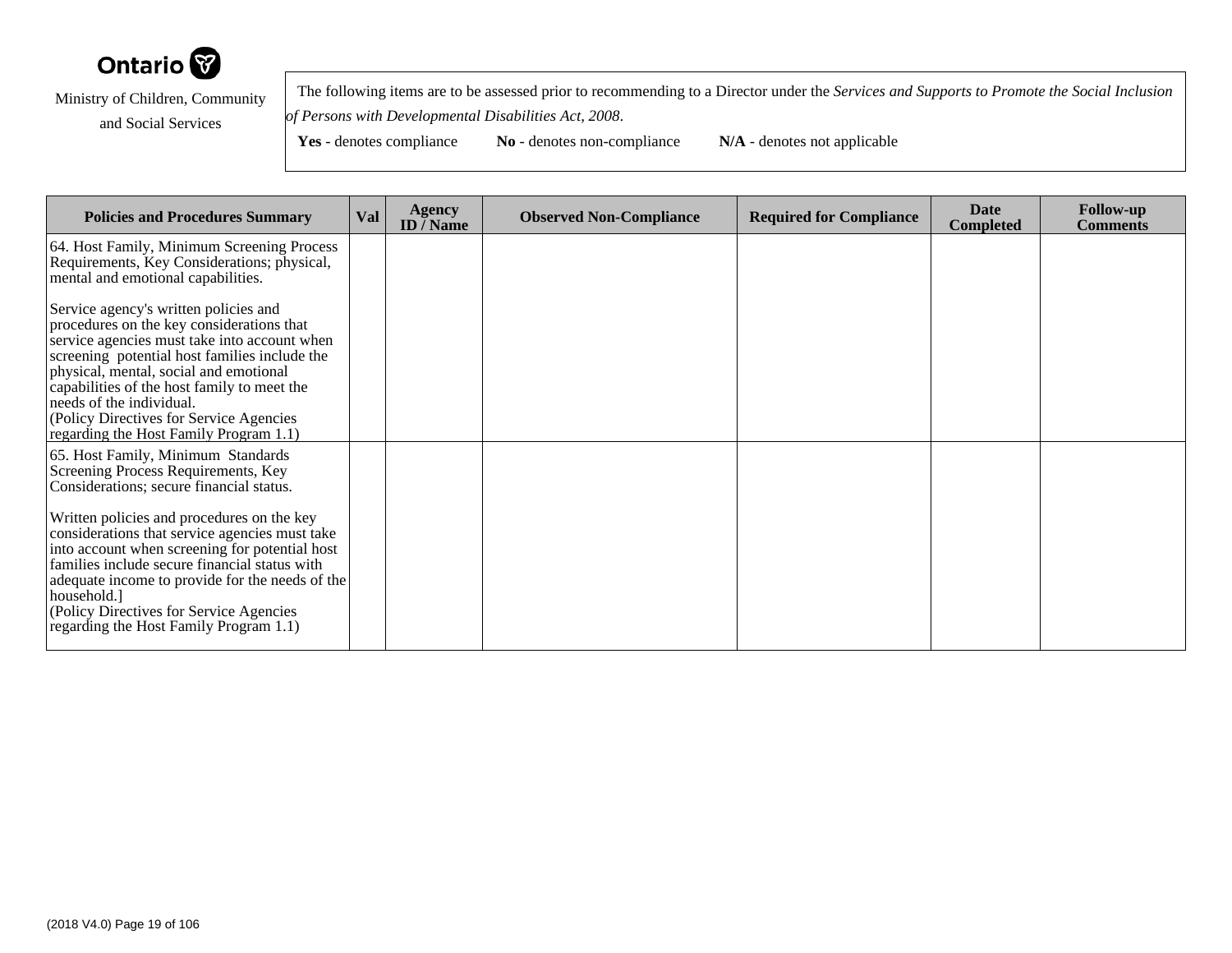

 The following items are to be assessed prior to recommending to a Director under the *Services and Supports to Promote the Social Inclusionof Persons with Developmental Disabilities Act, 2008*.

| <b>Policies and Procedures Summary</b>                                                                                                                                                                                                                                                                                                                                                        | <b>Val</b> | <b>Agency</b><br><b>ID</b> / Name | <b>Observed Non-Compliance</b> | <b>Required for Compliance</b> | <b>Date</b><br><b>Completed</b> | <b>Follow-up</b><br><b>Comments</b> |
|-----------------------------------------------------------------------------------------------------------------------------------------------------------------------------------------------------------------------------------------------------------------------------------------------------------------------------------------------------------------------------------------------|------------|-----------------------------------|--------------------------------|--------------------------------|---------------------------------|-------------------------------------|
| 64. Host Family, Minimum Screening Process<br>Requirements, Key Considerations; physical,<br>mental and emotional capabilities.                                                                                                                                                                                                                                                               |            |                                   |                                |                                |                                 |                                     |
| Service agency's written policies and<br>procedures on the key considerations that<br>service agencies must take into account when<br>screening potential host families include the<br>physical, mental, social and emotional<br>capabilities of the host family to meet the<br>needs of the individual.<br>(Policy Directives for Service Agencies<br>regarding the Host Family Program 1.1) |            |                                   |                                |                                |                                 |                                     |
| 65. Host Family, Minimum Standards<br>Screening Process Requirements, Key<br>Considerations; secure financial status.                                                                                                                                                                                                                                                                         |            |                                   |                                |                                |                                 |                                     |
| Written policies and procedures on the key<br>considerations that service agencies must take<br>into account when screening for potential host<br>families include secure financial status with<br>adequate income to provide for the needs of the<br>household.<br>(Policy Directives for Service Agencies)<br>regarding the Host Family Program 1.1)                                        |            |                                   |                                |                                |                                 |                                     |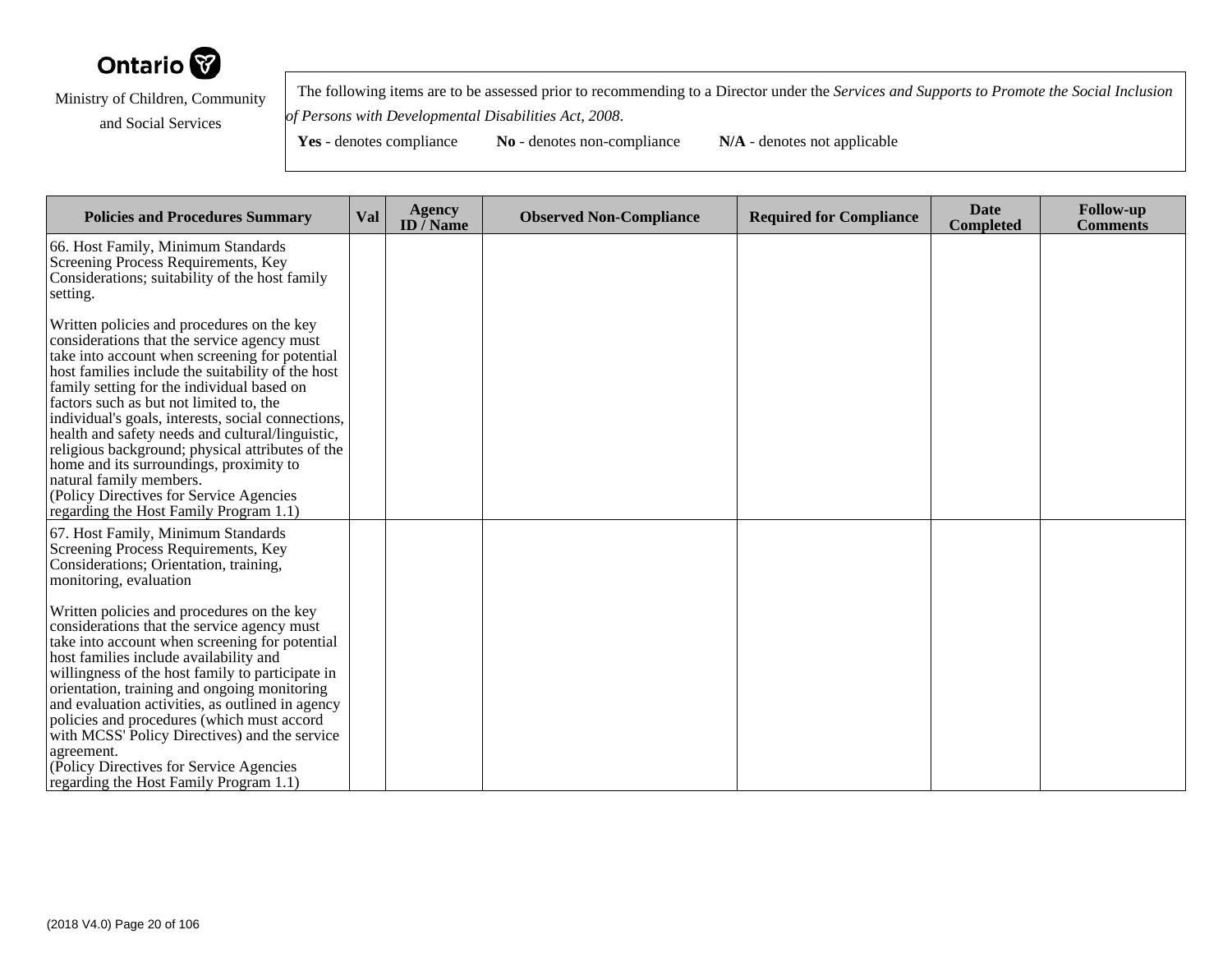

 The following items are to be assessed prior to recommending to a Director under the *Services and Supports to Promote the Social Inclusionof Persons with Developmental Disabilities Act, 2008*.

| <b>Policies and Procedures Summary</b>                                                                                                                                                                                                                                                                                                                                                                                                                                                                                                                                                                              | Val | <b>Agency</b><br>ID $\bar{}/$ Name | <b>Observed Non-Compliance</b> | <b>Required for Compliance</b> | <b>Date</b><br><b>Completed</b> | <b>Follow-up</b><br><b>Comments</b> |
|---------------------------------------------------------------------------------------------------------------------------------------------------------------------------------------------------------------------------------------------------------------------------------------------------------------------------------------------------------------------------------------------------------------------------------------------------------------------------------------------------------------------------------------------------------------------------------------------------------------------|-----|------------------------------------|--------------------------------|--------------------------------|---------------------------------|-------------------------------------|
| 66. Host Family, Minimum Standards<br>Screening Process Requirements, Key<br>Considerations; suitability of the host family<br>setting.                                                                                                                                                                                                                                                                                                                                                                                                                                                                             |     |                                    |                                |                                |                                 |                                     |
| Written policies and procedures on the key<br>considerations that the service agency must<br>take into account when screening for potential<br>host families include the suitability of the host<br>family setting for the individual based on<br>factors such as but not limited to, the<br>individual's goals, interests, social connections,<br>health and safety needs and cultural/linguistic,<br>religious background; physical attributes of the<br>home and its surroundings, proximity to<br>natural family members.<br>(Policy Directives for Service Agencies)<br>regarding the Host Family Program 1.1) |     |                                    |                                |                                |                                 |                                     |
| 67. Host Family, Minimum Standards<br>Screening Process Requirements, Key<br>Considerations; Orientation, training,<br>monitoring, evaluation                                                                                                                                                                                                                                                                                                                                                                                                                                                                       |     |                                    |                                |                                |                                 |                                     |
| Written policies and procedures on the key<br>considerations that the service agency must<br>take into account when screening for potential<br>host families include availability and<br>willingness of the host family to participate in<br>orientation, training and ongoing monitoring<br>and evaluation activities, as outlined in agency<br>policies and procedures (which must accord<br>with MCSS' Policy Directives) and the service<br>agreement.<br>(Policy Directives for Service Agencies<br>regarding the Host Family Program 1.1)                                                                     |     |                                    |                                |                                |                                 |                                     |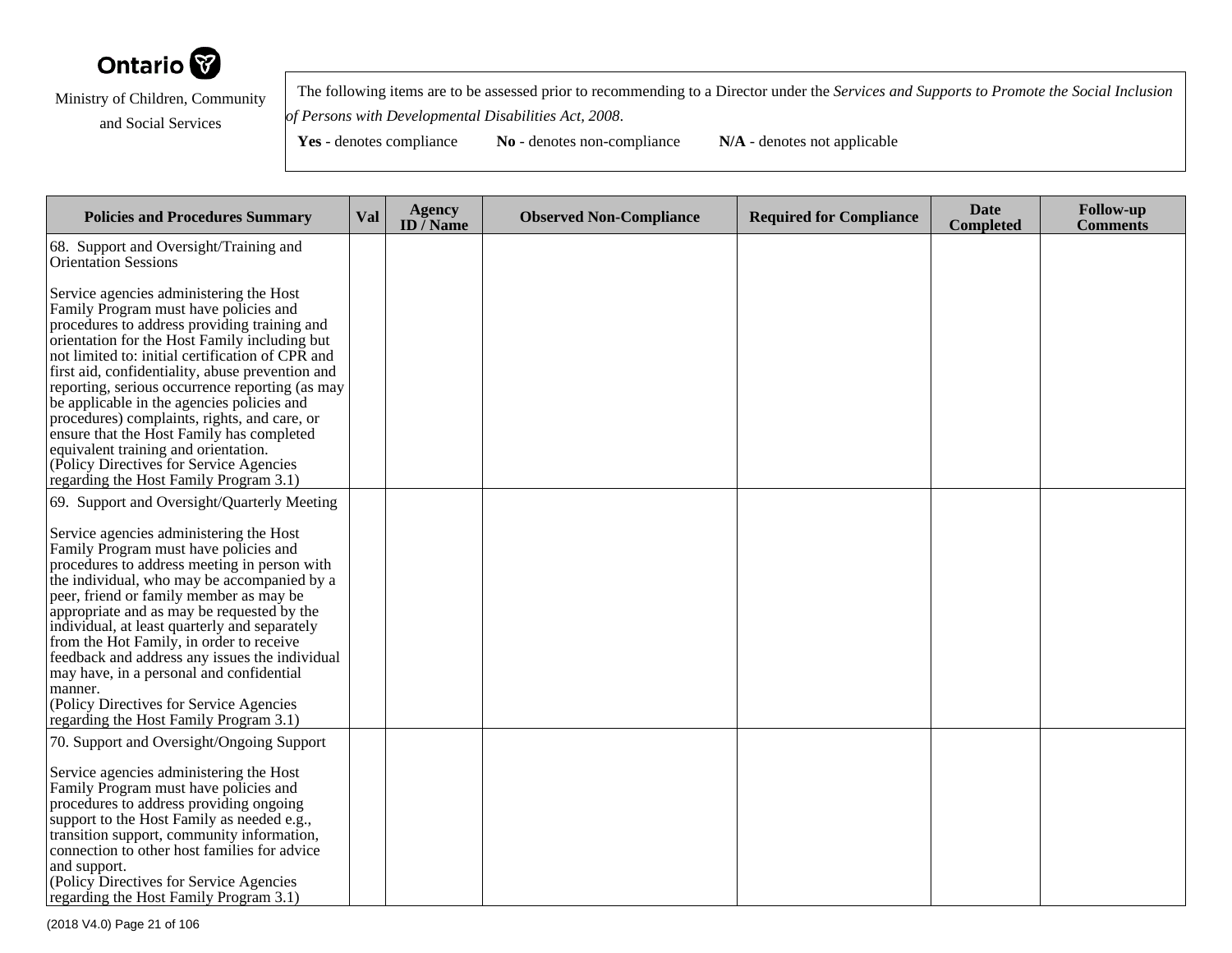

 The following items are to be assessed prior to recommending to a Director under the *Services and Supports to Promote the Social Inclusionof Persons with Developmental Disabilities Act, 2008*.

| <b>Policies and Procedures Summary</b>                                                                                                                                                                                                                                                                                                                                                                                                                                                                                                                                                                                | Val | <b>Agency</b><br>ID $\overline{}/$ Name | <b>Observed Non-Compliance</b> | <b>Required for Compliance</b> | <b>Date</b><br><b>Completed</b> | <b>Follow-up</b><br><b>Comments</b> |
|-----------------------------------------------------------------------------------------------------------------------------------------------------------------------------------------------------------------------------------------------------------------------------------------------------------------------------------------------------------------------------------------------------------------------------------------------------------------------------------------------------------------------------------------------------------------------------------------------------------------------|-----|-----------------------------------------|--------------------------------|--------------------------------|---------------------------------|-------------------------------------|
| 68. Support and Oversight/Training and<br><b>Orientation Sessions</b>                                                                                                                                                                                                                                                                                                                                                                                                                                                                                                                                                 |     |                                         |                                |                                |                                 |                                     |
| Service agencies administering the Host<br>Family Program must have policies and<br>procedures to address providing training and<br>orientation for the Host Family including but<br>not limited to: initial certification of CPR and<br>first aid, confidentiality, abuse prevention and<br>reporting, serious occurrence reporting (as may<br>be applicable in the agencies policies and<br>procedures) complaints, rights, and care, or<br>ensure that the Host Family has completed<br>equivalent training and orientation.<br>(Policy Directives for Service Agencies)<br>regarding the Host Family Program 3.1) |     |                                         |                                |                                |                                 |                                     |
| 69. Support and Oversight/Quarterly Meeting<br>Service agencies administering the Host<br>Family Program must have policies and<br>procedures to address meeting in person with<br>the individual, who may be accompanied by a<br>peer, friend or family member as may be<br>appropriate and as may be requested by the<br>individual, at least quarterly and separately<br>from the Hot Family, in order to receive<br>feedback and address any issues the individual<br>may have, in a personal and confidential<br>manner.<br>(Policy Directives for Service Agencies<br>regarding the Host Family Program 3.1)    |     |                                         |                                |                                |                                 |                                     |
| 70. Support and Oversight/Ongoing Support<br>Service agencies administering the Host<br>Family Program must have policies and<br>procedures to address providing ongoing<br>support to the Host Family as needed e.g.,<br>transition support, community information,<br>connection to other host families for advice<br>and support.<br>(Policy Directives for Service Agencies)<br>regarding the Host Family Program 3.1)                                                                                                                                                                                            |     |                                         |                                |                                |                                 |                                     |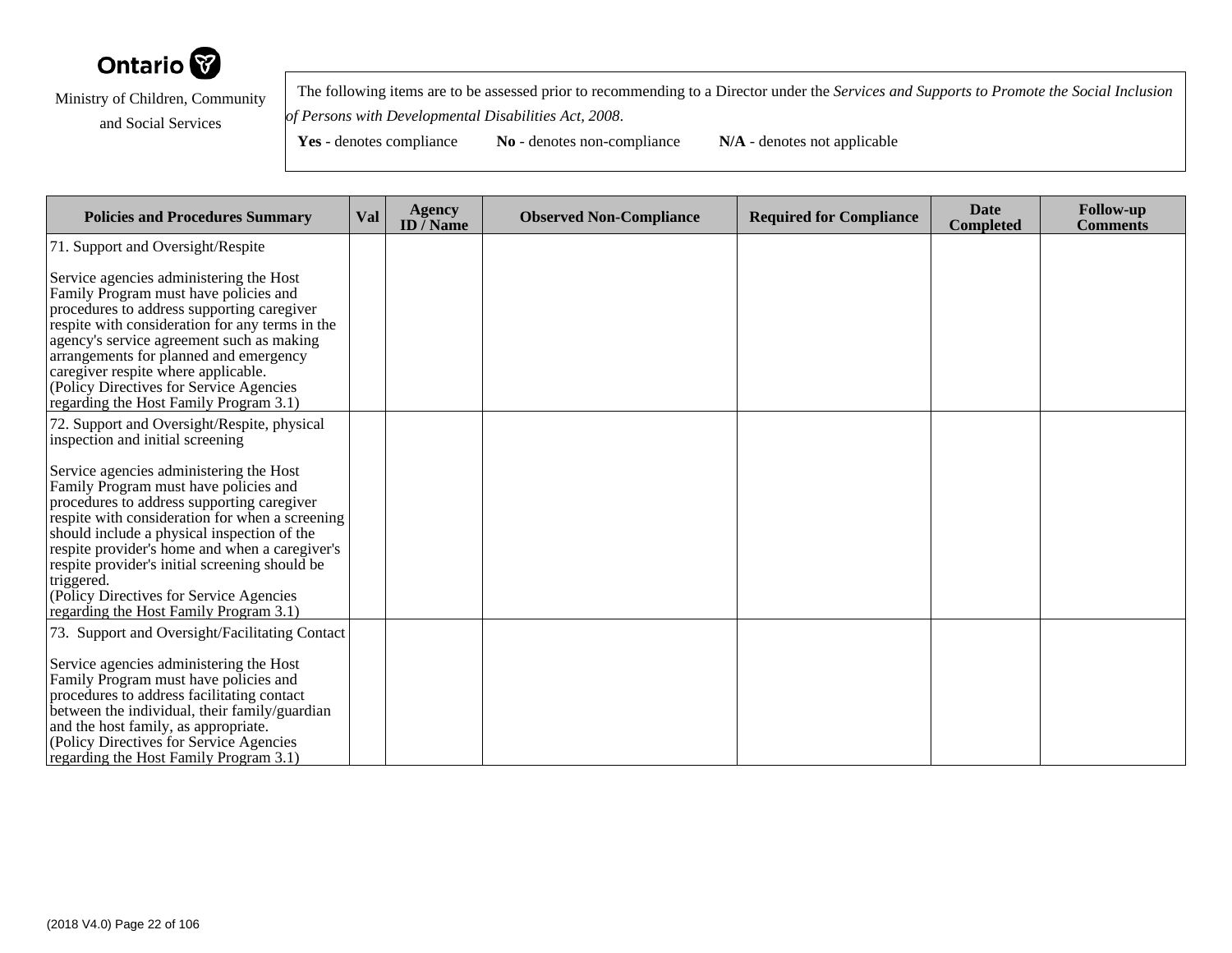

 The following items are to be assessed prior to recommending to a Director under the *Services and Supports to Promote the Social Inclusionof Persons with Developmental Disabilities Act, 2008*.

| <b>Policies and Procedures Summary</b>                                                                                                                                                                                                                                                                                                                                                                                                   | <b>Val</b> | <b>Agency</b><br>ID $\bar{}/$ Name | <b>Observed Non-Compliance</b> | <b>Required for Compliance</b> | <b>Date</b><br><b>Completed</b> | <b>Follow-up</b><br><b>Comments</b> |
|------------------------------------------------------------------------------------------------------------------------------------------------------------------------------------------------------------------------------------------------------------------------------------------------------------------------------------------------------------------------------------------------------------------------------------------|------------|------------------------------------|--------------------------------|--------------------------------|---------------------------------|-------------------------------------|
| 71. Support and Oversight/Respite                                                                                                                                                                                                                                                                                                                                                                                                        |            |                                    |                                |                                |                                 |                                     |
| Service agencies administering the Host<br>Family Program must have policies and<br>procedures to address supporting caregiver<br>respite with consideration for any terms in the<br>agency's service agreement such as making<br>arrangements for planned and emergency<br>caregiver respite where applicable.<br>(Policy Directives for Service Agencies<br>regarding the Host Family Program 3.1)                                     |            |                                    |                                |                                |                                 |                                     |
| 72. Support and Oversight/Respite, physical<br>inspection and initial screening                                                                                                                                                                                                                                                                                                                                                          |            |                                    |                                |                                |                                 |                                     |
| Service agencies administering the Host<br>Family Program must have policies and<br>procedures to address supporting caregiver<br>respite with consideration for when a screening<br>should include a physical inspection of the<br>respite provider's home and when a caregiver's<br>respite provider's initial screening should be<br>triggered.<br>(Policy Directives for Service Agencies)<br>regarding the Host Family Program 3.1) |            |                                    |                                |                                |                                 |                                     |
| 73. Support and Oversight/Facilitating Contact<br>Service agencies administering the Host<br>Family Program must have policies and<br>procedures to address facilitating contact                                                                                                                                                                                                                                                         |            |                                    |                                |                                |                                 |                                     |
| between the individual, their family/guardian<br>and the host family, as appropriate.<br>(Policy Directives for Service Agencies<br>regarding the Host Family Program 3.1)                                                                                                                                                                                                                                                               |            |                                    |                                |                                |                                 |                                     |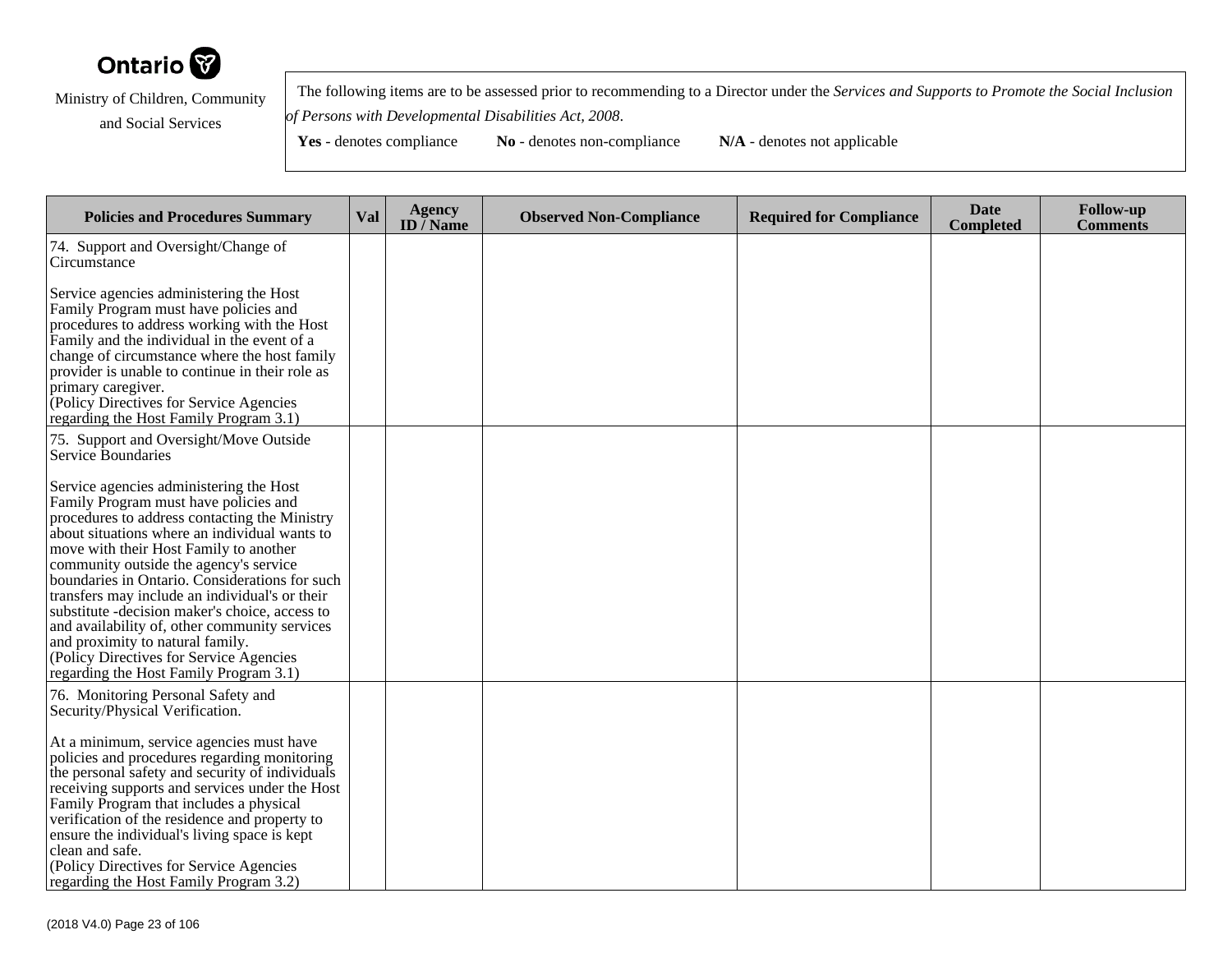

 The following items are to be assessed prior to recommending to a Director under the *Services and Supports to Promote the Social Inclusionof Persons with Developmental Disabilities Act, 2008*.

| <b>Policies and Procedures Summary</b>                                                                                                                                                                                                                                                                                                                                                                                                                                                                                                                                                                  | Val | <b>Agency</b><br>ID $\overline{}/$ Name | <b>Observed Non-Compliance</b> | <b>Required for Compliance</b> | <b>Date</b><br><b>Completed</b> | <b>Follow-up</b><br><b>Comments</b> |
|---------------------------------------------------------------------------------------------------------------------------------------------------------------------------------------------------------------------------------------------------------------------------------------------------------------------------------------------------------------------------------------------------------------------------------------------------------------------------------------------------------------------------------------------------------------------------------------------------------|-----|-----------------------------------------|--------------------------------|--------------------------------|---------------------------------|-------------------------------------|
| 74. Support and Oversight/Change of<br>Circumstance                                                                                                                                                                                                                                                                                                                                                                                                                                                                                                                                                     |     |                                         |                                |                                |                                 |                                     |
| Service agencies administering the Host<br>Family Program must have policies and<br>procedures to address working with the Host<br>Family and the individual in the event of a<br>change of circumstance where the host family<br>provider is unable to continue in their role as<br>primary caregiver.<br>Policy Directives for Service Agencies<br>regarding the Host Family Program 3.1)                                                                                                                                                                                                             |     |                                         |                                |                                |                                 |                                     |
| 75. Support and Oversight/Move Outside<br>Service Boundaries                                                                                                                                                                                                                                                                                                                                                                                                                                                                                                                                            |     |                                         |                                |                                |                                 |                                     |
| Service agencies administering the Host<br>Family Program must have policies and<br>procedures to address contacting the Ministry<br>about situations where an individual wants to<br>move with their Host Family to another<br>community outside the agency's service<br>boundaries in Ontario. Considerations for such<br>transfers may include an individual's or their<br>substitute - decision maker's choice, access to<br>and availability of, other community services<br>and proximity to natural family.<br>(Policy Directives for Service Agencies<br>regarding the Host Family Program 3.1) |     |                                         |                                |                                |                                 |                                     |
| 76. Monitoring Personal Safety and<br>Security/Physical Verification.                                                                                                                                                                                                                                                                                                                                                                                                                                                                                                                                   |     |                                         |                                |                                |                                 |                                     |
| At a minimum, service agencies must have<br>policies and procedures regarding monitoring<br>the personal safety and security of individuals<br>receiving supports and services under the Host<br>Family Program that includes a physical<br>verification of the residence and property to<br>ensure the individual's living space is kept<br>clean and safe.<br>(Policy Directives for Service Agencies<br>regarding the Host Family Program 3.2)                                                                                                                                                       |     |                                         |                                |                                |                                 |                                     |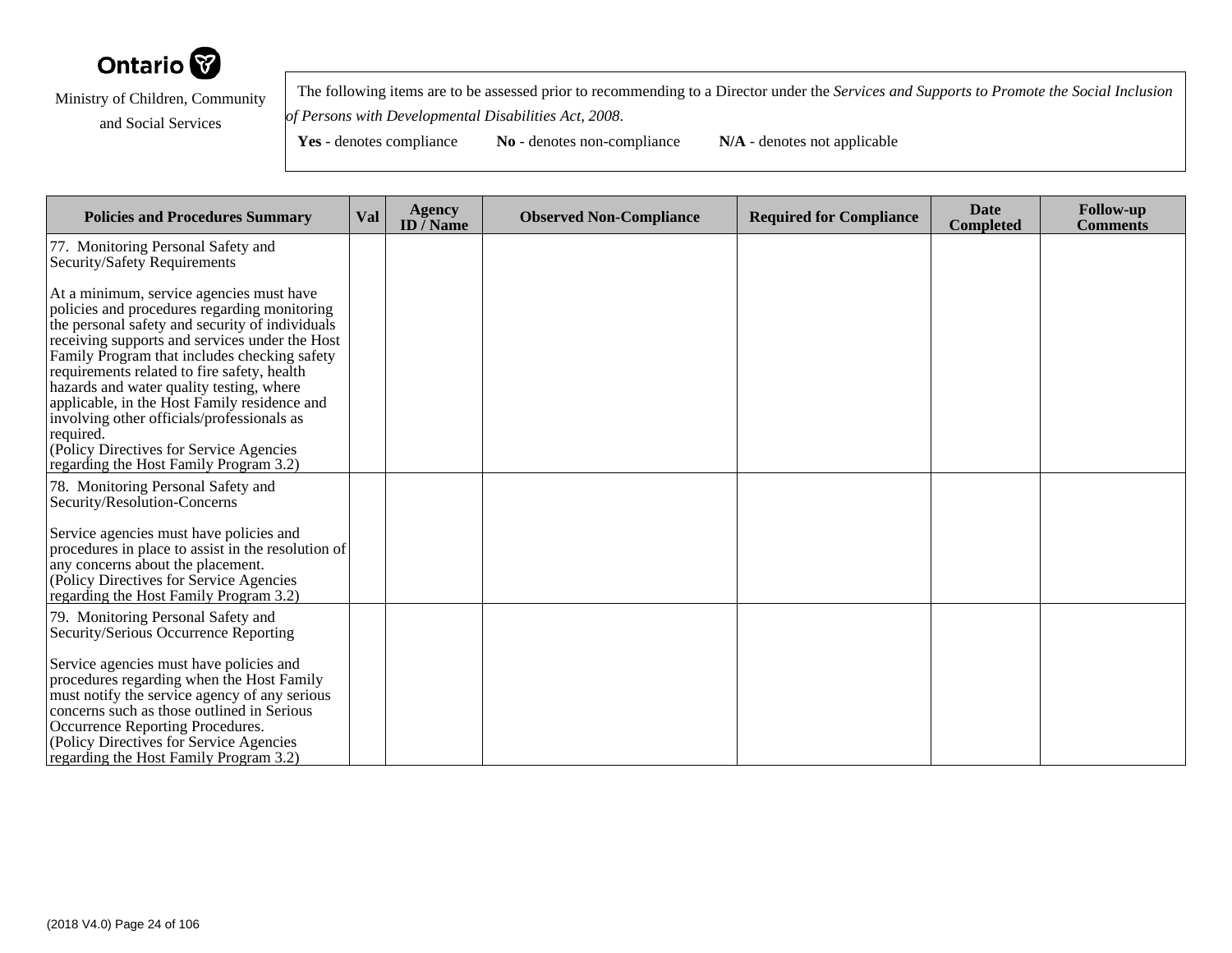

 The following items are to be assessed prior to recommending to a Director under the *Services and Supports to Promote the Social Inclusionof Persons with Developmental Disabilities Act, 2008*.

**Yes** - denotes compliance **No** - denotes non-compliance **N/A** - denotes not applicable

**Policies and Procedures Summary Val Agency ID / NameObserved Non-Compliance Required for Compliance Date Completed Follow-up Comments** 77. Monitoring Personal Safety andSecurity/Safety RequirementsAt a minimum, service agencies must have policies and procedures regarding monitoring the personal safety and security of individuals receiving supports and services under the Host Family Program that includes checking safetyrequirements related to fire safety, health hazards and water quality testing, where applicable, in the Host Family residence andinvolving other officials/professionals asrequired. (Policy Directives for Service Agencies regarding the Host Family Program 3.2)78. Monitoring Personal Safety andSecurity/Resolution-ConcernsService agencies must have policies and procedures in place to assist in the resolution ofany concerns about the placement. (Policy Directives for Service Agencies regarding the Host Family Program 3.2)79. Monitoring Personal Safety and Security/Serious Occurrence ReportingService agencies must have policies and procedures regarding when the Host Family must notify the service agency of any seriousconcerns such as those outlined in SeriousOccurrence Reporting Procedures. (Policy Directives for Service Agenciesregarding the Host Family Program 3.2)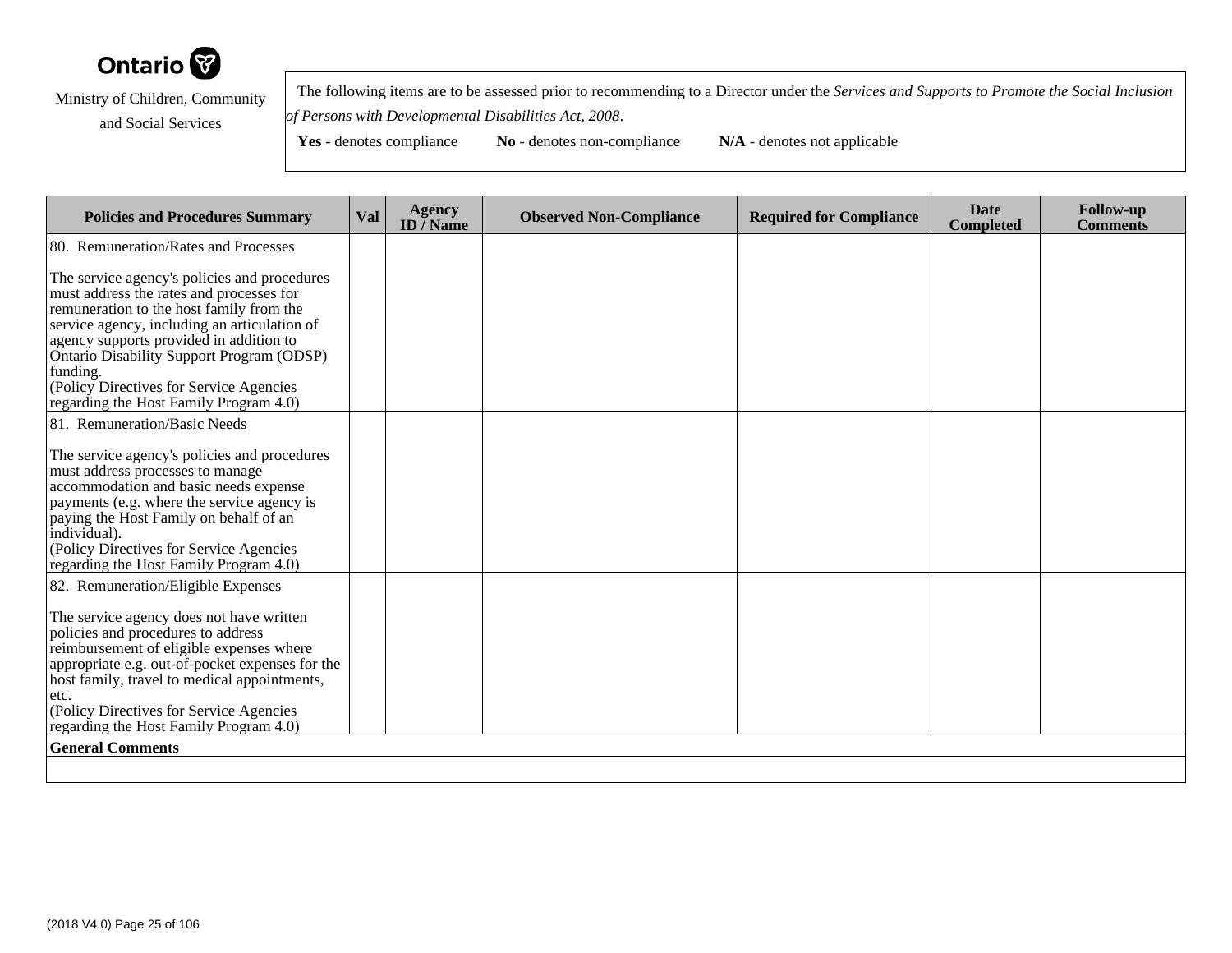

 The following items are to be assessed prior to recommending to a Director under the *Services and Supports to Promote the Social Inclusionof Persons with Developmental Disabilities Act, 2008*.

| <b>Policies and Procedures Summary</b>                                                                                                                                                                                                                                                                                                                                        | Val | Agency<br>ID $\bar{}/$ Name | <b>Observed Non-Compliance</b> | <b>Required for Compliance</b> | <b>Date</b><br><b>Completed</b> | <b>Follow-up</b><br><b>Comments</b> |  |  |
|-------------------------------------------------------------------------------------------------------------------------------------------------------------------------------------------------------------------------------------------------------------------------------------------------------------------------------------------------------------------------------|-----|-----------------------------|--------------------------------|--------------------------------|---------------------------------|-------------------------------------|--|--|
| 80. Remuneration/Rates and Processes                                                                                                                                                                                                                                                                                                                                          |     |                             |                                |                                |                                 |                                     |  |  |
| The service agency's policies and procedures<br>must address the rates and processes for<br>remuneration to the host family from the<br>service agency, including an articulation of<br>agency supports provided in addition to<br>Ontario Disability Support Program (ODSP)<br>funding.<br>(Policy Directives for Service Agencies<br>regarding the Host Family Program 4.0) |     |                             |                                |                                |                                 |                                     |  |  |
| 81. Remuneration/Basic Needs                                                                                                                                                                                                                                                                                                                                                  |     |                             |                                |                                |                                 |                                     |  |  |
| The service agency's policies and procedures<br>must address processes to manage<br>accommodation and basic needs expense<br>payments (e.g. where the service agency is<br>paying the Host Family on behalf of an<br>individual).<br>(Policy Directives for Service Agencies<br>regarding the Host Family Program 4.0)                                                        |     |                             |                                |                                |                                 |                                     |  |  |
| 82. Remuneration/Eligible Expenses                                                                                                                                                                                                                                                                                                                                            |     |                             |                                |                                |                                 |                                     |  |  |
| The service agency does not have written<br>policies and procedures to address<br>reimbursement of eligible expenses where<br>appropriate e.g. out-of-pocket expenses for the<br>host family, travel to medical appointments,<br>etc.<br>(Policy Directives for Service Agencies<br>regarding the Host Family Program 4.0)                                                    |     |                             |                                |                                |                                 |                                     |  |  |
| <b>General Comments</b>                                                                                                                                                                                                                                                                                                                                                       |     |                             |                                |                                |                                 |                                     |  |  |
|                                                                                                                                                                                                                                                                                                                                                                               |     |                             |                                |                                |                                 |                                     |  |  |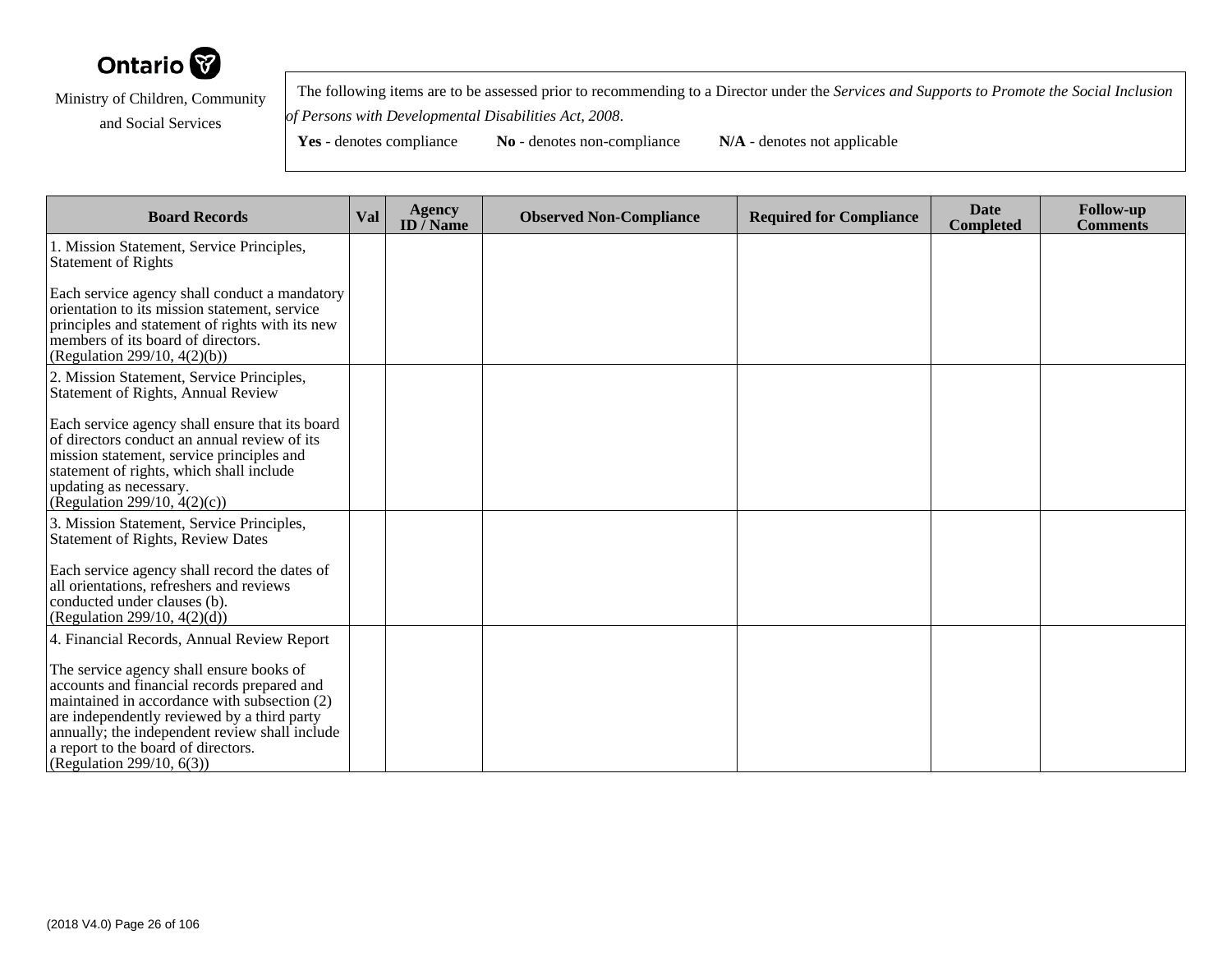

 The following items are to be assessed prior to recommending to a Director under the *Services and Supports to Promote the Social Inclusionof Persons with Developmental Disabilities Act, 2008*.

| <b>Board Records</b>                                                                                                                                                                                                                                                                                            | Val | <b>Agency</b><br>ID / Name | <b>Observed Non-Compliance</b> | <b>Required for Compliance</b> | <b>Date</b><br>Completed | <b>Follow-up</b><br><b>Comments</b> |
|-----------------------------------------------------------------------------------------------------------------------------------------------------------------------------------------------------------------------------------------------------------------------------------------------------------------|-----|----------------------------|--------------------------------|--------------------------------|--------------------------|-------------------------------------|
| 1. Mission Statement, Service Principles,<br><b>Statement of Rights</b>                                                                                                                                                                                                                                         |     |                            |                                |                                |                          |                                     |
| Each service agency shall conduct a mandatory<br>orientation to its mission statement, service<br>principles and statement of rights with its new<br>members of its board of directors.<br>(Regulation 299/10, 4(2)(b))                                                                                         |     |                            |                                |                                |                          |                                     |
| 2. Mission Statement, Service Principles,<br>Statement of Rights, Annual Review                                                                                                                                                                                                                                 |     |                            |                                |                                |                          |                                     |
| Each service agency shall ensure that its board<br>of directors conduct an annual review of its<br>mission statement, service principles and<br>statement of rights, which shall include<br>updating as necessary.<br>(Regulation 299/10, $4(2)(c)$ )                                                           |     |                            |                                |                                |                          |                                     |
| 3. Mission Statement, Service Principles,<br><b>Statement of Rights, Review Dates</b>                                                                                                                                                                                                                           |     |                            |                                |                                |                          |                                     |
| Each service agency shall record the dates of<br>all orientations, refreshers and reviews<br>conducted under clauses (b).<br>(Regulation 299/10, $4(2)(d)$ )                                                                                                                                                    |     |                            |                                |                                |                          |                                     |
| 4. Financial Records, Annual Review Report                                                                                                                                                                                                                                                                      |     |                            |                                |                                |                          |                                     |
| The service agency shall ensure books of<br>accounts and financial records prepared and<br>maintained in accordance with subsection (2)<br>are independently reviewed by a third party<br>annually; the independent review shall include<br>a report to the board of directors.<br>(Regulation 299/10, $6(3)$ ) |     |                            |                                |                                |                          |                                     |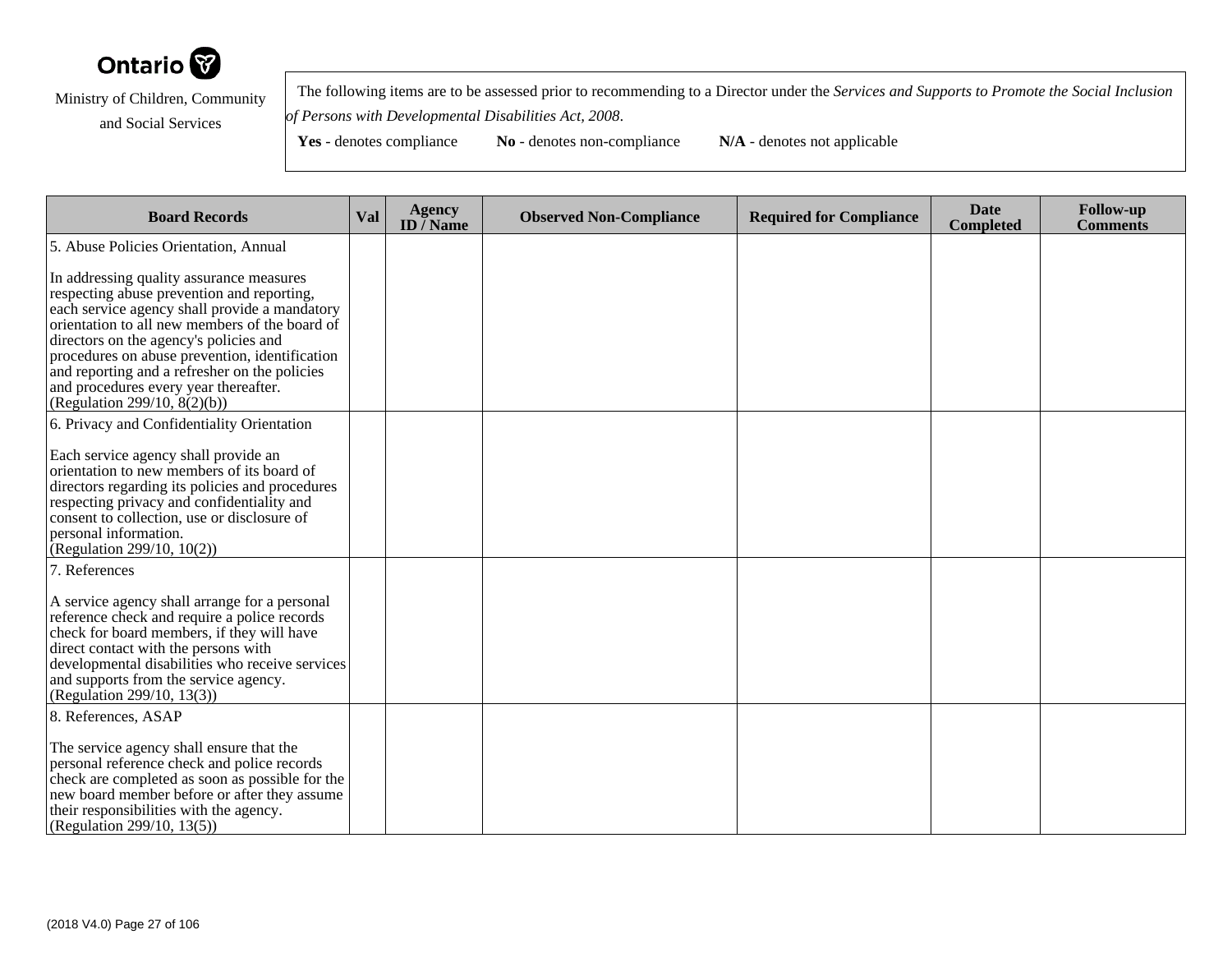

 The following items are to be assessed prior to recommending to a Director under the *Services and Supports to Promote the Social Inclusionof Persons with Developmental Disabilities Act, 2008*.

| <b>Board Records</b>                                                                                                                                                                                                                                                                                                                                                                                            | Val | <b>Agency</b><br>ID $\overline{}/$ Name | <b>Observed Non-Compliance</b> | <b>Required for Compliance</b> | <b>Date</b><br><b>Completed</b> | <b>Follow-up</b><br><b>Comments</b> |
|-----------------------------------------------------------------------------------------------------------------------------------------------------------------------------------------------------------------------------------------------------------------------------------------------------------------------------------------------------------------------------------------------------------------|-----|-----------------------------------------|--------------------------------|--------------------------------|---------------------------------|-------------------------------------|
| 5. Abuse Policies Orientation, Annual                                                                                                                                                                                                                                                                                                                                                                           |     |                                         |                                |                                |                                 |                                     |
| In addressing quality assurance measures<br>respecting abuse prevention and reporting,<br>each service agency shall provide a mandatory<br>orientation to all new members of the board of<br>directors on the agency's policies and<br>procedures on abuse prevention, identification<br>and reporting and a refresher on the policies<br>and procedures every year thereafter.<br>(Regulation 299/10, 8(2)(b)) |     |                                         |                                |                                |                                 |                                     |
| 6. Privacy and Confidentiality Orientation                                                                                                                                                                                                                                                                                                                                                                      |     |                                         |                                |                                |                                 |                                     |
| Each service agency shall provide an<br>orientation to new members of its board of<br>directors regarding its policies and procedures<br>respecting privacy and confidentiality and<br>consent to collection, use or disclosure of<br>personal information.<br>(Regulation 299/10, $10(2)$ )                                                                                                                    |     |                                         |                                |                                |                                 |                                     |
| 7. References                                                                                                                                                                                                                                                                                                                                                                                                   |     |                                         |                                |                                |                                 |                                     |
| A service agency shall arrange for a personal<br>reference check and require a police records<br>check for board members, if they will have<br>direct contact with the persons with<br>developmental disabilities who receive services<br>and supports from the service agency.<br>(Regulation 299/10, 13(3))                                                                                                   |     |                                         |                                |                                |                                 |                                     |
| 8. References, ASAP                                                                                                                                                                                                                                                                                                                                                                                             |     |                                         |                                |                                |                                 |                                     |
| The service agency shall ensure that the<br>personal reference check and police records<br>check are completed as soon as possible for the<br>new board member before or after they assume<br>their responsibilities with the agency.<br>(Regulation 299/10, 13(5))                                                                                                                                             |     |                                         |                                |                                |                                 |                                     |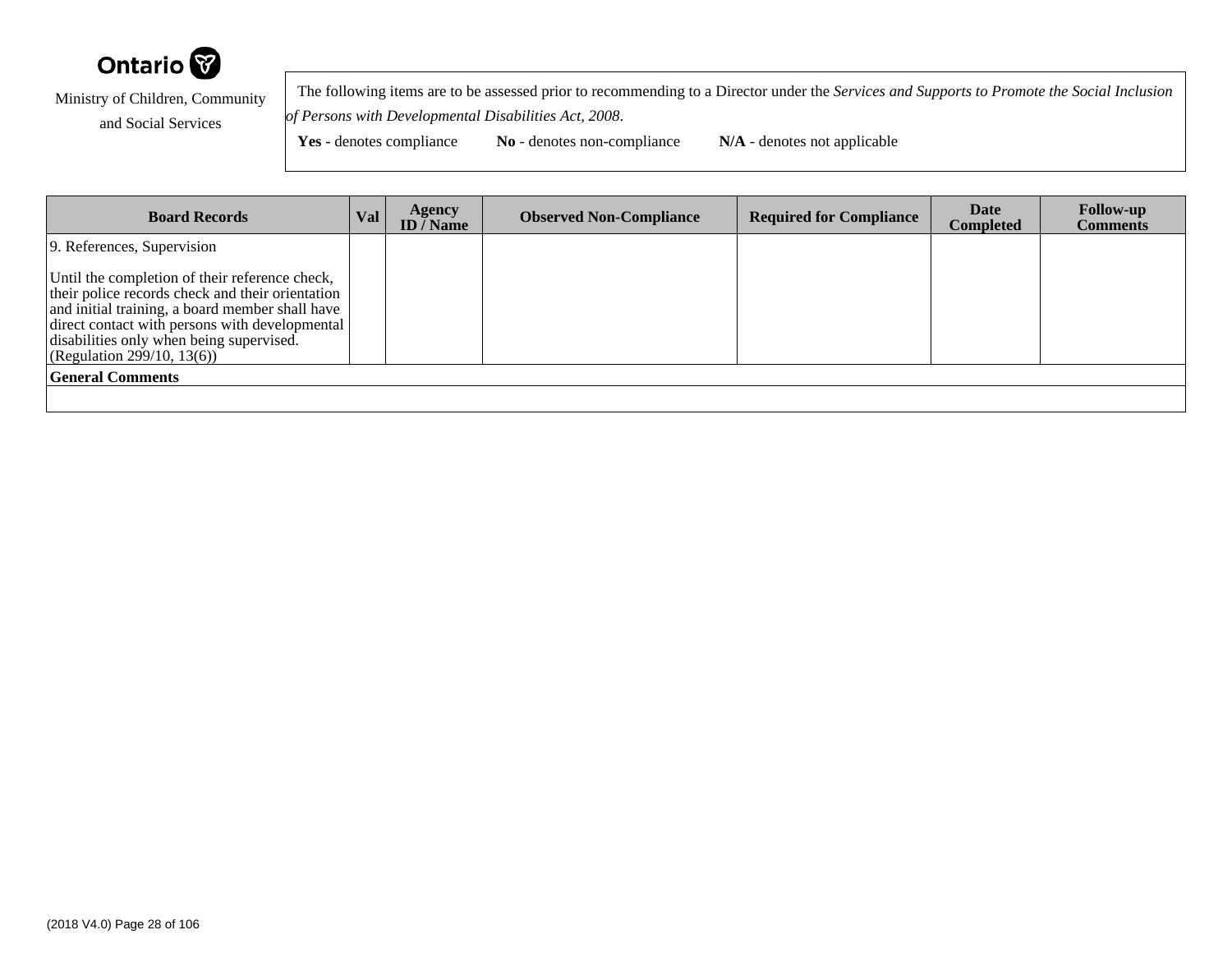

 The following items are to be assessed prior to recommending to a Director under the *Services and Supports to Promote the Social Inclusionof Persons with Developmental Disabilities Act, 2008*.

| <b>Board Records</b>                                                                                                                                                                                                                                                              | <b>Val</b> | <b>Agency</b><br>ID / Name | <b>Observed Non-Compliance</b> | <b>Required for Compliance</b> | Date<br>Completed | <b>Follow-up</b><br><b>Comments</b> |
|-----------------------------------------------------------------------------------------------------------------------------------------------------------------------------------------------------------------------------------------------------------------------------------|------------|----------------------------|--------------------------------|--------------------------------|-------------------|-------------------------------------|
| 9. References, Supervision                                                                                                                                                                                                                                                        |            |                            |                                |                                |                   |                                     |
| Until the completion of their reference check,<br>their police records check and their orientation<br>and initial training, a board member shall have<br>direct contact with persons with developmental<br>disabilities only when being supervised.<br>(Regularion 299/10, 13(6)) |            |                            |                                |                                |                   |                                     |
| <b>General Comments</b>                                                                                                                                                                                                                                                           |            |                            |                                |                                |                   |                                     |
|                                                                                                                                                                                                                                                                                   |            |                            |                                |                                |                   |                                     |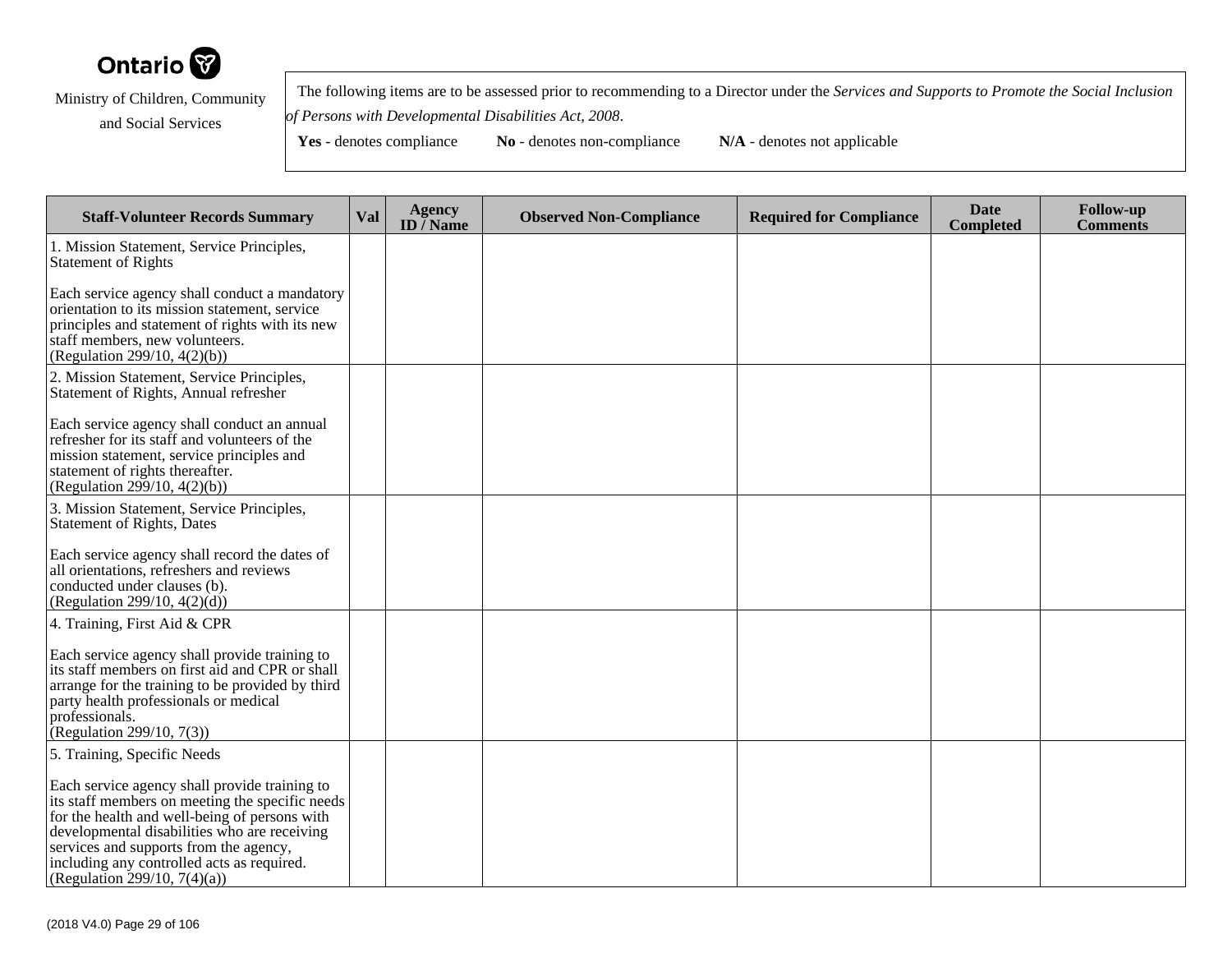

 The following items are to be assessed prior to recommending to a Director under the *Services and Supports to Promote the Social Inclusionof Persons with Developmental Disabilities Act, 2008*.

| <b>Staff-Volunteer Records Summary</b>                                                                                                                                                                                                                                                                                    | Val | <b>Agency</b><br>ID $\overline{}/$ Name | <b>Observed Non-Compliance</b> | <b>Required for Compliance</b> | <b>Date</b><br><b>Completed</b> | <b>Follow-up</b><br><b>Comments</b> |
|---------------------------------------------------------------------------------------------------------------------------------------------------------------------------------------------------------------------------------------------------------------------------------------------------------------------------|-----|-----------------------------------------|--------------------------------|--------------------------------|---------------------------------|-------------------------------------|
| 1. Mission Statement, Service Principles,<br><b>Statement of Rights</b>                                                                                                                                                                                                                                                   |     |                                         |                                |                                |                                 |                                     |
| Each service agency shall conduct a mandatory<br>orientation to its mission statement, service<br>principles and statement of rights with its new<br>staff members, new volunteers.<br>(Regulation 299/10, 4(2)(b))                                                                                                       |     |                                         |                                |                                |                                 |                                     |
| 2. Mission Statement, Service Principles,<br>Statement of Rights, Annual refresher                                                                                                                                                                                                                                        |     |                                         |                                |                                |                                 |                                     |
| Each service agency shall conduct an annual<br>refresher for its staff and volunteers of the<br>mission statement, service principles and<br>statement of rights thereafter.<br>(Regulation 299/10, $4(2)(b)$ )                                                                                                           |     |                                         |                                |                                |                                 |                                     |
| 3. Mission Statement, Service Principles,<br>Statement of Rights, Dates                                                                                                                                                                                                                                                   |     |                                         |                                |                                |                                 |                                     |
| Each service agency shall record the dates of<br>all orientations, refreshers and reviews<br>conducted under clauses (b).<br>(Regulation 299/10, $4(2)(d)$ )                                                                                                                                                              |     |                                         |                                |                                |                                 |                                     |
| 4. Training, First Aid & CPR                                                                                                                                                                                                                                                                                              |     |                                         |                                |                                |                                 |                                     |
| Each service agency shall provide training to<br>its staff members on first aid and CPR or shall<br>arrange for the training to be provided by third<br>party health professionals or medical<br>professionals.<br>(Regulation 299/10, $7(3)$ )                                                                           |     |                                         |                                |                                |                                 |                                     |
| 5. Training, Specific Needs                                                                                                                                                                                                                                                                                               |     |                                         |                                |                                |                                 |                                     |
| Each service agency shall provide training to<br>its staff members on meeting the specific needs<br>for the health and well-being of persons with<br>developmental disabilities who are receiving<br>services and supports from the agency,<br>including any controlled acts as required.<br>(Regulation 299/10, 7(4)(a)) |     |                                         |                                |                                |                                 |                                     |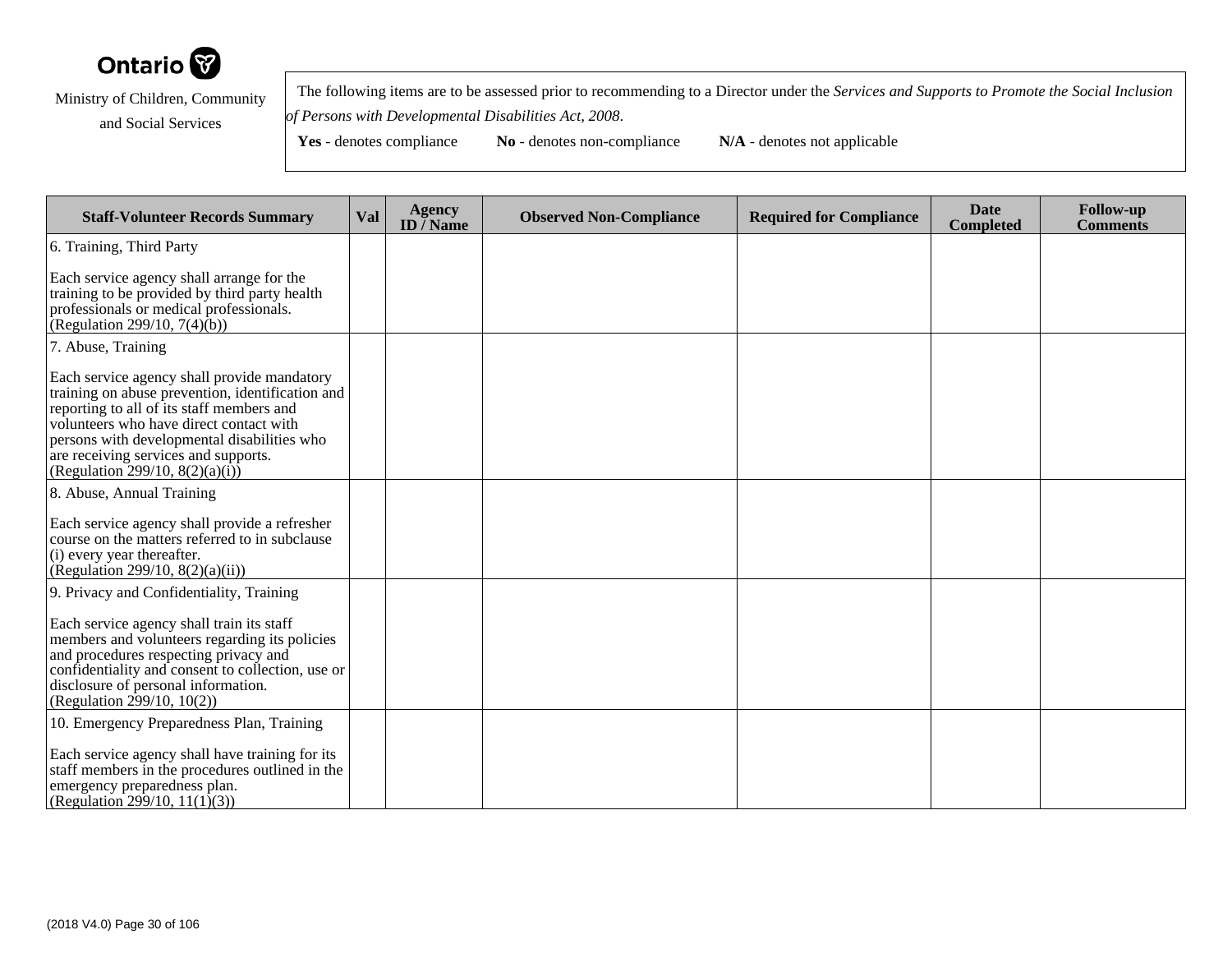

 The following items are to be assessed prior to recommending to a Director under the *Services and Supports to Promote the Social Inclusionof Persons with Developmental Disabilities Act, 2008*.

| <b>Staff-Volunteer Records Summary</b>                                                                                                                                                                                                                                                                            | Val | Agency<br>ID $\bar{}/$ Name | <b>Observed Non-Compliance</b> | <b>Required for Compliance</b> | <b>Date</b><br><b>Completed</b> | <b>Follow-up</b><br><b>Comments</b> |
|-------------------------------------------------------------------------------------------------------------------------------------------------------------------------------------------------------------------------------------------------------------------------------------------------------------------|-----|-----------------------------|--------------------------------|--------------------------------|---------------------------------|-------------------------------------|
| 6. Training, Third Party                                                                                                                                                                                                                                                                                          |     |                             |                                |                                |                                 |                                     |
| Each service agency shall arrange for the<br>training to be provided by third party health<br>professionals or medical professionals.<br>(Regulation 299/10, 7(4) $(b)$ )                                                                                                                                         |     |                             |                                |                                |                                 |                                     |
| 7. Abuse, Training                                                                                                                                                                                                                                                                                                |     |                             |                                |                                |                                 |                                     |
| Each service agency shall provide mandatory<br>training on abuse prevention, identification and<br>reporting to all of its staff members and<br>volunteers who have direct contact with<br>persons with developmental disabilities who<br>are receiving services and supports.<br>(Regulation 299/10, 8(2)(a)(i)) |     |                             |                                |                                |                                 |                                     |
| 8. Abuse, Annual Training                                                                                                                                                                                                                                                                                         |     |                             |                                |                                |                                 |                                     |
| Each service agency shall provide a refresher<br>course on the matters referred to in subclause<br>(i) every year thereafter.<br>(Regulation 299/10, $8(2)(a)(ii)$ )                                                                                                                                              |     |                             |                                |                                |                                 |                                     |
| 9. Privacy and Confidentiality, Training                                                                                                                                                                                                                                                                          |     |                             |                                |                                |                                 |                                     |
| Each service agency shall train its staff<br>members and volunteers regarding its policies<br>and procedures respecting privacy and<br>confidentiality and consent to collection, use or<br>disclosure of personal information.<br>(Regulation 299/10, 10(2))                                                     |     |                             |                                |                                |                                 |                                     |
| 10. Emergency Preparedness Plan, Training                                                                                                                                                                                                                                                                         |     |                             |                                |                                |                                 |                                     |
| Each service agency shall have training for its<br>staff members in the procedures outlined in the<br>emergency preparedness plan.<br>(Regulation 299/10, 11(1)(3))                                                                                                                                               |     |                             |                                |                                |                                 |                                     |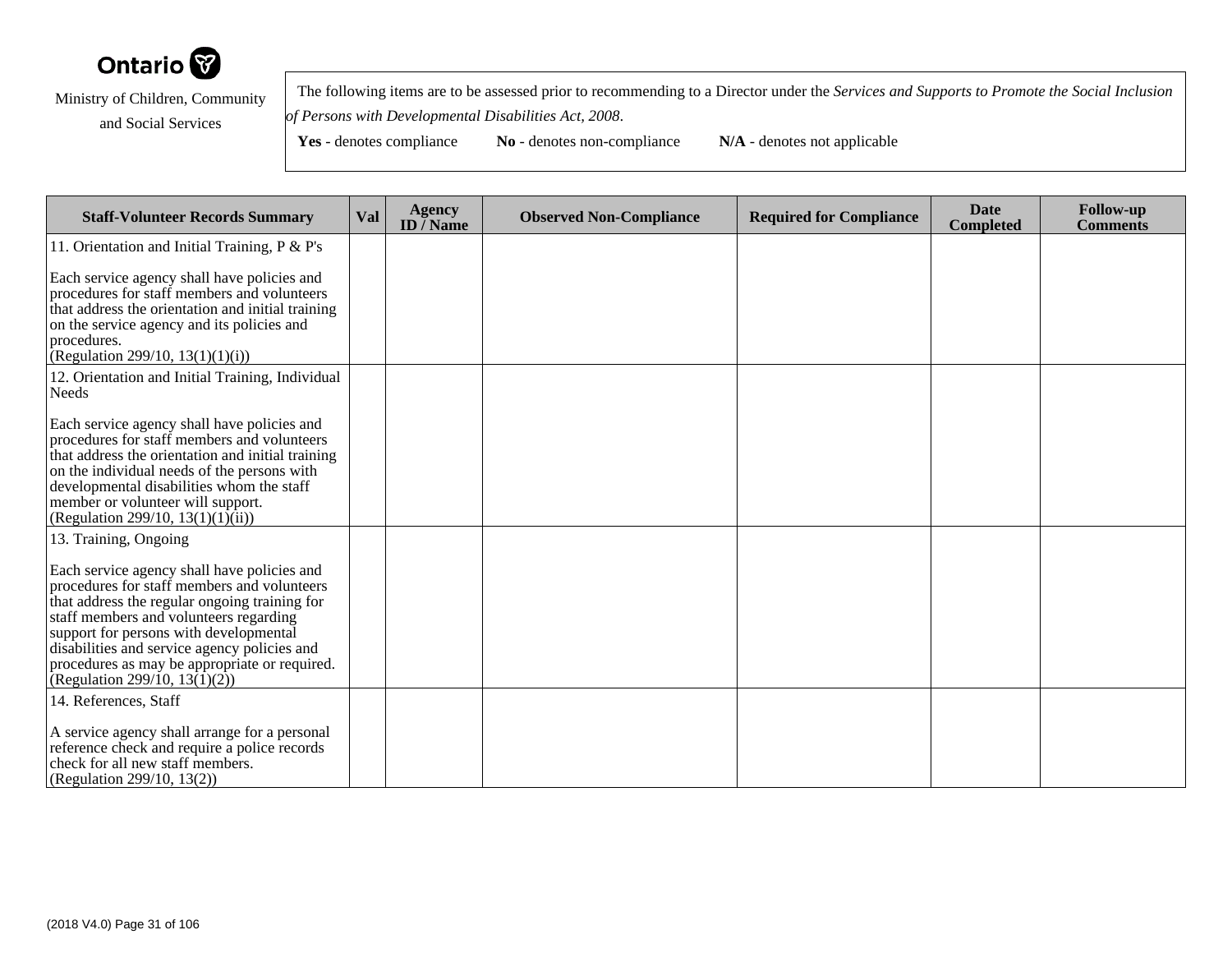

 The following items are to be assessed prior to recommending to a Director under the *Services and Supports to Promote the Social Inclusionof Persons with Developmental Disabilities Act, 2008*.

| <b>Staff-Volunteer Records Summary</b>                                                                                                                                                                                                                                                                                                                                                     | <b>Val</b> | <b>Agency</b><br>ID $\bar{}/$ Name | <b>Observed Non-Compliance</b> | <b>Required for Compliance</b> | <b>Date</b><br><b>Completed</b> | <b>Follow-up</b><br><b>Comments</b> |
|--------------------------------------------------------------------------------------------------------------------------------------------------------------------------------------------------------------------------------------------------------------------------------------------------------------------------------------------------------------------------------------------|------------|------------------------------------|--------------------------------|--------------------------------|---------------------------------|-------------------------------------|
| 11. Orientation and Initial Training, P & P's                                                                                                                                                                                                                                                                                                                                              |            |                                    |                                |                                |                                 |                                     |
| Each service agency shall have policies and<br>procedures for staff members and volunteers<br>that address the orientation and initial training<br>on the service agency and its policies and<br>procedures.<br>(Regulation 299/10, 13(1)(1)(i))                                                                                                                                           |            |                                    |                                |                                |                                 |                                     |
| 12. Orientation and Initial Training, Individual<br>Needs                                                                                                                                                                                                                                                                                                                                  |            |                                    |                                |                                |                                 |                                     |
| Each service agency shall have policies and<br>procedures for staff members and volunteers<br>that address the orientation and initial training<br>on the individual needs of the persons with<br>developmental disabilities whom the staff<br>member or volunteer will support.<br>(Regulation 299/10, 13(1)(1)(ii))                                                                      |            |                                    |                                |                                |                                 |                                     |
| 13. Training, Ongoing<br>Each service agency shall have policies and<br>procedures for staff members and volunteers<br>that address the regular ongoing training for<br>staff members and volunteers regarding<br>support for persons with developmental<br>disabilities and service agency policies and<br>procedures as may be appropriate or required.<br>(Regulation 299/10, 13(1)(2)) |            |                                    |                                |                                |                                 |                                     |
| 14. References, Staff<br>A service agency shall arrange for a personal<br>reference check and require a police records<br>check for all new staff members.<br>(Regulation 299/10, 13(2))                                                                                                                                                                                                   |            |                                    |                                |                                |                                 |                                     |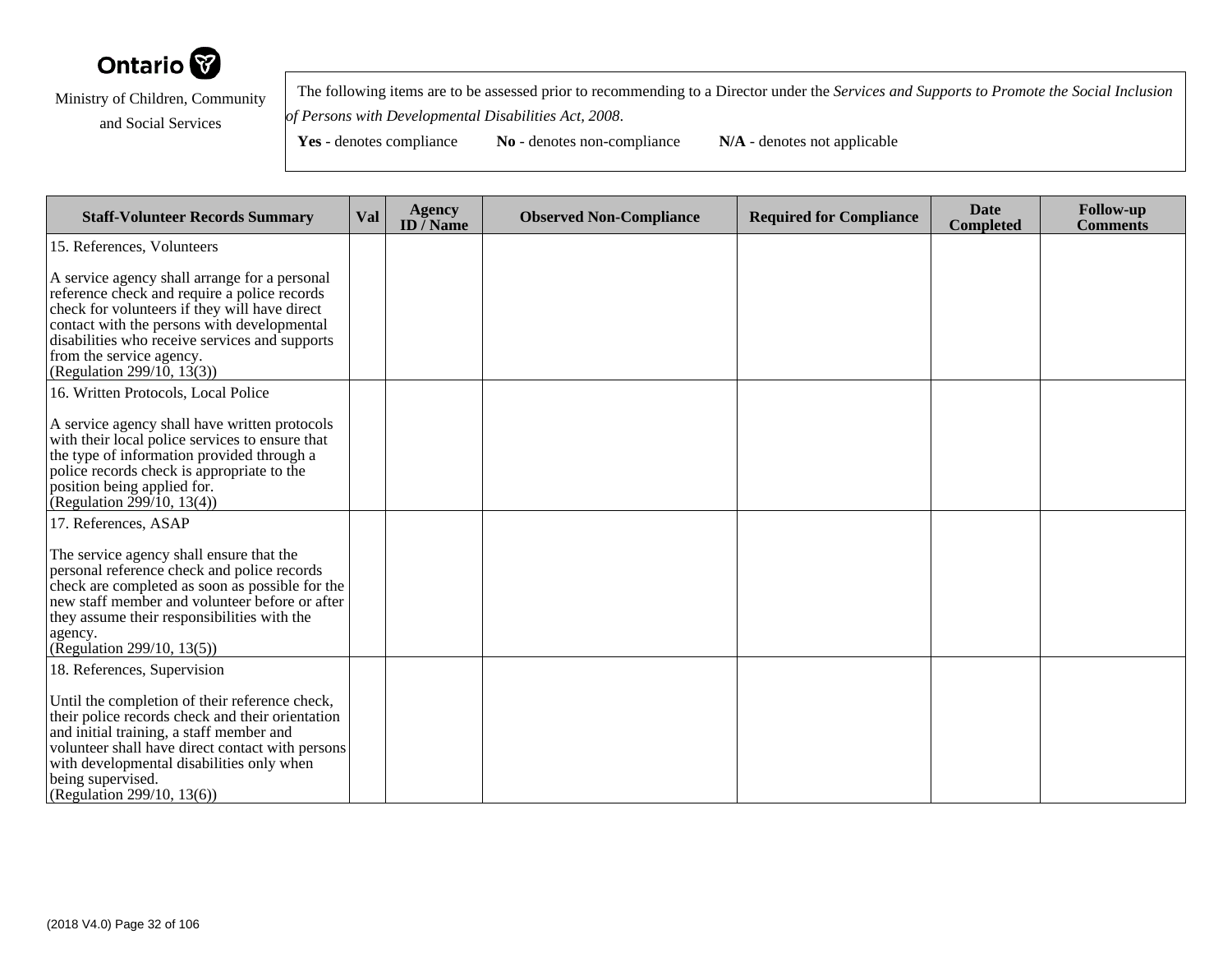

 The following items are to be assessed prior to recommending to a Director under the *Services and Supports to Promote the Social Inclusionof Persons with Developmental Disabilities Act, 2008*.

**Yes** - denotes compliance **No** - denotes non-compliance **N/A** - denotes not applicable

**Staff-Volunteer Records Summary Val Agency ID / NameObserved Non-Compliance Required for Compliance Date Completed Follow-up Comments** 15. References, VolunteersA service agency shall arrange for a personal reference check and require a police records check for volunteers if they will have direct contact with the persons with developmental disabilities who receive services and supportsfrom the service agency. (Regulation 299/10, 13(3))16. Written Protocols, Local PoliceA service agency shall have written protocols with their local police services to ensure thatthe type of information provided through apolice records check is appropriate to theposition being applied for. (Regulation 299/10, 13(4))17. References, ASAPThe service agency shall ensure that the personal reference check and police records check are completed as soon as possible for the new staff member and volunteer before or afterthey assume their responsibilities with theagency. (Regulation 299/10, 13(5))18. References, SupervisionUntil the completion of their reference check, their police records check and their orientationand initial training, a staff member and volunteer shall have direct contact with personswith developmental disabilities only whenbeing supervised.

(Regulation 299/10, 13(6))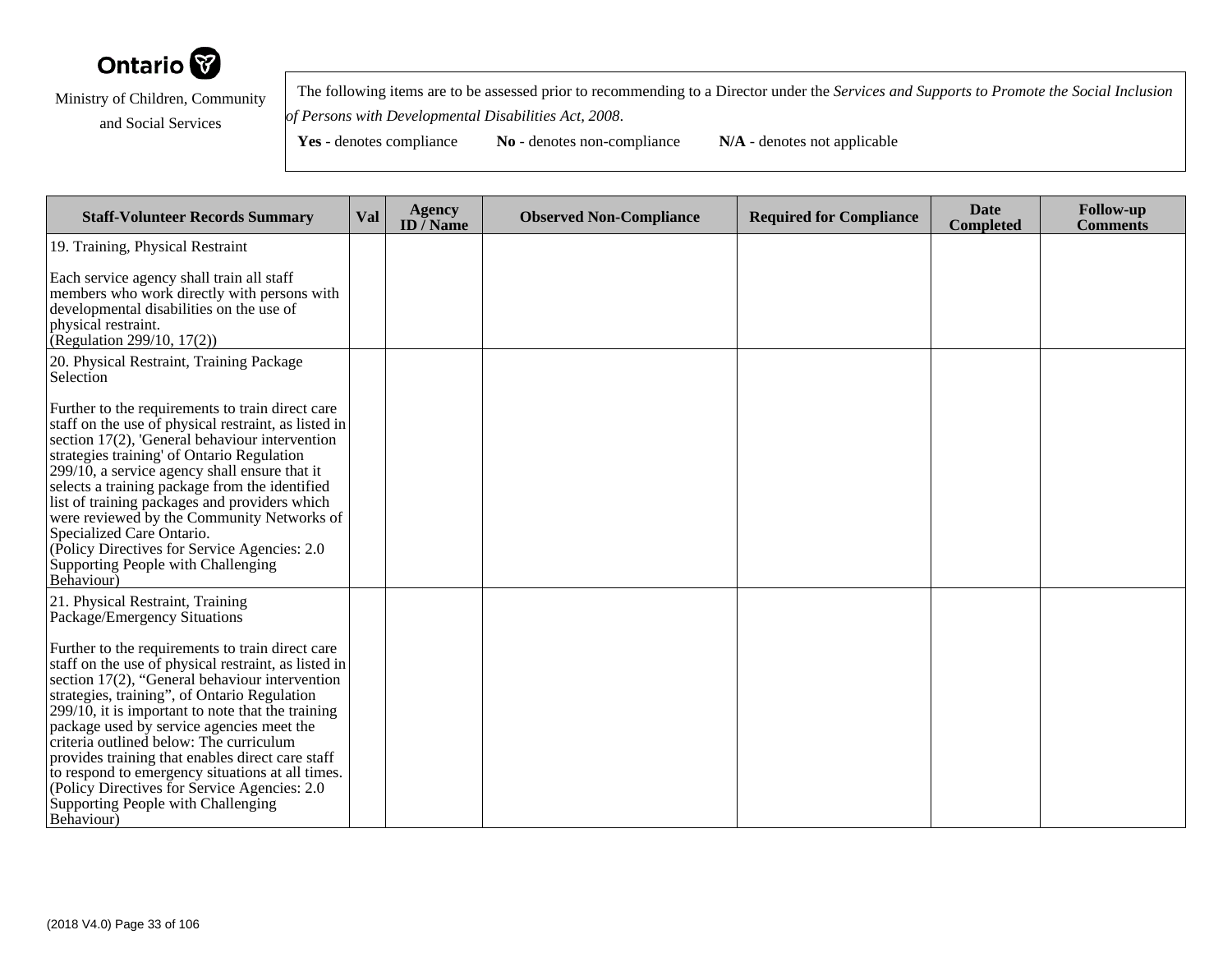

 The following items are to be assessed prior to recommending to a Director under the *Services and Supports to Promote the Social Inclusionof Persons with Developmental Disabilities Act, 2008*.

| <b>Staff-Volunteer Records Summary</b>                                                                                                                                                                                                                                                                                                                                                                                                                                                                                                                                  | Val | <b>Agency</b><br>ID $\bar{}/$ Name | <b>Observed Non-Compliance</b> | <b>Required for Compliance</b> | <b>Date</b><br><b>Completed</b> | <b>Follow-up</b><br><b>Comments</b> |
|-------------------------------------------------------------------------------------------------------------------------------------------------------------------------------------------------------------------------------------------------------------------------------------------------------------------------------------------------------------------------------------------------------------------------------------------------------------------------------------------------------------------------------------------------------------------------|-----|------------------------------------|--------------------------------|--------------------------------|---------------------------------|-------------------------------------|
| 19. Training, Physical Restraint                                                                                                                                                                                                                                                                                                                                                                                                                                                                                                                                        |     |                                    |                                |                                |                                 |                                     |
| Each service agency shall train all staff<br>members who work directly with persons with<br>developmental disabilities on the use of<br>physical restraint.<br>(Regulation 299/10, 17(2))                                                                                                                                                                                                                                                                                                                                                                               |     |                                    |                                |                                |                                 |                                     |
| 20. Physical Restraint, Training Package<br>Selection                                                                                                                                                                                                                                                                                                                                                                                                                                                                                                                   |     |                                    |                                |                                |                                 |                                     |
| Further to the requirements to train direct care<br>staff on the use of physical restraint, as listed in<br>section 17(2), 'General behaviour intervention<br>strategies training' of Ontario Regulation<br>$299/10$ , a service agency shall ensure that it<br>selects a training package from the identified<br>list of training packages and providers which<br>were reviewed by the Community Networks of<br>Specialized Care Ontario.<br>(Policy Directives for Service Agencies: 2.0)<br>Supporting People with Challenging<br>Behaviour)                         |     |                                    |                                |                                |                                 |                                     |
| 21. Physical Restraint, Training<br>Package/Emergency Situations                                                                                                                                                                                                                                                                                                                                                                                                                                                                                                        |     |                                    |                                |                                |                                 |                                     |
| Further to the requirements to train direct care<br>staff on the use of physical restraint, as listed in<br>section 17(2), "General behaviour intervention<br>strategies, training", of Ontario Regulation<br>$299/10$ , it is important to note that the training<br>package used by service agencies meet the<br>criteria outlined below: The curriculum<br>provides training that enables direct care staff<br>to respond to emergency situations at all times.<br>(Policy Directives for Service Agencies: 2.0)<br>Supporting People with Challenging<br>Behaviour) |     |                                    |                                |                                |                                 |                                     |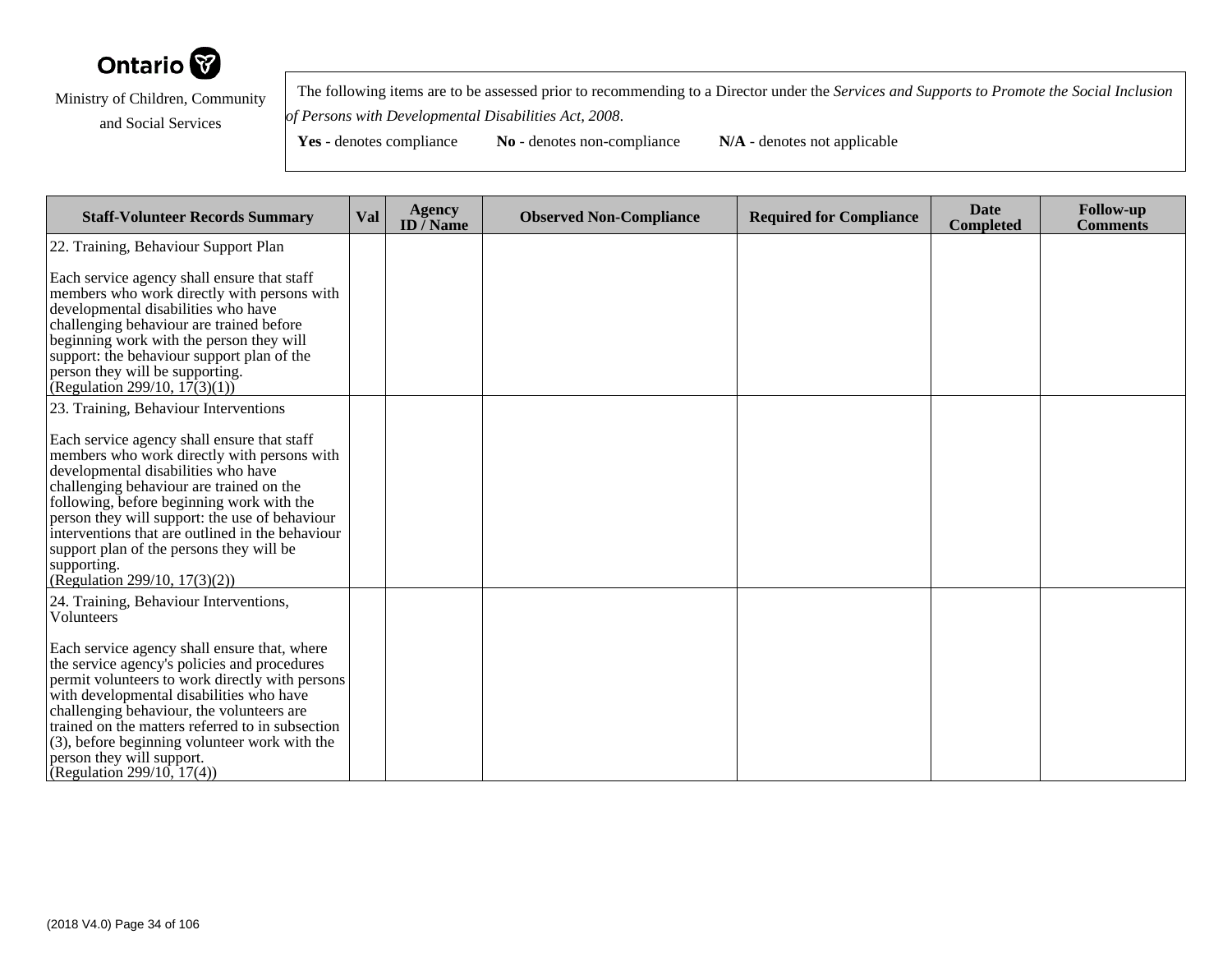

 The following items are to be assessed prior to recommending to a Director under the *Services and Supports to Promote the Social Inclusionof Persons with Developmental Disabilities Act, 2008*.

**Yes** - denotes compliance **No** - denotes non-compliance **N/A** - denotes not applicable

**Staff-Volunteer Records Summary Val Agency ID / NameObserved Non-Compliance Required for Compliance Date Completed Follow-up Comments** 22. Training, Behaviour Support PlanEach service agency shall ensure that staff members who work directly with persons withdevelopmental disabilities who have challenging behaviour are trained before beginning work with the person they will support: the behaviour support plan of theperson they will be supporting.(Regulation 299/10,  $17(3)(1)$ ) 23. Training, Behaviour InterventionsEach service agency shall ensure that staff members who work directly with persons withdevelopmental disabilities who have challenging behaviour are trained on the following, before beginning work with the person they will support: the use of behaviour interventions that are outlined in the behavioursupport plan of the persons they will besupporting. (Regulation 299/10, 17(3)(2))24. Training, Behaviour Interventions,VolunteersEach service agency shall ensure that, where the service agency's policies and procedures permit volunteers to work directly with personswith developmental disabilities who have challenging behaviour, the volunteers are trained on the matters referred to in subsection (3), before beginning volunteer work with theperson they will support.(Regulation 299/10, 17(4))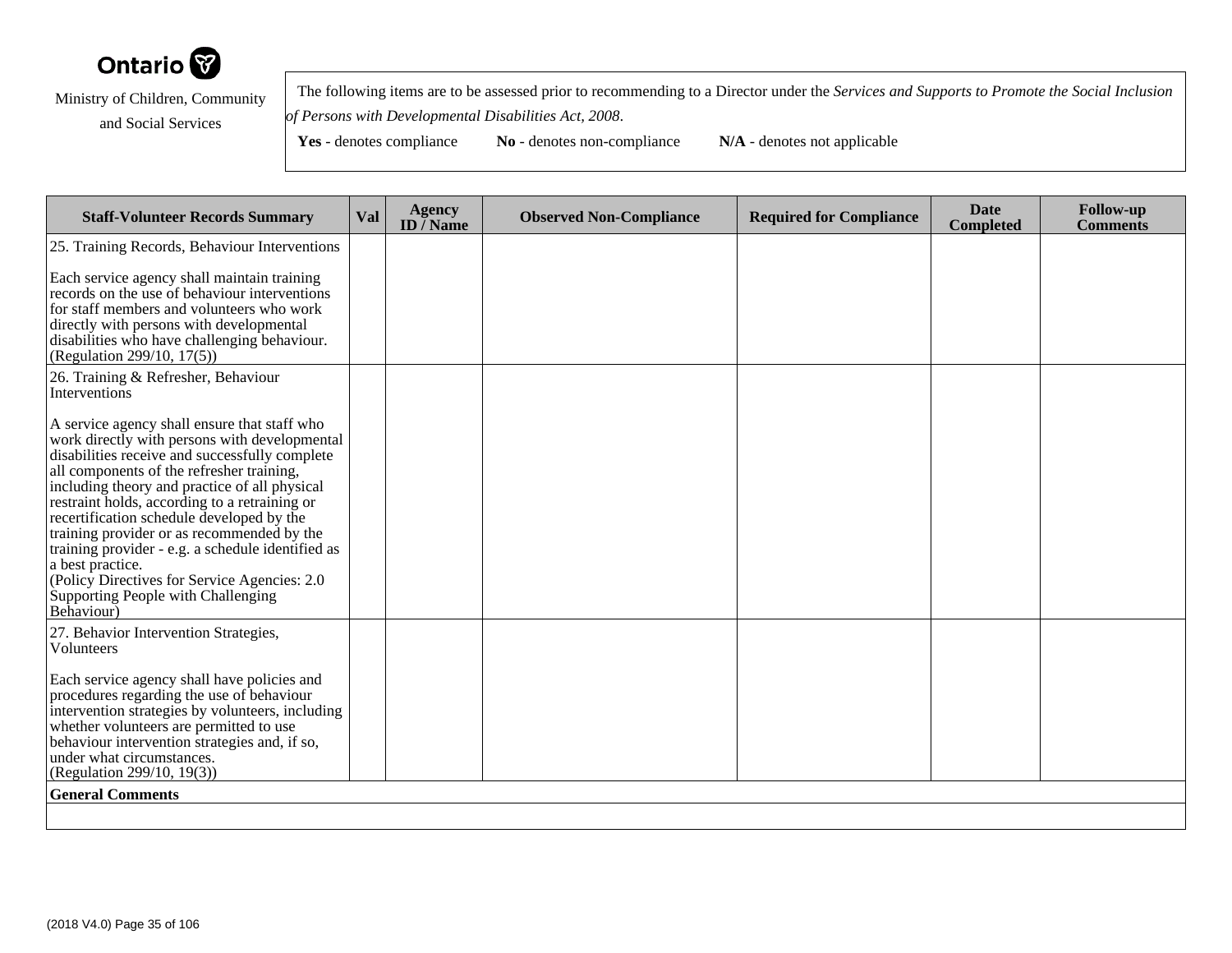

 The following items are to be assessed prior to recommending to a Director under the *Services and Supports to Promote the Social Inclusionof Persons with Developmental Disabilities Act, 2008*.

| <b>Staff-Volunteer Records Summary</b>                                                                                                                                                                                                                                                                                                                                                                                                                                                                                                                                  | <b>Val</b> | <b>Agency</b><br>ID $\overline{}/$ Name | <b>Observed Non-Compliance</b> | <b>Required for Compliance</b> | <b>Date</b><br><b>Completed</b> | <b>Follow-up</b><br><b>Comments</b> |
|-------------------------------------------------------------------------------------------------------------------------------------------------------------------------------------------------------------------------------------------------------------------------------------------------------------------------------------------------------------------------------------------------------------------------------------------------------------------------------------------------------------------------------------------------------------------------|------------|-----------------------------------------|--------------------------------|--------------------------------|---------------------------------|-------------------------------------|
| 25. Training Records, Behaviour Interventions                                                                                                                                                                                                                                                                                                                                                                                                                                                                                                                           |            |                                         |                                |                                |                                 |                                     |
| Each service agency shall maintain training<br>records on the use of behaviour interventions<br>for staff members and volunteers who work<br>directly with persons with developmental<br>disabilities who have challenging behaviour.<br>(Regulation 299/10, 17(5))                                                                                                                                                                                                                                                                                                     |            |                                         |                                |                                |                                 |                                     |
| 26. Training & Refresher, Behaviour<br>Interventions                                                                                                                                                                                                                                                                                                                                                                                                                                                                                                                    |            |                                         |                                |                                |                                 |                                     |
| A service agency shall ensure that staff who<br>work directly with persons with developmental<br>disabilities receive and successfully complete<br>all components of the refresher training,<br>including theory and practice of all physical<br>restraint holds, according to a retraining or<br>recertification schedule developed by the<br>training provider or as recommended by the<br>training provider - e.g. a schedule identified as<br>a best practice.<br>(Policy Directives for Service Agencies: 2.0)<br>Supporting People with Challenging<br>Behaviour) |            |                                         |                                |                                |                                 |                                     |
| 27. Behavior Intervention Strategies,<br>Volunteers                                                                                                                                                                                                                                                                                                                                                                                                                                                                                                                     |            |                                         |                                |                                |                                 |                                     |
| Each service agency shall have policies and<br>procedures regarding the use of behaviour<br>intervention strategies by volunteers, including<br>whether volunteers are permitted to use<br>behaviour intervention strategies and, if so,<br>under what circumstances.<br>(Regulation 299/10, 19(3))                                                                                                                                                                                                                                                                     |            |                                         |                                |                                |                                 |                                     |
| <b>General Comments</b>                                                                                                                                                                                                                                                                                                                                                                                                                                                                                                                                                 |            |                                         |                                |                                |                                 |                                     |
|                                                                                                                                                                                                                                                                                                                                                                                                                                                                                                                                                                         |            |                                         |                                |                                |                                 |                                     |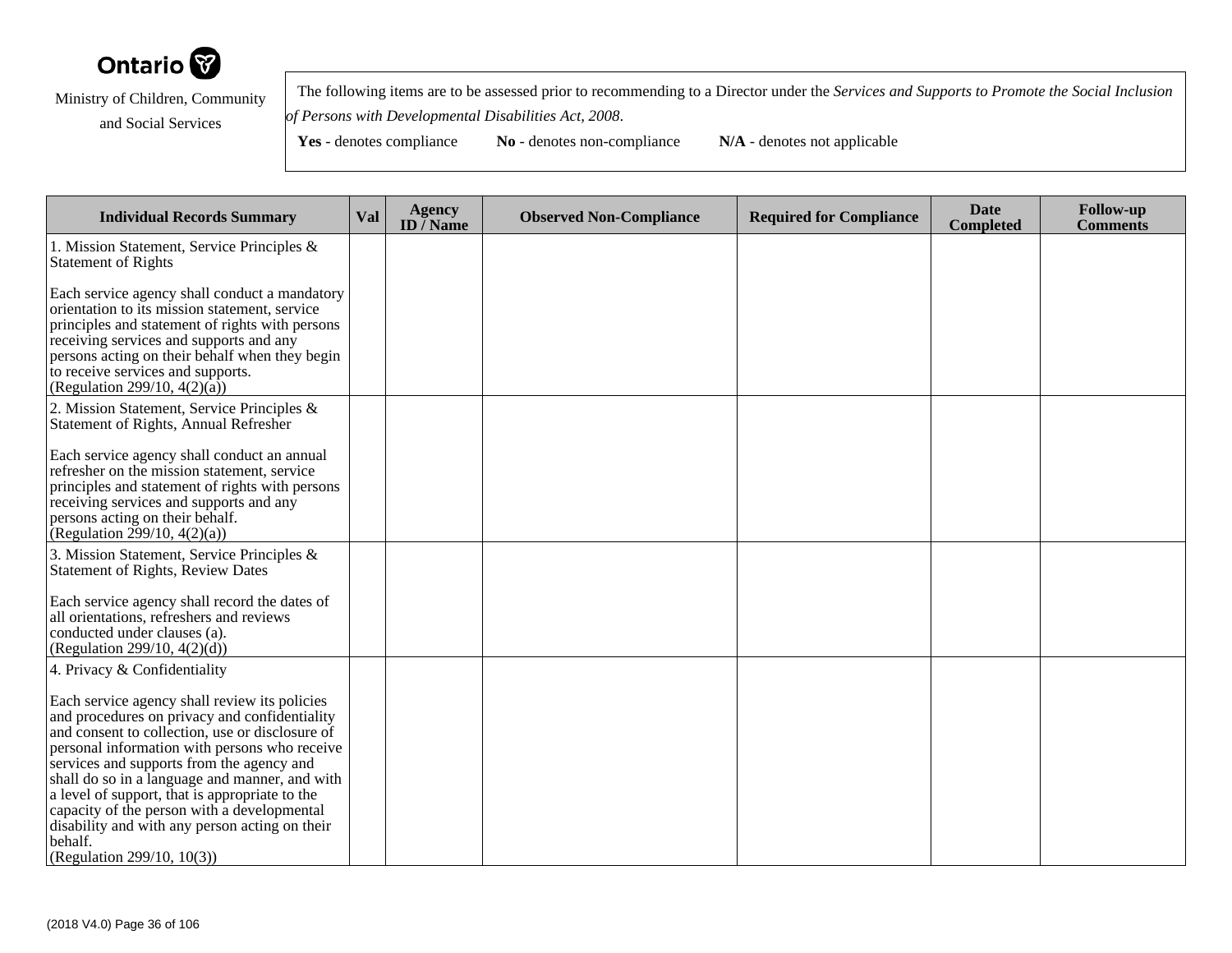

 The following items are to be assessed prior to recommending to a Director under the *Services and Supports to Promote the Social Inclusionof Persons with Developmental Disabilities Act, 2008*.

| <b>Individual Records Summary</b>                                                                                                                                                                                                                                                                                                                                                                                                                               | Val | <b>Agency</b><br>ID / Name | <b>Observed Non-Compliance</b> | <b>Required for Compliance</b> | <b>Date</b><br><b>Completed</b> | <b>Follow-up</b><br><b>Comments</b> |
|-----------------------------------------------------------------------------------------------------------------------------------------------------------------------------------------------------------------------------------------------------------------------------------------------------------------------------------------------------------------------------------------------------------------------------------------------------------------|-----|----------------------------|--------------------------------|--------------------------------|---------------------------------|-------------------------------------|
| 1. Mission Statement, Service Principles &<br><b>Statement of Rights</b>                                                                                                                                                                                                                                                                                                                                                                                        |     |                            |                                |                                |                                 |                                     |
| Each service agency shall conduct a mandatory<br>orientation to its mission statement, service<br>principles and statement of rights with persons<br>receiving services and supports and any<br>persons acting on their behalf when they begin<br>to receive services and supports.<br>(Regulation 299/10, $4(2)(\overline{a})$ )                                                                                                                               |     |                            |                                |                                |                                 |                                     |
| 2. Mission Statement, Service Principles &<br>Statement of Rights, Annual Refresher                                                                                                                                                                                                                                                                                                                                                                             |     |                            |                                |                                |                                 |                                     |
| Each service agency shall conduct an annual<br>refresher on the mission statement, service<br>principles and statement of rights with persons<br>receiving services and supports and any<br>persons acting on their behalf.<br>(Regulation 299/10, 4(2)(a))                                                                                                                                                                                                     |     |                            |                                |                                |                                 |                                     |
| 3. Mission Statement, Service Principles &<br><b>Statement of Rights, Review Dates</b>                                                                                                                                                                                                                                                                                                                                                                          |     |                            |                                |                                |                                 |                                     |
| Each service agency shall record the dates of<br>all orientations, refreshers and reviews<br>conducted under clauses (a).<br>(Regulation 299/10, 4(2)(d))                                                                                                                                                                                                                                                                                                       |     |                            |                                |                                |                                 |                                     |
| 4. Privacy & Confidentiality                                                                                                                                                                                                                                                                                                                                                                                                                                    |     |                            |                                |                                |                                 |                                     |
| Each service agency shall review its policies<br>and procedures on privacy and confidentiality<br>and consent to collection, use or disclosure of<br>personal information with persons who receive<br>services and supports from the agency and<br>shall do so in a language and manner, and with<br>a level of support, that is appropriate to the<br>capacity of the person with a developmental<br>disability and with any person acting on their<br>behalf. |     |                            |                                |                                |                                 |                                     |
| (Regulation 299/10, 10(3))                                                                                                                                                                                                                                                                                                                                                                                                                                      |     |                            |                                |                                |                                 |                                     |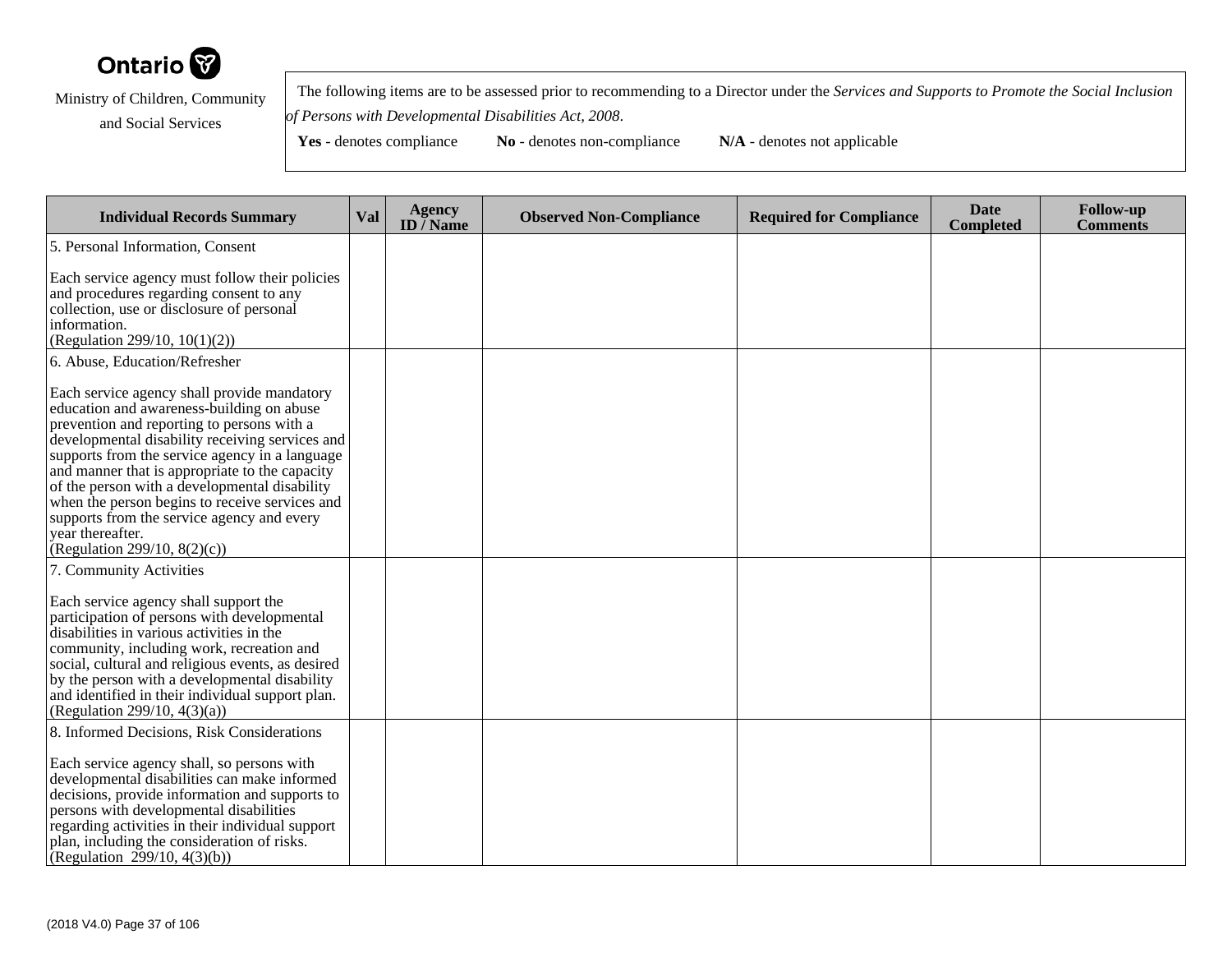

 The following items are to be assessed prior to recommending to a Director under the *Services and Supports to Promote the Social Inclusionof Persons with Developmental Disabilities Act, 2008*.

| <b>Individual Records Summary</b>                                                                                                                                                                                                                                                                                                                                                                                                                                                                     | Val | <b>Agency</b><br>ID $\overline{}/$ Name | <b>Observed Non-Compliance</b> | <b>Required for Compliance</b> | <b>Date</b><br><b>Completed</b> | <b>Follow-up</b><br><b>Comments</b> |
|-------------------------------------------------------------------------------------------------------------------------------------------------------------------------------------------------------------------------------------------------------------------------------------------------------------------------------------------------------------------------------------------------------------------------------------------------------------------------------------------------------|-----|-----------------------------------------|--------------------------------|--------------------------------|---------------------------------|-------------------------------------|
| 5. Personal Information, Consent                                                                                                                                                                                                                                                                                                                                                                                                                                                                      |     |                                         |                                |                                |                                 |                                     |
| Each service agency must follow their policies<br>and procedures regarding consent to any<br>collection, use or disclosure of personal<br>information.<br>(Regulation 299/10, 10(1)(2))                                                                                                                                                                                                                                                                                                               |     |                                         |                                |                                |                                 |                                     |
| 6. Abuse, Education/Refresher                                                                                                                                                                                                                                                                                                                                                                                                                                                                         |     |                                         |                                |                                |                                 |                                     |
| Each service agency shall provide mandatory<br>education and awareness-building on abuse<br>prevention and reporting to persons with a<br>developmental disability receiving services and<br>supports from the service agency in a language<br>and manner that is appropriate to the capacity<br>of the person with a developmental disability<br>when the person begins to receive services and<br>supports from the service agency and every<br>vear thereafter.<br>(Regulation 299/10, $8(2)(c)$ ) |     |                                         |                                |                                |                                 |                                     |
| 7. Community Activities                                                                                                                                                                                                                                                                                                                                                                                                                                                                               |     |                                         |                                |                                |                                 |                                     |
| Each service agency shall support the<br>participation of persons with developmental<br>disabilities in various activities in the<br>community, including work, recreation and<br>social, cultural and religious events, as desired<br>by the person with a developmental disability<br>and identified in their individual support plan.<br>(Regulation 299/10, $4(3)(a)$ )                                                                                                                           |     |                                         |                                |                                |                                 |                                     |
| 8. Informed Decisions, Risk Considerations                                                                                                                                                                                                                                                                                                                                                                                                                                                            |     |                                         |                                |                                |                                 |                                     |
| Each service agency shall, so persons with<br>developmental disabilities can make informed<br>decisions, provide information and supports to<br>persons with developmental disabilities<br>regarding activities in their individual support<br>plan, including the consideration of risks.<br>(Regulation 299/10, 4(3)(b))                                                                                                                                                                            |     |                                         |                                |                                |                                 |                                     |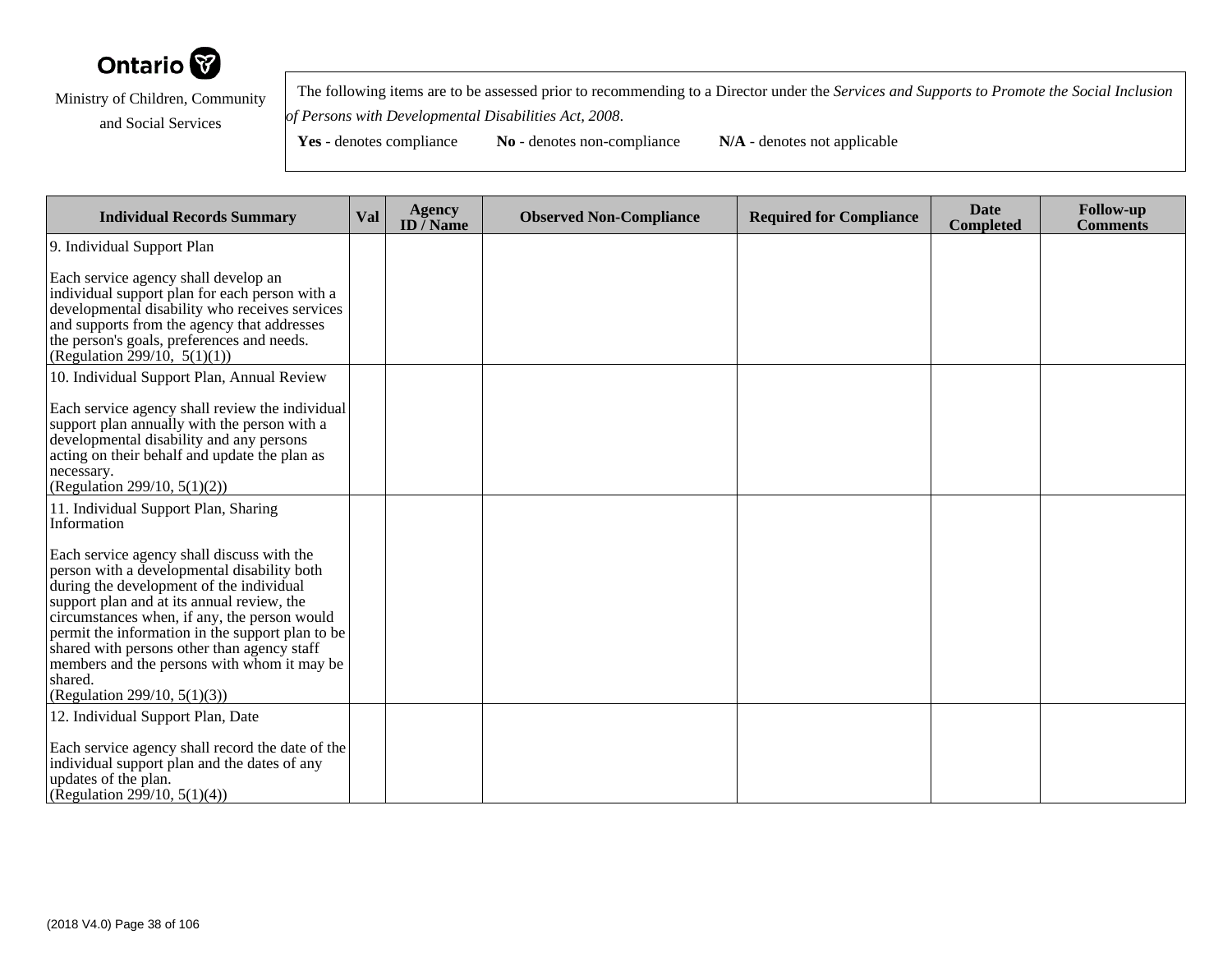

 The following items are to be assessed prior to recommending to a Director under the *Services and Supports to Promote the Social Inclusionof Persons with Developmental Disabilities Act, 2008*.

**Yes** - denotes compliance **No** - denotes non-compliance **N/A** - denotes not applicable

**Individual Records Summary Val Agency ID / NameObserved Non-Compliance Required for Compliance Date Completed Follow-up Comments** 9. Individual Support PlanEach service agency shall develop an individual support plan for each person with a developmental disability who receives servicesand supports from the agency that addressesthe person's goals, preferences and needs.(Regulation 299/10,  $5(1)(1)$ ) 10. Individual Support Plan, Annual ReviewEach service agency shall review the individualsupport plan annually with the person with adevelopmental disability and any persons acting on their behalf and update the plan asnecessary. (Regulation 299/10, 5(1)(2))11. Individual Support Plan, SharingInformationEach service agency shall discuss with the person with a developmental disability bothduring the development of the individual support plan and at its annual review, the circumstances when, if any, the person would permit the information in the support plan to beshared with persons other than agency staff members and the persons with whom it may beshared. (Regulation 299/10, 5(1)(3))12. Individual Support Plan, DateEach service agency shall record the date of theindividual support plan and the dates of anyupdates of the plan.(Regulation 299/10, 5(1)(4))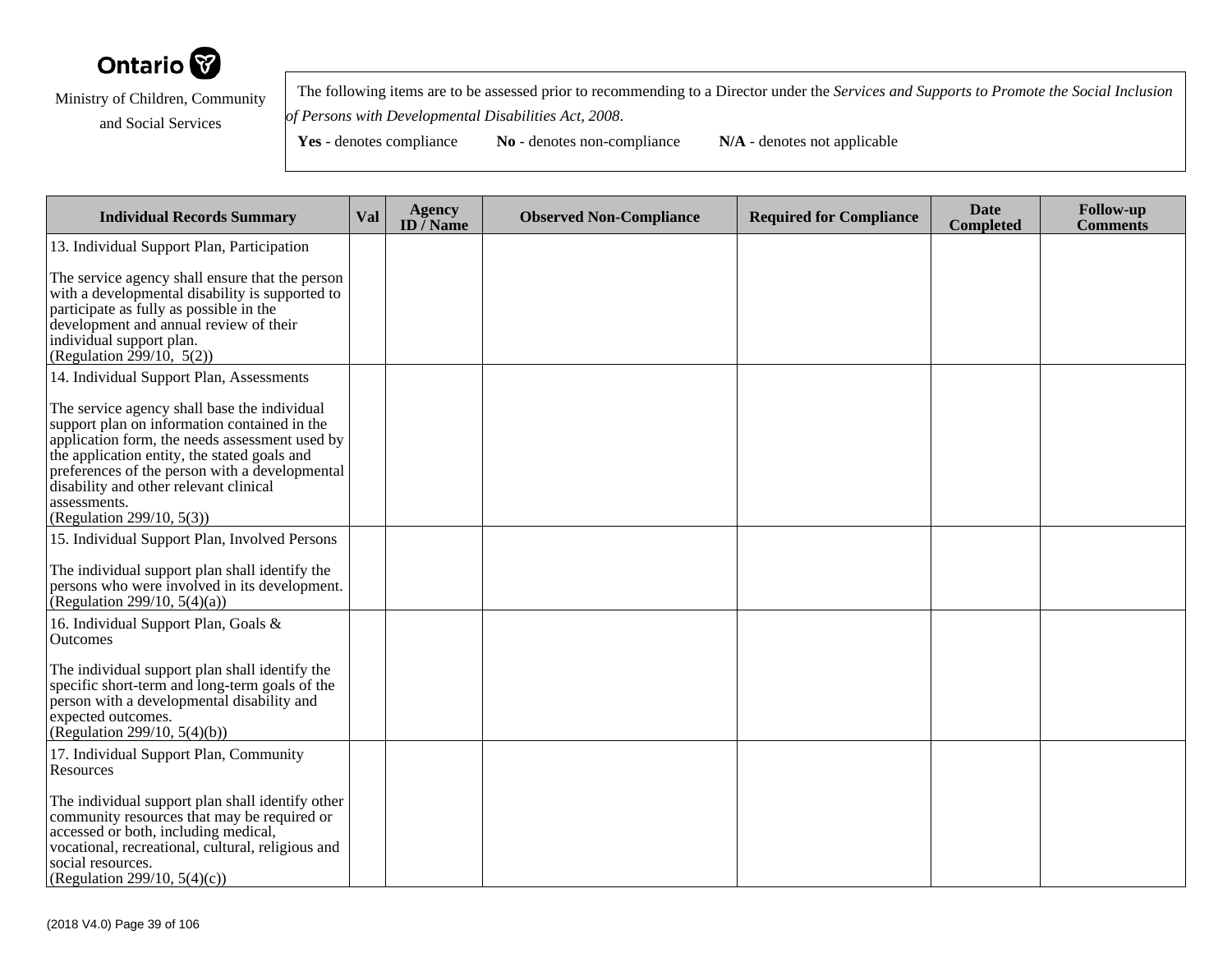

 The following items are to be assessed prior to recommending to a Director under the *Services and Supports to Promote the Social Inclusionof Persons with Developmental Disabilities Act, 2008*.

| <b>Individual Records Summary</b>                                                                                                                                                                                                                                                                                                       | Val | <b>Agency</b><br>ID $\overline{/}$ Name | <b>Observed Non-Compliance</b> | <b>Required for Compliance</b> | <b>Date</b><br><b>Completed</b> | <b>Follow-up</b><br><b>Comments</b> |
|-----------------------------------------------------------------------------------------------------------------------------------------------------------------------------------------------------------------------------------------------------------------------------------------------------------------------------------------|-----|-----------------------------------------|--------------------------------|--------------------------------|---------------------------------|-------------------------------------|
| 13. Individual Support Plan, Participation                                                                                                                                                                                                                                                                                              |     |                                         |                                |                                |                                 |                                     |
| The service agency shall ensure that the person<br>with a developmental disability is supported to<br>participate as fully as possible in the<br>development and annual review of their<br>individual support plan.<br>(Regulation $2\frac{3}{9}/10$ , 5(2))                                                                            |     |                                         |                                |                                |                                 |                                     |
| 14. Individual Support Plan, Assessments                                                                                                                                                                                                                                                                                                |     |                                         |                                |                                |                                 |                                     |
| The service agency shall base the individual<br>support plan on information contained in the<br>application form, the needs assessment used by<br>the application entity, the stated goals and<br>preferences of the person with a developmental<br>disability and other relevant clinical<br>assessments.<br>(Regulation 299/10, 5(3)) |     |                                         |                                |                                |                                 |                                     |
| 15. Individual Support Plan, Involved Persons                                                                                                                                                                                                                                                                                           |     |                                         |                                |                                |                                 |                                     |
| The individual support plan shall identify the<br>persons who were involved in its development.<br>(Regulation 299/10, $5(4)(a)$ )                                                                                                                                                                                                      |     |                                         |                                |                                |                                 |                                     |
| 16. Individual Support Plan, Goals &<br>Outcomes                                                                                                                                                                                                                                                                                        |     |                                         |                                |                                |                                 |                                     |
| The individual support plan shall identify the<br>specific short-term and long-term goals of the<br>person with a developmental disability and<br>expected outcomes.<br>(Regulation 299/10, 5(4)(b))                                                                                                                                    |     |                                         |                                |                                |                                 |                                     |
| 17. Individual Support Plan, Community<br>Resources                                                                                                                                                                                                                                                                                     |     |                                         |                                |                                |                                 |                                     |
| The individual support plan shall identify other<br>community resources that may be required or<br>accessed or both, including medical,<br>vocational, recreational, cultural, religious and<br>social resources.<br>(Regulation 299/10, 5(4)(c))                                                                                       |     |                                         |                                |                                |                                 |                                     |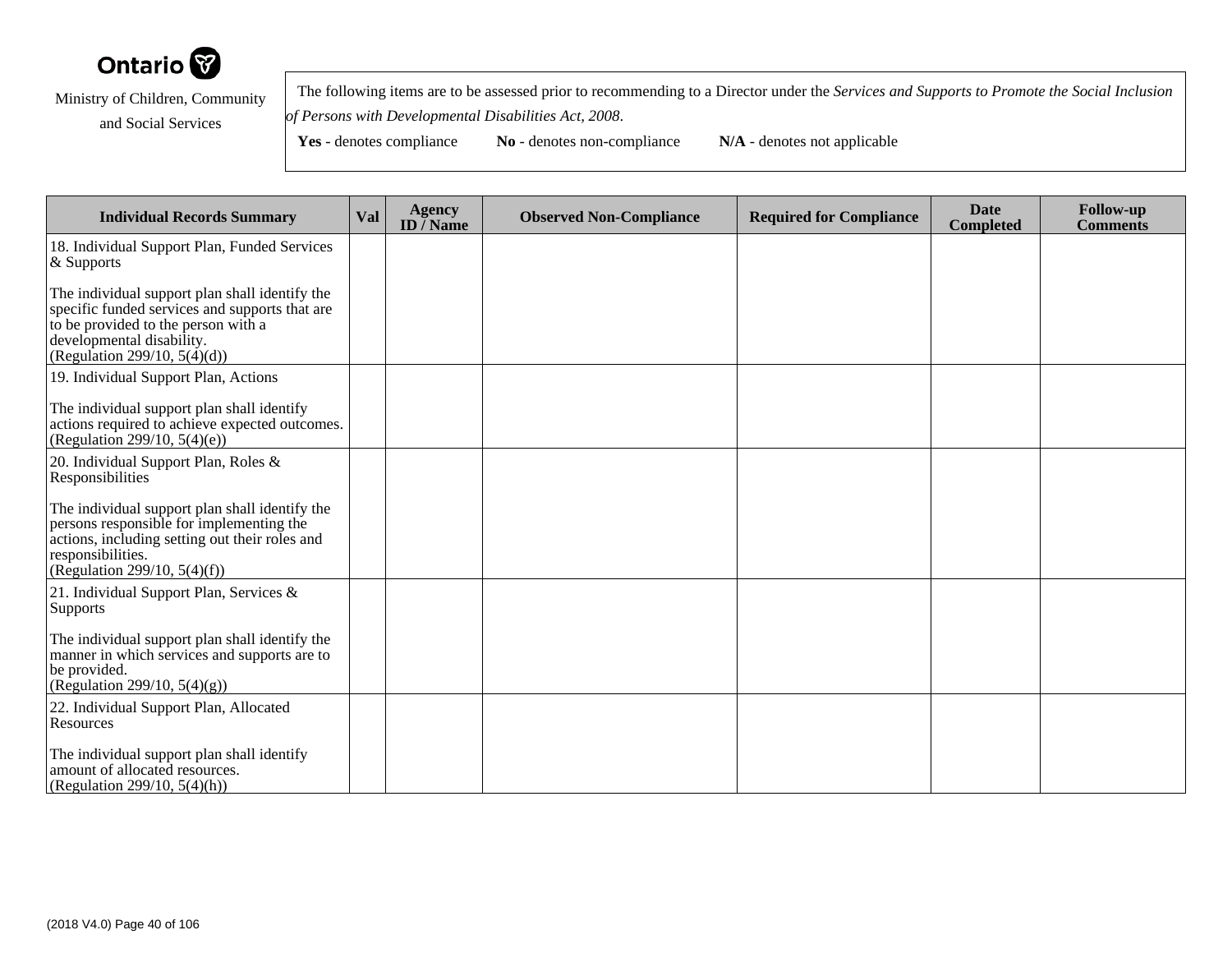

 The following items are to be assessed prior to recommending to a Director under the *Services and Supports to Promote the Social Inclusionof Persons with Developmental Disabilities Act, 2008*.

| <b>Individual Records Summary</b>                                                                                                                                                                       | Val | <b>Agency</b><br>ID $\bar{}/$ Name | <b>Observed Non-Compliance</b> | <b>Required for Compliance</b> | <b>Date</b><br><b>Completed</b> | <b>Follow-up</b><br><b>Comments</b> |
|---------------------------------------------------------------------------------------------------------------------------------------------------------------------------------------------------------|-----|------------------------------------|--------------------------------|--------------------------------|---------------------------------|-------------------------------------|
| 18. Individual Support Plan, Funded Services<br>$\&$ Supports                                                                                                                                           |     |                                    |                                |                                |                                 |                                     |
| The individual support plan shall identify the<br>specific funded services and supports that are<br>to be provided to the person with a<br>developmental disability.<br>(Regulation 299/10, $5(4)(d)$ ) |     |                                    |                                |                                |                                 |                                     |
| 19. Individual Support Plan, Actions                                                                                                                                                                    |     |                                    |                                |                                |                                 |                                     |
| The individual support plan shall identify<br>actions required to achieve expected outcomes.<br>(Regulation 299/10, $5(4)(e)$ )                                                                         |     |                                    |                                |                                |                                 |                                     |
| 20. Individual Support Plan, Roles &<br>Responsibilities                                                                                                                                                |     |                                    |                                |                                |                                 |                                     |
| The individual support plan shall identify the<br>persons responsible for implementing the<br>actions, including setting out their roles and<br>responsibilities.<br>(Regulation 299/10, $5(4)(f)$ )    |     |                                    |                                |                                |                                 |                                     |
| 21. Individual Support Plan, Services $\&$<br>Supports                                                                                                                                                  |     |                                    |                                |                                |                                 |                                     |
| The individual support plan shall identify the<br>manner in which services and supports are to<br>be provided.<br>(Regulation 299/10, $5(4)(g)$ )                                                       |     |                                    |                                |                                |                                 |                                     |
| 22. Individual Support Plan, Allocated<br>Resources                                                                                                                                                     |     |                                    |                                |                                |                                 |                                     |
| The individual support plan shall identify<br>amount of allocated resources.<br>(Regulation 299/10, 5(4)(h))                                                                                            |     |                                    |                                |                                |                                 |                                     |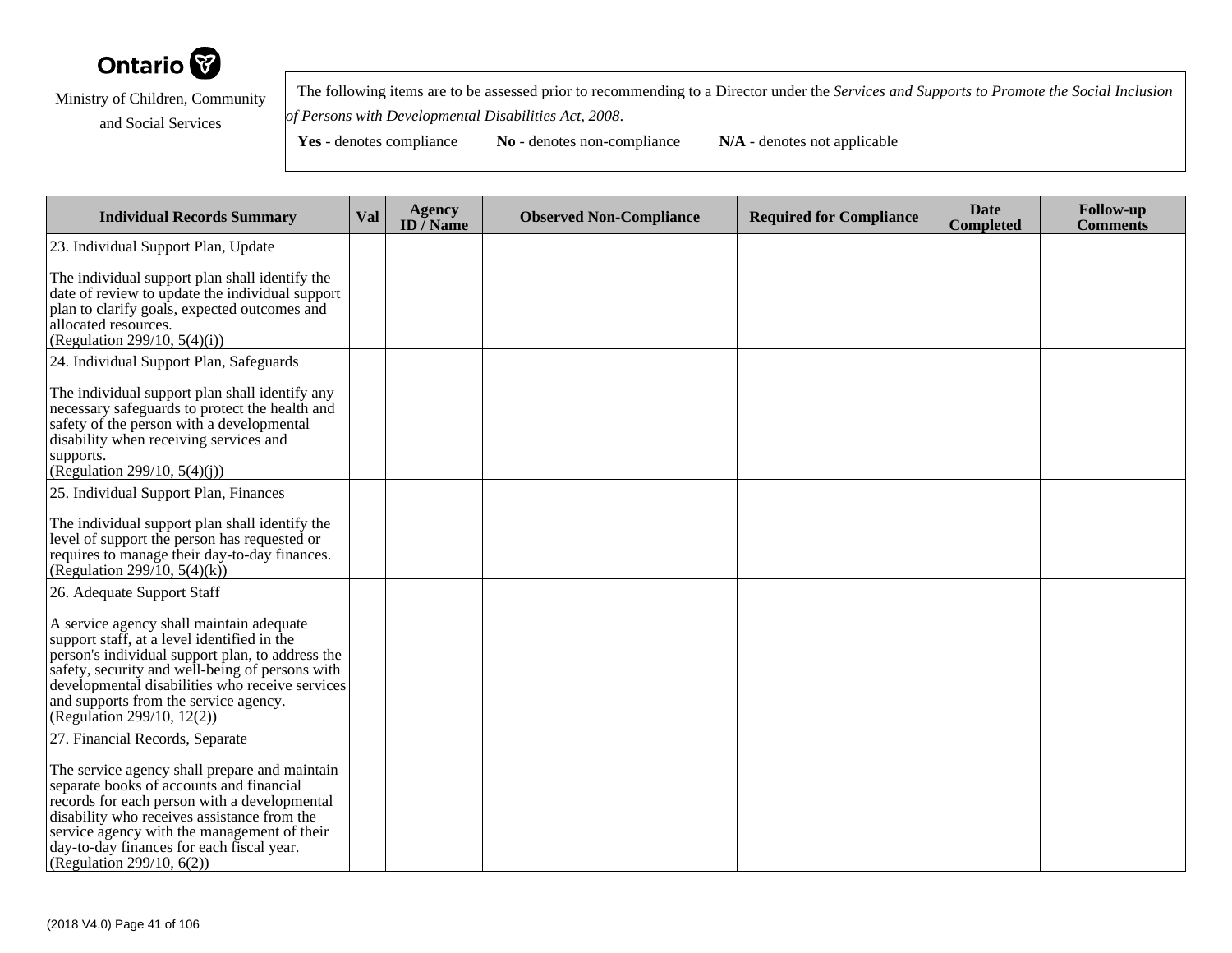

 The following items are to be assessed prior to recommending to a Director under the *Services and Supports to Promote the Social Inclusionof Persons with Developmental Disabilities Act, 2008*.

| <b>Individual Records Summary</b>                                                                                                                                                                                                                                                                                        | <b>Val</b> | <b>Agency</b><br>ID $\bar{}/$ Name | <b>Observed Non-Compliance</b> | <b>Required for Compliance</b> | <b>Date</b><br><b>Completed</b> | <b>Follow-up</b><br><b>Comments</b> |
|--------------------------------------------------------------------------------------------------------------------------------------------------------------------------------------------------------------------------------------------------------------------------------------------------------------------------|------------|------------------------------------|--------------------------------|--------------------------------|---------------------------------|-------------------------------------|
| 23. Individual Support Plan, Update                                                                                                                                                                                                                                                                                      |            |                                    |                                |                                |                                 |                                     |
| The individual support plan shall identify the<br>date of review to update the individual support<br>plan to clarify goals, expected outcomes and<br>allocated resources.<br>(Regulation 299/10, $5(4)(i)$ )                                                                                                             |            |                                    |                                |                                |                                 |                                     |
| 24. Individual Support Plan, Safeguards                                                                                                                                                                                                                                                                                  |            |                                    |                                |                                |                                 |                                     |
| The individual support plan shall identify any<br>necessary safeguards to protect the health and<br>safety of the person with a developmental<br>disability when receiving services and<br>supports.<br>(Regulation 299/10, $5(4)(i)$ )                                                                                  |            |                                    |                                |                                |                                 |                                     |
| 25. Individual Support Plan, Finances                                                                                                                                                                                                                                                                                    |            |                                    |                                |                                |                                 |                                     |
| The individual support plan shall identify the<br>level of support the person has requested or<br>requires to manage their day-to-day finances.<br>(Regulation 299/10, 5(4)(k))                                                                                                                                          |            |                                    |                                |                                |                                 |                                     |
| 26. Adequate Support Staff                                                                                                                                                                                                                                                                                               |            |                                    |                                |                                |                                 |                                     |
| A service agency shall maintain adequate<br>support staff, at a level identified in the<br>person's individual support plan, to address the<br>safety, security and well-being of persons with<br>developmental disabilities who receive services<br>and supports from the service agency.<br>(Regulation 299/10, 12(2)) |            |                                    |                                |                                |                                 |                                     |
| 27. Financial Records, Separate                                                                                                                                                                                                                                                                                          |            |                                    |                                |                                |                                 |                                     |
| The service agency shall prepare and maintain<br>separate books of accounts and financial<br>records for each person with a developmental<br>disability who receives assistance from the<br>service agency with the management of their<br>day-to-day finances for each fiscal year.<br>(Regulation 299/10, $6(2)$ )     |            |                                    |                                |                                |                                 |                                     |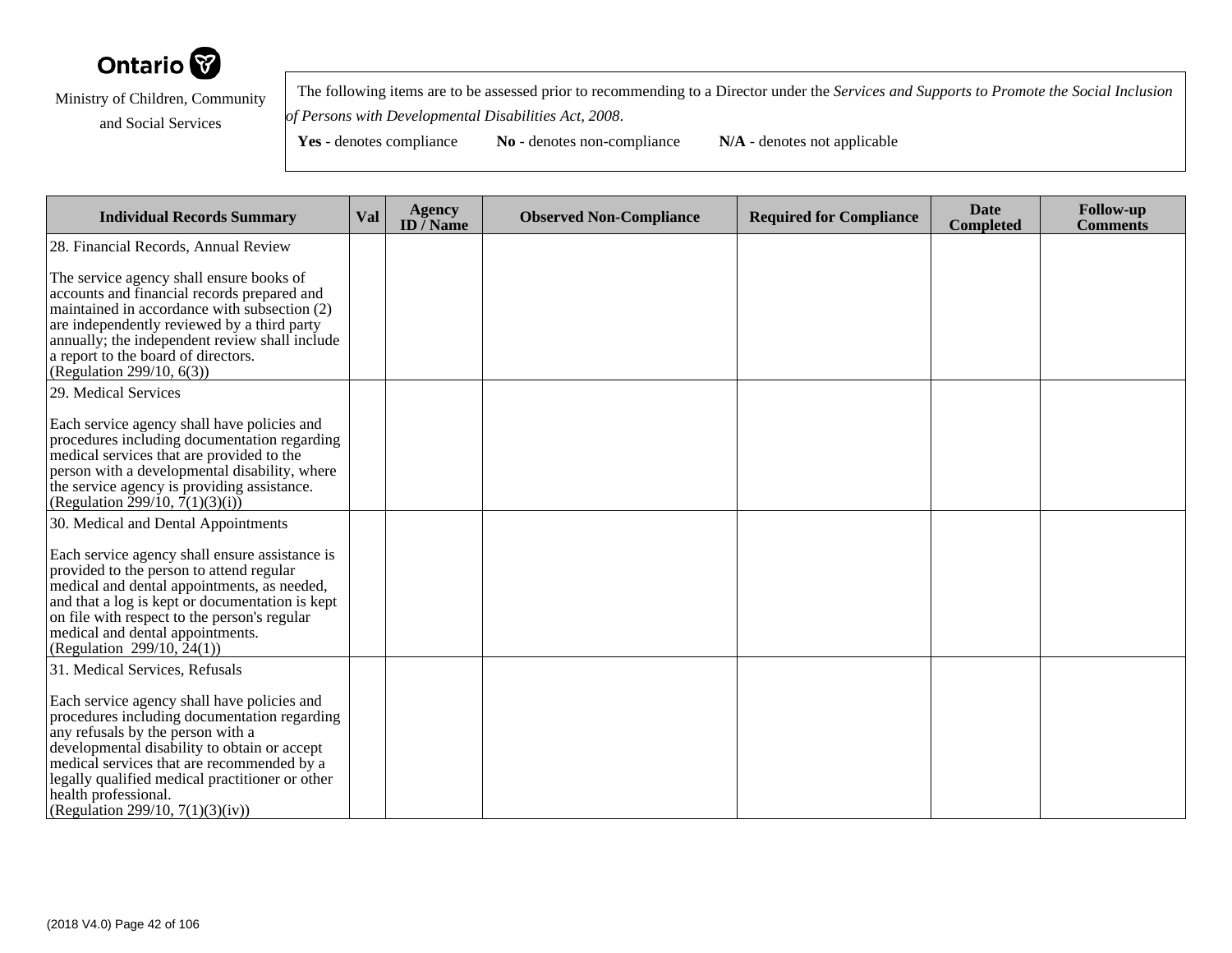

 The following items are to be assessed prior to recommending to a Director under the *Services and Supports to Promote the Social Inclusionof Persons with Developmental Disabilities Act, 2008*.

| <b>Individual Records Summary</b>                                                                                                                                                                                                                                                                                                             | Val | Agency<br>ID $\bar{}/$ Name | <b>Observed Non-Compliance</b> | <b>Required for Compliance</b> | <b>Date</b><br><b>Completed</b> | <b>Follow-up</b><br><b>Comments</b> |
|-----------------------------------------------------------------------------------------------------------------------------------------------------------------------------------------------------------------------------------------------------------------------------------------------------------------------------------------------|-----|-----------------------------|--------------------------------|--------------------------------|---------------------------------|-------------------------------------|
| 28. Financial Records, Annual Review                                                                                                                                                                                                                                                                                                          |     |                             |                                |                                |                                 |                                     |
| The service agency shall ensure books of<br>accounts and financial records prepared and<br>maintained in accordance with subsection (2)<br>are independently reviewed by a third party<br>annually; the independent review shall include<br>a report to the board of directors.<br>(Regulation 299/10, 6(3))                                  |     |                             |                                |                                |                                 |                                     |
| 29. Medical Services                                                                                                                                                                                                                                                                                                                          |     |                             |                                |                                |                                 |                                     |
| Each service agency shall have policies and<br>procedures including documentation regarding<br>medical services that are provided to the<br>person with a developmental disability, where<br>the service agency is providing assistance.<br>(Regulation $\overline{2}99/10$ , $\overline{7}(1)(3)(i)$ )                                       |     |                             |                                |                                |                                 |                                     |
| 30. Medical and Dental Appointments                                                                                                                                                                                                                                                                                                           |     |                             |                                |                                |                                 |                                     |
| Each service agency shall ensure assistance is<br>provided to the person to attend regular<br>medical and dental appointments, as needed,<br>and that a log is kept or documentation is kept<br>on file with respect to the person's regular<br>medical and dental appointments.<br>(Regulation 299/10, $24(1)$ )                             |     |                             |                                |                                |                                 |                                     |
| 31. Medical Services, Refusals                                                                                                                                                                                                                                                                                                                |     |                             |                                |                                |                                 |                                     |
| Each service agency shall have policies and<br>procedures including documentation regarding<br>any refusals by the person with a<br>developmental disability to obtain or accept<br>medical services that are recommended by a<br>legally qualified medical practitioner or other<br>health professional.<br>(Regulation 299/10, 7(1)(3)(iv)) |     |                             |                                |                                |                                 |                                     |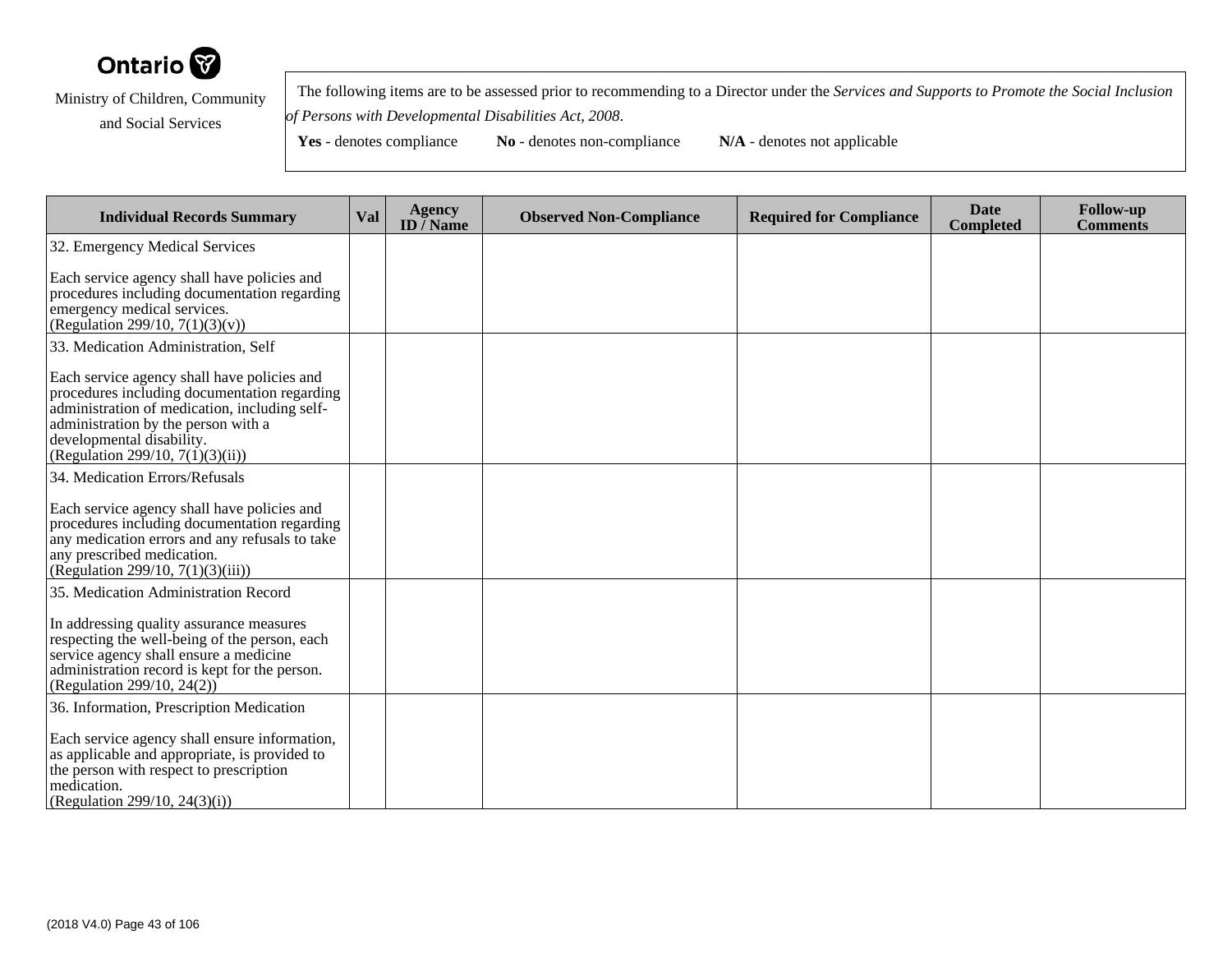

 The following items are to be assessed prior to recommending to a Director under the *Services and Supports to Promote the Social Inclusionof Persons with Developmental Disabilities Act, 2008*.

| <b>Individual Records Summary</b>                                                                                                                                                                                                                       | Val | <b>Agency</b><br>ID $\bar{}/$ Name | <b>Observed Non-Compliance</b> | <b>Required for Compliance</b> | <b>Date</b><br><b>Completed</b> | <b>Follow-up</b><br><b>Comments</b> |
|---------------------------------------------------------------------------------------------------------------------------------------------------------------------------------------------------------------------------------------------------------|-----|------------------------------------|--------------------------------|--------------------------------|---------------------------------|-------------------------------------|
| 32. Emergency Medical Services                                                                                                                                                                                                                          |     |                                    |                                |                                |                                 |                                     |
| Each service agency shall have policies and<br>procedures including documentation regarding<br>emergency medical services.<br>(Regulation 299/10, $7(1)(3)(v)$ )                                                                                        |     |                                    |                                |                                |                                 |                                     |
| 33. Medication Administration, Self                                                                                                                                                                                                                     |     |                                    |                                |                                |                                 |                                     |
| Each service agency shall have policies and<br>procedures including documentation regarding<br>administration of medication, including self-<br>administration by the person with a<br>developmental disability.<br>(Regulation 299/10, $7(1)(3)(ii)$ ) |     |                                    |                                |                                |                                 |                                     |
| 34. Medication Errors/Refusals                                                                                                                                                                                                                          |     |                                    |                                |                                |                                 |                                     |
| Each service agency shall have policies and<br>procedures including documentation regarding<br>any medication errors and any refusals to take<br>any prescribed medication.<br>(Regulation 299/10, $7(1)(3)(iii)$ )                                     |     |                                    |                                |                                |                                 |                                     |
| 35. Medication Administration Record                                                                                                                                                                                                                    |     |                                    |                                |                                |                                 |                                     |
| In addressing quality assurance measures<br>respecting the well-being of the person, each<br>service agency shall ensure a medicine<br>administration record is kept for the person.<br>(Regulation 299/10, 24(2))                                      |     |                                    |                                |                                |                                 |                                     |
| 36. Information, Prescription Medication                                                                                                                                                                                                                |     |                                    |                                |                                |                                 |                                     |
| Each service agency shall ensure information,<br>as applicable and appropriate, is provided to<br>the person with respect to prescription<br>medication.<br>(Regulation 299/10, 24(3)(i))                                                               |     |                                    |                                |                                |                                 |                                     |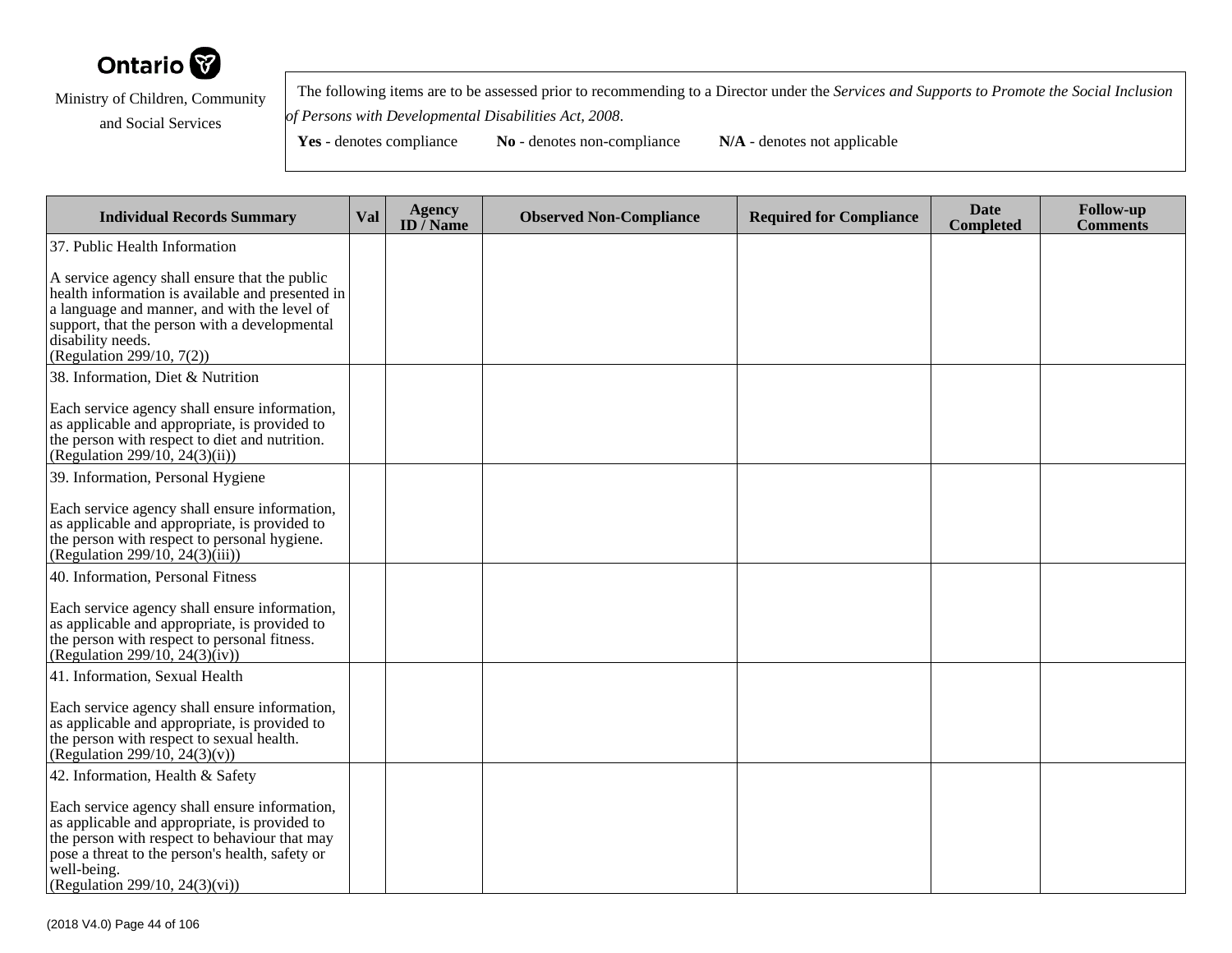

 The following items are to be assessed prior to recommending to a Director under the *Services and Supports to Promote the Social Inclusionof Persons with Developmental Disabilities Act, 2008*.

**Yes** - denotes compliance **No** - denotes non-compliance **N/A** - denotes not applicable

**Individual Records Summary Val Agency ID / NameObserved Non-Compliance Required for Compliance Date Completed Follow-up Comments** 37. Public Health InformationA service agency shall ensure that the public health information is available and presented ina language and manner, and with the level of support, that the person with a developmentaldisability needs. (Regulation 299/10, 7(2))38. Information, Diet & NutritionEach service agency shall ensure information,as applicable and appropriate, is provided to the person with respect to diet and nutrition.(Regulation 299/10, 24(3)(ii))39. Information, Personal HygieneEach service agency shall ensure information,as applicable and appropriate, is provided to the person with respect to personal hygiene.(Regulation 299/10, 24(3)(iii))40. Information, Personal FitnessEach service agency shall ensure information,as applicable and appropriate, is provided tothe person with respect to personal fitness. (Regulation 299/10, 24(3)(iv))41. Information, Sexual HealthEach service agency shall ensure information,as applicable and appropriate, is provided tothe person with respect to sexual health.(Regulation 299/10, 24(3)(v))42. Information, Health & SafetyEach service agency shall ensure information,as applicable and appropriate, is provided to the person with respect to behaviour that may pose a threat to the person's health, safety orwell-being.(Regulation 299/10, 24(3)(vi))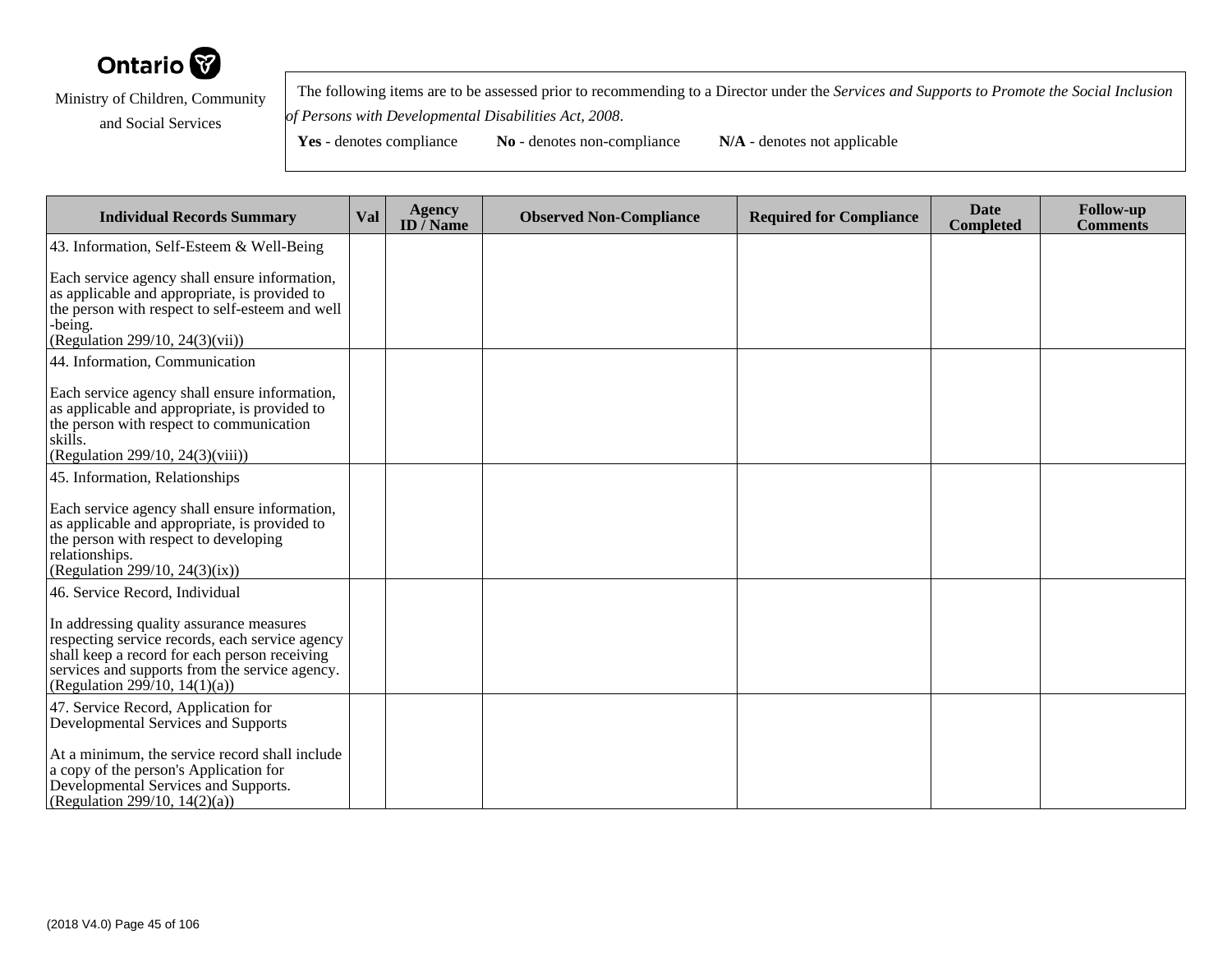

 The following items are to be assessed prior to recommending to a Director under the *Services and Supports to Promote the Social Inclusionof Persons with Developmental Disabilities Act, 2008*.

| <b>Individual Records Summary</b>                                                                                                                                                                                               | Val | Agency<br>ID / Name | <b>Observed Non-Compliance</b> | <b>Required for Compliance</b> | <b>Date</b><br><b>Completed</b> | <b>Follow-up</b><br><b>Comments</b> |
|---------------------------------------------------------------------------------------------------------------------------------------------------------------------------------------------------------------------------------|-----|---------------------|--------------------------------|--------------------------------|---------------------------------|-------------------------------------|
| 43. Information, Self-Esteem & Well-Being                                                                                                                                                                                       |     |                     |                                |                                |                                 |                                     |
| Each service agency shall ensure information,<br>as applicable and appropriate, is provided to<br>the person with respect to self-esteem and well<br>-being.<br>(Regulation 299/10, 24(3)(vii))                                 |     |                     |                                |                                |                                 |                                     |
| 44. Information, Communication                                                                                                                                                                                                  |     |                     |                                |                                |                                 |                                     |
| Each service agency shall ensure information,<br>as applicable and appropriate, is provided to<br>the person with respect to communication<br>skills.<br>(Regulation 299/10, 24(3)(viii))                                       |     |                     |                                |                                |                                 |                                     |
| 45. Information, Relationships                                                                                                                                                                                                  |     |                     |                                |                                |                                 |                                     |
| Each service agency shall ensure information,<br>as applicable and appropriate, is provided to<br>the person with respect to developing<br>relationships.<br>(Regulation 299/10, 24(3)(ix))                                     |     |                     |                                |                                |                                 |                                     |
| 46. Service Record, Individual                                                                                                                                                                                                  |     |                     |                                |                                |                                 |                                     |
| In addressing quality assurance measures<br>respecting service records, each service agency<br>shall keep a record for each person receiving<br>services and supports from the service agency.<br>(Regulation 299/10, 14(1)(a)) |     |                     |                                |                                |                                 |                                     |
| 47. Service Record, Application for<br>Developmental Services and Supports                                                                                                                                                      |     |                     |                                |                                |                                 |                                     |
| At a minimum, the service record shall include<br>a copy of the person's Application for<br>Developmental Services and Supports.<br>(Regulation 299/10, 14(2)(a))                                                               |     |                     |                                |                                |                                 |                                     |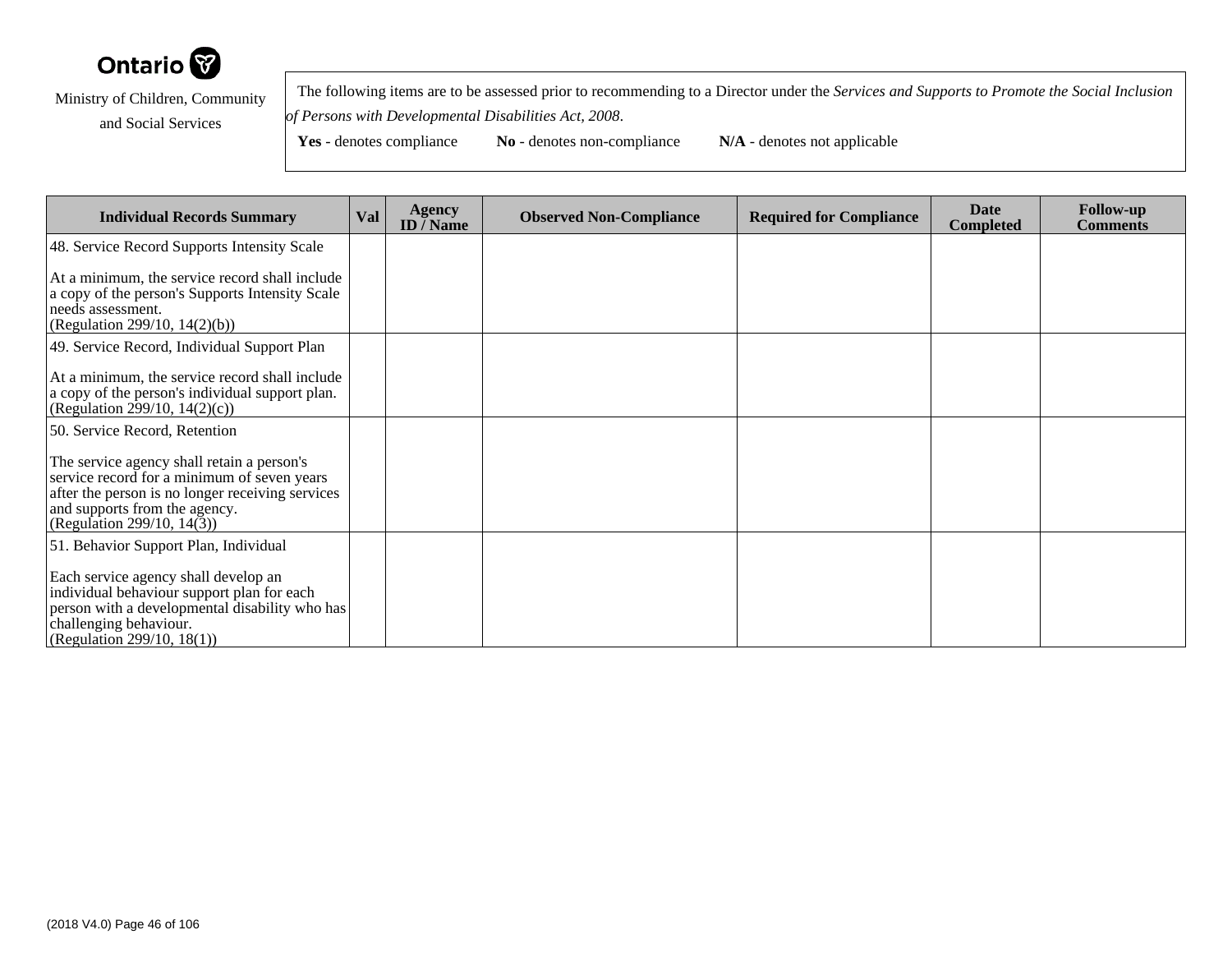

 The following items are to be assessed prior to recommending to a Director under the *Services and Supports to Promote the Social Inclusionof Persons with Developmental Disabilities Act, 2008*.

| <b>Individual Records Summary</b>                                                                                                                                                                            | Val | <b>Agency</b><br><b>ID</b> / Name | <b>Observed Non-Compliance</b> | <b>Required for Compliance</b> | <b>Date</b><br><b>Completed</b> | <b>Follow-up</b><br><b>Comments</b> |
|--------------------------------------------------------------------------------------------------------------------------------------------------------------------------------------------------------------|-----|-----------------------------------|--------------------------------|--------------------------------|---------------------------------|-------------------------------------|
| 48. Service Record Supports Intensity Scale                                                                                                                                                                  |     |                                   |                                |                                |                                 |                                     |
| At a minimum, the service record shall include<br>a copy of the person's Supports Intensity Scale<br>needs assessment.<br>(Regulation 299/10, $14(2)(b)$ )                                                   |     |                                   |                                |                                |                                 |                                     |
| 49. Service Record, Individual Support Plan                                                                                                                                                                  |     |                                   |                                |                                |                                 |                                     |
| At a minimum, the service record shall include<br>a copy of the person's individual support plan.<br>(Regulation 299/10, 14(2)(c))                                                                           |     |                                   |                                |                                |                                 |                                     |
| 50. Service Record, Retention                                                                                                                                                                                |     |                                   |                                |                                |                                 |                                     |
| The service agency shall retain a person's<br>service record for a minimum of seven years<br>after the person is no longer receiving services<br>and supports from the agency.<br>(Regulation 299/10, 14(3)) |     |                                   |                                |                                |                                 |                                     |
| 51. Behavior Support Plan, Individual                                                                                                                                                                        |     |                                   |                                |                                |                                 |                                     |
| Each service agency shall develop an<br>individual behaviour support plan for each<br>person with a developmental disability who has<br>challenging behaviour.<br>(Regulation 299/10, 18(1))                 |     |                                   |                                |                                |                                 |                                     |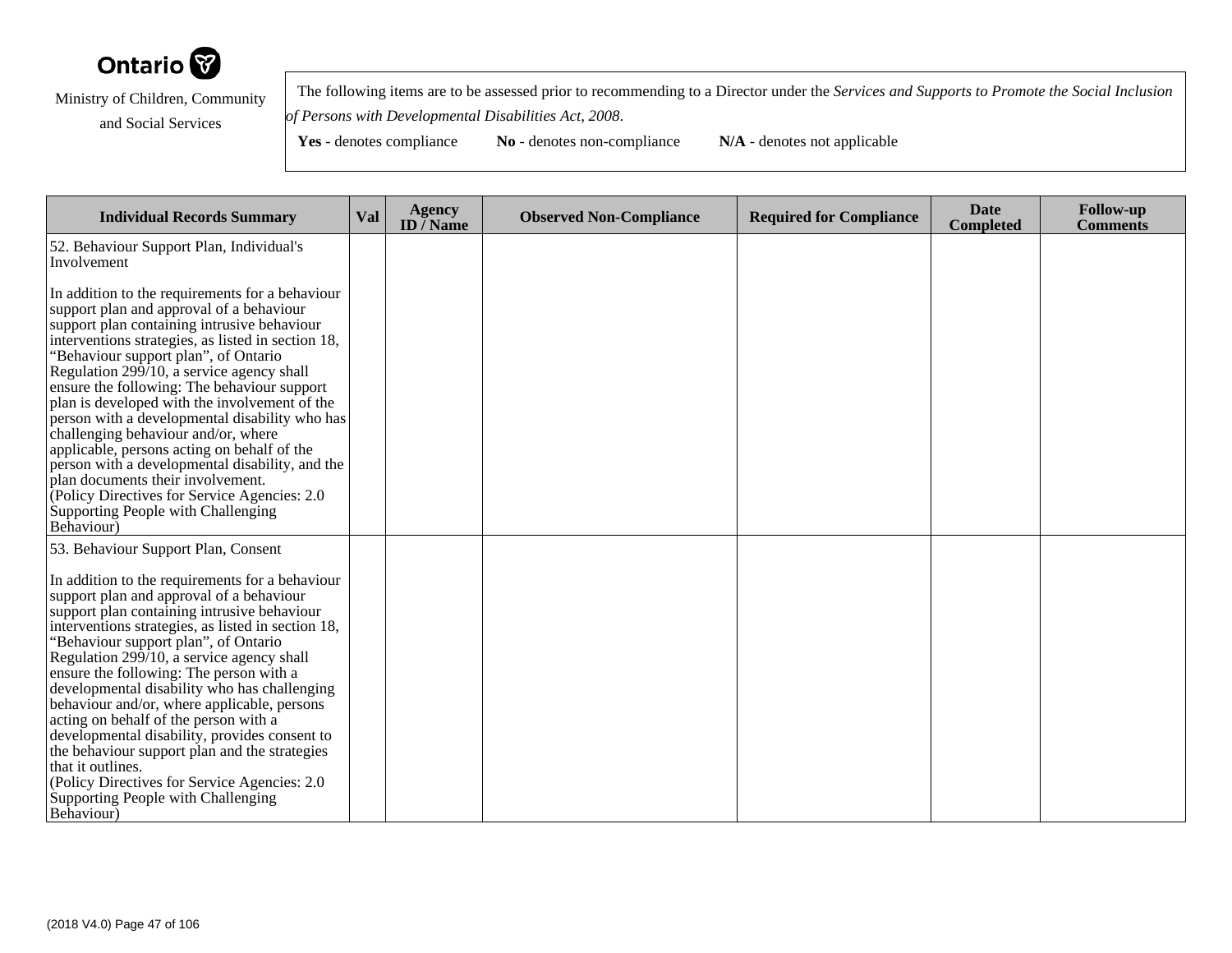

 The following items are to be assessed prior to recommending to a Director under the *Services and Supports to Promote the Social Inclusionof Persons with Developmental Disabilities Act, 2008*.

| <b>Individual Records Summary</b>                                                                                                                                                                                                                                                                                                                                                                                                                                                                                                                                                                                                                                                                                                                         | Val | <b>Agency</b><br>ID $\overline{}/$ Name | <b>Observed Non-Compliance</b> | <b>Required for Compliance</b> | <b>Date</b><br><b>Completed</b> | <b>Follow-up</b><br><b>Comments</b> |
|-----------------------------------------------------------------------------------------------------------------------------------------------------------------------------------------------------------------------------------------------------------------------------------------------------------------------------------------------------------------------------------------------------------------------------------------------------------------------------------------------------------------------------------------------------------------------------------------------------------------------------------------------------------------------------------------------------------------------------------------------------------|-----|-----------------------------------------|--------------------------------|--------------------------------|---------------------------------|-------------------------------------|
| 52. Behaviour Support Plan, Individual's<br>Involvement                                                                                                                                                                                                                                                                                                                                                                                                                                                                                                                                                                                                                                                                                                   |     |                                         |                                |                                |                                 |                                     |
| In addition to the requirements for a behaviour<br>support plan and approval of a behaviour<br>support plan containing intrusive behaviour<br>interventions strategies, as listed in section 18,<br>'Behaviour support plan", of Ontario<br>Regulation 299/10, a service agency shall<br>ensure the following: The behaviour support<br>plan is developed with the involvement of the<br>person with a developmental disability who has<br>challenging behaviour and/or, where<br>applicable, persons acting on behalf of the<br>person with a developmental disability, and the<br>plan documents their involvement.<br>(Policy Directives for Service Agencies: 2.0)<br>Supporting People with Challenging<br>Behaviour)                                |     |                                         |                                |                                |                                 |                                     |
| 53. Behaviour Support Plan, Consent<br>In addition to the requirements for a behaviour<br>support plan and approval of a behaviour<br>support plan containing intrusive behaviour<br>interventions strategies, as listed in section 18,<br>'Behaviour support plan", of Ontario<br>Regulation $29\overline{9}$ /10, a service agency shall<br>ensure the following: The person with a<br>developmental disability who has challenging<br>behaviour and/or, where applicable, persons<br>acting on behalf of the person with a<br>developmental disability, provides consent to<br>the behaviour support plan and the strategies<br>that it outlines.<br>(Policy Directives for Service Agencies: 2.0)<br>Supporting People with Challenging<br>Behaviour) |     |                                         |                                |                                |                                 |                                     |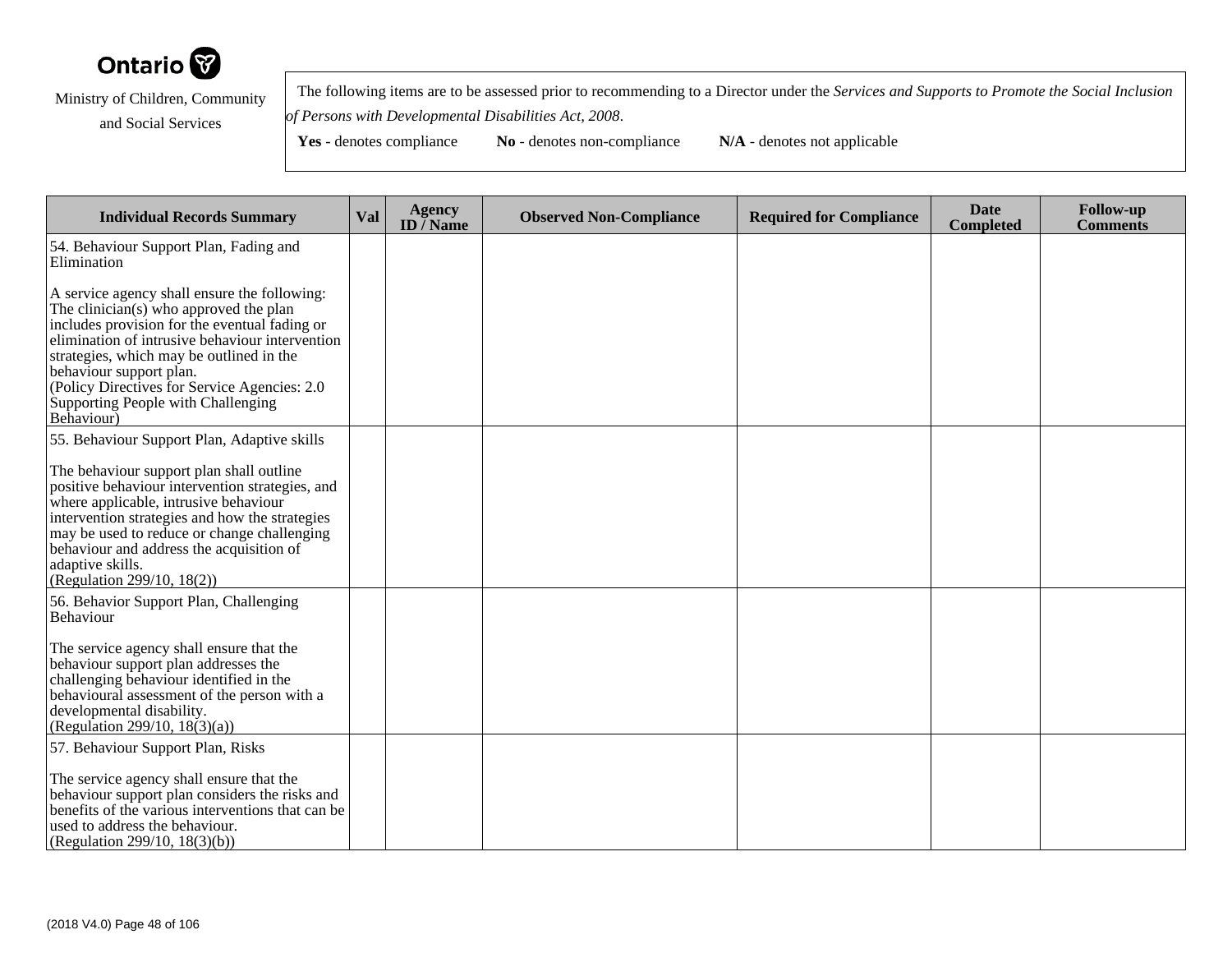

 The following items are to be assessed prior to recommending to a Director under the *Services and Supports to Promote the Social Inclusionof Persons with Developmental Disabilities Act, 2008*.

**Yes** - denotes compliance **No** - denotes non-compliance **N/A** - denotes not applicable

**Individual Records Summary Val Agency ID / NameObserved Non-Compliance Required for Compliance Date Completed Follow-up Comments** 54. Behaviour Support Plan, Fading andEliminationA service agency shall ensure the following:The clinician(s) who approved the plan includes provision for the eventual fading or elimination of intrusive behaviour interventionstrategies, which may be outlined in thebehaviour support plan. (Policy Directives for Service Agencies: 2.0Supporting People with Challenging Behaviour)55. Behaviour Support Plan, Adaptive skillsThe behaviour support plan shall outline positive behaviour intervention strategies, andwhere applicable, intrusive behaviour intervention strategies and how the strategies may be used to reduce or change challengingbehaviour and address the acquisition ofadaptive skills. (Regulation 299/10, 18(2))56. Behavior Support Plan, ChallengingBehaviourThe service agency shall ensure that thebehaviour support plan addresses the challenging behaviour identified in the behavioural assessment of the person with adevelopmental disability. (Regulation 299/10, 18(3)(a))57. Behaviour Support Plan, RisksThe service agency shall ensure that the behaviour support plan considers the risks and benefits of the various interventions that can beused to address the behaviour.(Regulation 299/10, 18(3)(b))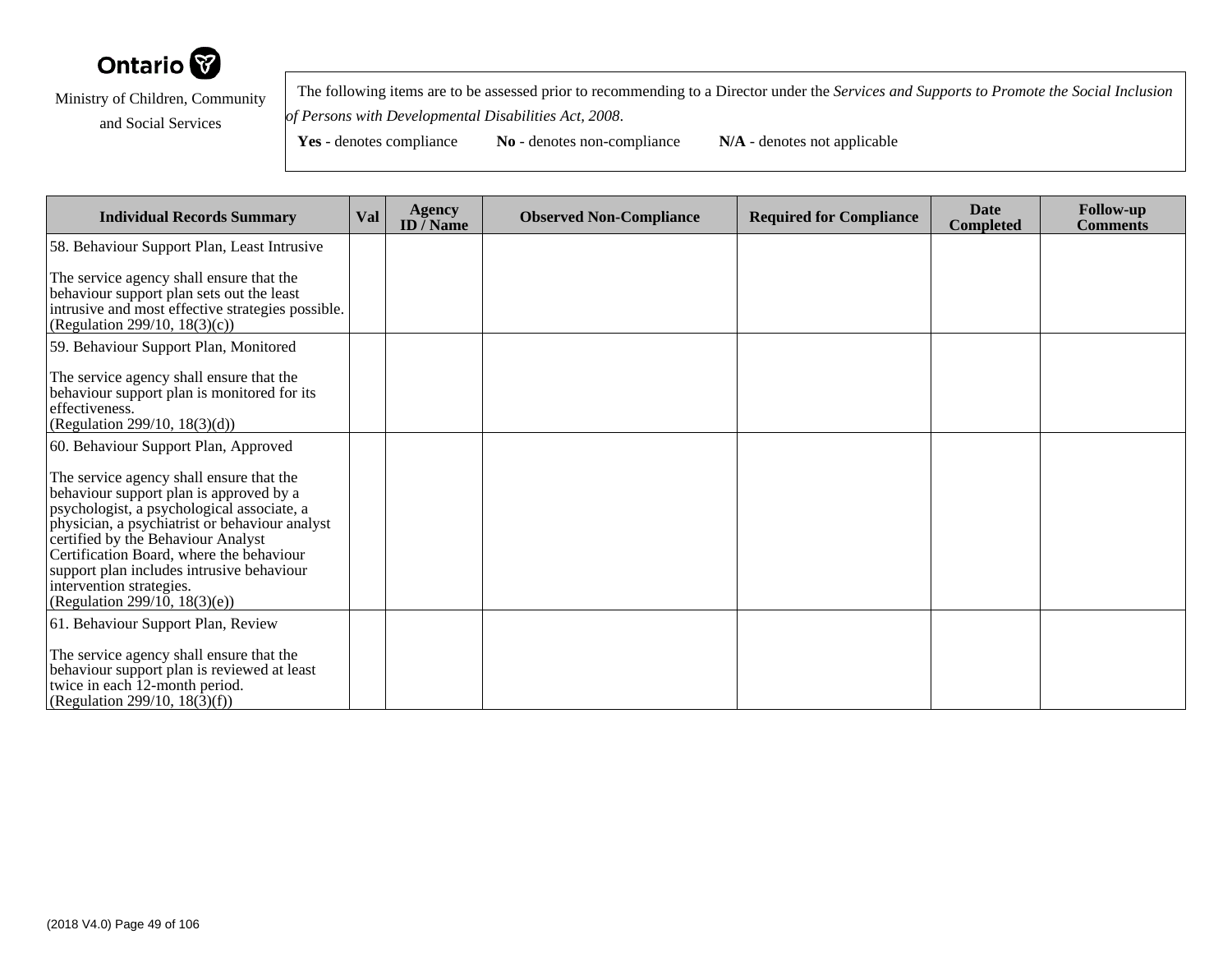

 The following items are to be assessed prior to recommending to a Director under the *Services and Supports to Promote the Social Inclusionof Persons with Developmental Disabilities Act, 2008*.

| <b>Individual Records Summary</b>                                                                                                                                                                                                                                                                                                                                               | Val | <b>Agency</b><br><b>ID</b> / Name | <b>Observed Non-Compliance</b> | <b>Required for Compliance</b> | <b>Date</b><br><b>Completed</b> | <b>Follow-up</b><br><b>Comments</b> |
|---------------------------------------------------------------------------------------------------------------------------------------------------------------------------------------------------------------------------------------------------------------------------------------------------------------------------------------------------------------------------------|-----|-----------------------------------|--------------------------------|--------------------------------|---------------------------------|-------------------------------------|
| 58. Behaviour Support Plan, Least Intrusive                                                                                                                                                                                                                                                                                                                                     |     |                                   |                                |                                |                                 |                                     |
| The service agency shall ensure that the<br>behaviour support plan sets out the least<br>intrusive and most effective strategies possible.<br>(Regulation 299/10, 18(3)(c))                                                                                                                                                                                                     |     |                                   |                                |                                |                                 |                                     |
| 59. Behaviour Support Plan, Monitored                                                                                                                                                                                                                                                                                                                                           |     |                                   |                                |                                |                                 |                                     |
| The service agency shall ensure that the<br>behaviour support plan is monitored for its<br>effectiveness.<br>(Regulation 299/10, $18(3)(d)$ )                                                                                                                                                                                                                                   |     |                                   |                                |                                |                                 |                                     |
| 60. Behaviour Support Plan, Approved                                                                                                                                                                                                                                                                                                                                            |     |                                   |                                |                                |                                 |                                     |
| The service agency shall ensure that the<br>behaviour support plan is approved by a<br>psychologist, a psychological associate, a<br>physician, a psychiatrist or behaviour analyst<br>certified by the Behaviour Analyst<br>Certification Board, where the behaviour<br>support plan includes intrusive behaviour<br>intervention strategies.<br>(Regulation 299/10, 18(3)(e)) |     |                                   |                                |                                |                                 |                                     |
| 61. Behaviour Support Plan, Review                                                                                                                                                                                                                                                                                                                                              |     |                                   |                                |                                |                                 |                                     |
| The service agency shall ensure that the<br>behaviour support plan is reviewed at least<br>twice in each 12-month period.<br>(Regulation 299/10, 18(3)(f))                                                                                                                                                                                                                      |     |                                   |                                |                                |                                 |                                     |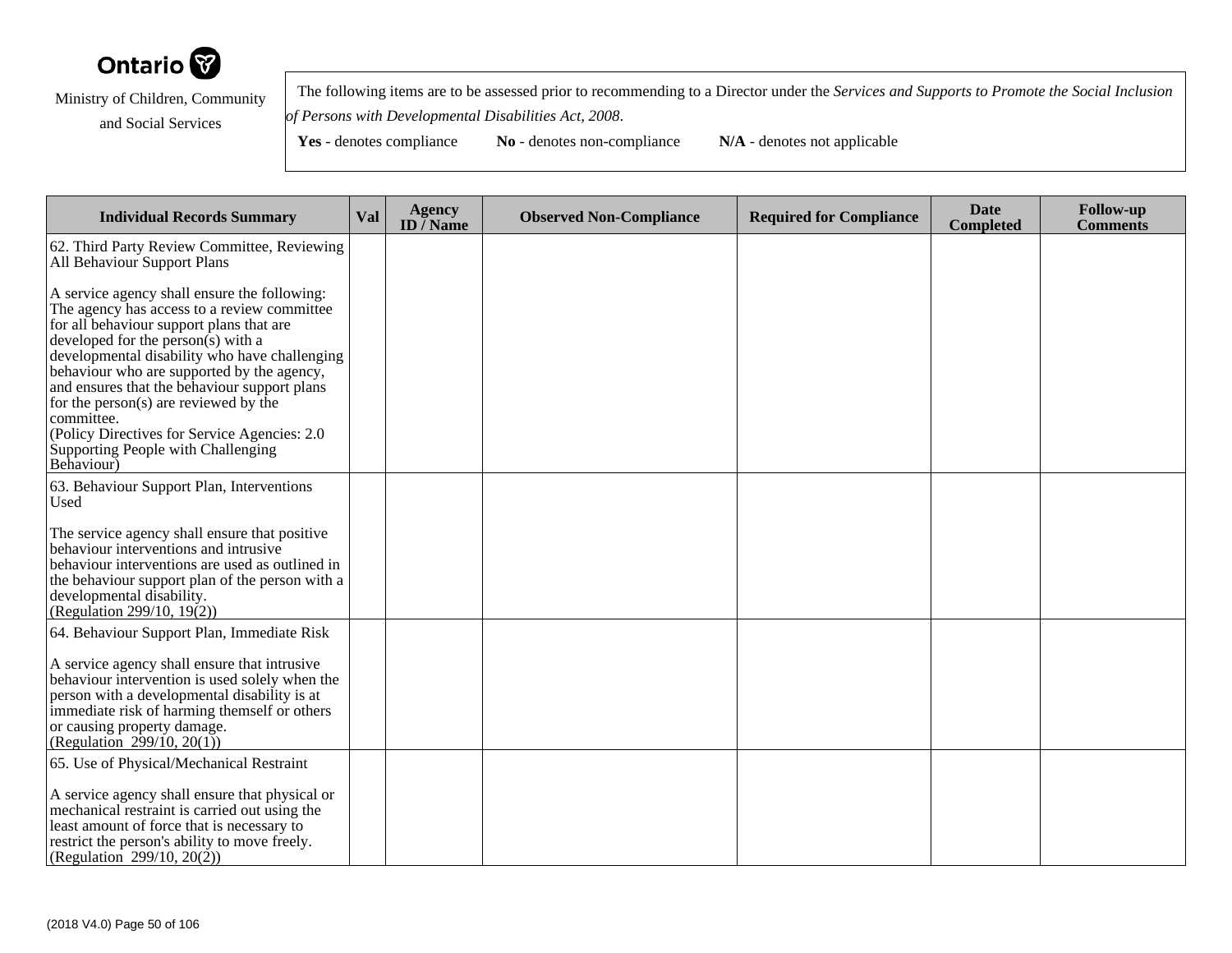

 The following items are to be assessed prior to recommending to a Director under the *Services and Supports to Promote the Social Inclusionof Persons with Developmental Disabilities Act, 2008*.

| <b>Individual Records Summary</b>                                                                                                                                                                                                                                                                                                                                                                                                                                                        | Val | <b>Agency</b><br>ID $\overline{}/$ Name | <b>Observed Non-Compliance</b> | <b>Required for Compliance</b> | <b>Date</b><br><b>Completed</b> | <b>Follow-up</b><br><b>Comments</b> |
|------------------------------------------------------------------------------------------------------------------------------------------------------------------------------------------------------------------------------------------------------------------------------------------------------------------------------------------------------------------------------------------------------------------------------------------------------------------------------------------|-----|-----------------------------------------|--------------------------------|--------------------------------|---------------------------------|-------------------------------------|
| 62. Third Party Review Committee, Reviewing<br>All Behaviour Support Plans                                                                                                                                                                                                                                                                                                                                                                                                               |     |                                         |                                |                                |                                 |                                     |
| A service agency shall ensure the following:<br>The agency has access to a review committee<br>for all behaviour support plans that are<br>developed for the person(s) with a<br>developmental disability who have challenging<br>behaviour who are supported by the agency,<br>and ensures that the behaviour support plans<br>for the person(s) are reviewed by the<br>committee.<br>(Policy Directives for Service Agencies: 2.0)<br>Supporting People with Challenging<br>Behaviour) |     |                                         |                                |                                |                                 |                                     |
| 63. Behaviour Support Plan, Interventions<br>Used                                                                                                                                                                                                                                                                                                                                                                                                                                        |     |                                         |                                |                                |                                 |                                     |
| The service agency shall ensure that positive<br>behaviour interventions and intrusive<br>behaviour interventions are used as outlined in<br>the behaviour support plan of the person with a<br>developmental disability.<br>(Regulation 299/10, 19 $(2)$ )                                                                                                                                                                                                                              |     |                                         |                                |                                |                                 |                                     |
| 64. Behaviour Support Plan, Immediate Risk                                                                                                                                                                                                                                                                                                                                                                                                                                               |     |                                         |                                |                                |                                 |                                     |
| A service agency shall ensure that intrusive<br>behaviour intervention is used solely when the<br>person with a developmental disability is at<br>immediate risk of harming themself or others<br>or causing property damage.<br>(Regulation $299/10, 20(1)$ )                                                                                                                                                                                                                           |     |                                         |                                |                                |                                 |                                     |
| 65. Use of Physical/Mechanical Restraint                                                                                                                                                                                                                                                                                                                                                                                                                                                 |     |                                         |                                |                                |                                 |                                     |
| A service agency shall ensure that physical or<br>mechanical restraint is carried out using the<br>least amount of force that is necessary to<br>restrict the person's ability to move freely.<br>(Regulation 299/10, 20(2))                                                                                                                                                                                                                                                             |     |                                         |                                |                                |                                 |                                     |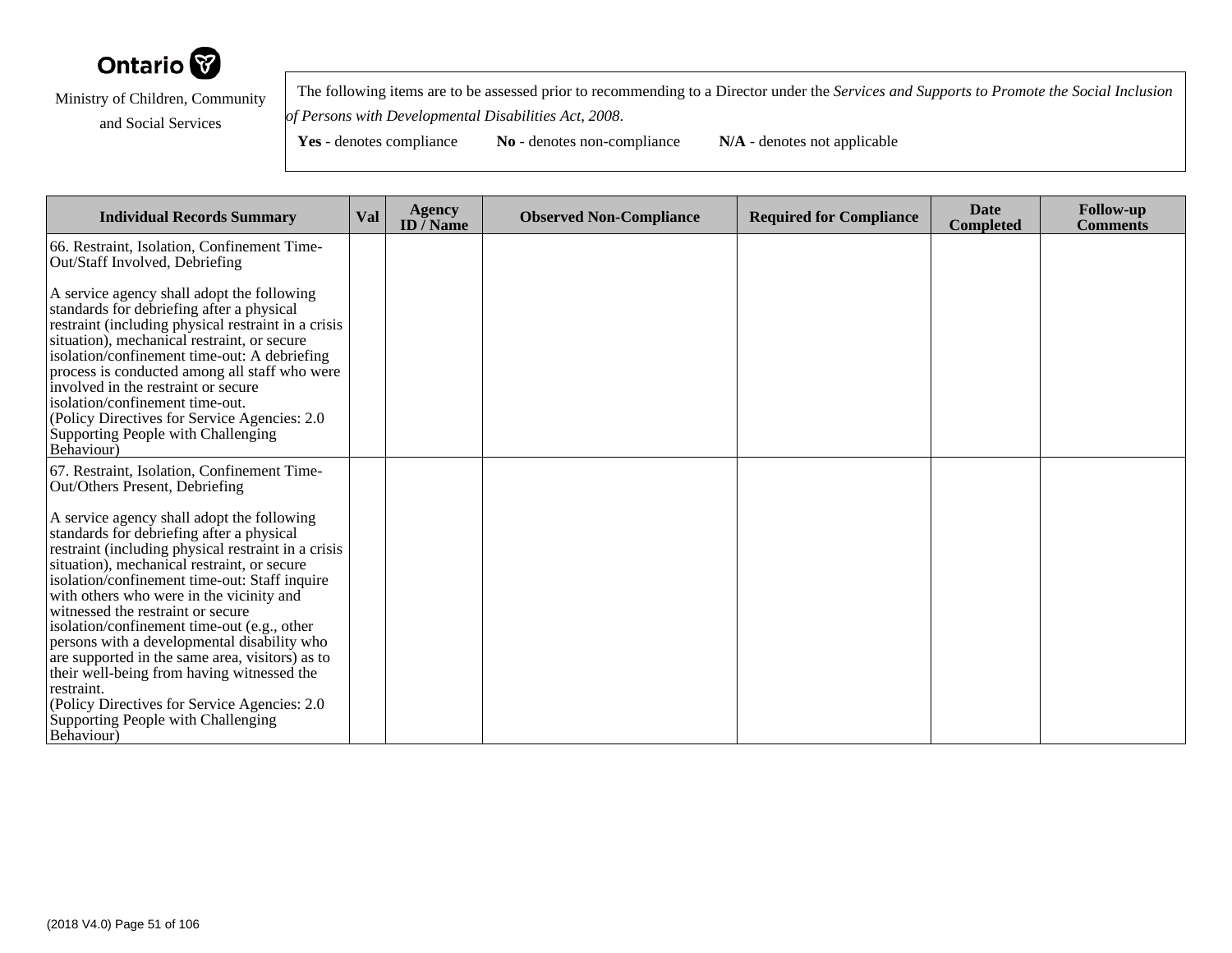

 The following items are to be assessed prior to recommending to a Director under the *Services and Supports to Promote the Social Inclusionof Persons with Developmental Disabilities Act, 2008*.

| <b>Individual Records Summary</b>                                                                                                                                                                                                                                                                                                                                                                                                                                                                                                                                                             | <b>Val</b> | <b>Agency</b><br>ID $\bar{}/$ Name | <b>Observed Non-Compliance</b> | <b>Required for Compliance</b> | <b>Date</b><br><b>Completed</b> | <b>Follow-up</b><br><b>Comments</b> |
|-----------------------------------------------------------------------------------------------------------------------------------------------------------------------------------------------------------------------------------------------------------------------------------------------------------------------------------------------------------------------------------------------------------------------------------------------------------------------------------------------------------------------------------------------------------------------------------------------|------------|------------------------------------|--------------------------------|--------------------------------|---------------------------------|-------------------------------------|
| 66. Restraint, Isolation, Confinement Time-<br>Out/Staff Involved, Debriefing                                                                                                                                                                                                                                                                                                                                                                                                                                                                                                                 |            |                                    |                                |                                |                                 |                                     |
| A service agency shall adopt the following<br>standards for debriefing after a physical<br>restraint (including physical restraint in a crisis<br>situation), mechanical restraint, or secure<br>isolation/confinement time-out: A debriefing<br>process is conducted among all staff who were<br>involved in the restraint or secure<br>isolation/confinement time-out.<br>(Policy Directives for Service Agencies: 2.0<br>Supporting People with Challenging<br>Behaviour)                                                                                                                  |            |                                    |                                |                                |                                 |                                     |
| 67. Restraint, Isolation, Confinement Time-<br>Out/Others Present, Debriefing                                                                                                                                                                                                                                                                                                                                                                                                                                                                                                                 |            |                                    |                                |                                |                                 |                                     |
| A service agency shall adopt the following<br>standards for debriefing after a physical<br>restraint (including physical restraint in a crisis<br>situation), mechanical restraint, or secure<br>isolation/confinement time-out: Staff inquire<br>with others who were in the vicinity and<br>witnessed the restraint or secure<br>isolation/confinement time-out (e.g., other<br>persons with a developmental disability who<br>are supported in the same area, visitors) as to<br>their well-being from having witnessed the<br>restraint.<br>(Policy Directives for Service Agencies: 2.0) |            |                                    |                                |                                |                                 |                                     |
| Supporting People with Challenging<br>Behaviour)                                                                                                                                                                                                                                                                                                                                                                                                                                                                                                                                              |            |                                    |                                |                                |                                 |                                     |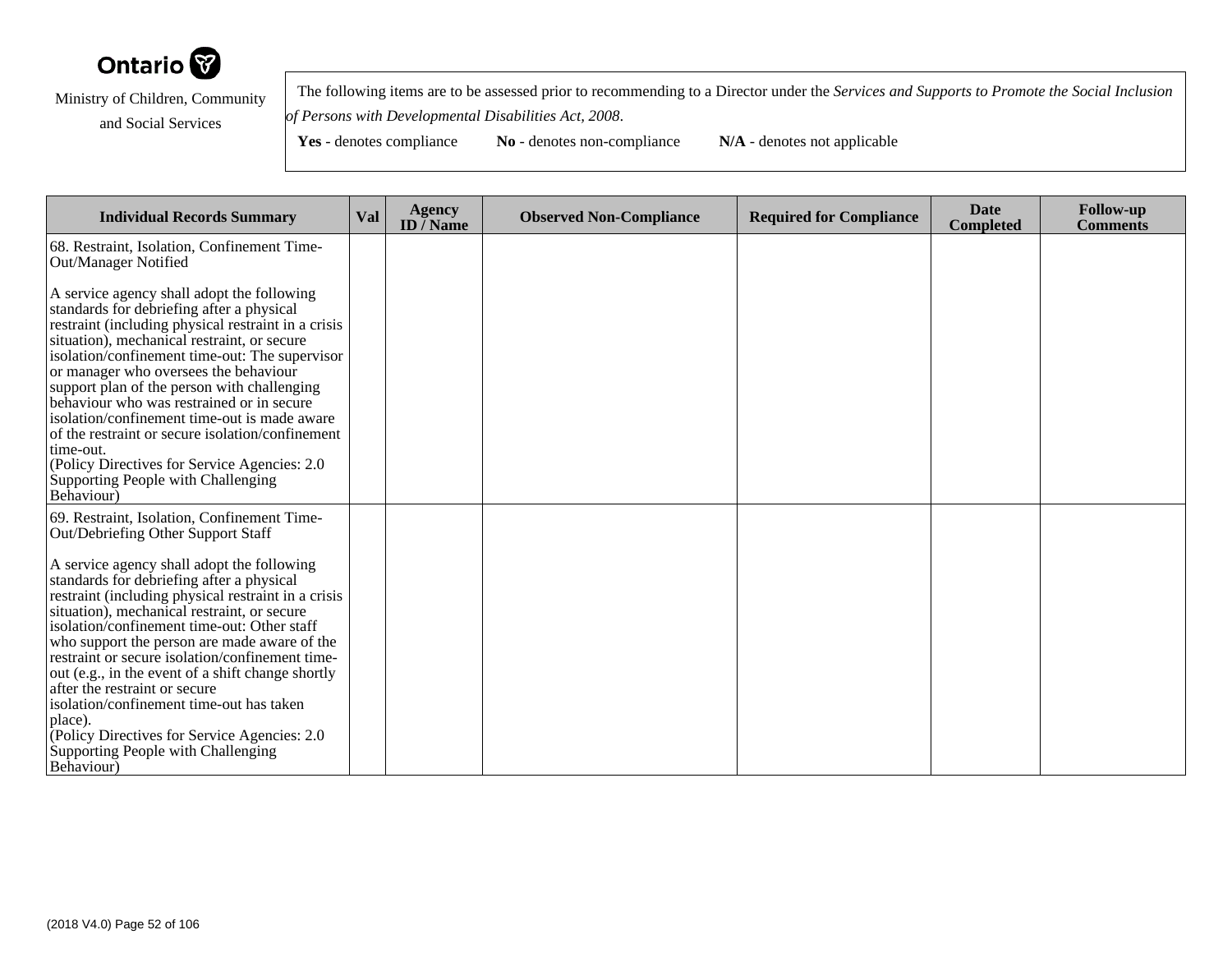

 The following items are to be assessed prior to recommending to a Director under the *Services and Supports to Promote the Social Inclusionof Persons with Developmental Disabilities Act, 2008*.

| <b>Individual Records Summary</b>                                                                                                                                                                                                                                                                                                                                                                                                                                                                                                                                                                          | Val | <b>Agency</b><br>ID / Name | <b>Observed Non-Compliance</b> | <b>Required for Compliance</b> | Date<br><b>Completed</b> | <b>Follow-up</b><br><b>Comments</b> |
|------------------------------------------------------------------------------------------------------------------------------------------------------------------------------------------------------------------------------------------------------------------------------------------------------------------------------------------------------------------------------------------------------------------------------------------------------------------------------------------------------------------------------------------------------------------------------------------------------------|-----|----------------------------|--------------------------------|--------------------------------|--------------------------|-------------------------------------|
| 68. Restraint, Isolation, Confinement Time-<br>Out/Manager Notified                                                                                                                                                                                                                                                                                                                                                                                                                                                                                                                                        |     |                            |                                |                                |                          |                                     |
| A service agency shall adopt the following<br>standards for debriefing after a physical<br>restraint (including physical restraint in a crisis<br>situation), mechanical restraint, or secure<br>isolation/confinement time-out: The supervisor<br>or manager who oversees the behaviour<br>support plan of the person with challenging<br>behaviour who was restrained or in secure<br>isolation/confinement time-out is made aware<br>of the restraint or secure isolation/confinement<br>time-out.<br>(Policy Directives for Service Agencies: 2.0)<br>Supporting People with Challenging<br>Behaviour) |     |                            |                                |                                |                          |                                     |
| 69. Restraint, Isolation, Confinement Time-<br>Out/Debriefing Other Support Staff                                                                                                                                                                                                                                                                                                                                                                                                                                                                                                                          |     |                            |                                |                                |                          |                                     |
| A service agency shall adopt the following<br>standards for debriefing after a physical<br>restraint (including physical restraint in a crisis<br>situation), mechanical restraint, or secure<br>isolation/confinement time-out: Other staff<br>who support the person are made aware of the<br>restraint or secure isolation/confinement time-<br>out (e.g., in the event of a shift change shortly<br>after the restraint or secure<br>isolation/confinement time-out has taken<br>place).<br>(Policy Directives for Service Agencies: 2.0)<br>Supporting People with Challenging<br>Behaviour)          |     |                            |                                |                                |                          |                                     |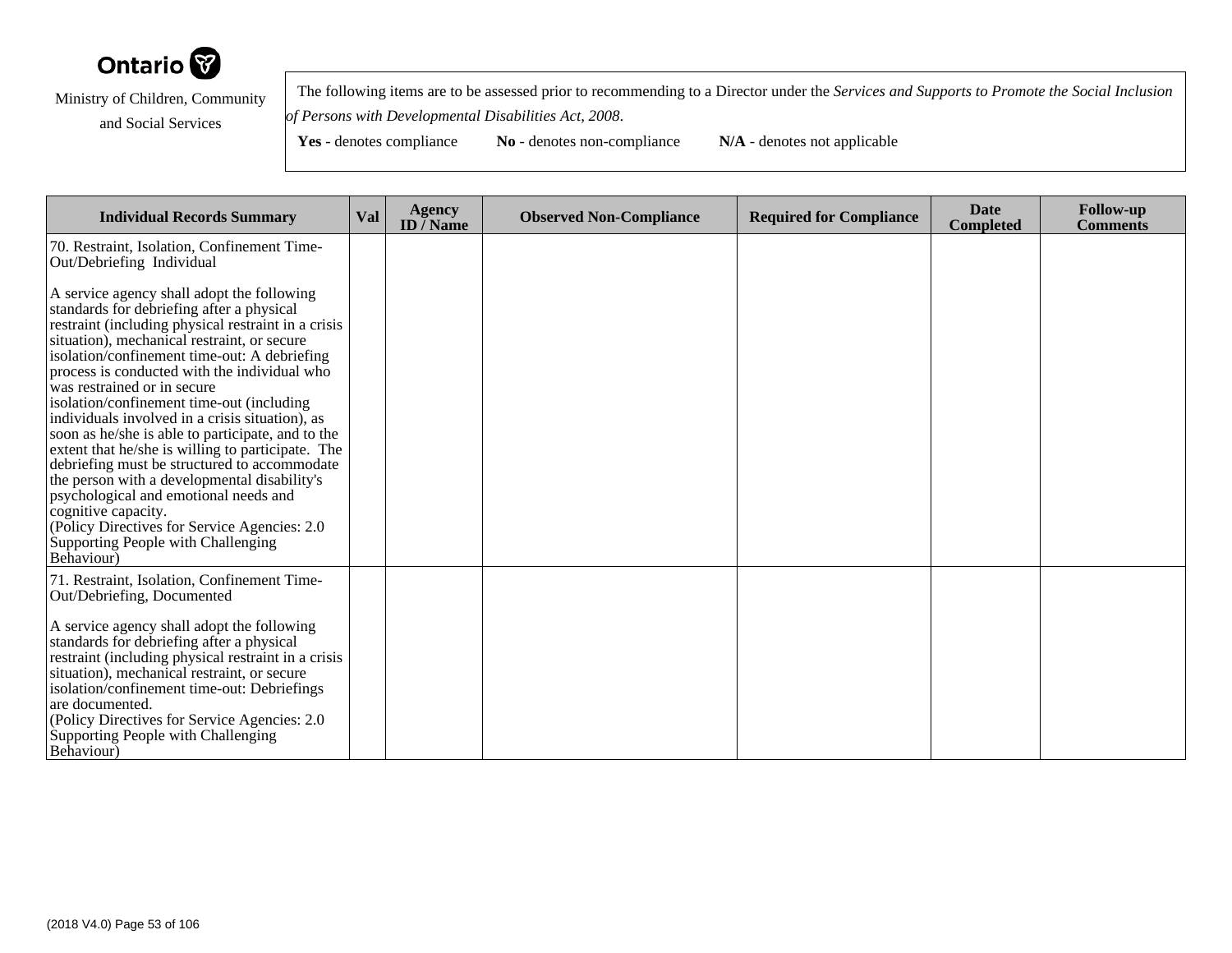

 The following items are to be assessed prior to recommending to a Director under the *Services and Supports to Promote the Social Inclusionof Persons with Developmental Disabilities Act, 2008*.

| <b>Individual Records Summary</b>                                                                                                                                                                                                                                                                                                                                                                                                                                                                                                                                                                                                                                                                                                                                                                          | Val | Agency<br>ID $\bar{}/$ Name | <b>Observed Non-Compliance</b> | <b>Required for Compliance</b> | <b>Date</b><br><b>Completed</b> | <b>Follow-up</b><br><b>Comments</b> |
|------------------------------------------------------------------------------------------------------------------------------------------------------------------------------------------------------------------------------------------------------------------------------------------------------------------------------------------------------------------------------------------------------------------------------------------------------------------------------------------------------------------------------------------------------------------------------------------------------------------------------------------------------------------------------------------------------------------------------------------------------------------------------------------------------------|-----|-----------------------------|--------------------------------|--------------------------------|---------------------------------|-------------------------------------|
| 70. Restraint, Isolation, Confinement Time-<br>Out/Debriefing Individual                                                                                                                                                                                                                                                                                                                                                                                                                                                                                                                                                                                                                                                                                                                                   |     |                             |                                |                                |                                 |                                     |
| A service agency shall adopt the following<br>standards for debriefing after a physical<br>restraint (including physical restraint in a crisis<br>situation), mechanical restraint, or secure<br>isolation/confinement time-out: A debriefing<br>process is conducted with the individual who<br>was restrained or in secure<br>isolation/confinement time-out (including<br>individuals involved in a crisis situation), as<br>soon as he/she is able to participate, and to the<br>extent that he/she is willing to participate. The<br>debriefing must be structured to accommodate<br>the person with a developmental disability's<br>psychological and emotional needs and<br>cognitive capacity.<br>(Policy Directives for Service Agencies: 2.0<br>Supporting People with Challenging<br>Behaviour) |     |                             |                                |                                |                                 |                                     |
| 71. Restraint, Isolation, Confinement Time-<br>Out/Debriefing, Documented                                                                                                                                                                                                                                                                                                                                                                                                                                                                                                                                                                                                                                                                                                                                  |     |                             |                                |                                |                                 |                                     |
| A service agency shall adopt the following<br>standards for debriefing after a physical<br>restraint (including physical restraint in a crisis<br>situation), mechanical restraint, or secure<br>isolation/confinement time-out: Debriefings<br>are documented.<br>(Policy Directives for Service Agencies: 2.0)<br>Supporting People with Challenging<br>Behaviour)                                                                                                                                                                                                                                                                                                                                                                                                                                       |     |                             |                                |                                |                                 |                                     |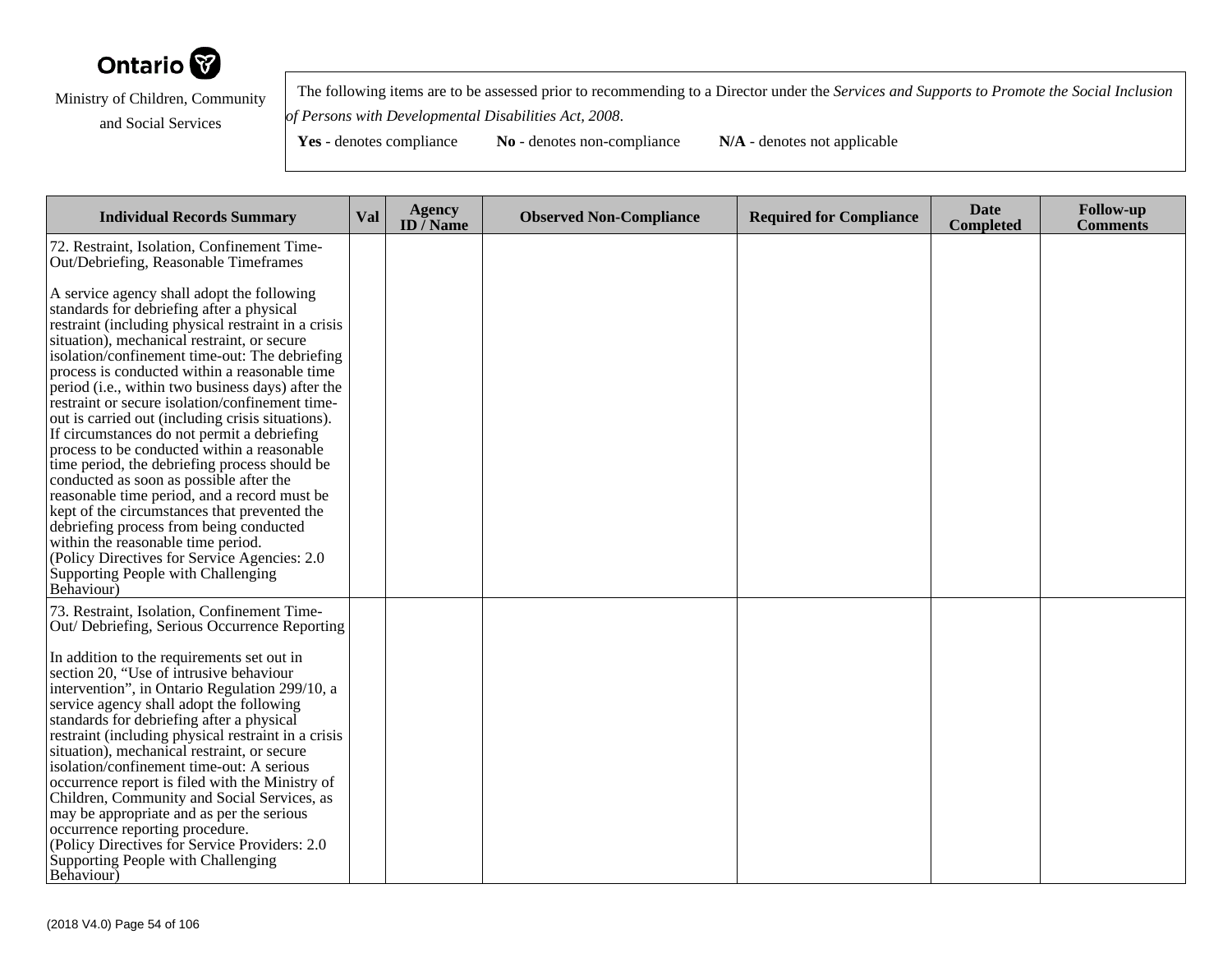

 The following items are to be assessed prior to recommending to a Director under the *Services and Supports to Promote the Social Inclusionof Persons with Developmental Disabilities Act, 2008*.

| <b>Individual Records Summary</b>                                                                                                                                                                                                                                                                                                                                                                                                                                                                                                                                                                                                                                                                                                                                                                                                                                                                                                             | <b>Val</b> | <b>Agency</b><br>ID $\overline{}/$ Name | <b>Observed Non-Compliance</b> | <b>Required for Compliance</b> | <b>Date</b><br><b>Completed</b> | <b>Follow-up</b><br><b>Comments</b> |
|-----------------------------------------------------------------------------------------------------------------------------------------------------------------------------------------------------------------------------------------------------------------------------------------------------------------------------------------------------------------------------------------------------------------------------------------------------------------------------------------------------------------------------------------------------------------------------------------------------------------------------------------------------------------------------------------------------------------------------------------------------------------------------------------------------------------------------------------------------------------------------------------------------------------------------------------------|------------|-----------------------------------------|--------------------------------|--------------------------------|---------------------------------|-------------------------------------|
| 72. Restraint, Isolation, Confinement Time-<br>Out/Debriefing, Reasonable Timeframes                                                                                                                                                                                                                                                                                                                                                                                                                                                                                                                                                                                                                                                                                                                                                                                                                                                          |            |                                         |                                |                                |                                 |                                     |
| A service agency shall adopt the following<br>standards for debriefing after a physical<br>restraint (including physical restraint in a crisis<br>situation), mechanical restraint, or secure<br>isolation/confinement time-out: The debriefing<br>process is conducted within a reasonable time<br>period (i.e., within two business days) after the<br>restraint or secure isolation/confinement time-<br>out is carried out (including crisis situations).<br>If circumstances do not permit a debriefing<br>process to be conducted within a reasonable<br>time period, the debriefing process should be<br>conducted as soon as possible after the<br>reasonable time period, and a record must be<br>kept of the circumstances that prevented the<br>debriefing process from being conducted<br>within the reasonable time period.<br>(Policy Directives for Service Agencies: 2.0)<br>Supporting People with Challenging<br>Behaviour) |            |                                         |                                |                                |                                 |                                     |
| 73. Restraint, Isolation, Confinement Time-<br>Out/Debriefing, Serious Occurrence Reporting                                                                                                                                                                                                                                                                                                                                                                                                                                                                                                                                                                                                                                                                                                                                                                                                                                                   |            |                                         |                                |                                |                                 |                                     |
| In addition to the requirements set out in<br>section 20, "Use of intrusive behaviour<br>intervention", in Ontario Regulation 299/10, a<br>service agency shall adopt the following<br>standards for debriefing after a physical<br>restraint (including physical restraint in a crisis<br>situation), mechanical restraint, or secure<br>isolation/confinement time-out: A serious<br>occurrence report is filed with the Ministry of<br>Children, Community and Social Services, as<br>may be appropriate and as per the serious<br>occurrence reporting procedure.<br>(Policy Directives for Service Providers: 2.0)<br>Supporting People with Challenging<br>Behaviour)                                                                                                                                                                                                                                                                   |            |                                         |                                |                                |                                 |                                     |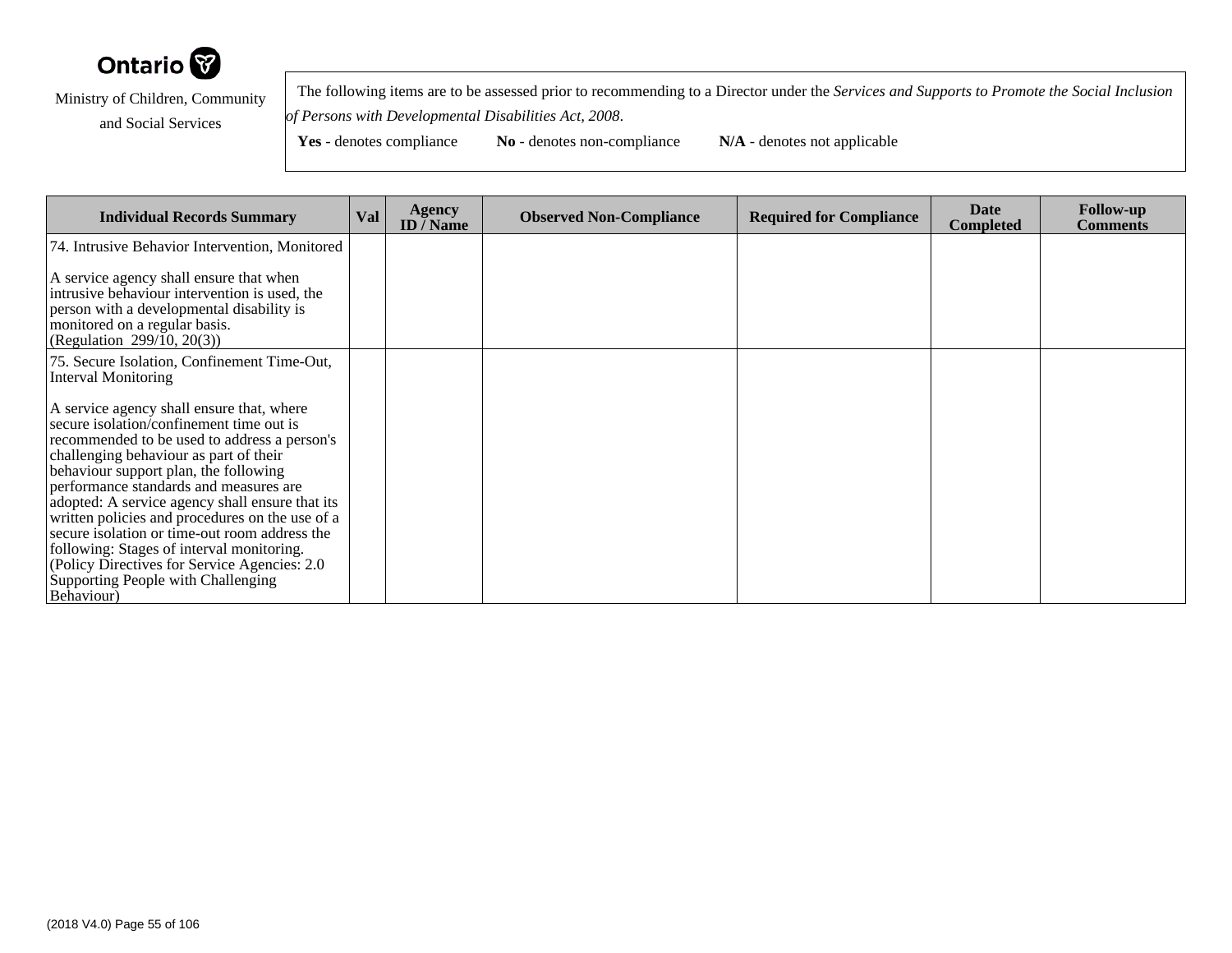

 The following items are to be assessed prior to recommending to a Director under the *Services and Supports to Promote the Social Inclusionof Persons with Developmental Disabilities Act, 2008*.

| <b>Individual Records Summary</b>                                                                                                                                                                                                                                                                                                                                                                                                                                                                                       | <b>Val</b> | <b>Agency</b><br><b>ID</b> / Name | <b>Observed Non-Compliance</b> | <b>Required for Compliance</b> | Date<br><b>Completed</b> | <b>Follow-up</b><br><b>Comments</b> |
|-------------------------------------------------------------------------------------------------------------------------------------------------------------------------------------------------------------------------------------------------------------------------------------------------------------------------------------------------------------------------------------------------------------------------------------------------------------------------------------------------------------------------|------------|-----------------------------------|--------------------------------|--------------------------------|--------------------------|-------------------------------------|
| 74. Intrusive Behavior Intervention, Monitored                                                                                                                                                                                                                                                                                                                                                                                                                                                                          |            |                                   |                                |                                |                          |                                     |
| A service agency shall ensure that when<br>intrusive behaviour intervention is used, the<br>person with a developmental disability is<br>monitored on a regular basis.<br>(Regulation 299/10, 20(3))                                                                                                                                                                                                                                                                                                                    |            |                                   |                                |                                |                          |                                     |
| 75. Secure Isolation, Confinement Time-Out,<br>Interval Monitoring                                                                                                                                                                                                                                                                                                                                                                                                                                                      |            |                                   |                                |                                |                          |                                     |
| A service agency shall ensure that, where<br>secure isolation/confinement time out is<br>recommended to be used to address a person's<br>challenging behaviour as part of their<br>behaviour support plan, the following<br>performance standards and measures are<br>adopted: A service agency shall ensure that its<br>written policies and procedures on the use of a<br>secure isolation or time-out room address the<br>following: Stages of interval monitoring.<br>(Policy Directives for Service Agencies: 2.0) |            |                                   |                                |                                |                          |                                     |
| Supporting People with Challenging<br>Behaviour)                                                                                                                                                                                                                                                                                                                                                                                                                                                                        |            |                                   |                                |                                |                          |                                     |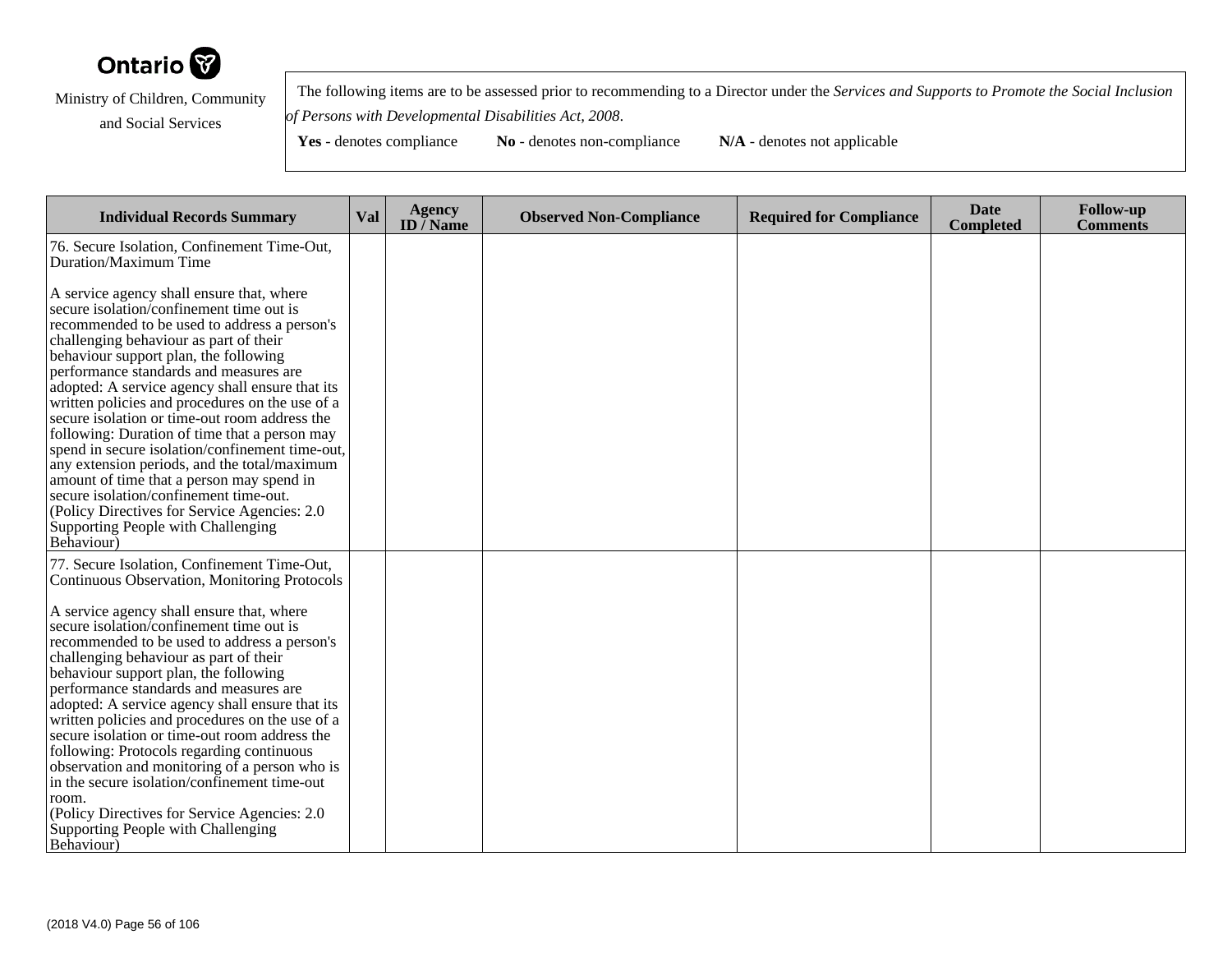

 The following items are to be assessed prior to recommending to a Director under the *Services and Supports to Promote the Social Inclusionof Persons with Developmental Disabilities Act, 2008*.

| <b>Individual Records Summary</b>                                                                                                                                                                                                                                                                                                                                                                                                                                                                                                                                                                                                                                                                                                                                         | <b>Val</b> | <b>Agency</b><br>ID $\bar{}/$ Name | <b>Observed Non-Compliance</b> | <b>Required for Compliance</b> | <b>Date</b><br><b>Completed</b> | <b>Follow-up</b><br><b>Comments</b> |
|---------------------------------------------------------------------------------------------------------------------------------------------------------------------------------------------------------------------------------------------------------------------------------------------------------------------------------------------------------------------------------------------------------------------------------------------------------------------------------------------------------------------------------------------------------------------------------------------------------------------------------------------------------------------------------------------------------------------------------------------------------------------------|------------|------------------------------------|--------------------------------|--------------------------------|---------------------------------|-------------------------------------|
| 76. Secure Isolation, Confinement Time-Out,<br>Duration/Maximum Time                                                                                                                                                                                                                                                                                                                                                                                                                                                                                                                                                                                                                                                                                                      |            |                                    |                                |                                |                                 |                                     |
| A service agency shall ensure that, where<br>secure isolation/confinement time out is<br>recommended to be used to address a person's<br>challenging behaviour as part of their<br>behaviour support plan, the following<br>performance standards and measures are<br>adopted: A service agency shall ensure that its<br>written policies and procedures on the use of a<br>secure isolation or time-out room address the<br>following: Duration of time that a person may<br>spend in secure isolation/confinement time-out,<br>any extension periods, and the total/maximum<br>amount of time that a person may spend in<br>secure isolation/confinement time-out.<br>(Policy Directives for Service Agencies: 2.0)<br>Supporting People with Challenging<br>Behaviour) |            |                                    |                                |                                |                                 |                                     |
| 77. Secure Isolation, Confinement Time-Out,<br>Continuous Observation, Monitoring Protocols<br>A service agency shall ensure that, where<br>secure isolation/confinement time out is<br>recommended to be used to address a person's<br>challenging behaviour as part of their<br>behaviour support plan, the following<br>performance standards and measures are<br>adopted: A service agency shall ensure that its<br>written policies and procedures on the use of a                                                                                                                                                                                                                                                                                                   |            |                                    |                                |                                |                                 |                                     |
| secure isolation or time-out room address the<br>following: Protocols regarding continuous<br>observation and monitoring of a person who is<br>in the secure isolation/confinement time-out<br>room.<br>(Policy Directives for Service Agencies: 2.0)<br>Supporting People with Challenging<br>Behaviour)                                                                                                                                                                                                                                                                                                                                                                                                                                                                 |            |                                    |                                |                                |                                 |                                     |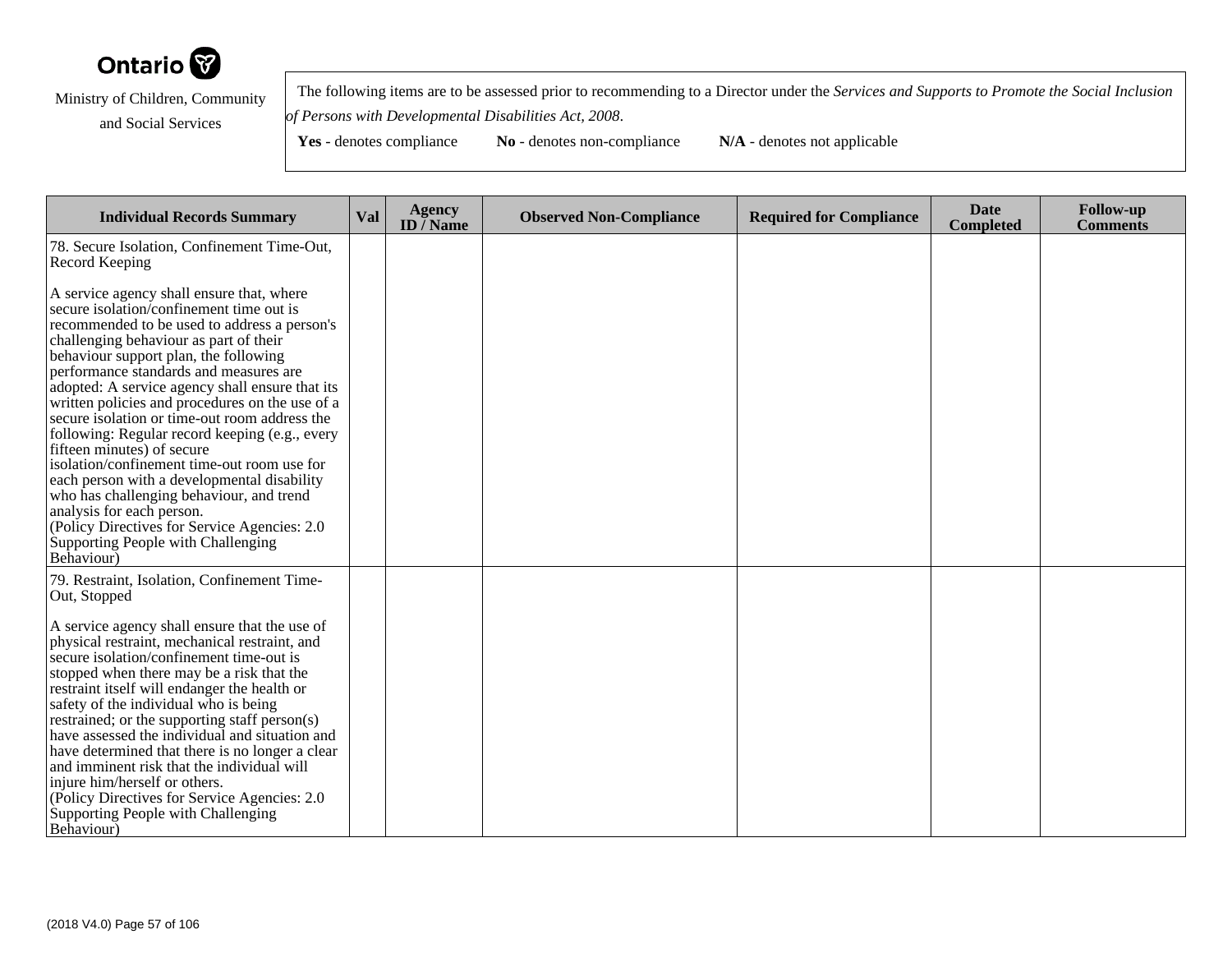

 The following items are to be assessed prior to recommending to a Director under the *Services and Supports to Promote the Social Inclusionof Persons with Developmental Disabilities Act, 2008*.

| <b>Individual Records Summary</b>                                                                                                                                                                                                                                                                                                                                                                                                                                                                                                                                                                                                                                                                                                                                                     | <b>Val</b> | <b>Agency</b><br>ID $\bar{}/$ Name | <b>Observed Non-Compliance</b> | <b>Required for Compliance</b> | <b>Date</b><br><b>Completed</b> | <b>Follow-up</b><br><b>Comments</b> |
|---------------------------------------------------------------------------------------------------------------------------------------------------------------------------------------------------------------------------------------------------------------------------------------------------------------------------------------------------------------------------------------------------------------------------------------------------------------------------------------------------------------------------------------------------------------------------------------------------------------------------------------------------------------------------------------------------------------------------------------------------------------------------------------|------------|------------------------------------|--------------------------------|--------------------------------|---------------------------------|-------------------------------------|
| 78. Secure Isolation, Confinement Time-Out,<br>Record Keeping                                                                                                                                                                                                                                                                                                                                                                                                                                                                                                                                                                                                                                                                                                                         |            |                                    |                                |                                |                                 |                                     |
| A service agency shall ensure that, where<br>secure isolation/confinement time out is<br>recommended to be used to address a person's<br>challenging behaviour as part of their<br>behaviour support plan, the following<br>performance standards and measures are<br>adopted: A service agency shall ensure that its<br>written policies and procedures on the use of a<br>secure isolation or time-out room address the<br>following: Regular record keeping (e.g., every<br>fifteen minutes) of secure<br>isolation/confinement time-out room use for<br>each person with a developmental disability<br>who has challenging behaviour, and trend<br>analysis for each person.<br>(Policy Directives for Service Agencies: 2.0)<br>Supporting People with Challenging<br>Behaviour) |            |                                    |                                |                                |                                 |                                     |
| 79. Restraint, Isolation, Confinement Time-<br>Out, Stopped<br>A service agency shall ensure that the use of<br>physical restraint, mechanical restraint, and<br>secure isolation/confinement time-out is<br>stopped when there may be a risk that the<br>restraint itself will endanger the health or<br>safety of the individual who is being<br>restrained; or the supporting staff person(s)<br>have assessed the individual and situation and<br>have determined that there is no longer a clear<br>and imminent risk that the individual will<br>injure him/herself or others.<br>(Policy Directives for Service Agencies: 2.0)<br>Supporting People with Challenging<br>Behaviour)                                                                                             |            |                                    |                                |                                |                                 |                                     |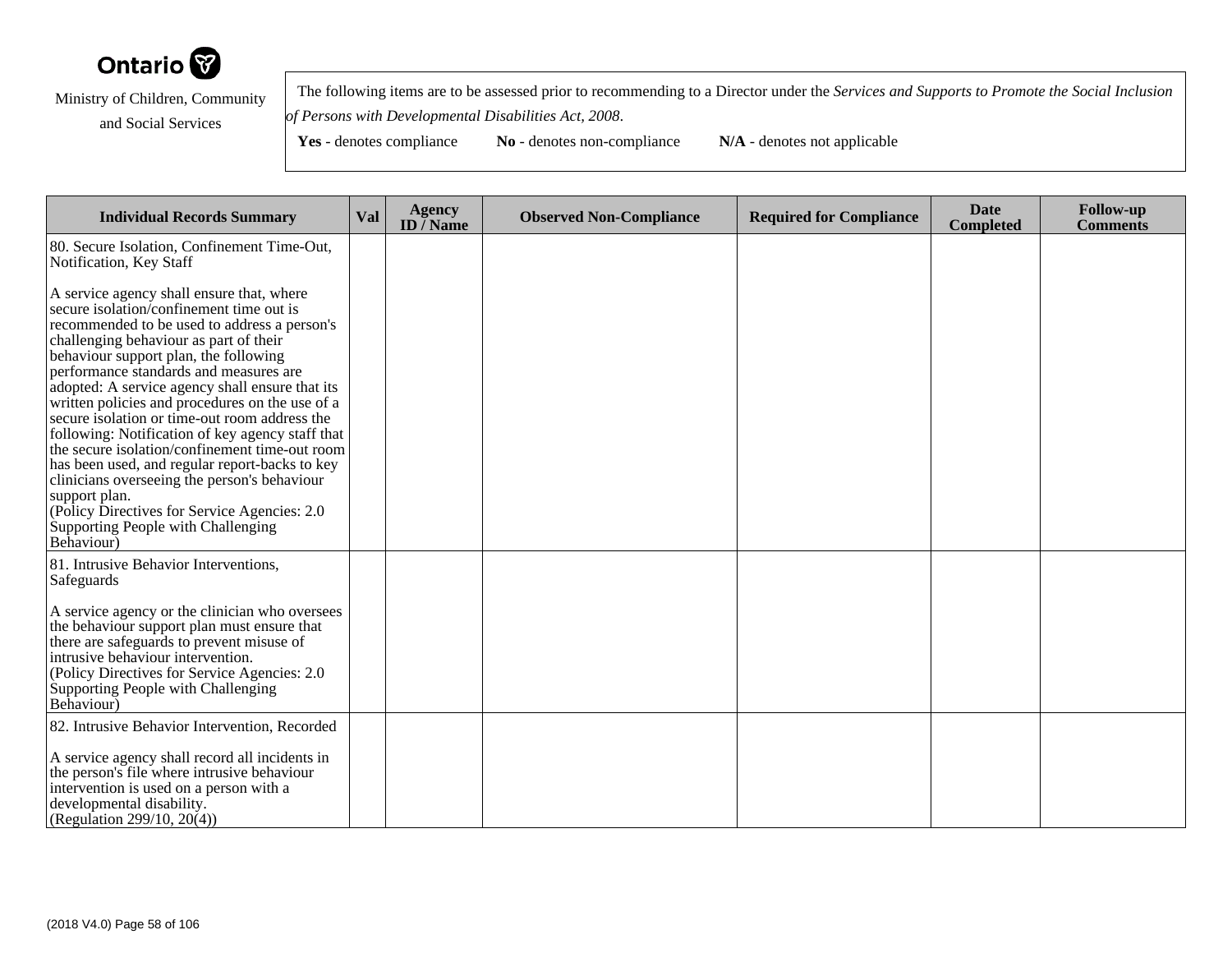

 The following items are to be assessed prior to recommending to a Director under the *Services and Supports to Promote the Social Inclusionof Persons with Developmental Disabilities Act, 2008*.

| <b>Individual Records Summary</b>                                                                                                                                                                                                                                                                                                                                                                                                                                                                                                                                                                                                                                                                                                                       | Val | <b>Agency</b><br>ID $\bar{}/$ Name | <b>Observed Non-Compliance</b> | <b>Required for Compliance</b> | <b>Date</b><br><b>Completed</b> | <b>Follow-up</b><br><b>Comments</b> |
|---------------------------------------------------------------------------------------------------------------------------------------------------------------------------------------------------------------------------------------------------------------------------------------------------------------------------------------------------------------------------------------------------------------------------------------------------------------------------------------------------------------------------------------------------------------------------------------------------------------------------------------------------------------------------------------------------------------------------------------------------------|-----|------------------------------------|--------------------------------|--------------------------------|---------------------------------|-------------------------------------|
| 80. Secure Isolation, Confinement Time-Out,<br>Notification, Key Staff                                                                                                                                                                                                                                                                                                                                                                                                                                                                                                                                                                                                                                                                                  |     |                                    |                                |                                |                                 |                                     |
| A service agency shall ensure that, where<br>secure isolation/confinement time out is<br>recommended to be used to address a person's<br>challenging behaviour as part of their<br>behaviour support plan, the following<br>performance standards and measures are<br>adopted: A service agency shall ensure that its<br>written policies and procedures on the use of a<br>secure isolation or time-out room address the<br>following: Notification of key agency staff that<br>the secure isolation/confinement time-out room<br>has been used, and regular report-backs to key<br>clinicians overseeing the person's behaviour<br>support plan.<br>(Policy Directives for Service Agencies: 2.0)<br>Supporting People with Challenging<br>Behaviour) |     |                                    |                                |                                |                                 |                                     |
| 81. Intrusive Behavior Interventions,<br>Safeguards                                                                                                                                                                                                                                                                                                                                                                                                                                                                                                                                                                                                                                                                                                     |     |                                    |                                |                                |                                 |                                     |
| A service agency or the clinician who oversees<br>the behaviour support plan must ensure that<br>there are safeguards to prevent misuse of<br>intrusive behaviour intervention.<br>(Policy Directives for Service Agencies: 2.0<br>Supporting People with Challenging<br>Behaviour)                                                                                                                                                                                                                                                                                                                                                                                                                                                                     |     |                                    |                                |                                |                                 |                                     |
| 82. Intrusive Behavior Intervention, Recorded<br>A service agency shall record all incidents in                                                                                                                                                                                                                                                                                                                                                                                                                                                                                                                                                                                                                                                         |     |                                    |                                |                                |                                 |                                     |
| the person's file where intrusive behaviour<br>intervention is used on a person with a<br>developmental disability.<br>(Regulation 299/10, 20(4))                                                                                                                                                                                                                                                                                                                                                                                                                                                                                                                                                                                                       |     |                                    |                                |                                |                                 |                                     |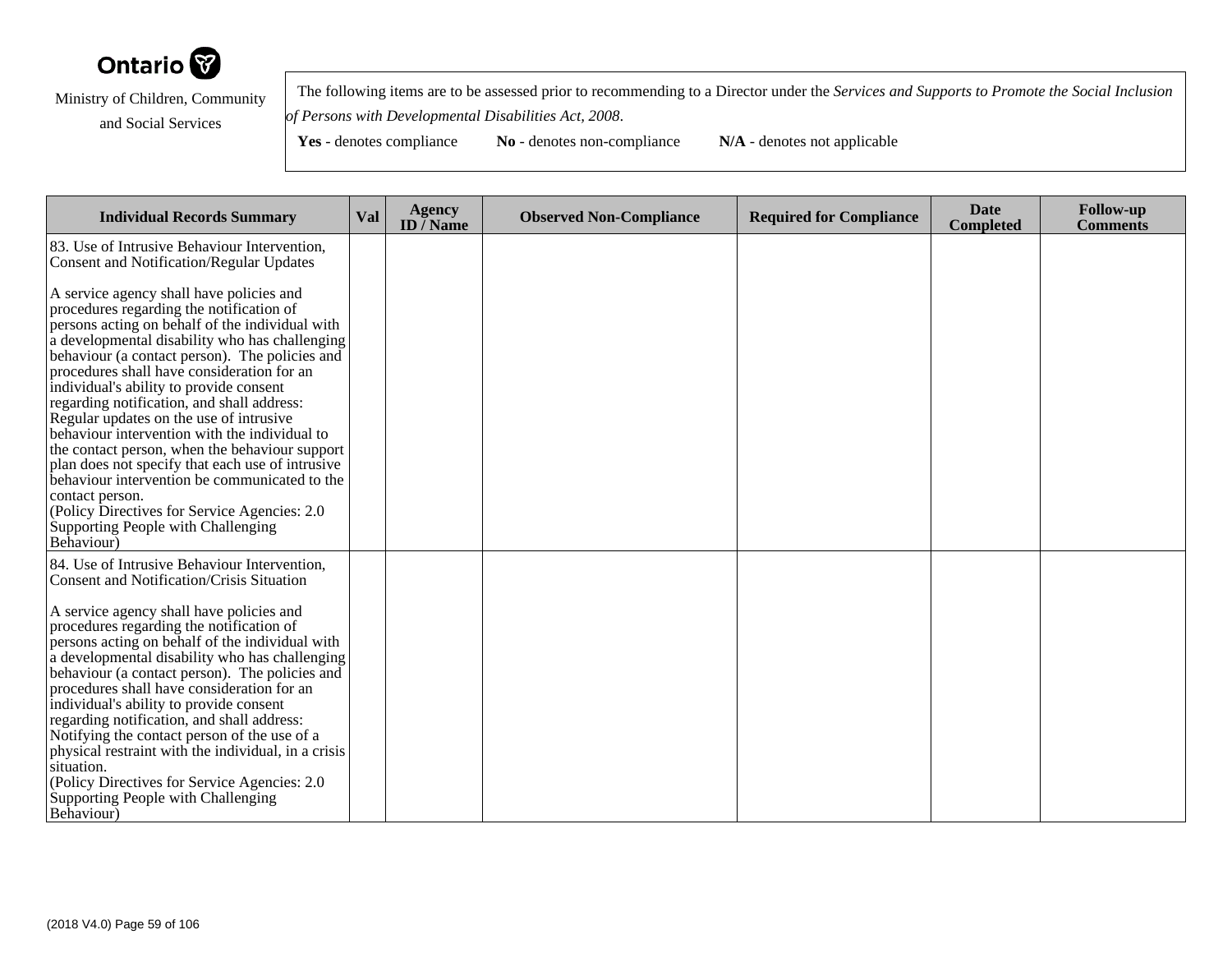

 The following items are to be assessed prior to recommending to a Director under the *Services and Supports to Promote the Social Inclusionof Persons with Developmental Disabilities Act, 2008*.

| <b>Individual Records Summary</b>                                                                                                                                                                                                                                                                                                                                                                                                                                                                                                                                                                                                                                                                                                                             | Val | <b>Agency</b><br>ID $\overline{/}$ Name | <b>Observed Non-Compliance</b> | <b>Required for Compliance</b> | <b>Date</b><br><b>Completed</b> | <b>Follow-up</b><br><b>Comments</b> |
|---------------------------------------------------------------------------------------------------------------------------------------------------------------------------------------------------------------------------------------------------------------------------------------------------------------------------------------------------------------------------------------------------------------------------------------------------------------------------------------------------------------------------------------------------------------------------------------------------------------------------------------------------------------------------------------------------------------------------------------------------------------|-----|-----------------------------------------|--------------------------------|--------------------------------|---------------------------------|-------------------------------------|
| 83. Use of Intrusive Behaviour Intervention,<br><b>Consent and Notification/Regular Updates</b>                                                                                                                                                                                                                                                                                                                                                                                                                                                                                                                                                                                                                                                               |     |                                         |                                |                                |                                 |                                     |
| A service agency shall have policies and<br>procedures regarding the notification of<br>persons acting on behalf of the individual with<br>a developmental disability who has challenging<br>behaviour (a contact person). The policies and<br>procedures shall have consideration for an<br>individual's ability to provide consent<br>regarding notification, and shall address:<br>Regular updates on the use of intrusive<br>behaviour intervention with the individual to<br>the contact person, when the behaviour support<br>plan does not specify that each use of intrusive<br>behaviour intervention be communicated to the<br>contact person.<br>(Policy Directives for Service Agencies: 2.0)<br>Supporting People with Challenging<br>Behaviour) |     |                                         |                                |                                |                                 |                                     |
| 84. Use of Intrusive Behaviour Intervention,<br>Consent and Notification/Crisis Situation                                                                                                                                                                                                                                                                                                                                                                                                                                                                                                                                                                                                                                                                     |     |                                         |                                |                                |                                 |                                     |
| A service agency shall have policies and<br>procedures regarding the notification of<br>persons acting on behalf of the individual with<br>a developmental disability who has challenging<br>behaviour (a contact person). The policies and<br>procedures shall have consideration for an<br>individual's ability to provide consent<br>regarding notification, and shall address:<br>Notifying the contact person of the use of a<br>physical restraint with the individual, in a crisis<br>situation.<br>(Policy Directives for Service Agencies: 2.0)<br>Supporting People with Challenging<br>Behaviour)                                                                                                                                                  |     |                                         |                                |                                |                                 |                                     |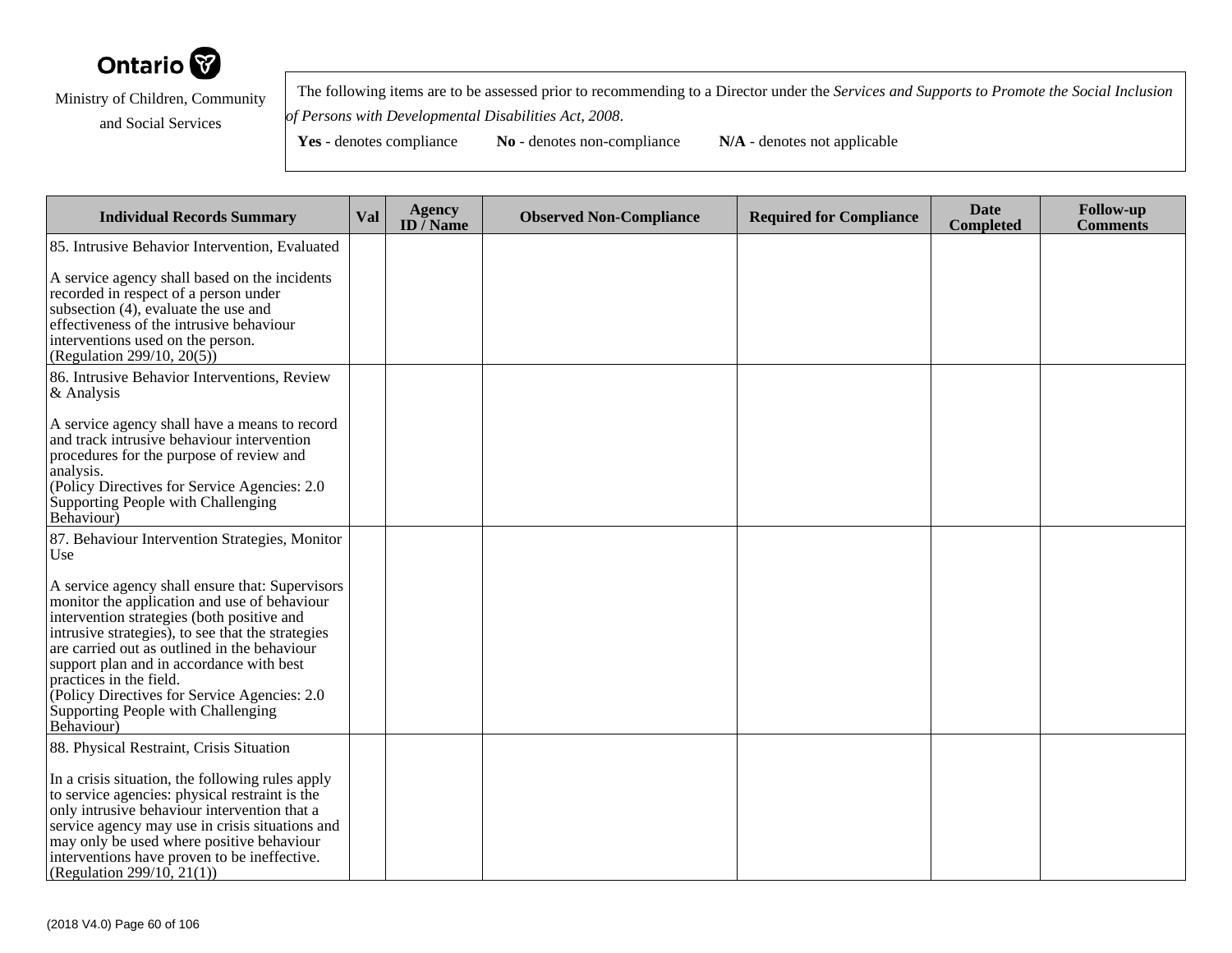

 The following items are to be assessed prior to recommending to a Director under the *Services and Supports to Promote the Social Inclusionof Persons with Developmental Disabilities Act, 2008*.

| <b>Individual Records Summary</b>                                                                                                                                                                                                                                                                                                                                                                                              | Val | <b>Agency</b><br>ID $\overline{}/$ Name | <b>Observed Non-Compliance</b> | <b>Required for Compliance</b> | <b>Date</b><br><b>Completed</b> | <b>Follow-up</b><br><b>Comments</b> |
|--------------------------------------------------------------------------------------------------------------------------------------------------------------------------------------------------------------------------------------------------------------------------------------------------------------------------------------------------------------------------------------------------------------------------------|-----|-----------------------------------------|--------------------------------|--------------------------------|---------------------------------|-------------------------------------|
| 85. Intrusive Behavior Intervention, Evaluated                                                                                                                                                                                                                                                                                                                                                                                 |     |                                         |                                |                                |                                 |                                     |
| A service agency shall based on the incidents<br>recorded in respect of a person under<br>subsection (4), evaluate the use and<br>effectiveness of the intrusive behaviour<br>interventions used on the person.<br>(Regulation 299/10, 20(5))                                                                                                                                                                                  |     |                                         |                                |                                |                                 |                                     |
| 86. Intrusive Behavior Interventions, Review<br>& Analysis                                                                                                                                                                                                                                                                                                                                                                     |     |                                         |                                |                                |                                 |                                     |
| A service agency shall have a means to record<br>and track intrusive behaviour intervention<br>procedures for the purpose of review and<br>analysis.<br>(Policy Directives for Service Agencies: 2.0)<br>Supporting People with Challenging<br>Behaviour)                                                                                                                                                                      |     |                                         |                                |                                |                                 |                                     |
| 87. Behaviour Intervention Strategies, Monitor<br>Use                                                                                                                                                                                                                                                                                                                                                                          |     |                                         |                                |                                |                                 |                                     |
| A service agency shall ensure that: Supervisors<br>monitor the application and use of behaviour<br>intervention strategies (both positive and<br>intrusive strategies), to see that the strategies<br>are carried out as outlined in the behaviour<br>support plan and in accordance with best<br>practices in the field.<br>(Policy Directives for Service Agencies: 2.0)<br>Supporting People with Challenging<br>Behaviour) |     |                                         |                                |                                |                                 |                                     |
| 88. Physical Restraint, Crisis Situation<br>In a crisis situation, the following rules apply<br>to service agencies: physical restraint is the<br>only intrusive behaviour intervention that a<br>service agency may use in crisis situations and<br>may only be used where positive behaviour<br>interventions have proven to be ineffective.<br>(Regulation 299/10, 21(1))                                                   |     |                                         |                                |                                |                                 |                                     |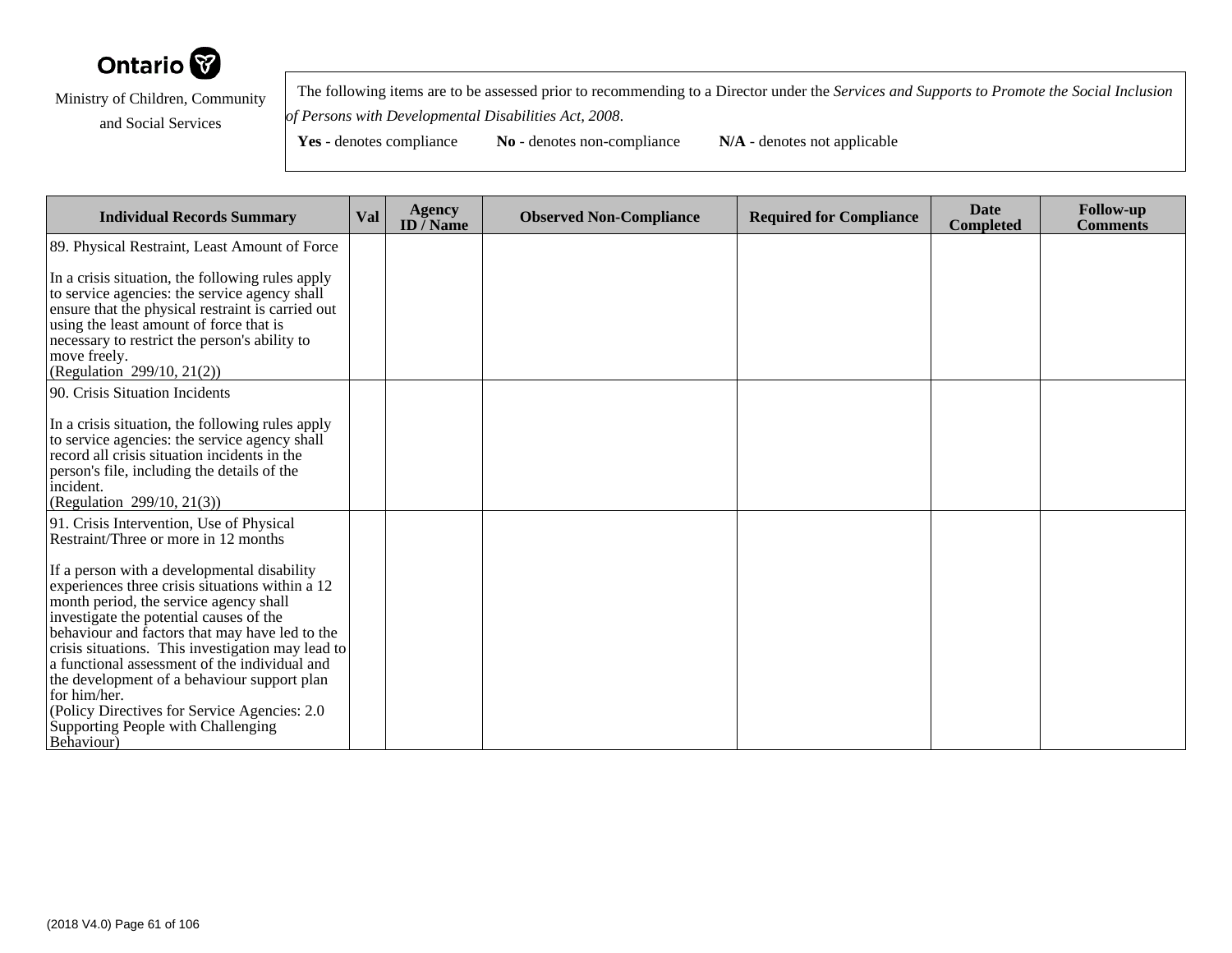

 The following items are to be assessed prior to recommending to a Director under the *Services and Supports to Promote the Social Inclusionof Persons with Developmental Disabilities Act, 2008*.

| <b>Individual Records Summary</b>                                                                                                                                                                                                                                                                                                                                                                                                                                                                               | <b>Val</b> | <b>Agency</b><br>ID $\bar{}/$ Name | <b>Observed Non-Compliance</b> | <b>Required for Compliance</b> | <b>Date</b><br><b>Completed</b> | <b>Follow-up</b><br><b>Comments</b> |
|-----------------------------------------------------------------------------------------------------------------------------------------------------------------------------------------------------------------------------------------------------------------------------------------------------------------------------------------------------------------------------------------------------------------------------------------------------------------------------------------------------------------|------------|------------------------------------|--------------------------------|--------------------------------|---------------------------------|-------------------------------------|
| 89. Physical Restraint, Least Amount of Force                                                                                                                                                                                                                                                                                                                                                                                                                                                                   |            |                                    |                                |                                |                                 |                                     |
| In a crisis situation, the following rules apply<br>to service agencies: the service agency shall<br>ensure that the physical restraint is carried out<br>using the least amount of force that is<br>necessary to restrict the person's ability to<br>move freely.<br>(Regulation 299/10, 21(2))                                                                                                                                                                                                                |            |                                    |                                |                                |                                 |                                     |
| 90. Crisis Situation Incidents                                                                                                                                                                                                                                                                                                                                                                                                                                                                                  |            |                                    |                                |                                |                                 |                                     |
| In a crisis situation, the following rules apply<br>to service agencies: the service agency shall<br>record all crisis situation incidents in the<br>person's file, including the details of the<br>incident.<br>(Regulation 299/10, 21(3))                                                                                                                                                                                                                                                                     |            |                                    |                                |                                |                                 |                                     |
| 91. Crisis Intervention, Use of Physical<br>Restraint/Three or more in 12 months                                                                                                                                                                                                                                                                                                                                                                                                                                |            |                                    |                                |                                |                                 |                                     |
| If a person with a developmental disability<br>experiences three crisis situations within a 12<br>month period, the service agency shall<br>investigate the potential causes of the<br>behaviour and factors that may have led to the<br>crisis situations. This investigation may lead to<br>a functional assessment of the individual and<br>the development of a behaviour support plan<br>for him/her.<br>(Policy Directives for Service Agencies: 2.0)<br>Supporting People with Challenging<br>Behaviour) |            |                                    |                                |                                |                                 |                                     |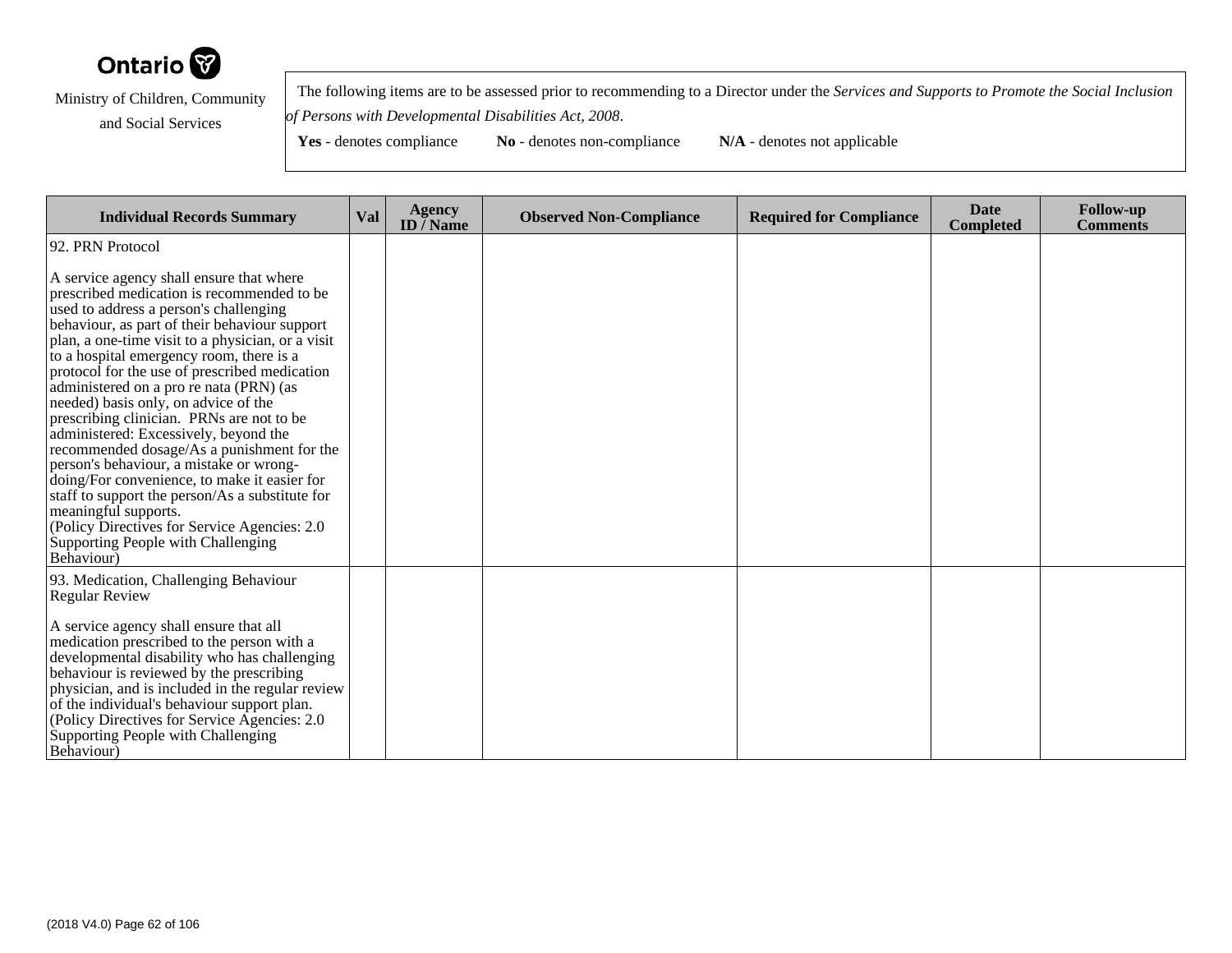

 The following items are to be assessed prior to recommending to a Director under the *Services and Supports to Promote the Social Inclusionof Persons with Developmental Disabilities Act, 2008*.

| <b>Individual Records Summary</b>                                                                                                                                                                                                                                                                                                                                                                                                                                                                                                                                                                                                               | Val | <b>Agency</b><br>ID $\bar{}/$ Name | <b>Observed Non-Compliance</b> | <b>Required for Compliance</b> | <b>Date</b><br><b>Completed</b> | <b>Follow-up</b><br><b>Comments</b> |
|-------------------------------------------------------------------------------------------------------------------------------------------------------------------------------------------------------------------------------------------------------------------------------------------------------------------------------------------------------------------------------------------------------------------------------------------------------------------------------------------------------------------------------------------------------------------------------------------------------------------------------------------------|-----|------------------------------------|--------------------------------|--------------------------------|---------------------------------|-------------------------------------|
| 92. PRN Protocol<br>A service agency shall ensure that where<br>prescribed medication is recommended to be<br>used to address a person's challenging<br>behaviour, as part of their behaviour support                                                                                                                                                                                                                                                                                                                                                                                                                                           |     |                                    |                                |                                |                                 |                                     |
| plan, a one-time visit to a physician, or a visit<br>to a hospital emergency room, there is a<br>protocol for the use of prescribed medication<br>administered on a pro re nata (PRN) (as<br>needed) basis only, on advice of the<br>prescribing clinician. PRNs are not to be<br>administered: Excessively, beyond the<br>recommended dosage/As a punishment for the<br>person's behaviour, a mistake or wrong-<br>doing/For convenience, to make it easier for<br>staff to support the person/As a substitute for<br>meaningful supports.<br>(Policy Directives for Service Agencies: 2.0<br>Supporting People with Challenging<br>Behaviour) |     |                                    |                                |                                |                                 |                                     |
| 93. Medication, Challenging Behaviour<br><b>Regular Review</b><br>A service agency shall ensure that all<br>medication prescribed to the person with a<br>developmental disability who has challenging<br>behaviour is reviewed by the prescribing<br>physician, and is included in the regular review<br>of the individual's behaviour support plan.<br>(Policy Directives for Service Agencies: 2.0)<br>Supporting People with Challenging<br><b>Behaviour</b> )                                                                                                                                                                              |     |                                    |                                |                                |                                 |                                     |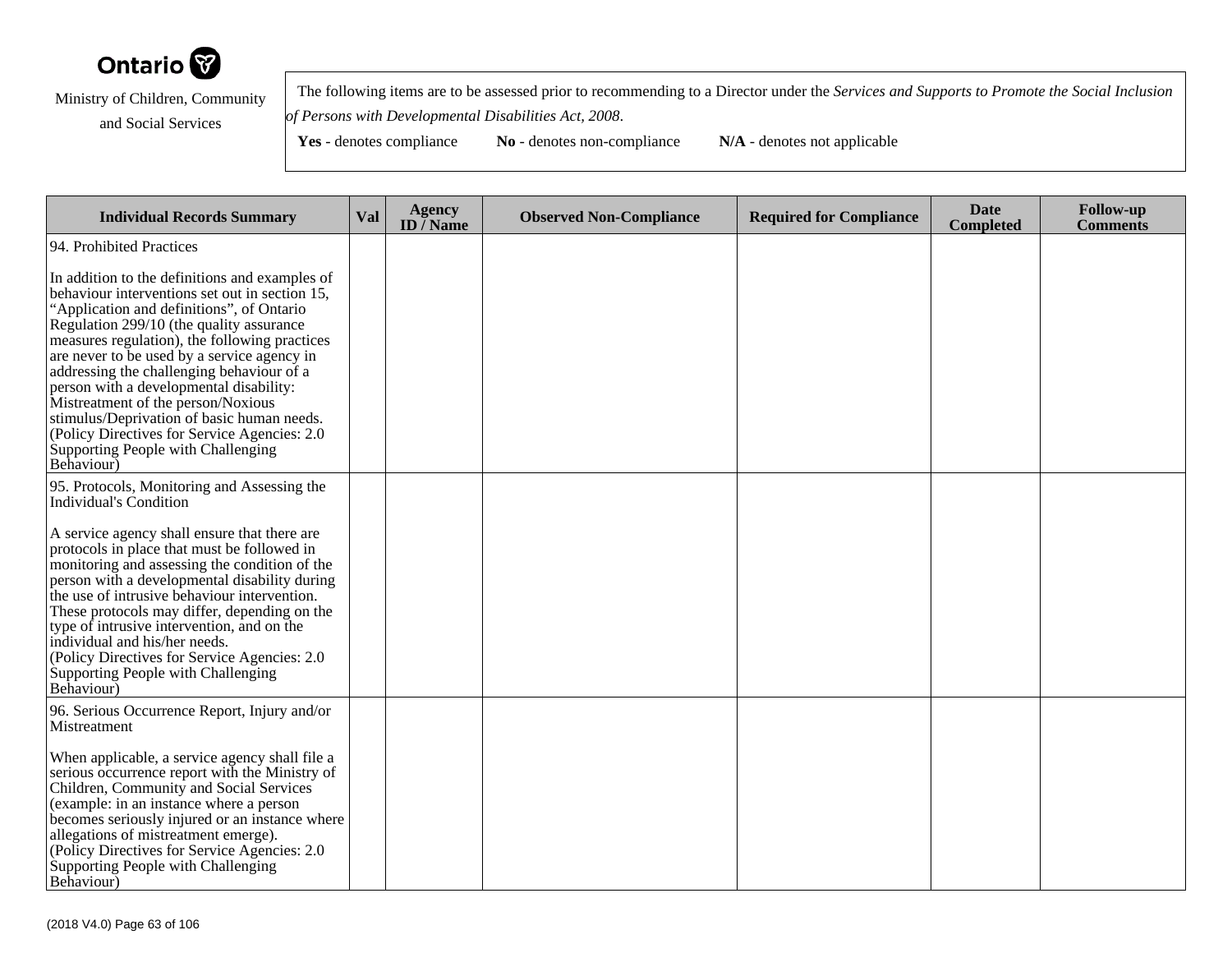

 The following items are to be assessed prior to recommending to a Director under the *Services and Supports to Promote the Social Inclusionof Persons with Developmental Disabilities Act, 2008*.

| <b>Individual Records Summary</b>                                                                                                                                                                                                                                                                                                                                                                                                                                                                                                                                          | Val | <b>Agency</b><br>ID $\overline{/}$ Name | <b>Observed Non-Compliance</b> | <b>Required for Compliance</b> | <b>Date</b><br><b>Completed</b> | <b>Follow-up</b><br><b>Comments</b> |
|----------------------------------------------------------------------------------------------------------------------------------------------------------------------------------------------------------------------------------------------------------------------------------------------------------------------------------------------------------------------------------------------------------------------------------------------------------------------------------------------------------------------------------------------------------------------------|-----|-----------------------------------------|--------------------------------|--------------------------------|---------------------------------|-------------------------------------|
| 94. Prohibited Practices                                                                                                                                                                                                                                                                                                                                                                                                                                                                                                                                                   |     |                                         |                                |                                |                                 |                                     |
| In addition to the definitions and examples of<br>behaviour interventions set out in section 15,<br>"Application and definitions", of Ontario<br>Regulation 299/10 (the quality assurance<br>measures regulation), the following practices<br>are never to be used by a service agency in<br>addressing the challenging behaviour of a<br>person with a developmental disability:<br>Mistreatment of the person/Noxious<br>stimulus/Deprivation of basic human needs.<br>(Policy Directives for Service Agencies: 2.0)<br>Supporting People with Challenging<br>Behaviour) |     |                                         |                                |                                |                                 |                                     |
| 95. Protocols, Monitoring and Assessing the<br><b>Individual's Condition</b>                                                                                                                                                                                                                                                                                                                                                                                                                                                                                               |     |                                         |                                |                                |                                 |                                     |
| A service agency shall ensure that there are<br>protocols in place that must be followed in<br>monitoring and assessing the condition of the<br>person with a developmental disability during<br>the use of intrusive behaviour intervention.<br>These protocols may differ, depending on the<br>type of intrusive intervention, and on the<br>individual and his/her needs.<br>(Policy Directives for Service Agencies: 2.0)<br>Supporting People with Challenging<br>Behaviour)                                                                                          |     |                                         |                                |                                |                                 |                                     |
| 96. Serious Occurrence Report, Injury and/or<br>Mistreatment<br>When applicable, a service agency shall file a<br>serious occurrence report with the Ministry of<br>Children, Community and Social Services<br>(example: in an instance where a person<br>becomes seriously injured or an instance where<br>allegations of mistreatment emerge).<br>(Policy Directives for Service Agencies: 2.0)<br>Supporting People with Challenging<br>Behaviour)                                                                                                                      |     |                                         |                                |                                |                                 |                                     |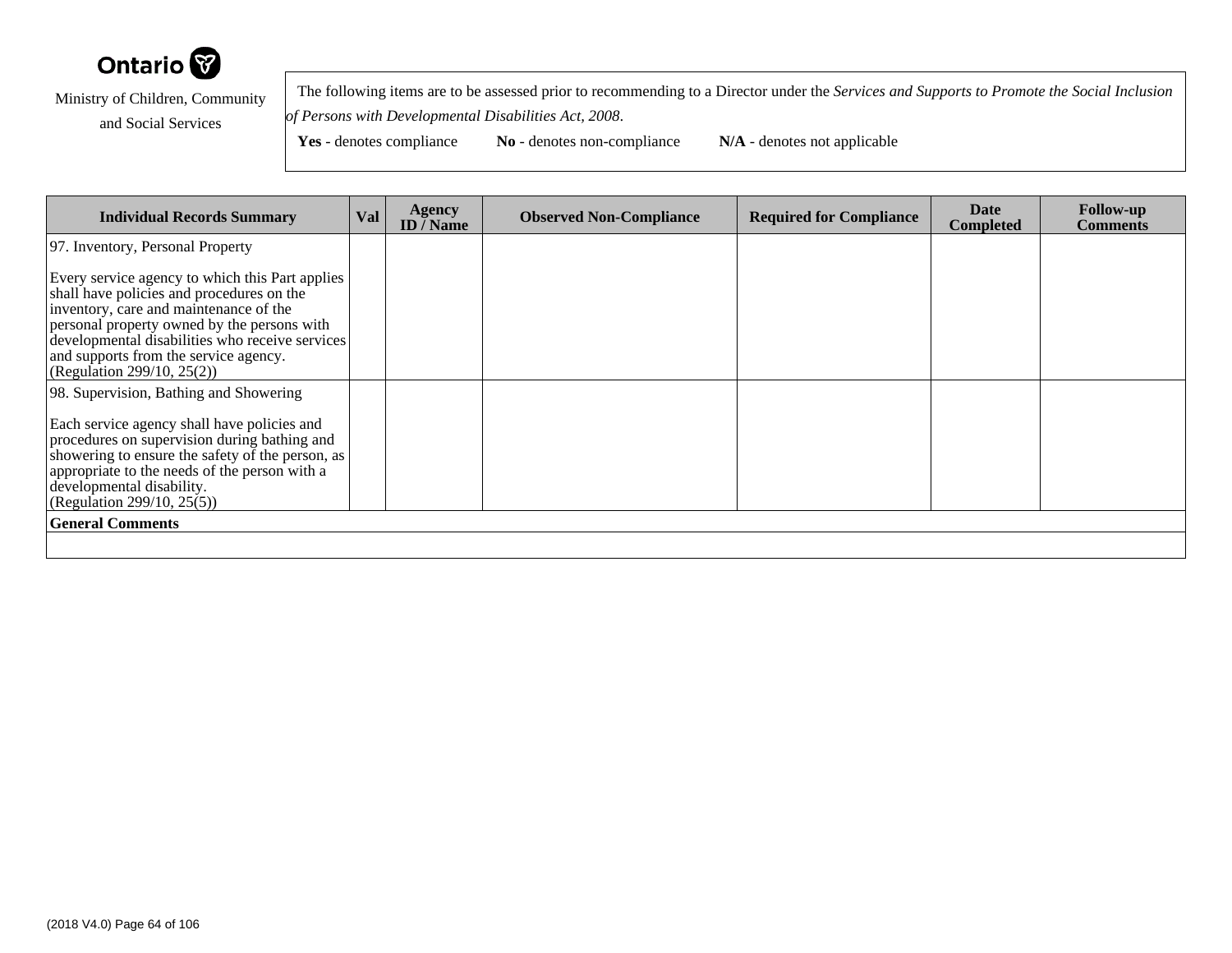

 The following items are to be assessed prior to recommending to a Director under the *Services and Supports to Promote the Social Inclusionof Persons with Developmental Disabilities Act, 2008*.

Yes - denotes compliance **No** - denotes non-compliance **N/A** - denotes not applicable

**Individual Records Summary Val Agency ID / NameObserved Non-Compliance Required for Compliance Date Completed Follow-up Comments** 97. Inventory, Personal PropertyEvery service agency to which this Part appliesshall have policies and procedures on theinventory, care and maintenance of the personal property owned by the persons with developmental disabilities who receive servicesand supports from the service agency. (Regulation 299/10, 25(2))98. Supervision, Bathing and ShoweringEach service agency shall have policies and procedures on supervision during bathing and showering to ensure the safety of the person, asappropriate to the needs of the person with adevelopmental disability. (Regulation 299/10, 25(5))**General Comments**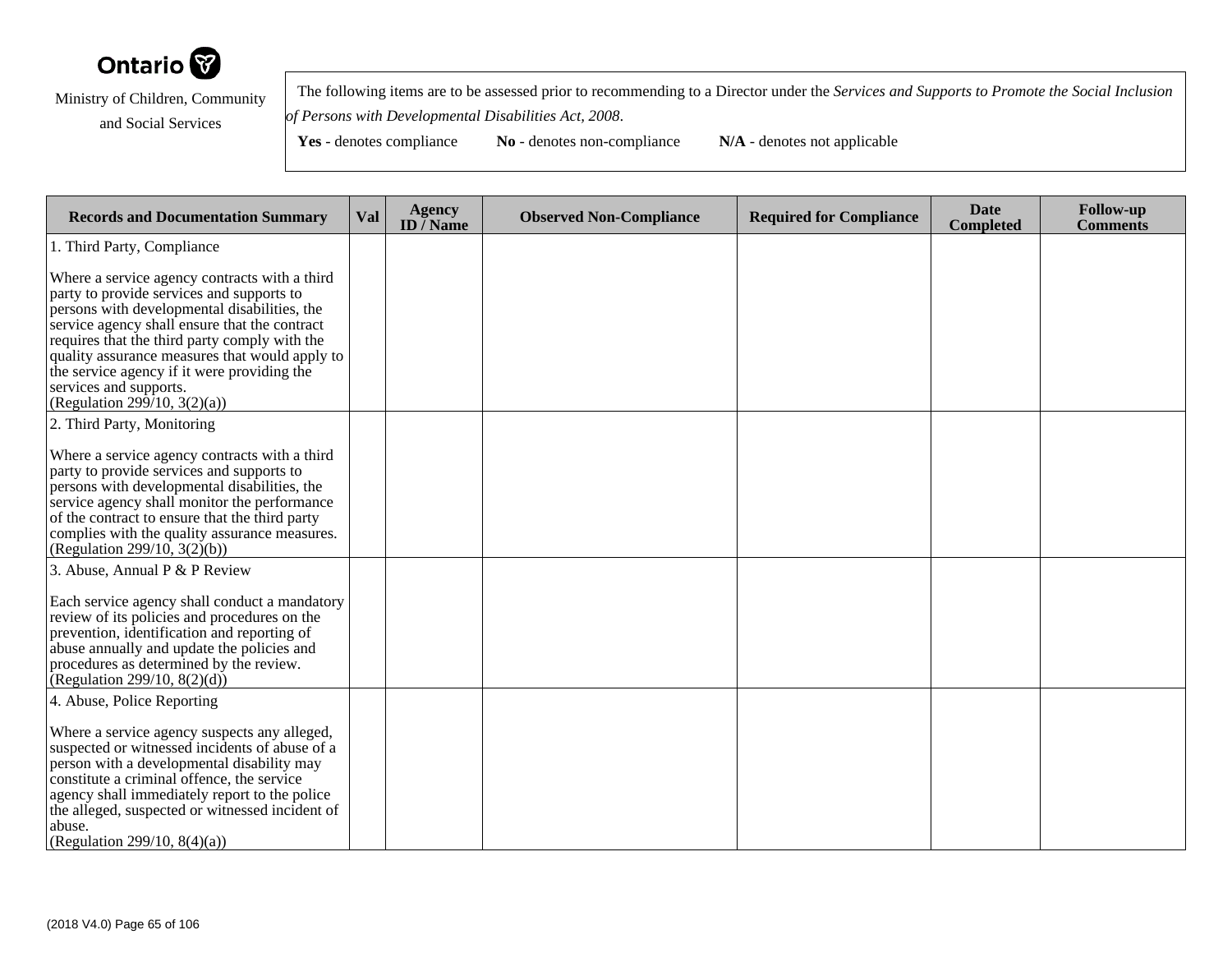

 The following items are to be assessed prior to recommending to a Director under the *Services and Supports to Promote the Social Inclusionof Persons with Developmental Disabilities Act, 2008*.

| <b>Records and Documentation Summary</b>                                                                                                                                                                                                                                                                                                                                                                | <b>Val</b> | <b>Agency</b><br>ID $\bar{}/$ Name | <b>Observed Non-Compliance</b> | <b>Required for Compliance</b> | <b>Date</b><br><b>Completed</b> | <b>Follow-up</b><br><b>Comments</b> |
|---------------------------------------------------------------------------------------------------------------------------------------------------------------------------------------------------------------------------------------------------------------------------------------------------------------------------------------------------------------------------------------------------------|------------|------------------------------------|--------------------------------|--------------------------------|---------------------------------|-------------------------------------|
| 1. Third Party, Compliance                                                                                                                                                                                                                                                                                                                                                                              |            |                                    |                                |                                |                                 |                                     |
| Where a service agency contracts with a third<br>party to provide services and supports to<br>persons with developmental disabilities, the<br>service agency shall ensure that the contract<br>requires that the third party comply with the<br>quality assurance measures that would apply to<br>the service agency if it were providing the<br>services and supports.<br>(Regulation 299/10, 3(2)(a)) |            |                                    |                                |                                |                                 |                                     |
| 2. Third Party, Monitoring                                                                                                                                                                                                                                                                                                                                                                              |            |                                    |                                |                                |                                 |                                     |
| Where a service agency contracts with a third<br>party to provide services and supports to<br>persons with developmental disabilities, the<br>service agency shall monitor the performance<br>of the contract to ensure that the third party<br>complies with the quality assurance measures.<br>(Regulation 299/10, $3(2)(b)$ )                                                                        |            |                                    |                                |                                |                                 |                                     |
| 3. Abuse, Annual P & P Review                                                                                                                                                                                                                                                                                                                                                                           |            |                                    |                                |                                |                                 |                                     |
| Each service agency shall conduct a mandatory<br>review of its policies and procedures on the<br>prevention, identification and reporting of<br>abuse annually and update the policies and<br>procedures as determined by the review.<br>(Regularion 299/10, 8(2)(d))                                                                                                                                   |            |                                    |                                |                                |                                 |                                     |
| 4. Abuse, Police Reporting                                                                                                                                                                                                                                                                                                                                                                              |            |                                    |                                |                                |                                 |                                     |
| Where a service agency suspects any alleged,<br>suspected or witnessed incidents of abuse of a<br>person with a developmental disability may<br>constitute a criminal offence, the service<br>agency shall immediately report to the police<br>the alleged, suspected or witnessed incident of<br>abuse.<br>(Regulation 299/10, 8(4)(a))                                                                |            |                                    |                                |                                |                                 |                                     |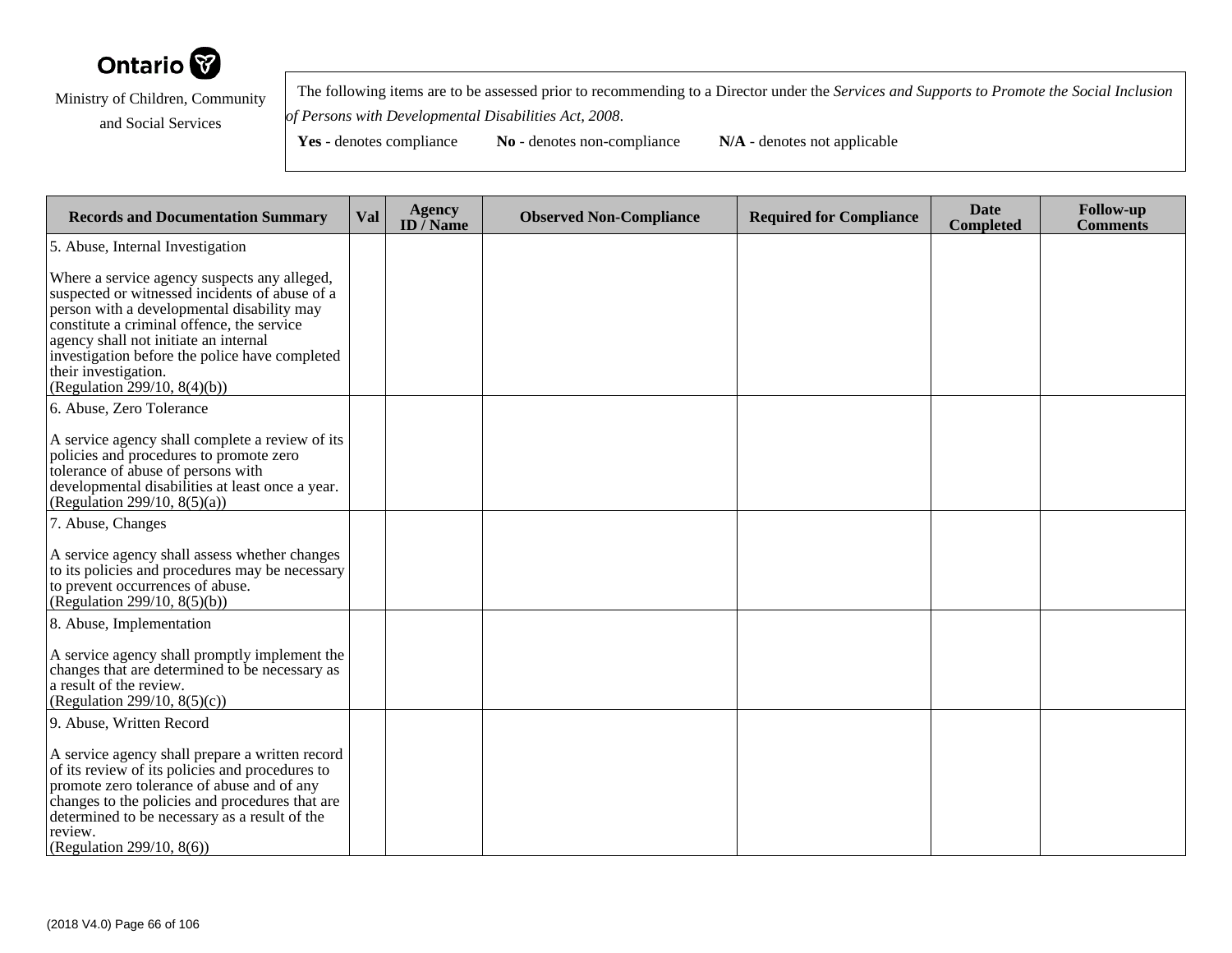

 The following items are to be assessed prior to recommending to a Director under the *Services and Supports to Promote the Social Inclusionof Persons with Developmental Disabilities Act, 2008*.

| <b>Records and Documentation Summary</b>                                                                                                                                                                                                                                                                                                      | Val | <b>Agency</b><br>ID $\overline{}/$ Name | <b>Observed Non-Compliance</b> | <b>Required for Compliance</b> | <b>Date</b><br><b>Completed</b> | <b>Follow-up</b><br><b>Comments</b> |
|-----------------------------------------------------------------------------------------------------------------------------------------------------------------------------------------------------------------------------------------------------------------------------------------------------------------------------------------------|-----|-----------------------------------------|--------------------------------|--------------------------------|---------------------------------|-------------------------------------|
| 5. Abuse, Internal Investigation                                                                                                                                                                                                                                                                                                              |     |                                         |                                |                                |                                 |                                     |
| Where a service agency suspects any alleged,<br>suspected or witnessed incidents of abuse of a<br>person with a developmental disability may<br>constitute a criminal offence, the service<br>agency shall not initiate an internal<br>investigation before the police have completed<br>their investigation.<br>(Regulation 299/10, 8(4)(b)) |     |                                         |                                |                                |                                 |                                     |
| 6. Abuse, Zero Tolerance                                                                                                                                                                                                                                                                                                                      |     |                                         |                                |                                |                                 |                                     |
| A service agency shall complete a review of its<br>policies and procedures to promote zero<br>tolerance of abuse of persons with<br>developmental disabilities at least once a year.<br>(Regulation 299/10, 8(5)(a))                                                                                                                          |     |                                         |                                |                                |                                 |                                     |
| 7. Abuse, Changes                                                                                                                                                                                                                                                                                                                             |     |                                         |                                |                                |                                 |                                     |
| A service agency shall assess whether changes<br>to its policies and procedures may be necessary<br>to prevent occurrences of abuse.<br>(Regulation 299/10, 8(5)(b))                                                                                                                                                                          |     |                                         |                                |                                |                                 |                                     |
| 8. Abuse, Implementation                                                                                                                                                                                                                                                                                                                      |     |                                         |                                |                                |                                 |                                     |
| A service agency shall promptly implement the<br>changes that are determined to be necessary as<br>a result of the review.<br>(Regulation 299/10, 8(5)(c))                                                                                                                                                                                    |     |                                         |                                |                                |                                 |                                     |
| 9. Abuse, Written Record                                                                                                                                                                                                                                                                                                                      |     |                                         |                                |                                |                                 |                                     |
| A service agency shall prepare a written record<br>of its review of its policies and procedures to<br>promote zero tolerance of abuse and of any<br>changes to the policies and procedures that are<br>determined to be necessary as a result of the<br>review.<br>(Regulation 299/10, 8(6))                                                  |     |                                         |                                |                                |                                 |                                     |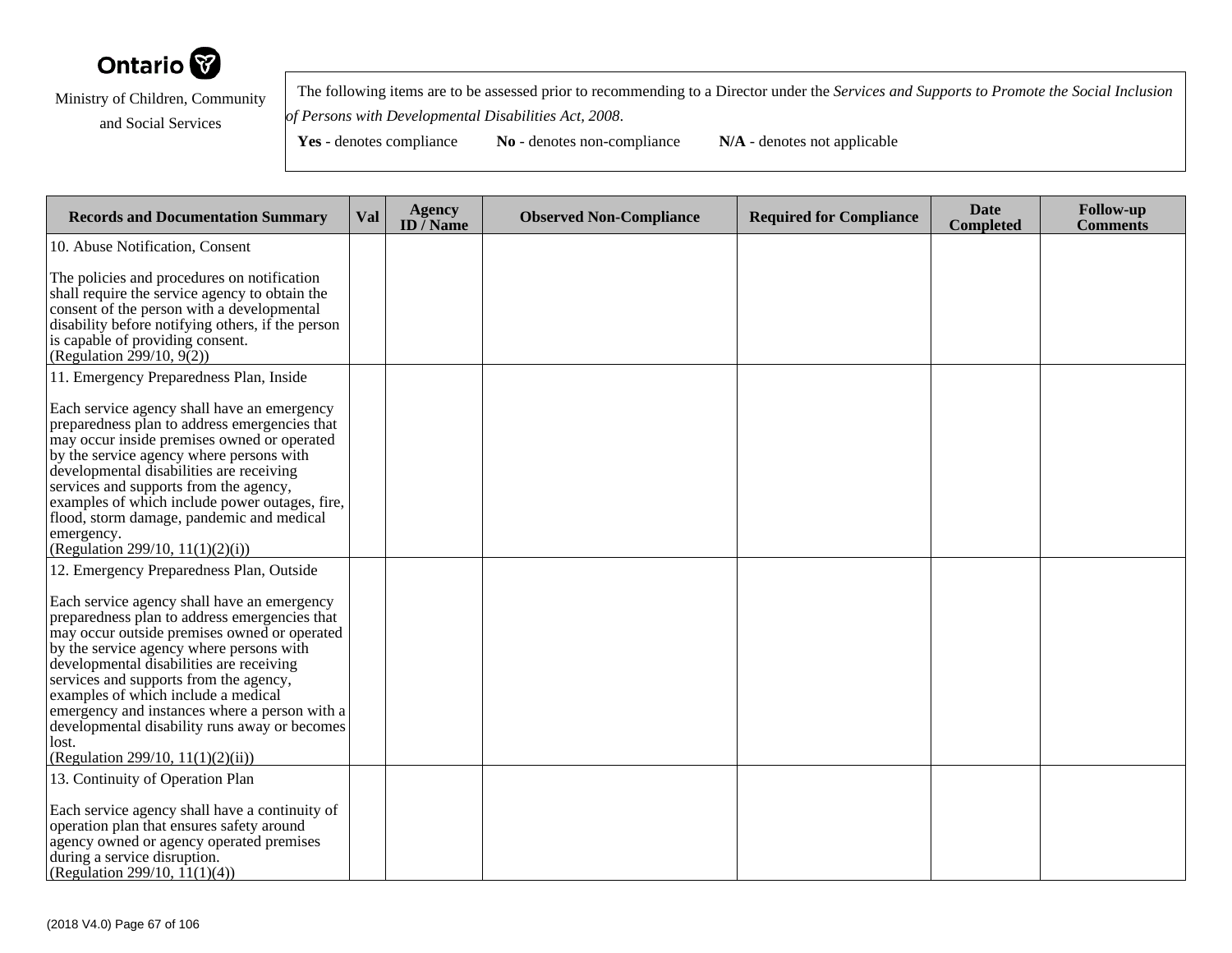

 The following items are to be assessed prior to recommending to a Director under the *Services and Supports to Promote the Social Inclusionof Persons with Developmental Disabilities Act, 2008*.

| <b>Records and Documentation Summary</b>                                                                                                                                                                                                                                                                                                                                                                                                                              | Val | <b>Agency</b><br>ID $\overline{}/$ Name | <b>Observed Non-Compliance</b> | <b>Required for Compliance</b> | <b>Date</b><br><b>Completed</b> | <b>Follow-up</b><br><b>Comments</b> |
|-----------------------------------------------------------------------------------------------------------------------------------------------------------------------------------------------------------------------------------------------------------------------------------------------------------------------------------------------------------------------------------------------------------------------------------------------------------------------|-----|-----------------------------------------|--------------------------------|--------------------------------|---------------------------------|-------------------------------------|
| 10. Abuse Notification, Consent                                                                                                                                                                                                                                                                                                                                                                                                                                       |     |                                         |                                |                                |                                 |                                     |
| The policies and procedures on notification<br>shall require the service agency to obtain the<br>consent of the person with a developmental<br>disability before notifying others, if the person<br>is capable of providing consent.<br>(Regulation $299/10$ , $9(2)$ )                                                                                                                                                                                               |     |                                         |                                |                                |                                 |                                     |
| 11. Emergency Preparedness Plan, Inside                                                                                                                                                                                                                                                                                                                                                                                                                               |     |                                         |                                |                                |                                 |                                     |
| Each service agency shall have an emergency<br>preparedness plan to address emergencies that<br>may occur inside premises owned or operated<br>by the service agency where persons with<br>developmental disabilities are receiving<br>services and supports from the agency,<br>examples of which include power outages, fire,<br>flood, storm damage, pandemic and medical<br>emergency.<br>(Regulation 299/10, 11(1)(2)(i))                                        |     |                                         |                                |                                |                                 |                                     |
| 12. Emergency Preparedness Plan, Outside                                                                                                                                                                                                                                                                                                                                                                                                                              |     |                                         |                                |                                |                                 |                                     |
| Each service agency shall have an emergency<br>preparedness plan to address emergencies that<br>may occur outside premises owned or operated<br>by the service agency where persons with<br>developmental disabilities are receiving<br>services and supports from the agency,<br>examples of which include a medical<br>emergency and instances where a person with a<br>developmental disability runs away or becomes<br>lost.<br>(Regulation 299/10, 11(1)(2)(ii)) |     |                                         |                                |                                |                                 |                                     |
| 13. Continuity of Operation Plan<br>Each service agency shall have a continuity of<br>operation plan that ensures safety around<br>agency owned or agency operated premises<br>during a service disruption.<br>(Regulation 299/10, $11(1)(4)$ )                                                                                                                                                                                                                       |     |                                         |                                |                                |                                 |                                     |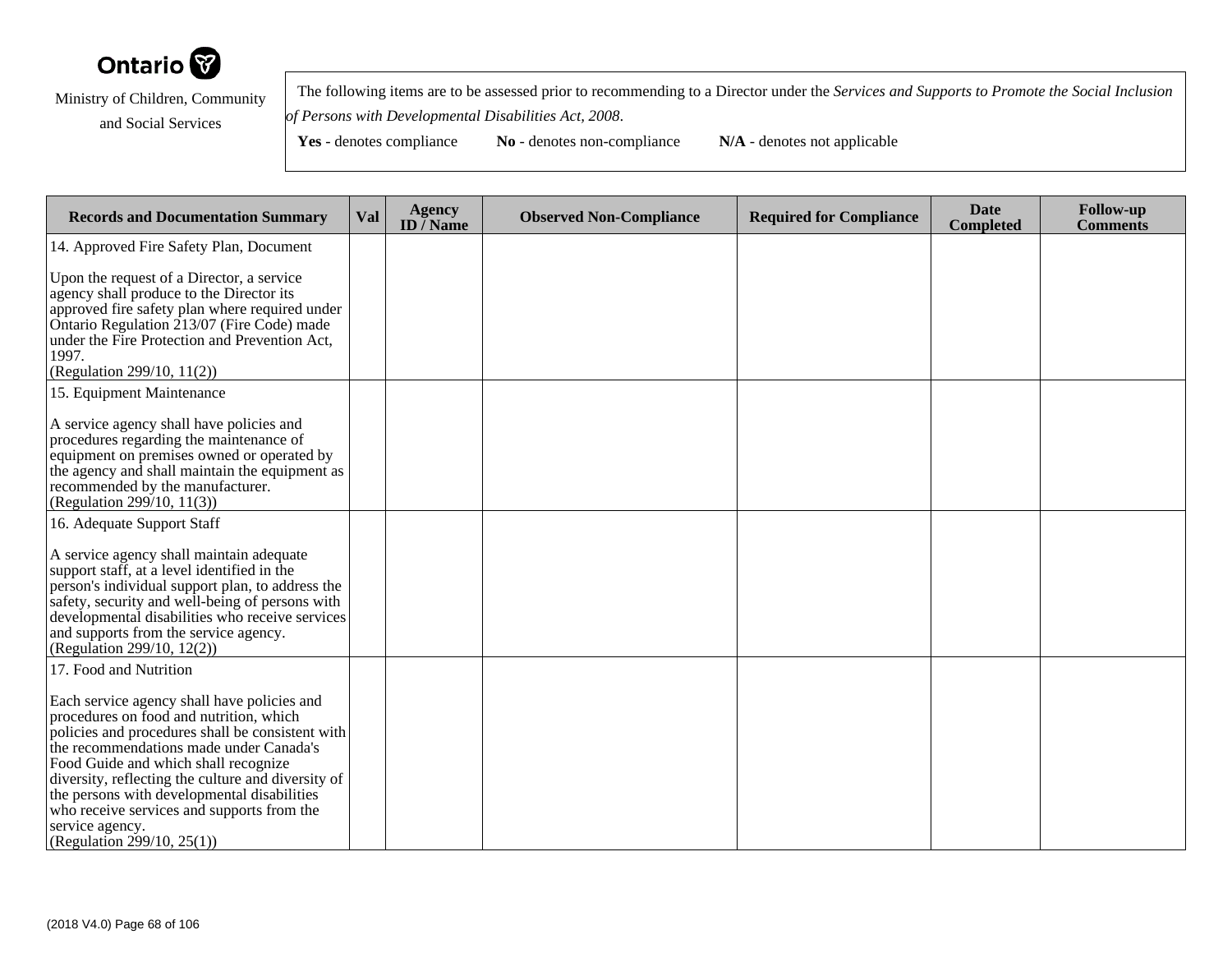

 The following items are to be assessed prior to recommending to a Director under the *Services and Supports to Promote the Social Inclusionof Persons with Developmental Disabilities Act, 2008*.

| <b>Records and Documentation Summary</b>                                                                                                                                                                                                                                                                                                                                                                                          | <b>Val</b> | <b>Agency</b><br>ID $\overline{}/$ Name | <b>Observed Non-Compliance</b> | <b>Required for Compliance</b> | <b>Date</b><br><b>Completed</b> | <b>Follow-up</b><br><b>Comments</b> |
|-----------------------------------------------------------------------------------------------------------------------------------------------------------------------------------------------------------------------------------------------------------------------------------------------------------------------------------------------------------------------------------------------------------------------------------|------------|-----------------------------------------|--------------------------------|--------------------------------|---------------------------------|-------------------------------------|
| 14. Approved Fire Safety Plan, Document                                                                                                                                                                                                                                                                                                                                                                                           |            |                                         |                                |                                |                                 |                                     |
| Upon the request of a Director, a service<br>agency shall produce to the Director its<br>approved fire safety plan where required under<br>Ontario Regulation 213/07 (Fire Code) made<br>under the Fire Protection and Prevention Act,<br>1997.<br>(Regulation 299/10, 11(2))                                                                                                                                                     |            |                                         |                                |                                |                                 |                                     |
| 15. Equipment Maintenance                                                                                                                                                                                                                                                                                                                                                                                                         |            |                                         |                                |                                |                                 |                                     |
| A service agency shall have policies and<br>procedures regarding the maintenance of<br>equipment on premises owned or operated by<br>the agency and shall maintain the equipment as<br>recommended by the manufacturer.<br>(Regulation 299/10, 11(3))                                                                                                                                                                             |            |                                         |                                |                                |                                 |                                     |
| 16. Adequate Support Staff                                                                                                                                                                                                                                                                                                                                                                                                        |            |                                         |                                |                                |                                 |                                     |
| A service agency shall maintain adequate<br>support staff, at a level identified in the<br>person's individual support plan, to address the<br>safety, security and well-being of persons with<br>developmental disabilities who receive services<br>and supports from the service agency.<br>(Regulation 299/10, 12(2))                                                                                                          |            |                                         |                                |                                |                                 |                                     |
| 17. Food and Nutrition                                                                                                                                                                                                                                                                                                                                                                                                            |            |                                         |                                |                                |                                 |                                     |
| Each service agency shall have policies and<br>procedures on food and nutrition, which<br>policies and procedures shall be consistent with<br>the recommendations made under Canada's<br>Food Guide and which shall recognize<br>diversity, reflecting the culture and diversity of<br>the persons with developmental disabilities<br>who receive services and supports from the<br>service agency.<br>(Regulation 299/10, 25(1)) |            |                                         |                                |                                |                                 |                                     |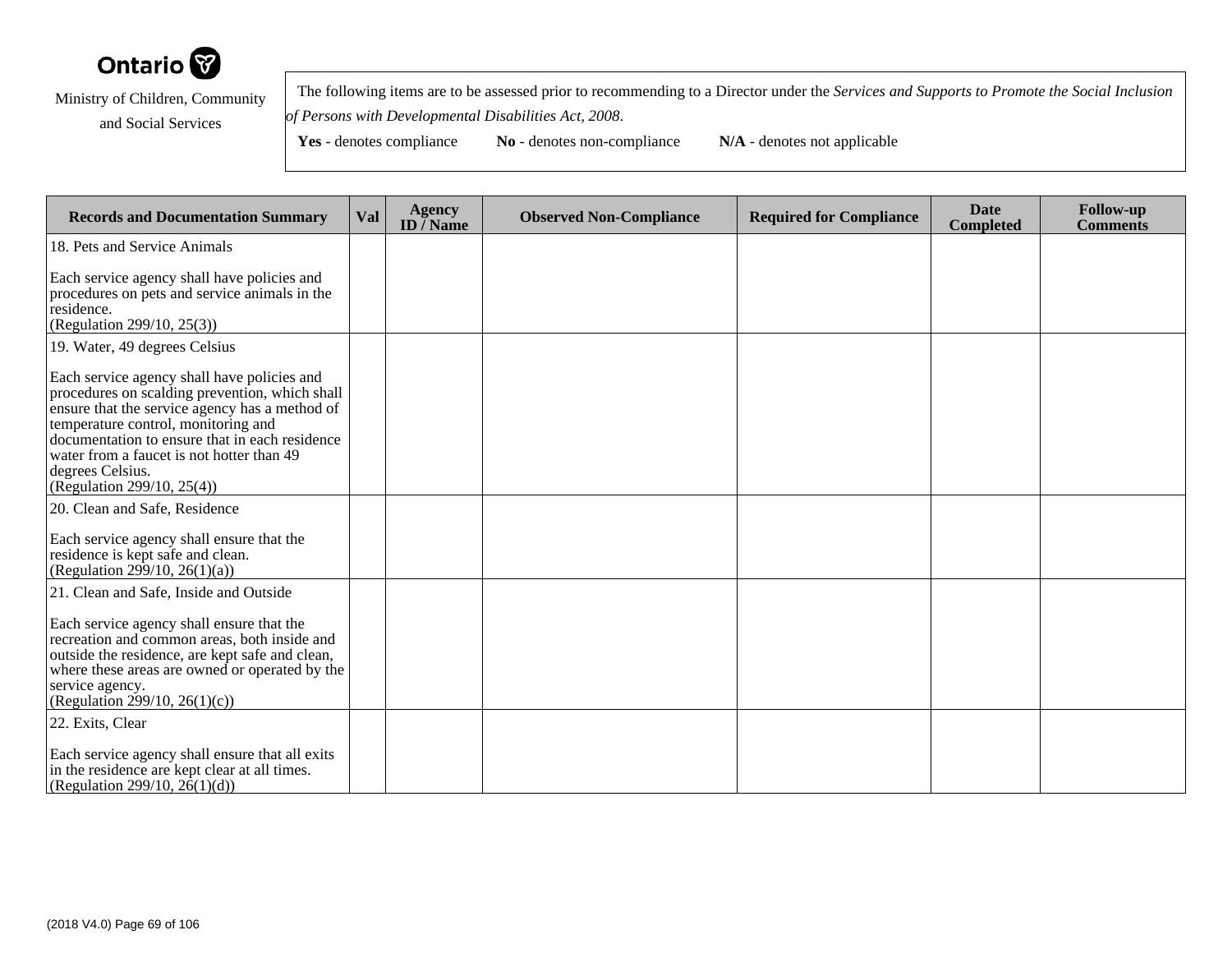

 The following items are to be assessed prior to recommending to a Director under the *Services and Supports to Promote the Social Inclusionof Persons with Developmental Disabilities Act, 2008*.

Yes - denotes compliance **No** - denotes non-compliance **N/A** - denotes not applicable

**Records and Documentation Summary Val Agency ID / NameObserved Non-Compliance Required for Compliance Date Completed Follow-up Comments** 18. Pets and Service AnimalsEach service agency shall have policies and procedures on pets and service animals in theresidence. (Regulation 299/10, 25(3))19. Water, 49 degrees CelsiusEach service agency shall have policies and procedures on scalding prevention, which shall ensure that the service agency has a method oftemperature control, monitoring and documentation to ensure that in each residencewater from a faucet is not hotter than 49degrees Celsius. (Regulation 299/10, 25(4))20. Clean and Safe, ResidenceEach service agency shall ensure that theresidence is kept safe and clean.(Regulation 299/10, 26(1)(a)) 21. Clean and Safe, Inside and OutsideEach service agency shall ensure that the recreation and common areas, both inside and outside the residence, are kept safe and clean, where these areas are owned or operated by theservice agency. (Regulation 299/10, 26(1)(c))22. Exits, ClearEach service agency shall ensure that all exitsin the residence are kept clear at all times.(Regulation 299/10,  $2\dot{6}(1)(d)$ )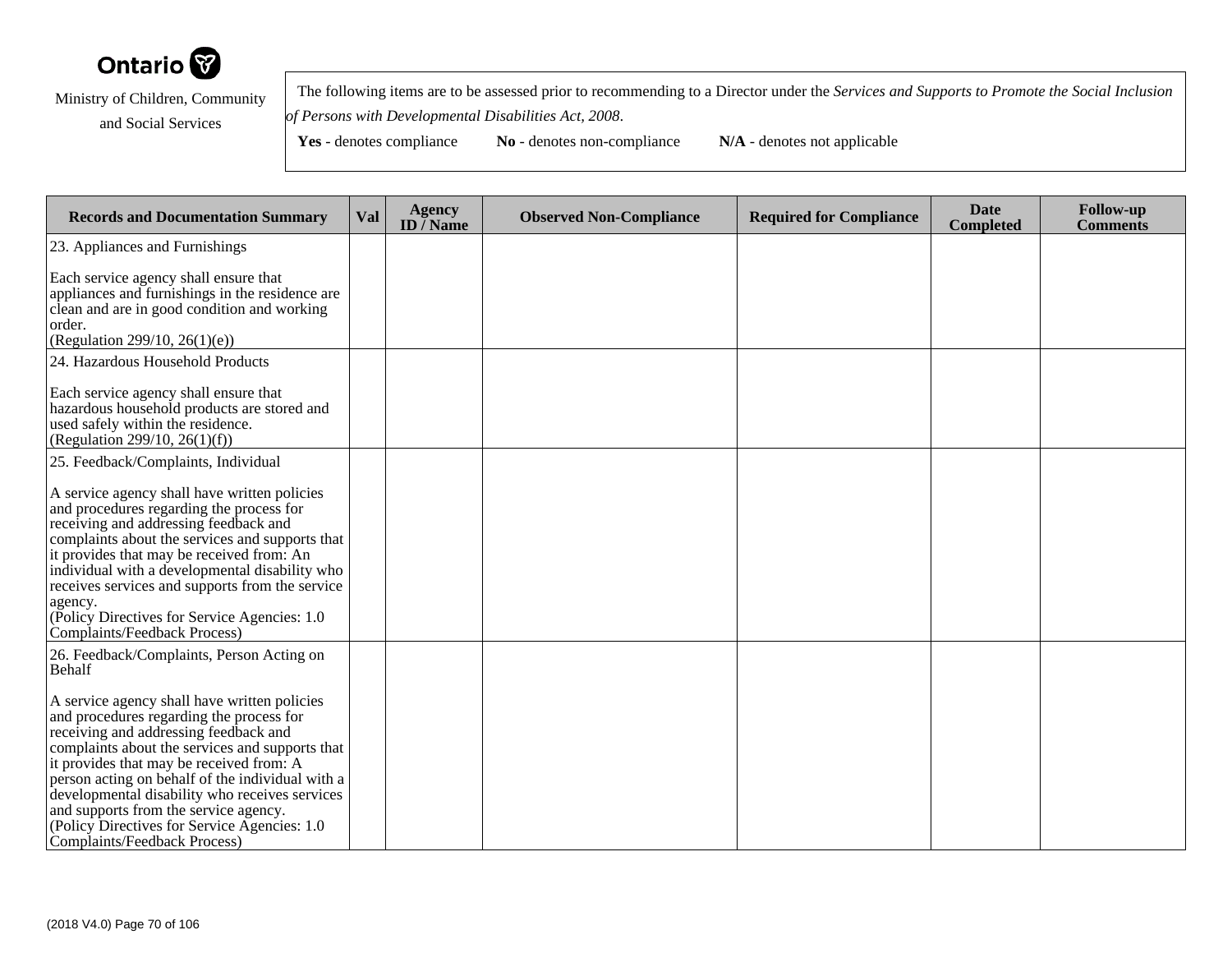

 The following items are to be assessed prior to recommending to a Director under the *Services and Supports to Promote the Social Inclusionof Persons with Developmental Disabilities Act, 2008*.

| <b>Records and Documentation Summary</b>                                                                                                                                                                                                                                                                                                                                                                                                                         | Val | <b>Agency</b><br>ID $\overline{/}$ Name | <b>Observed Non-Compliance</b> | <b>Required for Compliance</b> | <b>Date</b><br>Completed | <b>Follow-up</b><br><b>Comments</b> |
|------------------------------------------------------------------------------------------------------------------------------------------------------------------------------------------------------------------------------------------------------------------------------------------------------------------------------------------------------------------------------------------------------------------------------------------------------------------|-----|-----------------------------------------|--------------------------------|--------------------------------|--------------------------|-------------------------------------|
| 23. Appliances and Furnishings                                                                                                                                                                                                                                                                                                                                                                                                                                   |     |                                         |                                |                                |                          |                                     |
| Each service agency shall ensure that<br>appliances and furnishings in the residence are<br>clean and are in good condition and working<br>order.<br>(Regulation 299/10, 26(1)(e))                                                                                                                                                                                                                                                                               |     |                                         |                                |                                |                          |                                     |
| 24. Hazardous Household Products                                                                                                                                                                                                                                                                                                                                                                                                                                 |     |                                         |                                |                                |                          |                                     |
| Each service agency shall ensure that<br>hazardous household products are stored and<br>used safely within the residence.<br>(Regulation 299/10, 26(1)(f))                                                                                                                                                                                                                                                                                                       |     |                                         |                                |                                |                          |                                     |
| 25. Feedback/Complaints, Individual                                                                                                                                                                                                                                                                                                                                                                                                                              |     |                                         |                                |                                |                          |                                     |
| A service agency shall have written policies<br>and procedures regarding the process for<br>receiving and addressing feedback and<br>complaints about the services and supports that<br>it provides that may be received from: An<br>individual with a developmental disability who<br>receives services and supports from the service<br>agency.<br>(Policy Directives for Service Agencies: 1.0)<br>Complaints/Feedback Process)                               |     |                                         |                                |                                |                          |                                     |
| 26. Feedback/Complaints, Person Acting on<br>Behalf                                                                                                                                                                                                                                                                                                                                                                                                              |     |                                         |                                |                                |                          |                                     |
| A service agency shall have written policies<br>and procedures regarding the process for<br>receiving and addressing feedback and<br>complaints about the services and supports that<br>it provides that may be received from: A<br>person acting on behalf of the individual with a<br>developmental disability who receives services<br>and supports from the service agency.<br>(Policy Directives for Service Agencies: 1.0)<br>Complaints/Feedback Process) |     |                                         |                                |                                |                          |                                     |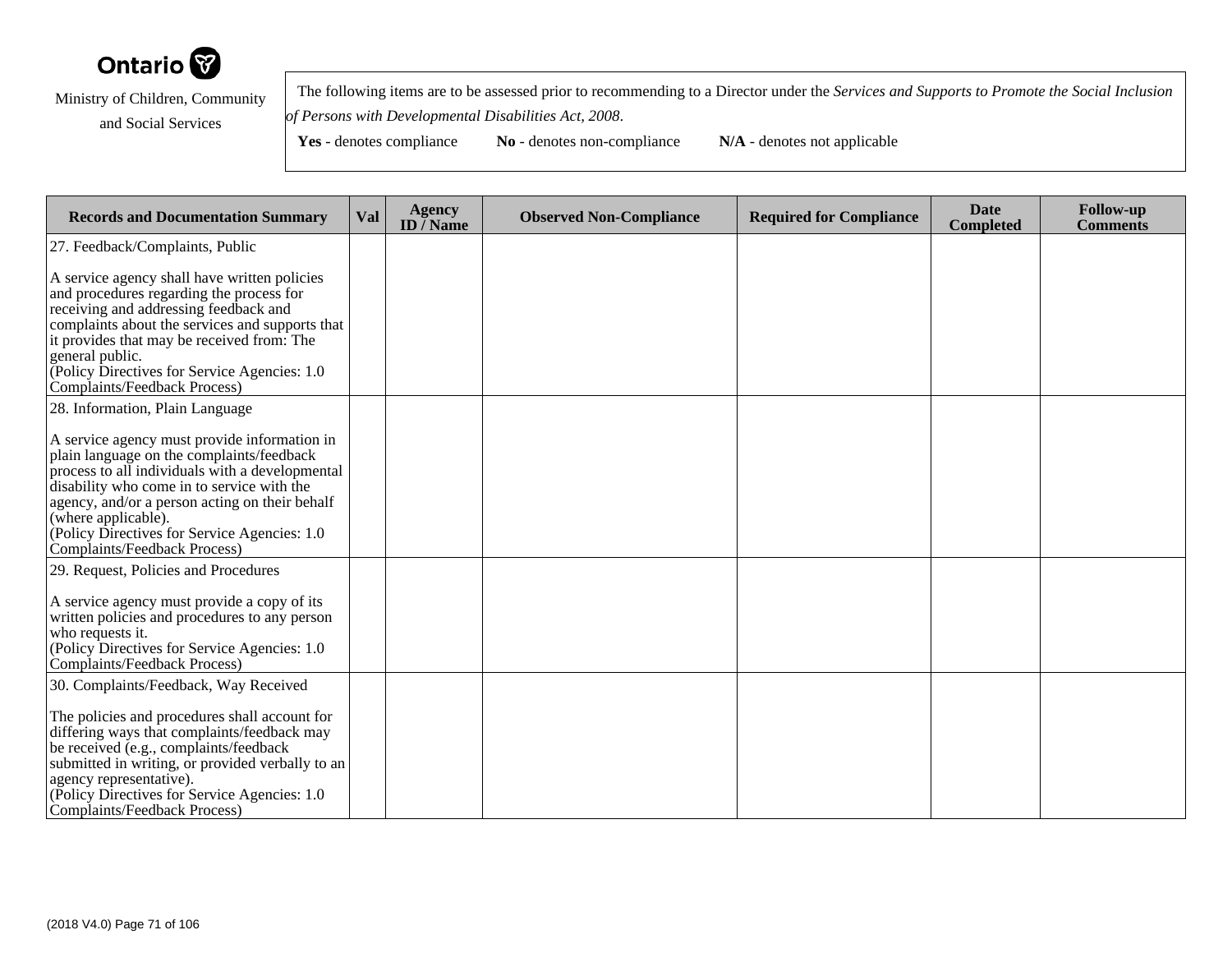

 The following items are to be assessed prior to recommending to a Director under the *Services and Supports to Promote the Social Inclusionof Persons with Developmental Disabilities Act, 2008*.

**Yes** - denotes compliance **No** - denotes non-compliance **N/A** - denotes not applicable

**Records and Documentation Summary Val Agency ID / NameObserved Non-Compliance Required for Compliance Date Completed Follow-up Comments** 27. Feedback/Complaints, PublicA service agency shall have written policiesand procedures regarding the process forreceiving and addressing feedback and complaints about the services and supports thatit provides that may be received from: Thegeneral public. (Policy Directives for Service Agencies: 1.0Complaints/Feedback Process)28. Information, Plain LanguageA service agency must provide information inplain language on the complaints/feedback process to all individuals with a developmentaldisability who come in to service with the agency, and/or a person acting on their behalf(where applicable). (Policy Directives for Service Agencies: 1.0Complaints/Feedback Process)29. Request, Policies and ProceduresA service agency must provide a copy of its written policies and procedures to any personwho requests it. (Policy Directives for Service Agencies: 1.0Complaints/Feedback Process)30. Complaints/Feedback, Way ReceivedThe policies and procedures shall account for differing ways that complaints/feedback maybe received (e.g., complaints/feedback submitted in writing, or provided verbally to anagency representative). (Policy Directives for Service Agencies: 1.0Complaints/Feedback Process)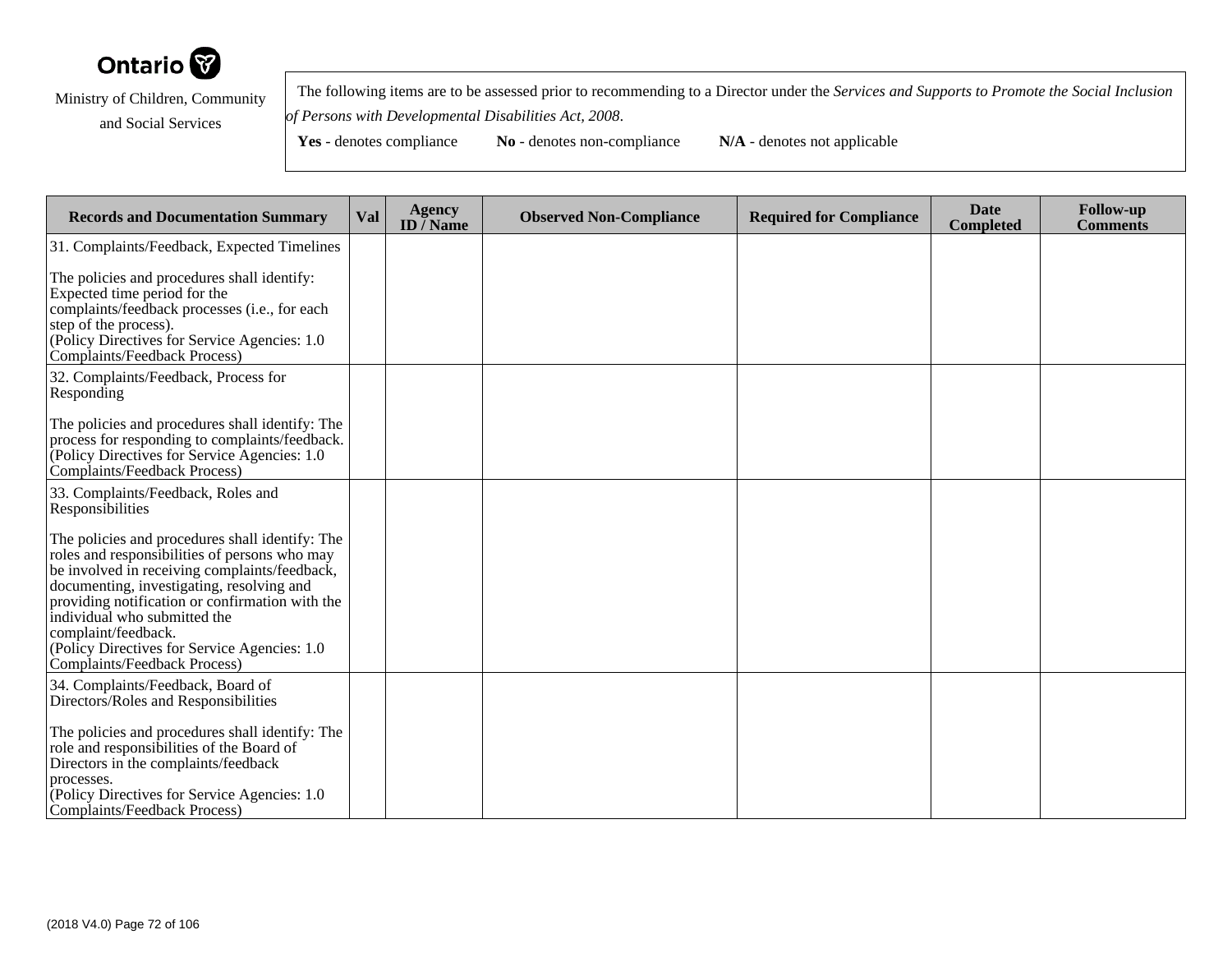

 The following items are to be assessed prior to recommending to a Director under the *Services and Supports to Promote the Social Inclusionof Persons with Developmental Disabilities Act, 2008*.

| <b>Records and Documentation Summary</b>                                                                                                                                                                                                                                                                                                                                                  | <b>Val</b> | <b>Agency</b><br>ID $\overline{}/$ Name | <b>Observed Non-Compliance</b> | <b>Required for Compliance</b> | <b>Date</b><br><b>Completed</b> | <b>Follow-up</b><br><b>Comments</b> |
|-------------------------------------------------------------------------------------------------------------------------------------------------------------------------------------------------------------------------------------------------------------------------------------------------------------------------------------------------------------------------------------------|------------|-----------------------------------------|--------------------------------|--------------------------------|---------------------------------|-------------------------------------|
| 31. Complaints/Feedback, Expected Timelines                                                                                                                                                                                                                                                                                                                                               |            |                                         |                                |                                |                                 |                                     |
| The policies and procedures shall identify:<br>Expected time period for the<br>complaints/feedback processes (i.e., for each<br>step of the process).<br>(Policy Directives for Service Agencies: 1.0)<br>Complaints/Feedback Process)                                                                                                                                                    |            |                                         |                                |                                |                                 |                                     |
| 32. Complaints/Feedback, Process for<br>Responding                                                                                                                                                                                                                                                                                                                                        |            |                                         |                                |                                |                                 |                                     |
| The policies and procedures shall identify: The<br>process for responding to complaints/feedback.<br>(Policy Directives for Service Agencies: 1.0)<br>Complaints/Feedback Process)                                                                                                                                                                                                        |            |                                         |                                |                                |                                 |                                     |
| 33. Complaints/Feedback, Roles and<br>Responsibilities                                                                                                                                                                                                                                                                                                                                    |            |                                         |                                |                                |                                 |                                     |
| The policies and procedures shall identify: The<br>roles and responsibilities of persons who may<br>be involved in receiving complaints/feedback,<br>documenting, investigating, resolving and<br>providing notification or confirmation with the<br>individual who submitted the<br>complaint/feedback.<br>(Policy Directives for Service Agencies: 1.0)<br>Complaints/Feedback Process) |            |                                         |                                |                                |                                 |                                     |
| 34. Complaints/Feedback, Board of<br>Directors/Roles and Responsibilities                                                                                                                                                                                                                                                                                                                 |            |                                         |                                |                                |                                 |                                     |
| The policies and procedures shall identify: The<br>role and responsibilities of the Board of<br>Directors in the complaints/feedback<br>processes.<br>$[$ (Policy Directives for Service Agencies: 1.0)<br>Complaints/Feedback Process)                                                                                                                                                   |            |                                         |                                |                                |                                 |                                     |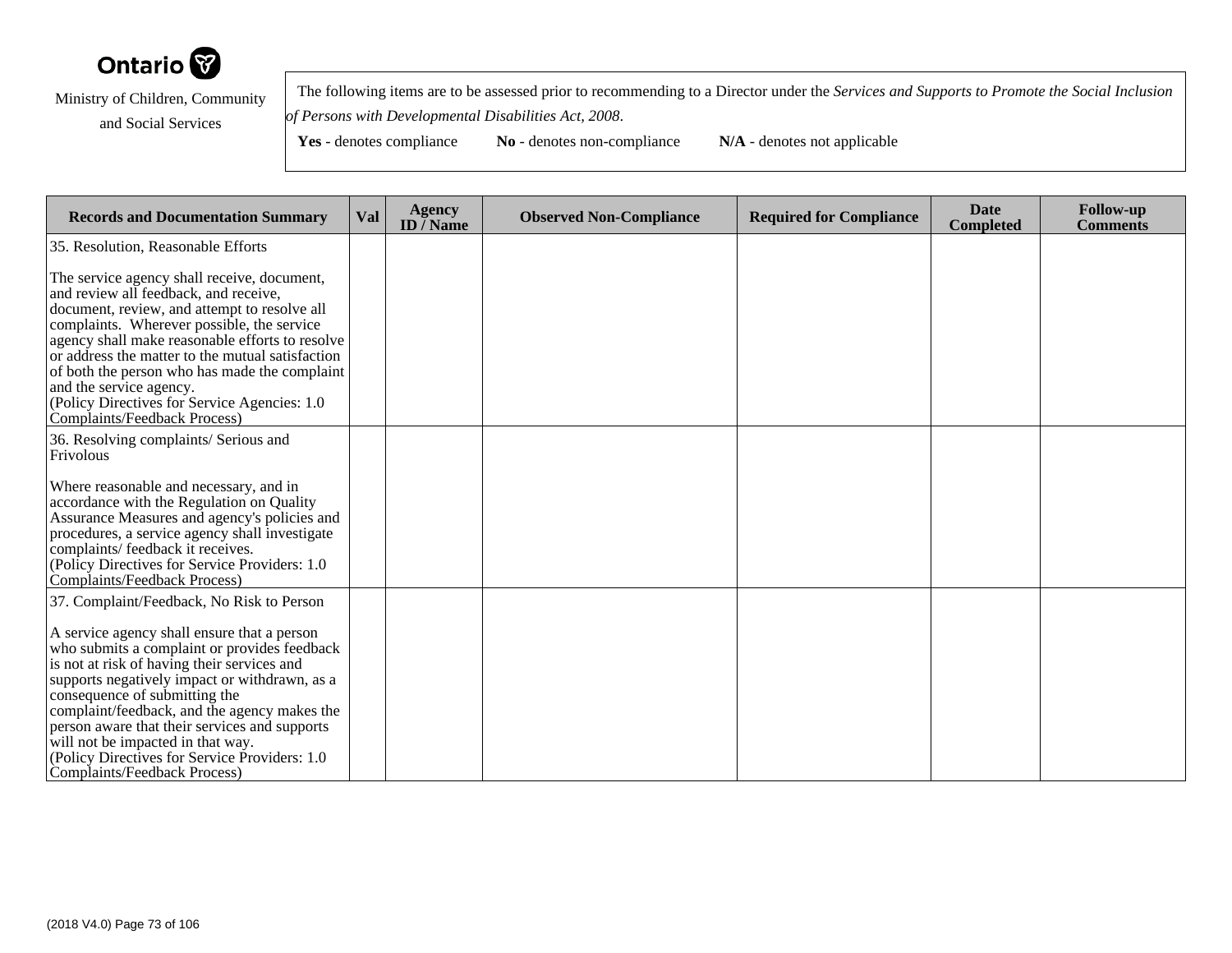

 The following items are to be assessed prior to recommending to a Director under the *Services and Supports to Promote the Social Inclusionof Persons with Developmental Disabilities Act, 2008*.

| <b>Records and Documentation Summary</b>                                                                                                                                                                                                                                                                                                                                                                                                               | Val | <b>Agency</b><br>ID $\overline{/}$ Name | <b>Observed Non-Compliance</b> | <b>Required for Compliance</b> | <b>Date</b><br><b>Completed</b> | <b>Follow-up</b><br><b>Comments</b> |
|--------------------------------------------------------------------------------------------------------------------------------------------------------------------------------------------------------------------------------------------------------------------------------------------------------------------------------------------------------------------------------------------------------------------------------------------------------|-----|-----------------------------------------|--------------------------------|--------------------------------|---------------------------------|-------------------------------------|
| 35. Resolution, Reasonable Efforts                                                                                                                                                                                                                                                                                                                                                                                                                     |     |                                         |                                |                                |                                 |                                     |
| The service agency shall receive, document,<br>and review all feedback, and receive,<br>document, review, and attempt to resolve all<br>complaints. Wherever possible, the service<br>agency shall make reasonable efforts to resolve<br>or address the matter to the mutual satisfaction<br>of both the person who has made the complaint<br>and the service agency.<br>(Policy Directives for Service Agencies: 1.0)<br>Complaints/Feedback Process) |     |                                         |                                |                                |                                 |                                     |
| 36. Resolving complaints/ Serious and<br>Frivolous                                                                                                                                                                                                                                                                                                                                                                                                     |     |                                         |                                |                                |                                 |                                     |
| Where reasonable and necessary, and in<br>accordance with the Regulation on Quality<br>Assurance Measures and agency's policies and<br>procedures, a service agency shall investigate<br>complaints/ feedback it receives.<br>(Policy Directives for Service Providers: 1.0)<br>Complaints/Feedback Process)                                                                                                                                           |     |                                         |                                |                                |                                 |                                     |
| 37. Complaint/Feedback, No Risk to Person                                                                                                                                                                                                                                                                                                                                                                                                              |     |                                         |                                |                                |                                 |                                     |
| A service agency shall ensure that a person<br>who submits a complaint or provides feedback<br>is not at risk of having their services and<br>supports negatively impact or withdrawn, as a<br>consequence of submitting the<br>complaint/feedback, and the agency makes the<br>person aware that their services and supports<br>will not be impacted in that way.<br>(Policy Directives for Service Providers: 1.0)<br>Complaints/Feedback Process)   |     |                                         |                                |                                |                                 |                                     |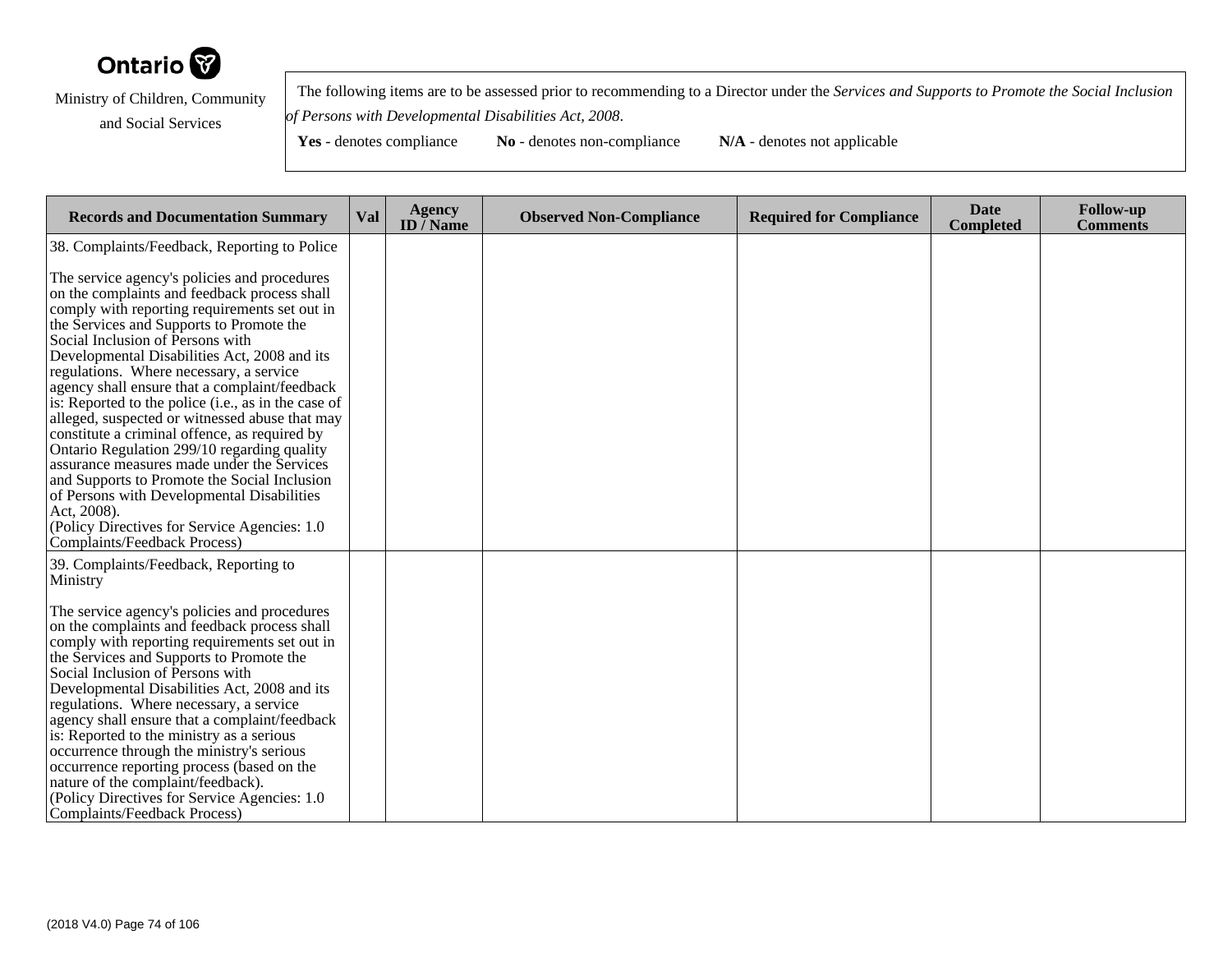

 The following items are to be assessed prior to recommending to a Director under the *Services and Supports to Promote the Social Inclusionof Persons with Developmental Disabilities Act, 2008*.

| <b>Records and Documentation Summary</b>                                                                                                                                                                                                                                                                                                                                                                                                                                                                                                                                                                                                                                                                                                                                                                                                                                       | Val | <b>Agency</b><br>ID $\bar{}/$ Name | <b>Observed Non-Compliance</b> | <b>Required for Compliance</b> | <b>Date</b><br><b>Completed</b> | <b>Follow-up</b><br><b>Comments</b> |
|--------------------------------------------------------------------------------------------------------------------------------------------------------------------------------------------------------------------------------------------------------------------------------------------------------------------------------------------------------------------------------------------------------------------------------------------------------------------------------------------------------------------------------------------------------------------------------------------------------------------------------------------------------------------------------------------------------------------------------------------------------------------------------------------------------------------------------------------------------------------------------|-----|------------------------------------|--------------------------------|--------------------------------|---------------------------------|-------------------------------------|
| 38. Complaints/Feedback, Reporting to Police<br>The service agency's policies and procedures<br>on the complaints and feedback process shall<br>comply with reporting requirements set out in<br>the Services and Supports to Promote the<br>Social Inclusion of Persons with<br>Developmental Disabilities Act, 2008 and its<br>regulations. Where necessary, a service<br>agency shall ensure that a complaint/feedback<br>is: Reported to the police (i.e., as in the case of<br>alleged, suspected or witnessed abuse that may<br>constitute a criminal offence, as required by<br>Ontario Regulation 299/10 regarding quality<br>assurance measures made under the Services<br>and Supports to Promote the Social Inclusion<br>of Persons with Developmental Disabilities<br>Act, 2008).<br>(Policy Directives for Service Agencies: 1.0)<br>Complaints/Feedback Process) |     |                                    |                                |                                |                                 |                                     |
| 39. Complaints/Feedback, Reporting to<br>Ministry<br>The service agency's policies and procedures<br>on the complaints and feedback process shall<br>comply with reporting requirements set out in<br>the Services and Supports to Promote the<br>Social Inclusion of Persons with<br>Developmental Disabilities Act, 2008 and its<br>regulations. Where necessary, a service<br>agency shall ensure that a complaint/feedback<br>is: Reported to the ministry as a serious<br>occurrence through the ministry's serious<br>occurrence reporting process (based on the<br>nature of the complaint/feedback).<br>(Policy Directives for Service Agencies: 1.0)<br>Complaints/Feedback Process)                                                                                                                                                                                  |     |                                    |                                |                                |                                 |                                     |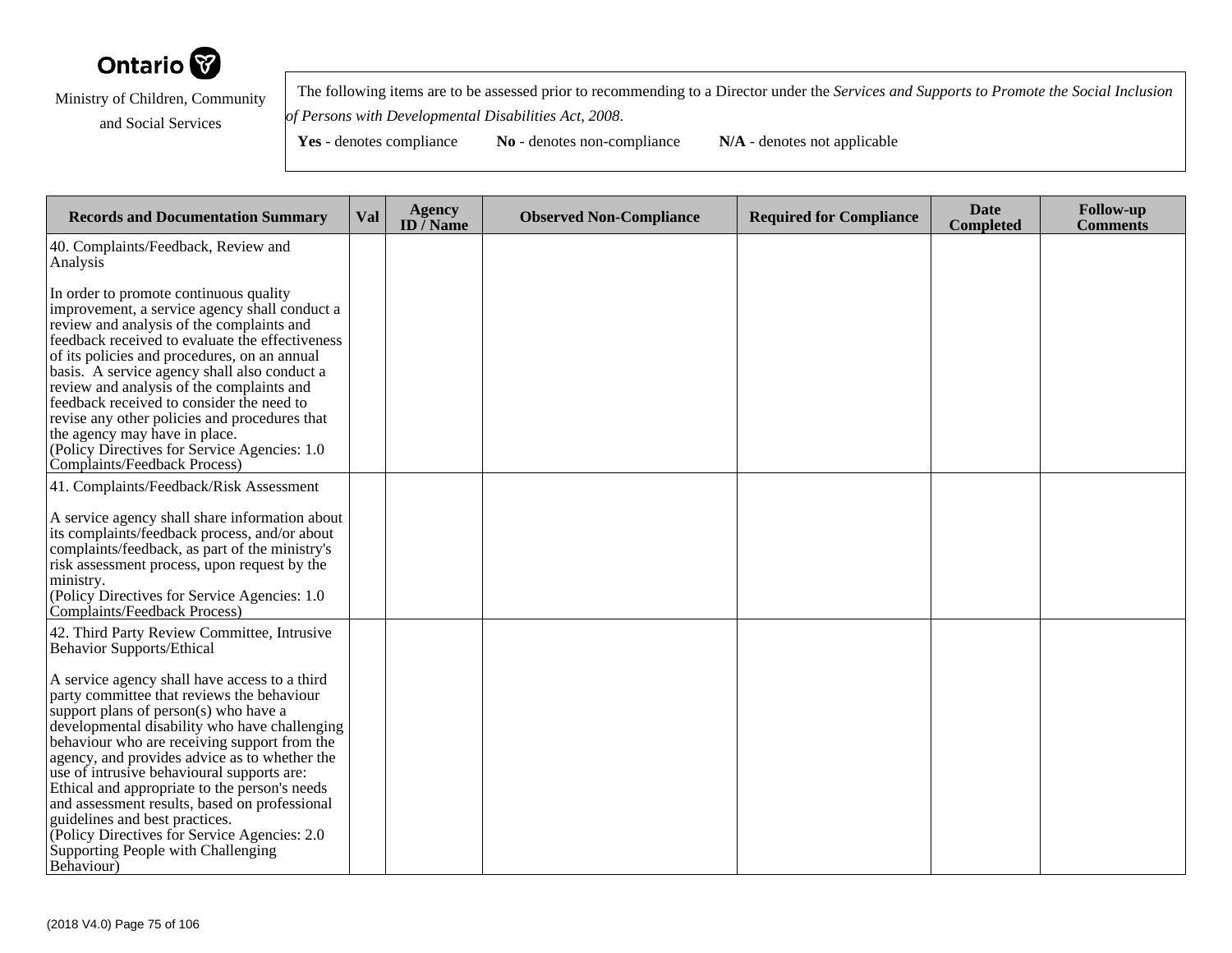

 The following items are to be assessed prior to recommending to a Director under the *Services and Supports to Promote the Social Inclusionof Persons with Developmental Disabilities Act, 2008*.

| <b>Records and Documentation Summary</b>                                                                                                                                                                                                                                                                                                                                                                                                                                                                                                                                                                                                                         | Val | <b>Agency</b><br>ID $\bar{}/$ Name | <b>Observed Non-Compliance</b> | <b>Required for Compliance</b> | <b>Date</b><br><b>Completed</b> | <b>Follow-up</b><br><b>Comments</b> |
|------------------------------------------------------------------------------------------------------------------------------------------------------------------------------------------------------------------------------------------------------------------------------------------------------------------------------------------------------------------------------------------------------------------------------------------------------------------------------------------------------------------------------------------------------------------------------------------------------------------------------------------------------------------|-----|------------------------------------|--------------------------------|--------------------------------|---------------------------------|-------------------------------------|
| 40. Complaints/Feedback, Review and<br>Analysis                                                                                                                                                                                                                                                                                                                                                                                                                                                                                                                                                                                                                  |     |                                    |                                |                                |                                 |                                     |
| In order to promote continuous quality<br>improvement, a service agency shall conduct a<br>review and analysis of the complaints and<br>feedback received to evaluate the effectiveness<br>of its policies and procedures, on an annual<br>basis. A service agency shall also conduct a<br>review and analysis of the complaints and<br>feedback received to consider the need to<br>revise any other policies and procedures that<br>the agency may have in place.<br>(Policy Directives for Service Agencies: 1.0)<br>Complaints/Feedback Process)                                                                                                             |     |                                    |                                |                                |                                 |                                     |
| 41. Complaints/Feedback/Risk Assessment<br>A service agency shall share information about<br>its complaints/feedback process, and/or about<br>complaints/feedback, as part of the ministry's<br>risk assessment process, upon request by the<br>ministry.<br>(Policy Directives for Service Agencies: 1.0)<br>Complaints/Feedback Process)                                                                                                                                                                                                                                                                                                                       |     |                                    |                                |                                |                                 |                                     |
| 42. Third Party Review Committee, Intrusive<br><b>Behavior Supports/Ethical</b><br>A service agency shall have access to a third<br>party committee that reviews the behaviour<br>support plans of person(s) who have a<br>developmental disability who have challenging<br>behaviour who are receiving support from the<br>agency, and provides advice as to whether the<br>use of intrusive behavioural supports are:<br>Ethical and appropriate to the person's needs<br>and assessment results, based on professional<br>guidelines and best practices.<br>(Policy Directives for Service Agencies: 2.0)<br>Supporting People with Challenging<br>Behaviour) |     |                                    |                                |                                |                                 |                                     |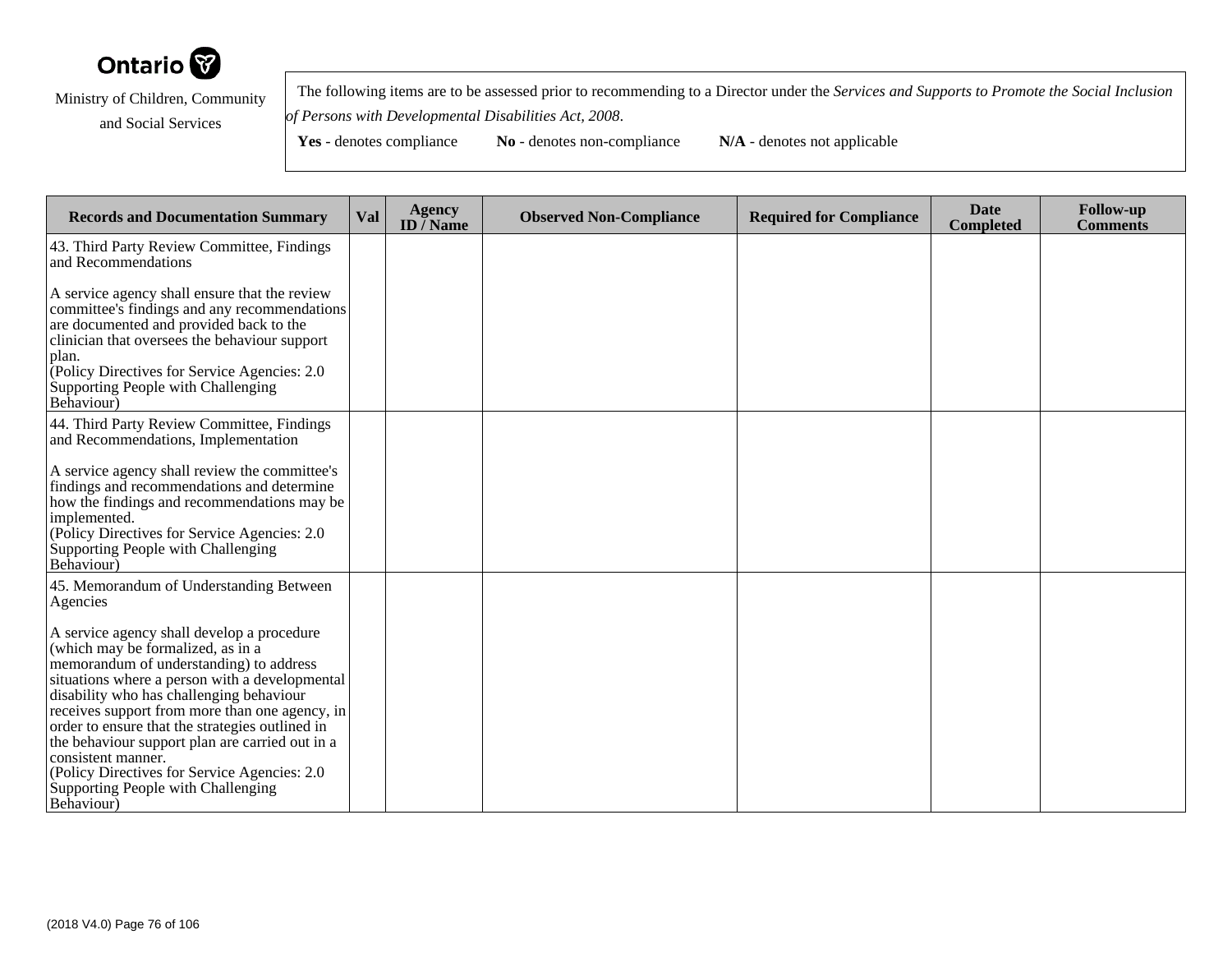

 The following items are to be assessed prior to recommending to a Director under the *Services and Supports to Promote the Social Inclusionof Persons with Developmental Disabilities Act, 2008*.

| <b>Records and Documentation Summary</b>                                                                                                                                                                                                                                                                                                                                                                                                                                                                    | Val | <b>Agency</b><br>ID $\bar{I}$ Name | <b>Observed Non-Compliance</b> | <b>Required for Compliance</b> | <b>Date</b><br><b>Completed</b> | <b>Follow-up</b><br><b>Comments</b> |
|-------------------------------------------------------------------------------------------------------------------------------------------------------------------------------------------------------------------------------------------------------------------------------------------------------------------------------------------------------------------------------------------------------------------------------------------------------------------------------------------------------------|-----|------------------------------------|--------------------------------|--------------------------------|---------------------------------|-------------------------------------|
| 43. Third Party Review Committee, Findings<br>and Recommendations                                                                                                                                                                                                                                                                                                                                                                                                                                           |     |                                    |                                |                                |                                 |                                     |
| A service agency shall ensure that the review<br>committee's findings and any recommendations<br>are documented and provided back to the<br>clinician that oversees the behaviour support<br>plan.<br>Policy Directives for Service Agencies: 2.0<br>Supporting People with Challenging<br>Behaviour)                                                                                                                                                                                                       |     |                                    |                                |                                |                                 |                                     |
| 44. Third Party Review Committee, Findings<br>and Recommendations, Implementation                                                                                                                                                                                                                                                                                                                                                                                                                           |     |                                    |                                |                                |                                 |                                     |
| A service agency shall review the committee's<br>findings and recommendations and determine<br>how the findings and recommendations may be<br>implemented.<br>(Policy Directives for Service Agencies: 2.0)<br>Supporting People with Challenging<br>Behaviour)                                                                                                                                                                                                                                             |     |                                    |                                |                                |                                 |                                     |
| 45. Memorandum of Understanding Between<br>Agencies                                                                                                                                                                                                                                                                                                                                                                                                                                                         |     |                                    |                                |                                |                                 |                                     |
| A service agency shall develop a procedure<br>(which may be formalized, as in a<br>memorandum of understanding) to address<br>situations where a person with a developmental<br>disability who has challenging behaviour<br>receives support from more than one agency, in<br>order to ensure that the strategies outlined in<br>the behaviour support plan are carried out in a<br>consistent manner.<br>(Policy Directives for Service Agencies: 2.0)<br>Supporting People with Challenging<br>Behaviour) |     |                                    |                                |                                |                                 |                                     |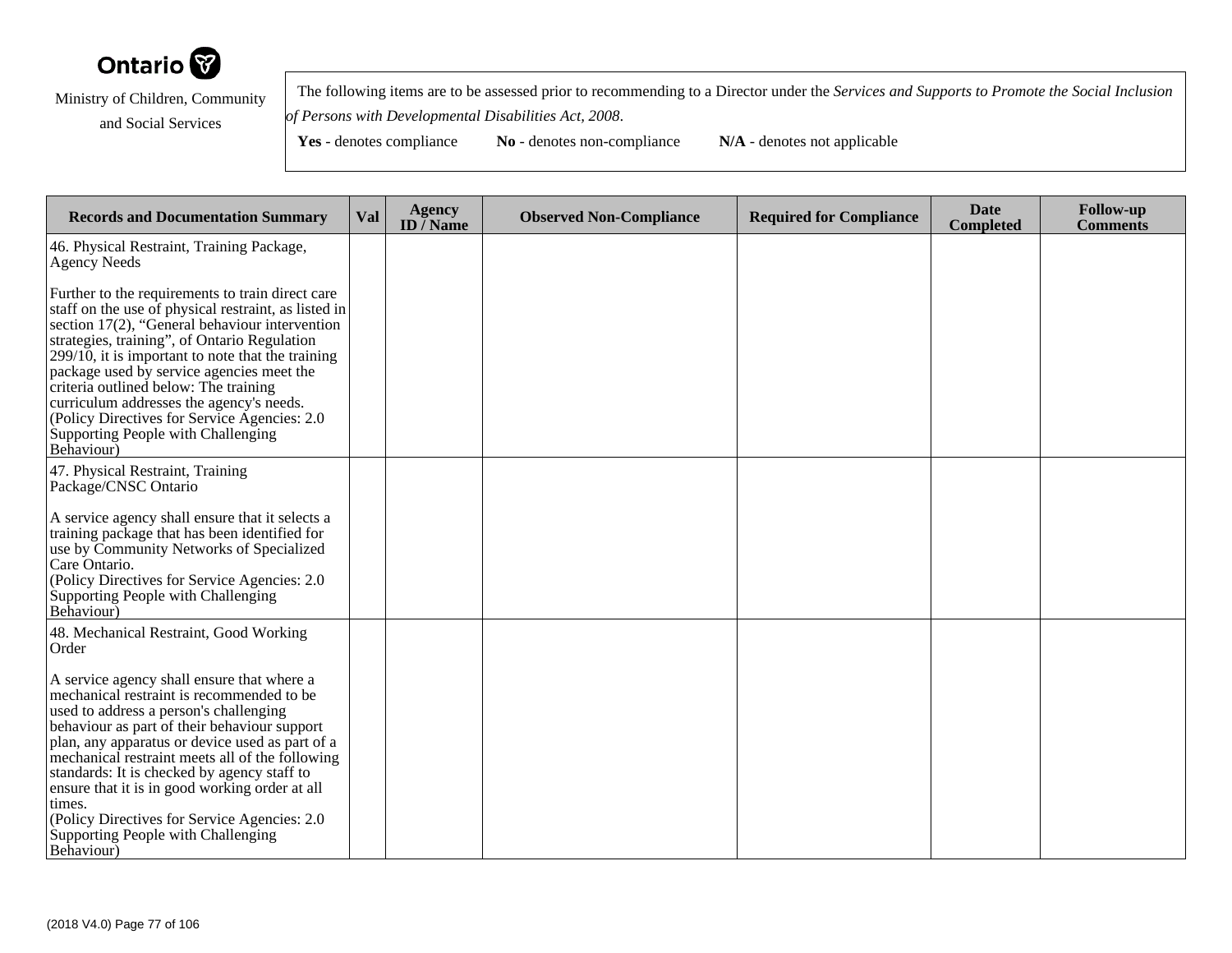

 The following items are to be assessed prior to recommending to a Director under the *Services and Supports to Promote the Social Inclusionof Persons with Developmental Disabilities Act, 2008*.

| <b>Records and Documentation Summary</b>                                                                                                                                                                                                                                                                                                                                                                                                                                                                  | Val | <b>Agency</b><br>ID $\overline{}/$ Name | <b>Observed Non-Compliance</b> | <b>Required for Compliance</b> | <b>Date</b><br><b>Completed</b> | <b>Follow-up</b><br><b>Comments</b> |
|-----------------------------------------------------------------------------------------------------------------------------------------------------------------------------------------------------------------------------------------------------------------------------------------------------------------------------------------------------------------------------------------------------------------------------------------------------------------------------------------------------------|-----|-----------------------------------------|--------------------------------|--------------------------------|---------------------------------|-------------------------------------|
| 46. Physical Restraint, Training Package,<br>Agency Needs                                                                                                                                                                                                                                                                                                                                                                                                                                                 |     |                                         |                                |                                |                                 |                                     |
| Further to the requirements to train direct care<br>staff on the use of physical restraint, as listed in<br>section 17(2), "General behaviour intervention<br>strategies, training", of Ontario Regulation<br>$299/10$ , it is important to note that the training<br>package used by service agencies meet the<br>criteria outlined below: The training<br>curriculum addresses the agency's needs.<br>(Policy Directives for Service Agencies: 2.0)<br>Supporting People with Challenging<br>Behaviour) |     |                                         |                                |                                |                                 |                                     |
| 47. Physical Restraint, Training<br>Package/CNSC Ontario                                                                                                                                                                                                                                                                                                                                                                                                                                                  |     |                                         |                                |                                |                                 |                                     |
| A service agency shall ensure that it selects a<br>training package that has been identified for<br>use by Community Networks of Specialized<br>Care Ontario.<br>(Policy Directives for Service Agencies: 2.0)<br>Supporting People with Challenging<br>Behaviour)                                                                                                                                                                                                                                        |     |                                         |                                |                                |                                 |                                     |
| 48. Mechanical Restraint, Good Working<br>Order                                                                                                                                                                                                                                                                                                                                                                                                                                                           |     |                                         |                                |                                |                                 |                                     |
| A service agency shall ensure that where a<br>mechanical restraint is recommended to be<br>used to address a person's challenging<br>behaviour as part of their behaviour support<br>plan, any apparatus or device used as part of a<br>mechanical restraint meets all of the following<br>standards: It is checked by agency staff to<br>ensure that it is in good working order at all<br>times.<br>(Policy Directives for Service Agencies: 2.0)<br>Supporting People with Challenging<br>Behaviour)   |     |                                         |                                |                                |                                 |                                     |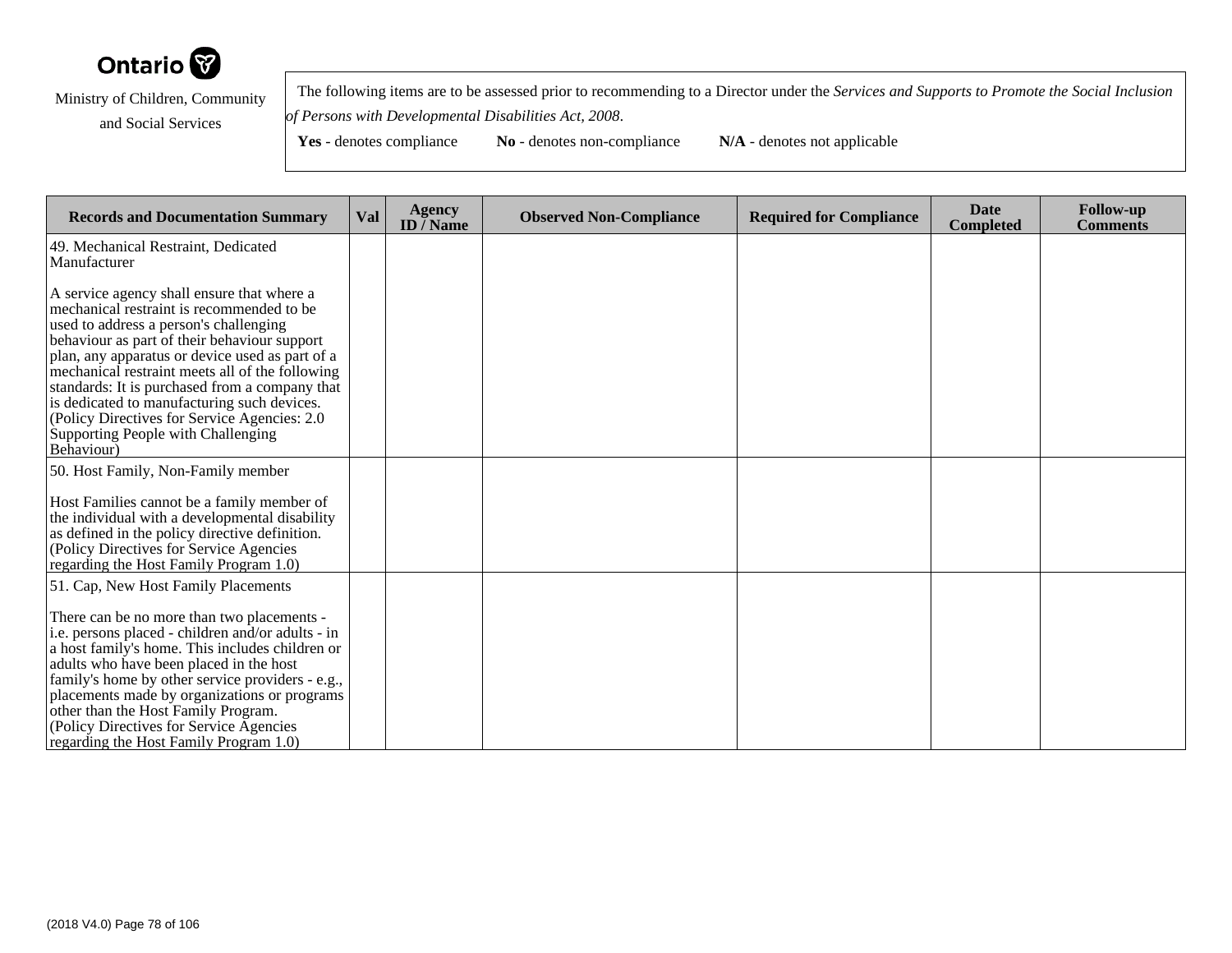

 The following items are to be assessed prior to recommending to a Director under the *Services and Supports to Promote the Social Inclusionof Persons with Developmental Disabilities Act, 2008*.

**Yes** - denotes compliance **No** - denotes non-compliance **N/A** - denotes not applicable

**Records and Documentation Summary Val Agency ID / NameObserved Non-Compliance Required for Compliance Date Completed Follow-up Comments** 49. Mechanical Restraint, DedicatedManufacturerA service agency shall ensure that where a mechanical restraint is recommended to beused to address a person's challenging behaviour as part of their behaviour support plan, any apparatus or device used as part of a mechanical restraint meets all of the following standards: It is purchased from a company thatis dedicated to manufacturing such devices. (Policy Directives for Service Agencies: 2.0Supporting People with ChallengingBehaviour)50. Host Family, Non-Family memberHost Families cannot be a family member of the individual with a developmental disabilityas defined in the policy directive definition.(Policy Directives for Service Agencies regarding the Host Family Program 1.0)51. Cap, New Host Family PlacementsThere can be no more than two placements i.e. persons placed - children and/or adults - in a host family's home. This includes children oradults who have been placed in the host family's home by other service providers - e.g., placements made by organizations or programsother than the Host Family Program. (Policy Directives for Service Agenciesregarding the Host Family Program 1.0)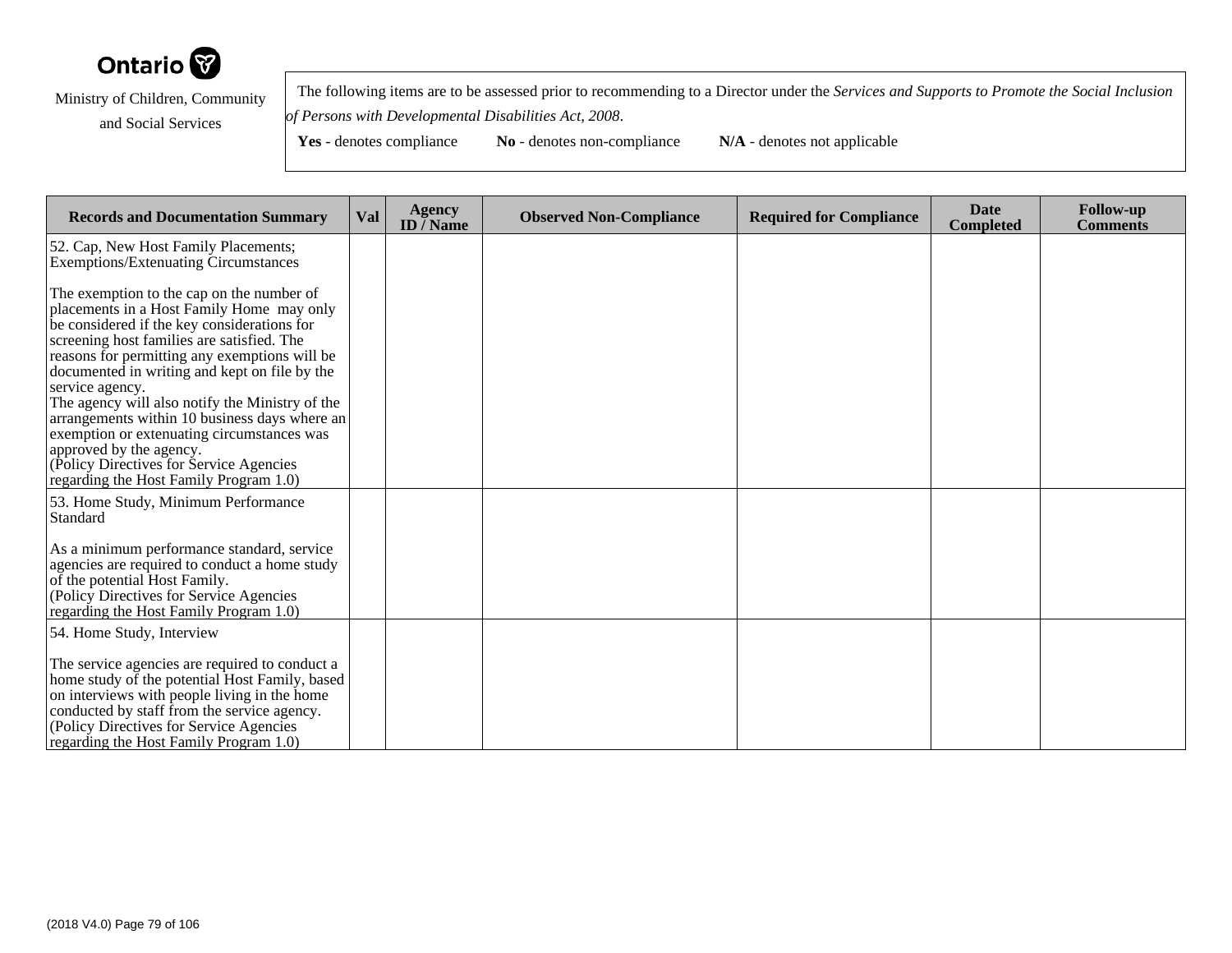

 The following items are to be assessed prior to recommending to a Director under the *Services and Supports to Promote the Social Inclusionof Persons with Developmental Disabilities Act, 2008*.

**Yes** - denotes compliance **No** - denotes non-compliance **N/A** - denotes not applicable

**Records and Documentation Summary Val Agency ID / NameObserved Non-Compliance Required for Compliance Date Completed Follow-up Comments** 52. Cap, New Host Family Placements; Exemptions/Extenuating CircumstancesThe exemption to the cap on the number of placements in a Host Family Home may onlybe considered if the key considerations forscreening host families are satisfied. The reasons for permitting any exemptions will be documented in writing and kept on file by theservice agency. The agency will also notify the Ministry of the arrangements within 10 business days where anexemption or extenuating circumstances wasapproved by the agency. (Policy Directives for Service Agencies regarding the Host Family Program 1.0)53. Home Study, Minimum PerformanceStandardAs a minimum performance standard, service agencies are required to conduct a home studyof the potential Host Family. (Policy Directives for Service Agencies regarding the Host Family Program 1.0)54. Home Study, InterviewThe service agencies are required to conduct a home study of the potential Host Family, basedon interviews with people living in the home conducted by staff from the service agency.(Policy Directives for Service Agenciesregarding the Host Family Program 1.0)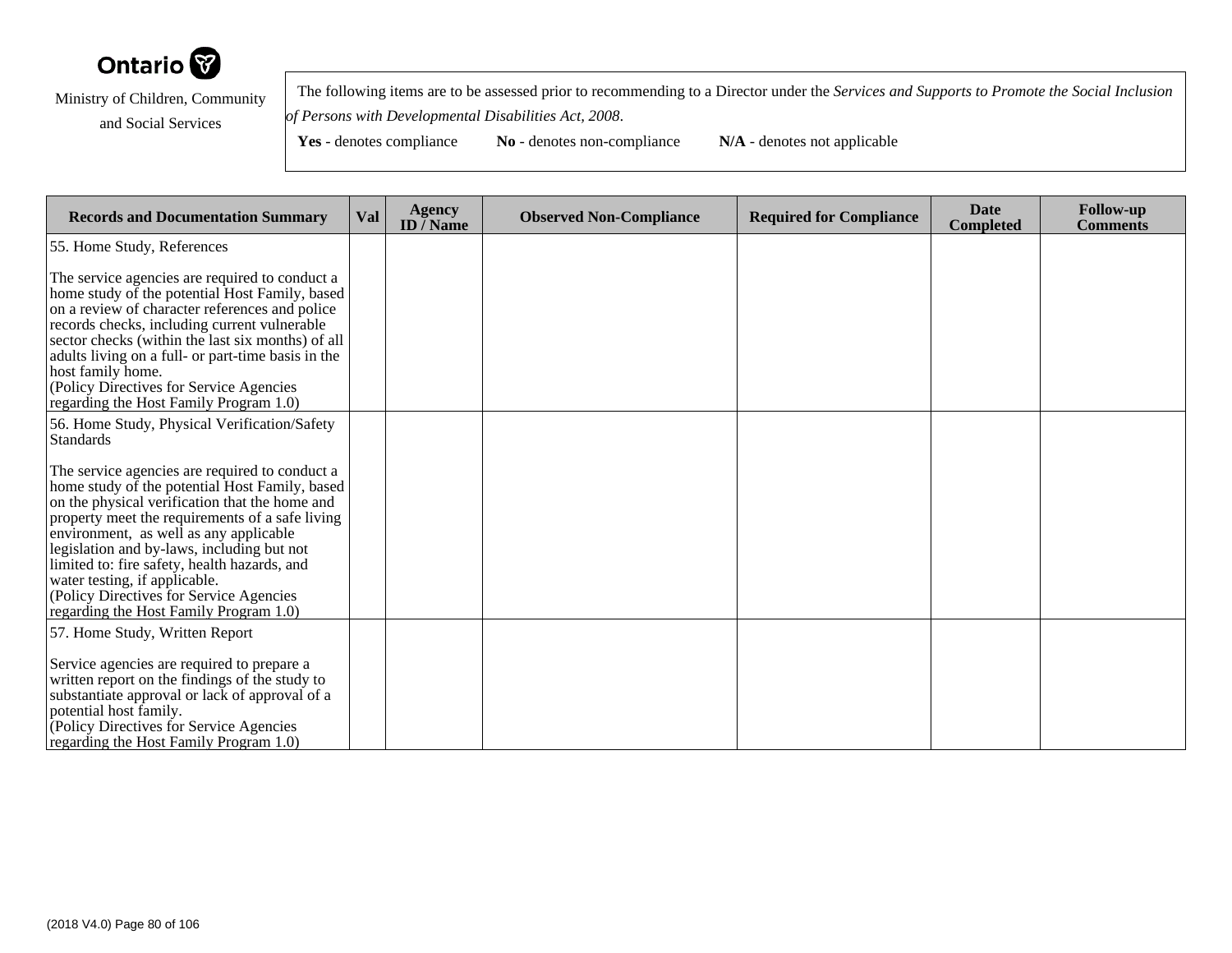

 The following items are to be assessed prior to recommending to a Director under the *Services and Supports to Promote the Social Inclusionof Persons with Developmental Disabilities Act, 2008*.

| <b>Records and Documentation Summary</b>                                                                                                                                                                                                                                                                                                                                                                                                                             | Val | <b>Agency</b><br>ID $\bar{}/$ Name | <b>Observed Non-Compliance</b> | <b>Required for Compliance</b> | <b>Date</b><br><b>Completed</b> | <b>Follow-up</b><br><b>Comments</b> |
|----------------------------------------------------------------------------------------------------------------------------------------------------------------------------------------------------------------------------------------------------------------------------------------------------------------------------------------------------------------------------------------------------------------------------------------------------------------------|-----|------------------------------------|--------------------------------|--------------------------------|---------------------------------|-------------------------------------|
| 55. Home Study, References                                                                                                                                                                                                                                                                                                                                                                                                                                           |     |                                    |                                |                                |                                 |                                     |
| The service agencies are required to conduct a<br>home study of the potential Host Family, based<br>on a review of character references and police<br>records checks, including current vulnerable<br>sector checks (within the last six months) of all<br>adults living on a full- or part-time basis in the<br>host family home.<br>(Policy Directives for Service Agencies)<br>regarding the Host Family Program 1.0)                                             |     |                                    |                                |                                |                                 |                                     |
| 56. Home Study, Physical Verification/Safety<br><b>Standards</b>                                                                                                                                                                                                                                                                                                                                                                                                     |     |                                    |                                |                                |                                 |                                     |
| The service agencies are required to conduct a<br>home study of the potential Host Family, based<br>on the physical verification that the home and<br>property meet the requirements of a safe living<br>environment, as well as any applicable<br>legislation and by-laws, including but not<br>limited to: fire safety, health hazards, and<br>water testing, if applicable.<br>(Policy Directives for Service Agencies)<br>regarding the Host Family Program 1.0) |     |                                    |                                |                                |                                 |                                     |
| 57. Home Study, Written Report<br>Service agencies are required to prepare a<br>written report on the findings of the study to<br>substantiate approval or lack of approval of a<br>potential host family.<br>(Policy Directives for Service Agencies)<br>regarding the Host Family Program 1.0                                                                                                                                                                      |     |                                    |                                |                                |                                 |                                     |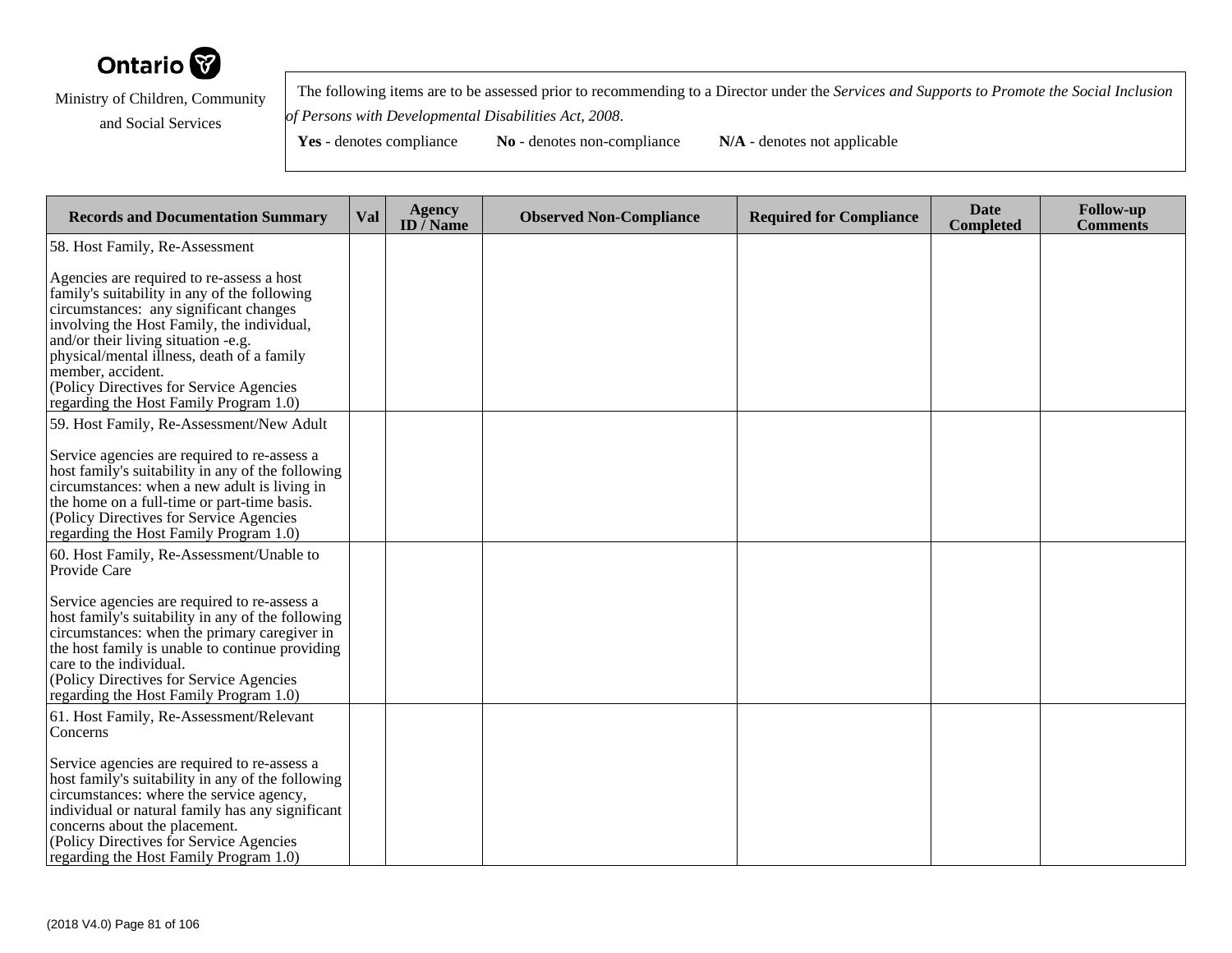

 The following items are to be assessed prior to recommending to a Director under the *Services and Supports to Promote the Social Inclusionof Persons with Developmental Disabilities Act, 2008*.

| <b>Records and Documentation Summary</b>                                                                                                                                                                                                                                                                                                                                         | Val | <b>Agency</b><br>ID $\bar{}/$ Name | <b>Observed Non-Compliance</b> | <b>Required for Compliance</b> | <b>Date</b><br><b>Completed</b> | <b>Follow-up</b><br><b>Comments</b> |
|----------------------------------------------------------------------------------------------------------------------------------------------------------------------------------------------------------------------------------------------------------------------------------------------------------------------------------------------------------------------------------|-----|------------------------------------|--------------------------------|--------------------------------|---------------------------------|-------------------------------------|
| 58. Host Family, Re-Assessment                                                                                                                                                                                                                                                                                                                                                   |     |                                    |                                |                                |                                 |                                     |
| Agencies are required to re-assess a host<br>family's suitability in any of the following<br>circumstances: any significant changes<br>involving the Host Family, the individual,<br>and/or their living situation -e.g.<br>physical/mental illness, death of a family<br>member, accident.<br>(Policy Directives for Service Agencies<br>regarding the Host Family Program 1.0) |     |                                    |                                |                                |                                 |                                     |
| 59. Host Family, Re-Assessment/New Adult                                                                                                                                                                                                                                                                                                                                         |     |                                    |                                |                                |                                 |                                     |
| Service agencies are required to re-assess a<br>host family's suitability in any of the following<br>circumstances: when a new adult is living in<br>the home on a full-time or part-time basis.<br>(Policy Directives for Service Agencies<br>regarding the Host Family Program 1.0)                                                                                            |     |                                    |                                |                                |                                 |                                     |
| 60. Host Family, Re-Assessment/Unable to<br>Provide Care                                                                                                                                                                                                                                                                                                                         |     |                                    |                                |                                |                                 |                                     |
| Service agencies are required to re-assess a<br>host family's suitability in any of the following<br>circumstances: when the primary caregiver in<br>the host family is unable to continue providing<br>care to the individual.<br>(Policy Directives for Service Agencies<br>regarding the Host Family Program 1.0)                                                             |     |                                    |                                |                                |                                 |                                     |
| 61. Host Family, Re-Assessment/Relevant<br>Concerns                                                                                                                                                                                                                                                                                                                              |     |                                    |                                |                                |                                 |                                     |
| Service agencies are required to re-assess a<br>host family's suitability in any of the following<br>circumstances: where the service agency,<br>individual or natural family has any significant<br>concerns about the placement.<br>(Policy Directives for Service Agencies<br>regarding the Host Family Program 1.0)                                                          |     |                                    |                                |                                |                                 |                                     |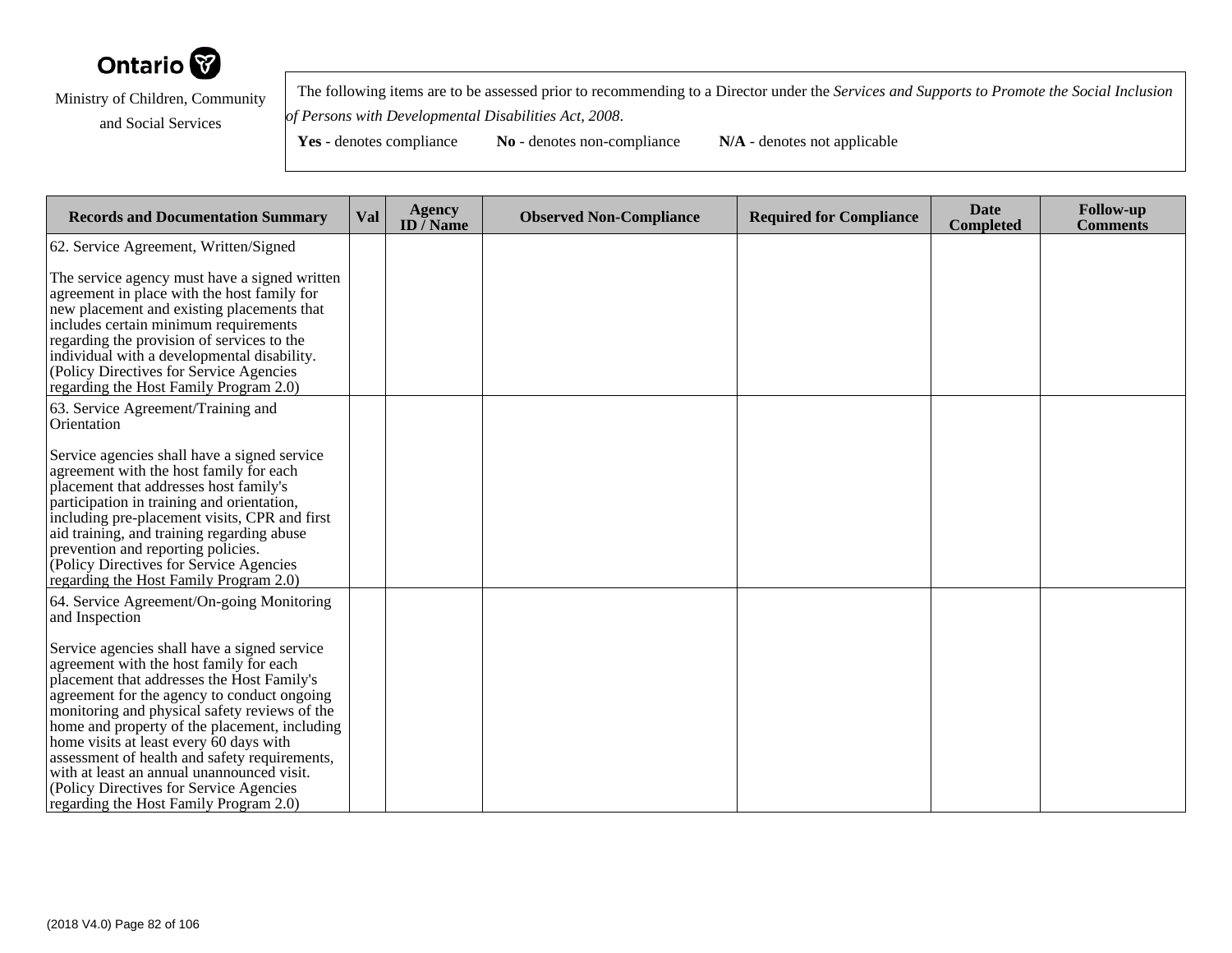

 The following items are to be assessed prior to recommending to a Director under the *Services and Supports to Promote the Social Inclusionof Persons with Developmental Disabilities Act, 2008*.

| <b>Records and Documentation Summary</b>                                                                                                                                                                                                                                                                                                                                                                                                                                                                              | Val | <b>Agency</b><br>ID $\bar{}/$ Name | <b>Observed Non-Compliance</b> | <b>Required for Compliance</b> | <b>Date</b><br><b>Completed</b> | <b>Follow-up</b><br><b>Comments</b> |
|-----------------------------------------------------------------------------------------------------------------------------------------------------------------------------------------------------------------------------------------------------------------------------------------------------------------------------------------------------------------------------------------------------------------------------------------------------------------------------------------------------------------------|-----|------------------------------------|--------------------------------|--------------------------------|---------------------------------|-------------------------------------|
| 62. Service Agreement, Written/Signed                                                                                                                                                                                                                                                                                                                                                                                                                                                                                 |     |                                    |                                |                                |                                 |                                     |
| The service agency must have a signed written<br>agreement in place with the host family for<br>new placement and existing placements that<br>includes certain minimum requirements<br>regarding the provision of services to the<br>individual with a developmental disability.<br>(Policy Directives for Service Agencies)<br>regarding the Host Family Program 2.0)                                                                                                                                                |     |                                    |                                |                                |                                 |                                     |
| 63. Service Agreement/Training and<br>Orientation                                                                                                                                                                                                                                                                                                                                                                                                                                                                     |     |                                    |                                |                                |                                 |                                     |
| Service agencies shall have a signed service<br>agreement with the host family for each<br>placement that addresses host family's<br>participation in training and orientation,<br>including pre-placement visits, CPR and first<br>aid training, and training regarding abuse<br>prevention and reporting policies.<br>(Policy Directives for Service Agencies<br>regarding the Host Family Program 2.0)                                                                                                             |     |                                    |                                |                                |                                 |                                     |
| 64. Service Agreement/On-going Monitoring<br>and Inspection                                                                                                                                                                                                                                                                                                                                                                                                                                                           |     |                                    |                                |                                |                                 |                                     |
| Service agencies shall have a signed service<br>agreement with the host family for each<br>placement that addresses the Host Family's<br>agreement for the agency to conduct ongoing<br>monitoring and physical safety reviews of the<br>home and property of the placement, including<br>home visits at least every 60 days with<br>assessment of health and safety requirements,<br>with at least an annual unannounced visit.<br>(Policy Directives for Service Agencies<br>regarding the Host Family Program 2.0) |     |                                    |                                |                                |                                 |                                     |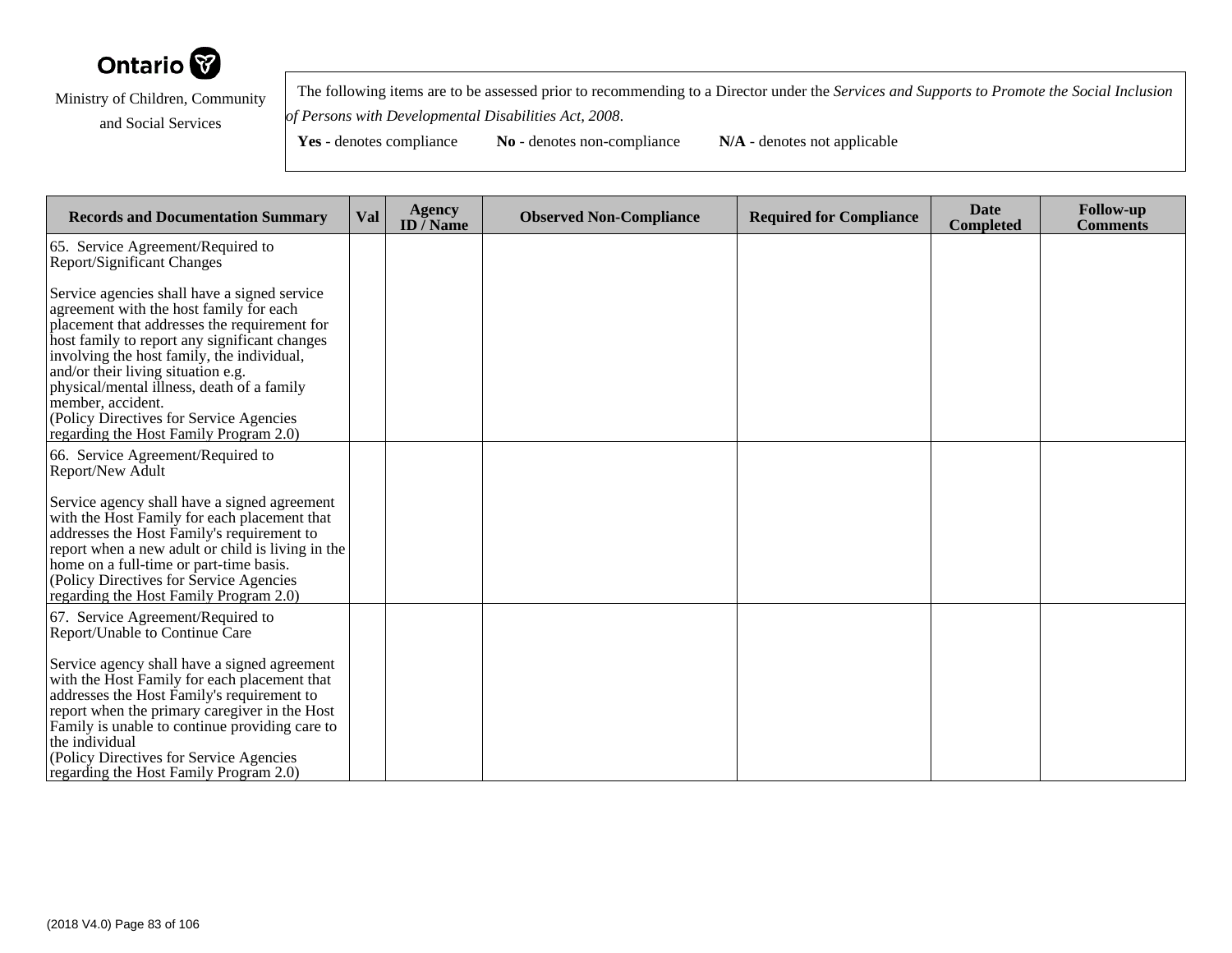

 The following items are to be assessed prior to recommending to a Director under the *Services and Supports to Promote the Social Inclusionof Persons with Developmental Disabilities Act, 2008*.

| <b>Records and Documentation Summary</b>                                                                                                                                                                                                                                                                                                                                                                                             | <b>Val</b> | <b>Agency</b><br>ID $\bar{}/$ Name | <b>Observed Non-Compliance</b> | <b>Required for Compliance</b> | <b>Date</b><br><b>Completed</b> | <b>Follow-up</b><br><b>Comments</b> |
|--------------------------------------------------------------------------------------------------------------------------------------------------------------------------------------------------------------------------------------------------------------------------------------------------------------------------------------------------------------------------------------------------------------------------------------|------------|------------------------------------|--------------------------------|--------------------------------|---------------------------------|-------------------------------------|
| 65. Service Agreement/Required to<br><b>Report/Significant Changes</b>                                                                                                                                                                                                                                                                                                                                                               |            |                                    |                                |                                |                                 |                                     |
| Service agencies shall have a signed service<br>agreement with the host family for each<br>placement that addresses the requirement for<br>host family to report any significant changes<br>involving the host family, the individual,<br>and/or their living situation e.g.<br>physical/mental illness, death of a family<br>member, accident.<br>(Policy Directives for Service Agencies<br>regarding the Host Family Program 2.0) |            |                                    |                                |                                |                                 |                                     |
| 66. Service Agreement/Required to<br>Report/New Adult                                                                                                                                                                                                                                                                                                                                                                                |            |                                    |                                |                                |                                 |                                     |
| Service agency shall have a signed agreement<br>with the Host Family for each placement that<br>addresses the Host Family's requirement to<br>report when a new adult or child is living in the<br>home on a full-time or part-time basis.<br>(Policy Directives for Service Agencies)<br>regarding the Host Family Program 2.0)                                                                                                     |            |                                    |                                |                                |                                 |                                     |
| 67. Service Agreement/Required to<br>Report/Unable to Continue Care                                                                                                                                                                                                                                                                                                                                                                  |            |                                    |                                |                                |                                 |                                     |
| Service agency shall have a signed agreement<br>with the Host Family for each placement that<br>addresses the Host Family's requirement to<br>report when the primary caregiver in the Host<br>Family is unable to continue providing care to<br>the individual<br>(Policy Directives for Service Agencies)<br>regarding the Host Family Program 2.0)                                                                                |            |                                    |                                |                                |                                 |                                     |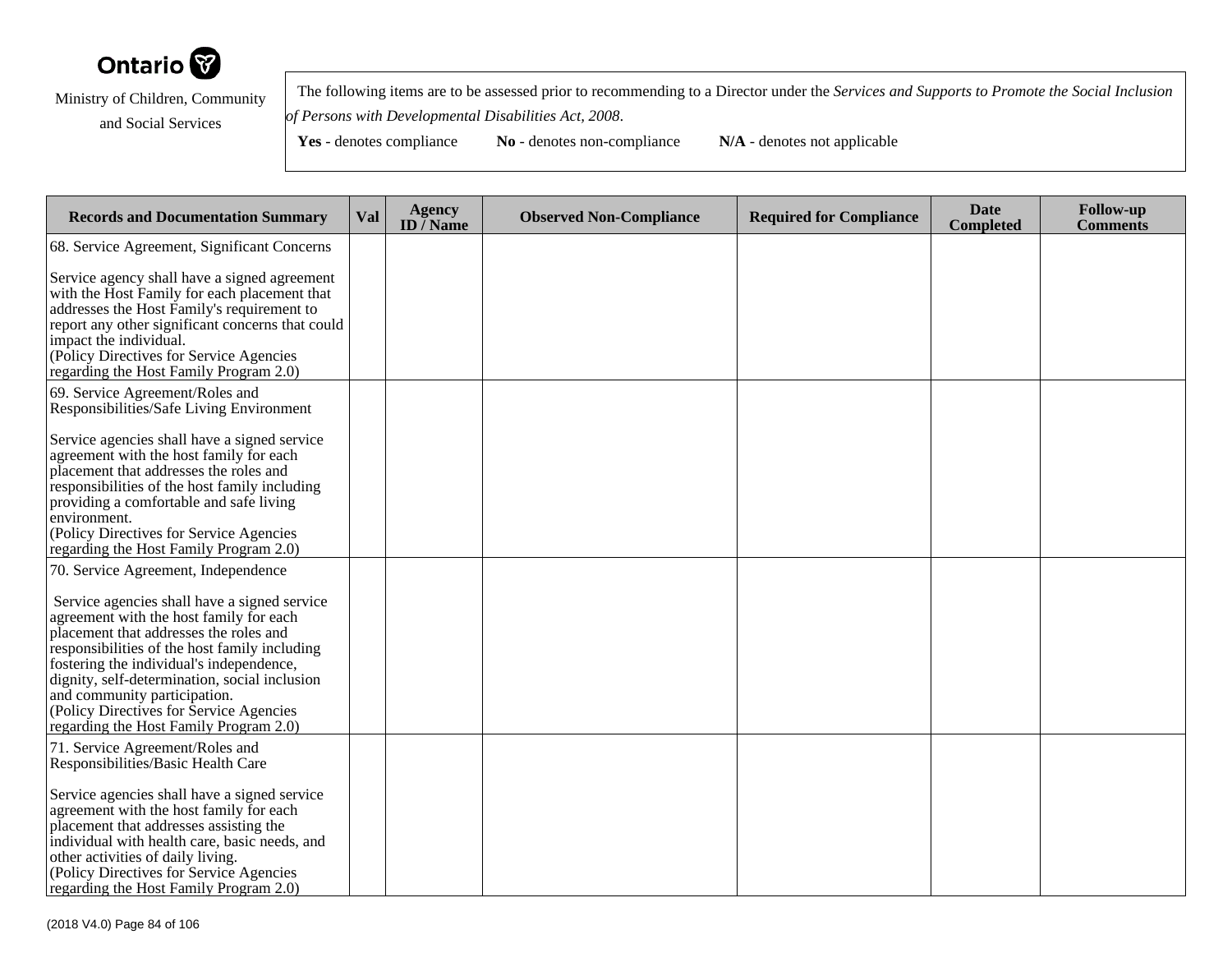

 The following items are to be assessed prior to recommending to a Director under the *Services and Supports to Promote the Social Inclusionof Persons with Developmental Disabilities Act, 2008*.

| <b>Records and Documentation Summary</b>                                                                                                                                                                              | Val | <b>Agency</b><br>ID $\overline{}/$ Name | <b>Observed Non-Compliance</b> | <b>Required for Compliance</b> | <b>Date</b><br><b>Completed</b> | <b>Follow-up</b><br><b>Comments</b> |
|-----------------------------------------------------------------------------------------------------------------------------------------------------------------------------------------------------------------------|-----|-----------------------------------------|--------------------------------|--------------------------------|---------------------------------|-------------------------------------|
| 68. Service Agreement, Significant Concerns                                                                                                                                                                           |     |                                         |                                |                                |                                 |                                     |
| Service agency shall have a signed agreement<br>with the Host Family for each placement that<br>addresses the Host Family's requirement to                                                                            |     |                                         |                                |                                |                                 |                                     |
| report any other significant concerns that could<br>impact the individual.<br>(Policy Directives for Service Agencies<br>regarding the Host Family Program 2.0)                                                       |     |                                         |                                |                                |                                 |                                     |
| 69. Service Agreement/Roles and<br>Responsibilities/Safe Living Environment                                                                                                                                           |     |                                         |                                |                                |                                 |                                     |
| Service agencies shall have a signed service<br>agreement with the host family for each<br>placement that addresses the roles and                                                                                     |     |                                         |                                |                                |                                 |                                     |
| responsibilities of the host family including<br>providing a comfortable and safe living<br>environment.<br>(Policy Directives for Service Agencies                                                                   |     |                                         |                                |                                |                                 |                                     |
| regarding the Host Family Program 2.0)<br>70. Service Agreement, Independence                                                                                                                                         |     |                                         |                                |                                |                                 |                                     |
| Service agencies shall have a signed service<br>agreement with the host family for each<br>placement that addresses the roles and                                                                                     |     |                                         |                                |                                |                                 |                                     |
| responsibilities of the host family including<br>fostering the individual's independence,<br>dignity, self-determination, social inclusion<br>and community participation.<br>(Policy Directives for Service Agencies |     |                                         |                                |                                |                                 |                                     |
| regarding the Host Family Program 2.0)                                                                                                                                                                                |     |                                         |                                |                                |                                 |                                     |
| 71. Service Agreement/Roles and<br>Responsibilities/Basic Health Care                                                                                                                                                 |     |                                         |                                |                                |                                 |                                     |
| Service agencies shall have a signed service<br>agreement with the host family for each<br>placement that addresses assisting the<br>individual with health care, basic needs, and                                    |     |                                         |                                |                                |                                 |                                     |
| other activities of daily living.<br>(Policy Directives for Service Agencies<br>regarding the Host Family Program 2.0)                                                                                                |     |                                         |                                |                                |                                 |                                     |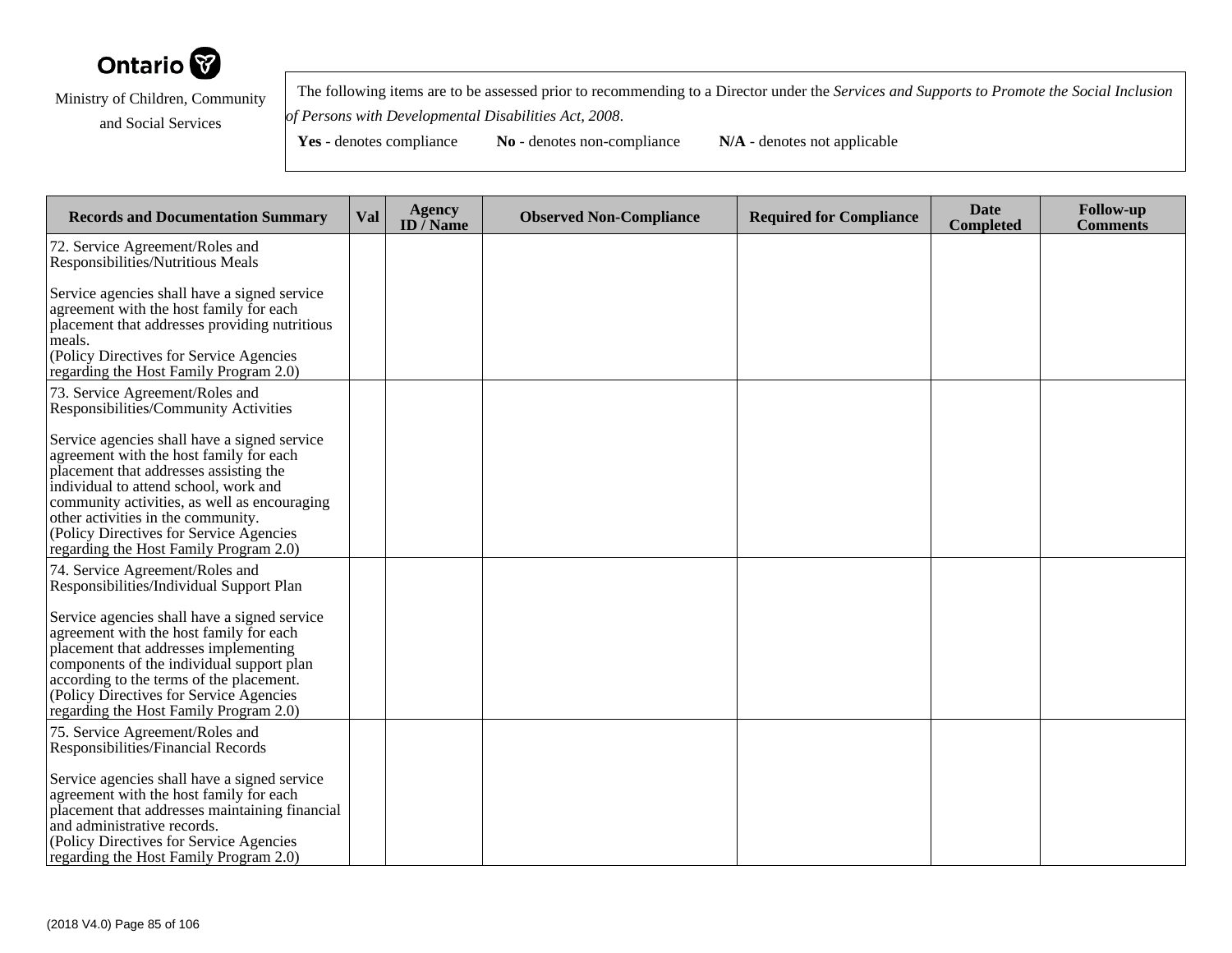

 The following items are to be assessed prior to recommending to a Director under the *Services and Supports to Promote the Social Inclusionof Persons with Developmental Disabilities Act, 2008*.

Yes - denotes compliance **No** - denotes non-compliance **N/A** - denotes not applicable

**Records and Documentation Summary Val Agency ID / NameObserved Non-Compliance Required for Compliance Date Completed Follow-up Comments** 72. Service Agreement/Roles and Responsibilities/Nutritious MealsService agencies shall have a signed serviceagreement with the host family for each placement that addresses providing nutritiousmeals. (Policy Directives for Service Agencies regarding the Host Family Program 2.0)73. Service Agreement/Roles and Responsibilities/Community ActivitiesService agencies shall have a signed serviceagreement with the host family for each placement that addresses assisting the individual to attend school, work and community activities, as well as encouragingother activities in the community. (Policy Directives for Service Agencies regarding the Host Family Program 2.0)74. Service Agreement/Roles and Responsibilities/Individual Support PlanService agencies shall have a signed serviceagreement with the host family for each placement that addresses implementing components of the individual support planaccording to the terms of the placement. (Policy Directives for Service Agencies regarding the Host Family Program 2.0)75. Service Agreement/Roles and Responsibilities/Financial RecordsService agencies shall have a signed serviceagreement with the host family for each placement that addresses maintaining financialand administrative records. (Policy Directives for Service Agenciesregarding the Host Family Program 2.0)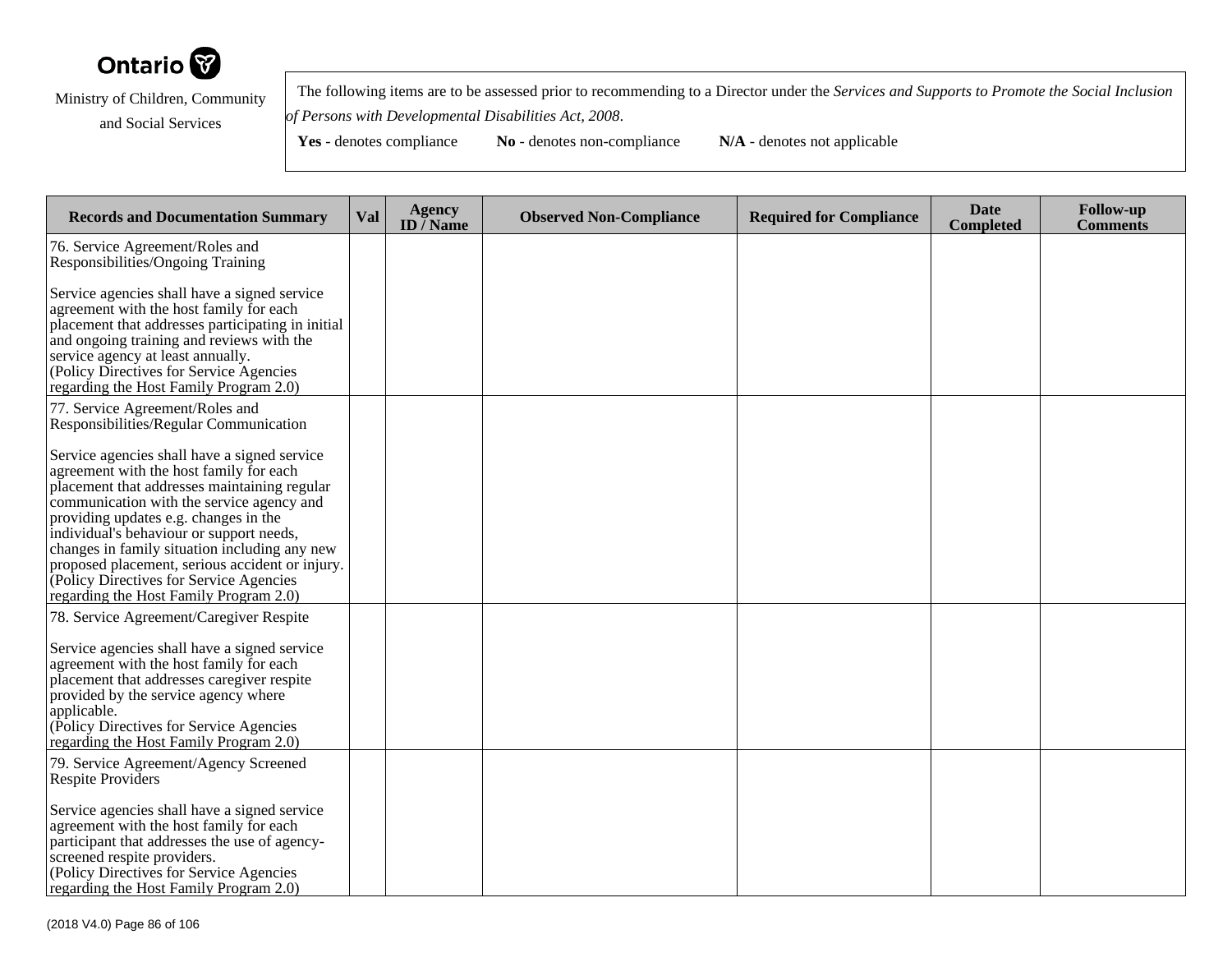

 The following items are to be assessed prior to recommending to a Director under the *Services and Supports to Promote the Social Inclusionof Persons with Developmental Disabilities Act, 2008*.

| <b>Records and Documentation Summary</b>                                                                                                                                                                                                                                                                                                                                                                                                                           | Val | <b>Agency</b><br>ID $\overline{}/$ Name | <b>Observed Non-Compliance</b> | <b>Required for Compliance</b> | <b>Date</b><br><b>Completed</b> | <b>Follow-up</b><br>Comments |
|--------------------------------------------------------------------------------------------------------------------------------------------------------------------------------------------------------------------------------------------------------------------------------------------------------------------------------------------------------------------------------------------------------------------------------------------------------------------|-----|-----------------------------------------|--------------------------------|--------------------------------|---------------------------------|------------------------------|
| 76. Service Agreement/Roles and<br>Responsibilities/Ongoing Training                                                                                                                                                                                                                                                                                                                                                                                               |     |                                         |                                |                                |                                 |                              |
| Service agencies shall have a signed service<br>agreement with the host family for each<br>placement that addresses participating in initial<br>and ongoing training and reviews with the<br>service agency at least annually.<br>(Policy Directives for Service Agencies)<br>regarding the Host Family Program 2.0)                                                                                                                                               |     |                                         |                                |                                |                                 |                              |
| 77. Service Agreement/Roles and<br>Responsibilities/Regular Communication                                                                                                                                                                                                                                                                                                                                                                                          |     |                                         |                                |                                |                                 |                              |
| Service agencies shall have a signed service<br>agreement with the host family for each<br>placement that addresses maintaining regular<br>communication with the service agency and<br>providing updates e.g. changes in the<br>individual's behaviour or support needs,<br>changes in family situation including any new<br>proposed placement, serious accident or injury.<br>(Policy Directives for Service Agencies<br>regarding the Host Family Program 2.0) |     |                                         |                                |                                |                                 |                              |
| 78. Service Agreement/Caregiver Respite<br>Service agencies shall have a signed service<br>agreement with the host family for each<br>placement that addresses caregiver respite<br>provided by the service agency where<br>applicable.<br>(Policy Directives for Service Agencies<br>regarding the Host Family Program 2.0)                                                                                                                                       |     |                                         |                                |                                |                                 |                              |
| 79. Service Agreement/Agency Screened<br>Respite Providers                                                                                                                                                                                                                                                                                                                                                                                                         |     |                                         |                                |                                |                                 |                              |
| Service agencies shall have a signed service<br>agreement with the host family for each<br>participant that addresses the use of agency-<br>screened respite providers.<br>(Policy Directives for Service Agencies<br>regarding the Host Family Program 2.0)                                                                                                                                                                                                       |     |                                         |                                |                                |                                 |                              |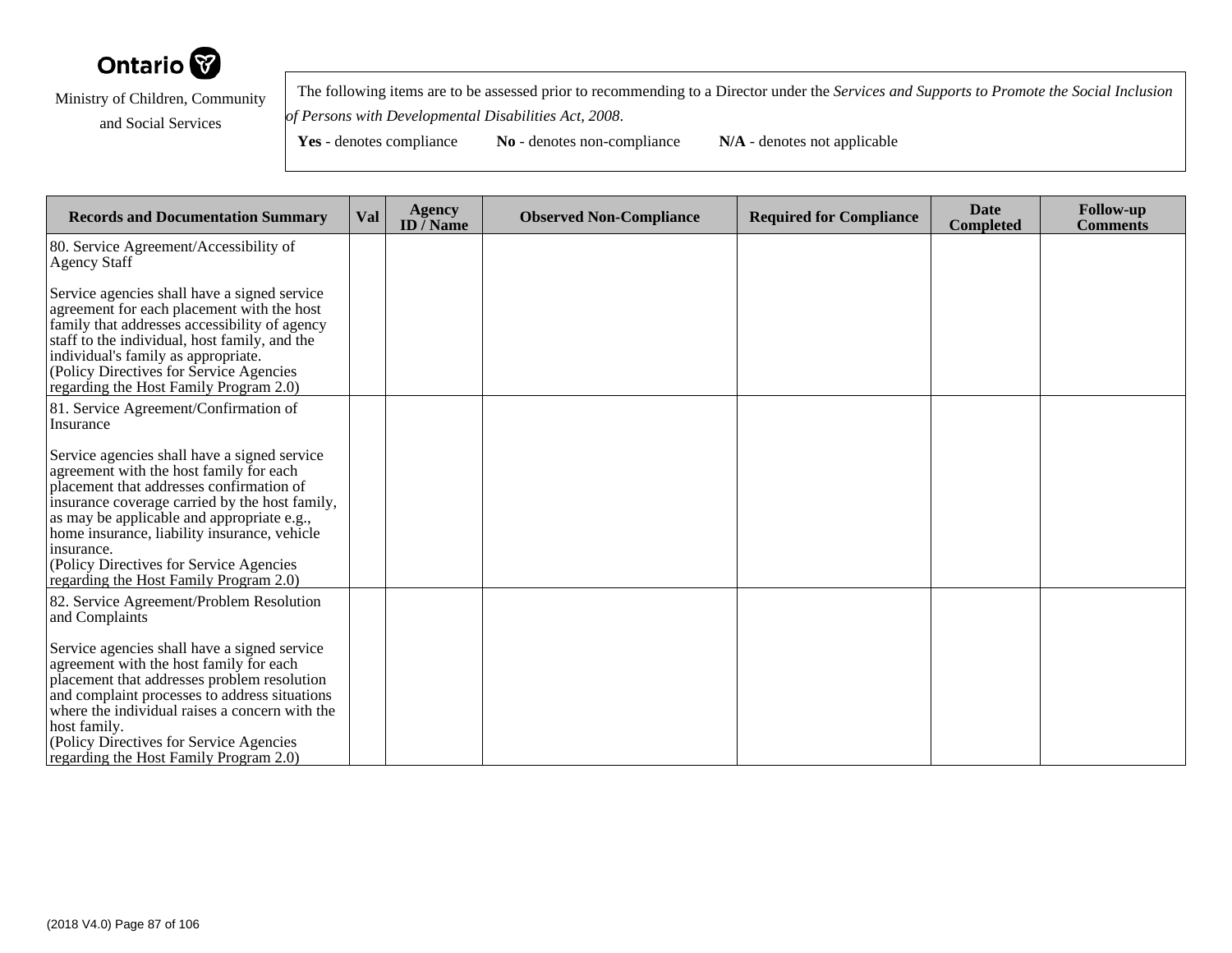

 The following items are to be assessed prior to recommending to a Director under the *Services and Supports to Promote the Social Inclusionof Persons with Developmental Disabilities Act, 2008*.

| <b>Records and Documentation Summary</b>                                                                                                                                                                                                                                                                                                                                                | Val | <b>Agency</b><br>ID $\bar{}/$ Name | <b>Observed Non-Compliance</b> | <b>Required for Compliance</b> | <b>Date</b><br><b>Completed</b> | <b>Follow-up</b><br><b>Comments</b> |
|-----------------------------------------------------------------------------------------------------------------------------------------------------------------------------------------------------------------------------------------------------------------------------------------------------------------------------------------------------------------------------------------|-----|------------------------------------|--------------------------------|--------------------------------|---------------------------------|-------------------------------------|
| 80. Service Agreement/Accessibility of<br>Agency Staff                                                                                                                                                                                                                                                                                                                                  |     |                                    |                                |                                |                                 |                                     |
| Service agencies shall have a signed service<br>agreement for each placement with the host<br>family that addresses accessibility of agency<br>staff to the individual, host family, and the<br>individual's family as appropriate.<br>(Policy Directives for Service Agencies<br>regarding the Host Family Program 2.0)                                                                |     |                                    |                                |                                |                                 |                                     |
| 81. Service Agreement/Confirmation of<br>Insurance                                                                                                                                                                                                                                                                                                                                      |     |                                    |                                |                                |                                 |                                     |
| Service agencies shall have a signed service<br>agreement with the host family for each<br>placement that addresses confirmation of<br>insurance coverage carried by the host family,<br>as may be applicable and appropriate e.g.,<br>home insurance, liability insurance, vehicle<br>insurance.<br>(Policy Directives for Service Agencies)<br>regarding the Host Family Program 2.0) |     |                                    |                                |                                |                                 |                                     |
| 82. Service Agreement/Problem Resolution<br>and Complaints                                                                                                                                                                                                                                                                                                                              |     |                                    |                                |                                |                                 |                                     |
| Service agencies shall have a signed service<br>agreement with the host family for each<br>placement that addresses problem resolution<br>and complaint processes to address situations<br>where the individual raises a concern with the<br>host family.<br>(Policy Directives for Service Agencies)<br>regarding the Host Family Program 2.0)                                         |     |                                    |                                |                                |                                 |                                     |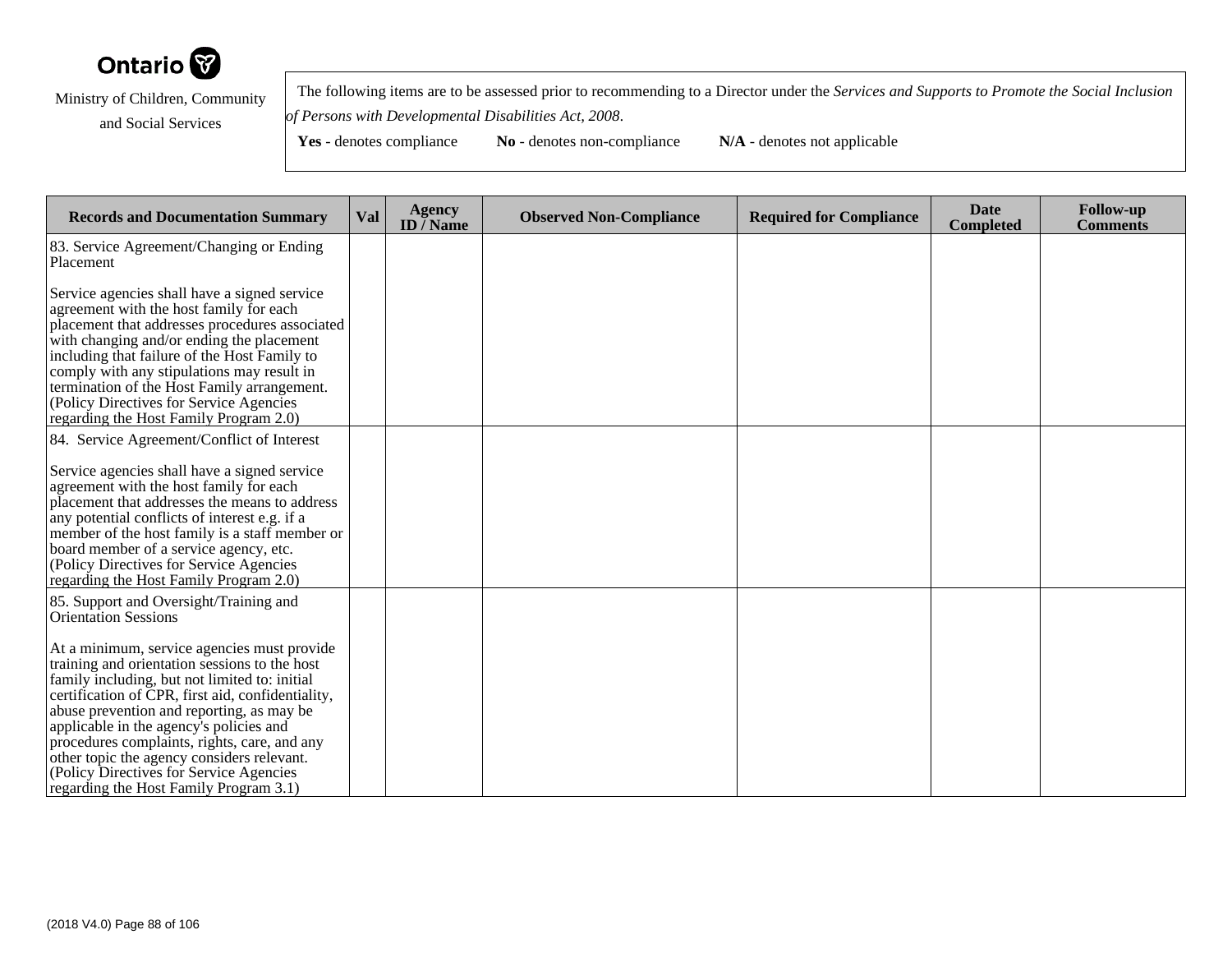

 The following items are to be assessed prior to recommending to a Director under the *Services and Supports to Promote the Social Inclusionof Persons with Developmental Disabilities Act, 2008*.

| <b>Records and Documentation Summary</b>                                                                                                                                                                                                                                                                                                                                                                                                                                       | <b>Val</b> | <b>Agency</b><br>ID $\overline{/}$ Name | <b>Observed Non-Compliance</b> | <b>Required for Compliance</b> | <b>Date</b><br><b>Completed</b> | <b>Follow-up</b><br><b>Comments</b> |
|--------------------------------------------------------------------------------------------------------------------------------------------------------------------------------------------------------------------------------------------------------------------------------------------------------------------------------------------------------------------------------------------------------------------------------------------------------------------------------|------------|-----------------------------------------|--------------------------------|--------------------------------|---------------------------------|-------------------------------------|
| 83. Service Agreement/Changing or Ending<br>Placement                                                                                                                                                                                                                                                                                                                                                                                                                          |            |                                         |                                |                                |                                 |                                     |
| Service agencies shall have a signed service<br>agreement with the host family for each<br>placement that addresses procedures associated<br>with changing and/or ending the placement<br>including that failure of the Host Family to<br>comply with any stipulations may result in<br>termination of the Host Family arrangement.<br>(Policy Directives for Service Agencies)<br>regarding the Host Family Program 2.0)                                                      |            |                                         |                                |                                |                                 |                                     |
| 84. Service Agreement/Conflict of Interest                                                                                                                                                                                                                                                                                                                                                                                                                                     |            |                                         |                                |                                |                                 |                                     |
| Service agencies shall have a signed service<br>agreement with the host family for each<br>placement that addresses the means to address<br>any potential conflicts of interest e.g. if a<br>member of the host family is a staff member or<br>board member of a service agency, etc.<br>(Policy Directives for Service Agencies)<br>regarding the Host Family Program 2.0)                                                                                                    |            |                                         |                                |                                |                                 |                                     |
| 85. Support and Oversight/Training and<br><b>Orientation Sessions</b>                                                                                                                                                                                                                                                                                                                                                                                                          |            |                                         |                                |                                |                                 |                                     |
| At a minimum, service agencies must provide<br>training and orientation sessions to the host<br>family including, but not limited to: initial<br>certification of CPR, first aid, confidentiality,<br>abuse prevention and reporting, as may be<br>applicable in the agency's policies and<br>procedures complaints, rights, care, and any<br>other topic the agency considers relevant.<br>(Policy Directives for Service Agencies)<br>regarding the Host Family Program 3.1) |            |                                         |                                |                                |                                 |                                     |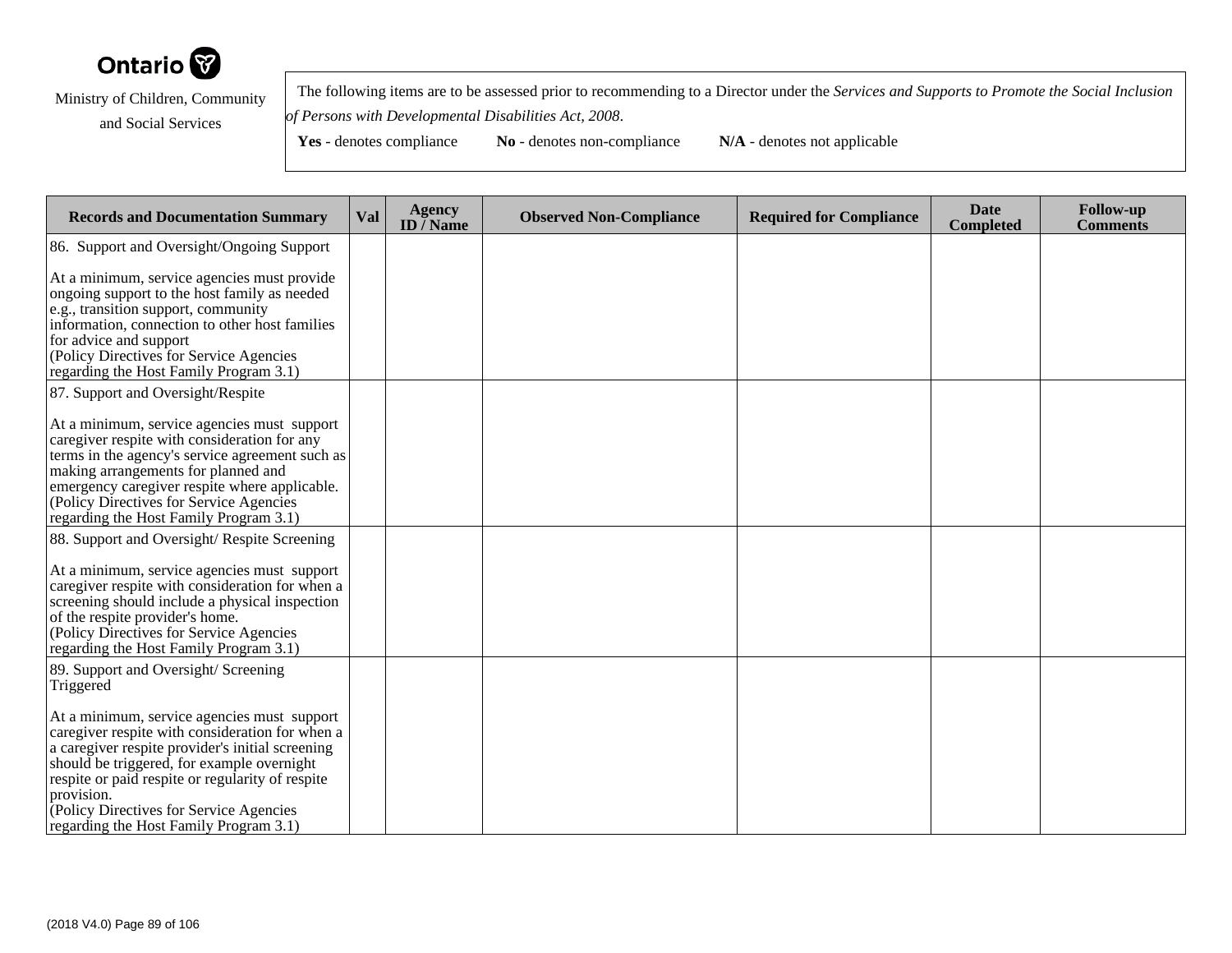

 The following items are to be assessed prior to recommending to a Director under the *Services and Supports to Promote the Social Inclusionof Persons with Developmental Disabilities Act, 2008*.

| <b>Records and Documentation Summary</b>                                                                                                                                                                                                                                                                                                               | Val | <b>Agency</b><br>ID $\overline{}/$ Name | <b>Observed Non-Compliance</b> | <b>Required for Compliance</b> | <b>Date</b><br><b>Completed</b> | <b>Follow-up</b><br><b>Comments</b> |
|--------------------------------------------------------------------------------------------------------------------------------------------------------------------------------------------------------------------------------------------------------------------------------------------------------------------------------------------------------|-----|-----------------------------------------|--------------------------------|--------------------------------|---------------------------------|-------------------------------------|
| 86. Support and Oversight/Ongoing Support                                                                                                                                                                                                                                                                                                              |     |                                         |                                |                                |                                 |                                     |
| At a minimum, service agencies must provide<br>ongoing support to the host family as needed<br>e.g., transition support, community<br>information, connection to other host families<br>for advice and support<br>(Policy Directives for Service Agencies<br>regarding the Host Family Program 3.1)                                                    |     |                                         |                                |                                |                                 |                                     |
| 87. Support and Oversight/Respite                                                                                                                                                                                                                                                                                                                      |     |                                         |                                |                                |                                 |                                     |
| At a minimum, service agencies must support<br>caregiver respite with consideration for any<br>terms in the agency's service agreement such as<br>making arrangements for planned and<br>emergency caregiver respite where applicable.<br>(Policy Directives for Service Agencies<br>regarding the Host Family Program 3.1)                            |     |                                         |                                |                                |                                 |                                     |
| 88. Support and Oversight/ Respite Screening                                                                                                                                                                                                                                                                                                           |     |                                         |                                |                                |                                 |                                     |
| At a minimum, service agencies must support<br>caregiver respite with consideration for when a<br>screening should include a physical inspection<br>of the respite provider's home.<br>(Policy Directives for Service Agencies<br>regarding the Host Family Program 3.1)                                                                               |     |                                         |                                |                                |                                 |                                     |
| 89. Support and Oversight/Screening<br>Triggered                                                                                                                                                                                                                                                                                                       |     |                                         |                                |                                |                                 |                                     |
| At a minimum, service agencies must support<br>caregiver respite with consideration for when a<br>a caregiver respite provider's initial screening<br>should be triggered, for example overnight<br>respite or paid respite or regularity of respite<br>provision.<br>Policy Directives for Service Agencies<br>regarding the Host Family Program 3.1) |     |                                         |                                |                                |                                 |                                     |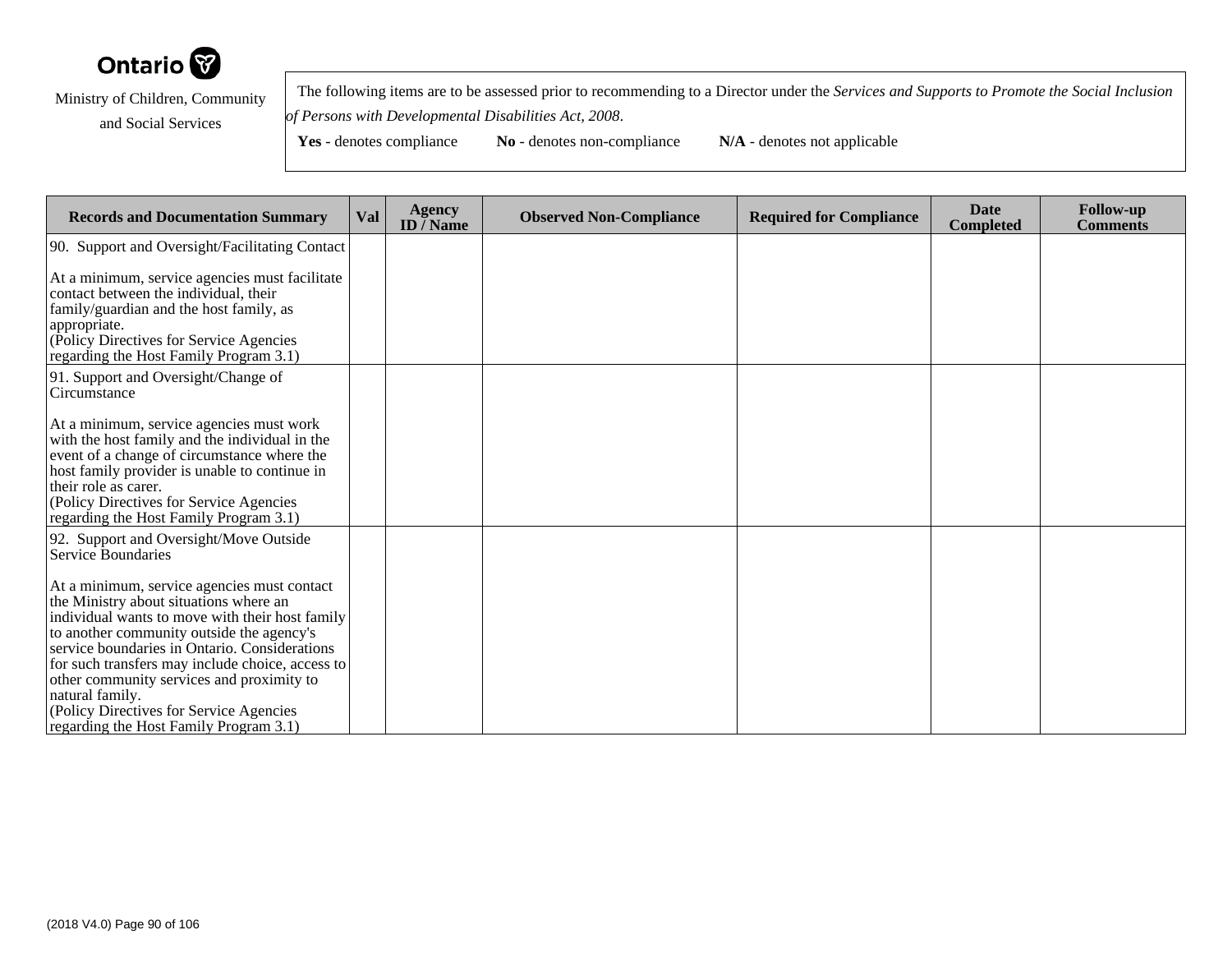

 The following items are to be assessed prior to recommending to a Director under the *Services and Supports to Promote the Social Inclusionof Persons with Developmental Disabilities Act, 2008*.

| <b>Records and Documentation Summary</b>                                                                                                                                                                                                                                                                                                                                                                                                        | Val | <b>Agency</b><br>ID $\bar{}/$ Name | <b>Observed Non-Compliance</b> | <b>Required for Compliance</b> | <b>Date</b><br>Completed | <b>Follow-up</b><br><b>Comments</b> |
|-------------------------------------------------------------------------------------------------------------------------------------------------------------------------------------------------------------------------------------------------------------------------------------------------------------------------------------------------------------------------------------------------------------------------------------------------|-----|------------------------------------|--------------------------------|--------------------------------|--------------------------|-------------------------------------|
| 90. Support and Oversight/Facilitating Contact                                                                                                                                                                                                                                                                                                                                                                                                  |     |                                    |                                |                                |                          |                                     |
| At a minimum, service agencies must facilitate<br>contact between the individual, their<br>family/guardian and the host family, as<br>appropriate.<br>(Policy Directives for Service Agencies<br>regarding the Host Family Program 3.1)                                                                                                                                                                                                         |     |                                    |                                |                                |                          |                                     |
| 91. Support and Oversight/Change of<br>Circumstance                                                                                                                                                                                                                                                                                                                                                                                             |     |                                    |                                |                                |                          |                                     |
| At a minimum, service agencies must work<br>with the host family and the individual in the<br>event of a change of circumstance where the<br>host family provider is unable to continue in<br>their role as carer.<br>(Policy Directives for Service Agencies<br>regarding the Host Family Program 3.1)                                                                                                                                         |     |                                    |                                |                                |                          |                                     |
| 92. Support and Oversight/Move Outside<br>Service Boundaries                                                                                                                                                                                                                                                                                                                                                                                    |     |                                    |                                |                                |                          |                                     |
| At a minimum, service agencies must contact<br>the Ministry about situations where an<br>individual wants to move with their host family<br>to another community outside the agency's<br>service boundaries in Ontario. Considerations<br>for such transfers may include choice, access to<br>other community services and proximity to<br>natural family.<br>(Policy Directives for Service Agencies<br>regarding the Host Family Program 3.1) |     |                                    |                                |                                |                          |                                     |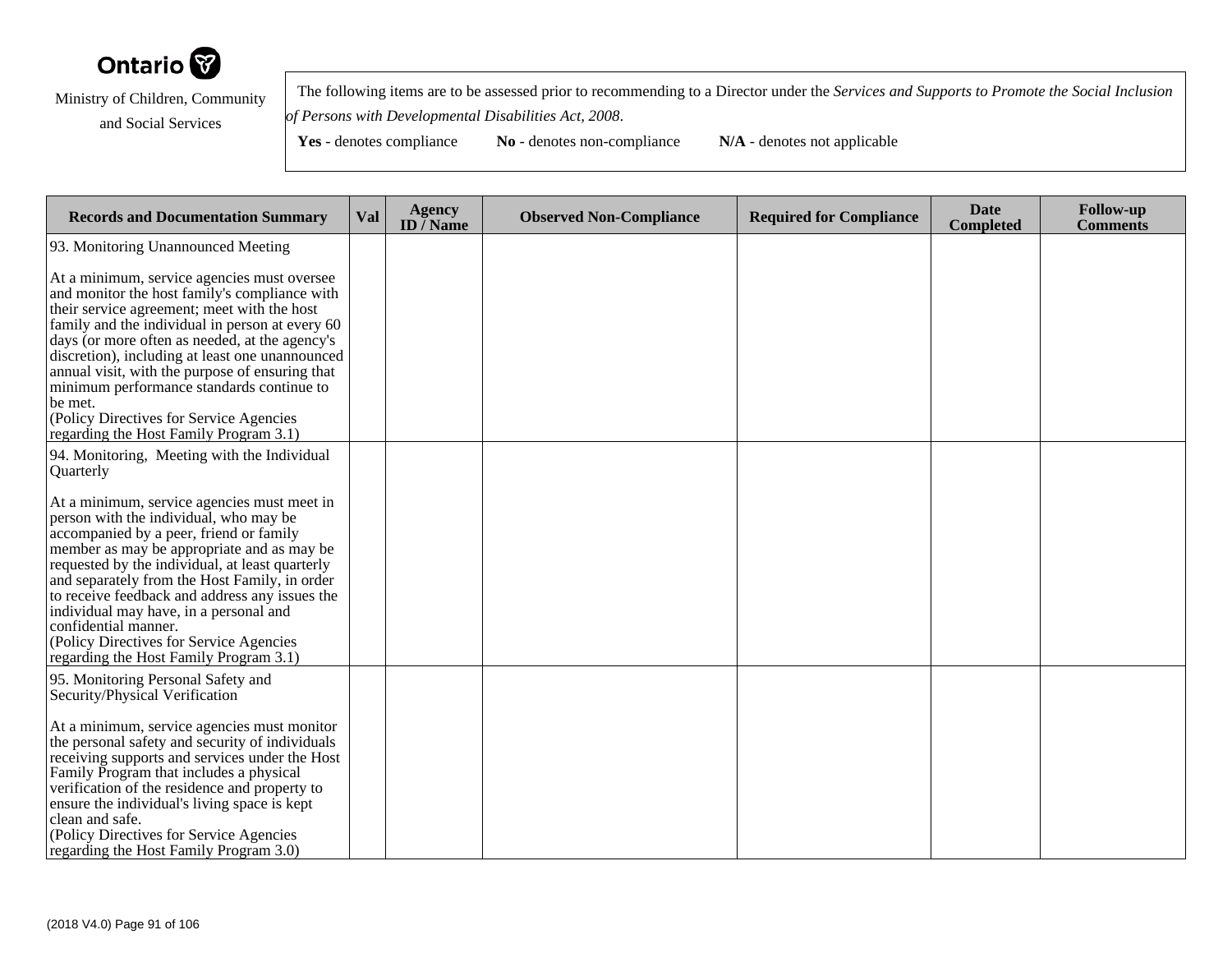

 The following items are to be assessed prior to recommending to a Director under the *Services and Supports to Promote the Social Inclusionof Persons with Developmental Disabilities Act, 2008*.

| <b>Records and Documentation Summary</b>                                                                                                                                                                                                                                                                                                                                                                                                                                                            | Val | <b>Agency</b><br>ID $\overline{}/$ Name | <b>Observed Non-Compliance</b> | <b>Required for Compliance</b> | <b>Date</b><br><b>Completed</b> | <b>Follow-up</b><br><b>Comments</b> |
|-----------------------------------------------------------------------------------------------------------------------------------------------------------------------------------------------------------------------------------------------------------------------------------------------------------------------------------------------------------------------------------------------------------------------------------------------------------------------------------------------------|-----|-----------------------------------------|--------------------------------|--------------------------------|---------------------------------|-------------------------------------|
| 93. Monitoring Unannounced Meeting                                                                                                                                                                                                                                                                                                                                                                                                                                                                  |     |                                         |                                |                                |                                 |                                     |
| At a minimum, service agencies must oversee<br>and monitor the host family's compliance with<br>their service agreement; meet with the host<br>family and the individual in person at every 60<br>days (or more often as needed, at the agency's<br>discretion), including at least one unannounced<br>annual visit, with the purpose of ensuring that<br>minimum performance standards continue to<br>be met.<br>(Policy Directives for Service Agencies<br>regarding the Host Family Program 3.1) |     |                                         |                                |                                |                                 |                                     |
| 94. Monitoring, Meeting with the Individual<br>Quarterly                                                                                                                                                                                                                                                                                                                                                                                                                                            |     |                                         |                                |                                |                                 |                                     |
| At a minimum, service agencies must meet in<br>person with the individual, who may be<br>accompanied by a peer, friend or family<br>member as may be appropriate and as may be<br>requested by the individual, at least quarterly<br>and separately from the Host Family, in order<br>to receive feedback and address any issues the<br>individual may have, in a personal and<br>confidential manner.<br>(Policy Directives for Service Agencies<br>regarding the Host Family Program 3.1)         |     |                                         |                                |                                |                                 |                                     |
| 95. Monitoring Personal Safety and<br>Security/Physical Verification<br>At a minimum, service agencies must monitor<br>the personal safety and security of individuals<br>receiving supports and services under the Host<br>Family Program that includes a physical<br>verification of the residence and property to<br>ensure the individual's living space is kept<br>clean and safe.<br>(Policy Directives for Service Agencies<br>regarding the Host Family Program 3.0)                        |     |                                         |                                |                                |                                 |                                     |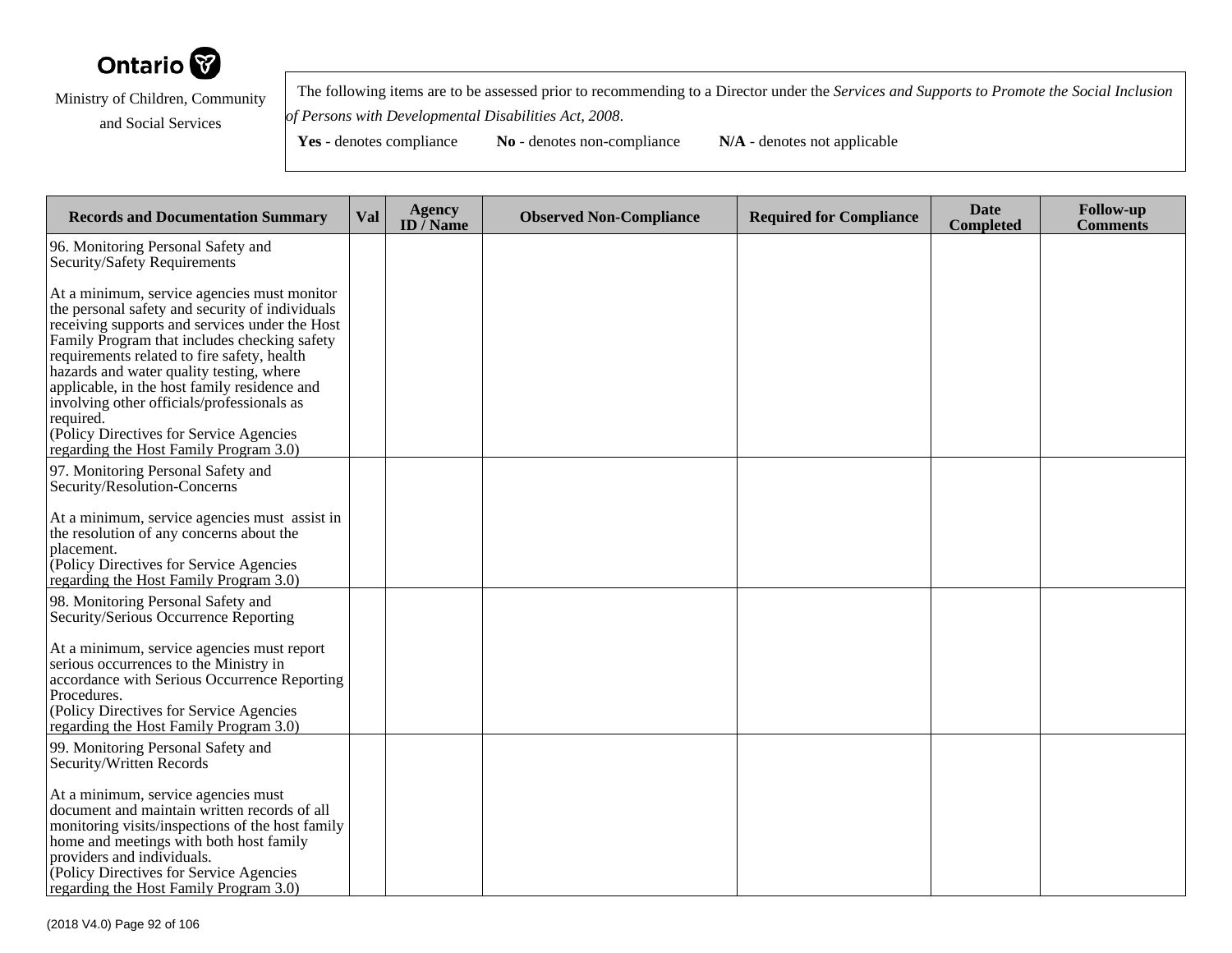

 The following items are to be assessed prior to recommending to a Director under the *Services and Supports to Promote the Social Inclusionof Persons with Developmental Disabilities Act, 2008*.

| <b>Records and Documentation Summary</b>                                                                                                                                                                                                                                                                                                                                                                                                                                                    | Val | <b>Agency</b><br>ID $\bar{}/$ Name | <b>Observed Non-Compliance</b> | <b>Required for Compliance</b> | <b>Date</b><br><b>Completed</b> | <b>Follow-up</b><br><b>Comments</b> |
|---------------------------------------------------------------------------------------------------------------------------------------------------------------------------------------------------------------------------------------------------------------------------------------------------------------------------------------------------------------------------------------------------------------------------------------------------------------------------------------------|-----|------------------------------------|--------------------------------|--------------------------------|---------------------------------|-------------------------------------|
| 96. Monitoring Personal Safety and<br>Security/Safety Requirements                                                                                                                                                                                                                                                                                                                                                                                                                          |     |                                    |                                |                                |                                 |                                     |
| At a minimum, service agencies must monitor<br>the personal safety and security of individuals<br>receiving supports and services under the Host<br>Family Program that includes checking safety<br>requirements related to fire safety, health<br>hazards and water quality testing, where<br>applicable, in the host family residence and<br>involving other officials/professionals as<br>required.<br>(Policy Directives for Service Agencies<br>regarding the Host Family Program 3.0) |     |                                    |                                |                                |                                 |                                     |
| 97. Monitoring Personal Safety and<br>Security/Resolution-Concerns                                                                                                                                                                                                                                                                                                                                                                                                                          |     |                                    |                                |                                |                                 |                                     |
| At a minimum, service agencies must assist in<br>the resolution of any concerns about the<br>placement.<br>(Policy Directives for Service Agencies<br>regarding the Host Family Program 3.0)                                                                                                                                                                                                                                                                                                |     |                                    |                                |                                |                                 |                                     |
| 98. Monitoring Personal Safety and<br>Security/Serious Occurrence Reporting                                                                                                                                                                                                                                                                                                                                                                                                                 |     |                                    |                                |                                |                                 |                                     |
| At a minimum, service agencies must report<br>serious occurrences to the Ministry in<br>accordance with Serious Occurrence Reporting<br>Procedures.<br>(Policy Directives for Service Agencies<br>regarding the Host Family Program 3.0)                                                                                                                                                                                                                                                    |     |                                    |                                |                                |                                 |                                     |
| 99. Monitoring Personal Safety and<br>Security/Written Records                                                                                                                                                                                                                                                                                                                                                                                                                              |     |                                    |                                |                                |                                 |                                     |
| At a minimum, service agencies must<br>document and maintain written records of all<br>monitoring visits/inspections of the host family<br>home and meetings with both host family<br>providers and individuals.<br>Policy Directives for Service Agencies<br>regarding the Host Family Program 3.0)                                                                                                                                                                                        |     |                                    |                                |                                |                                 |                                     |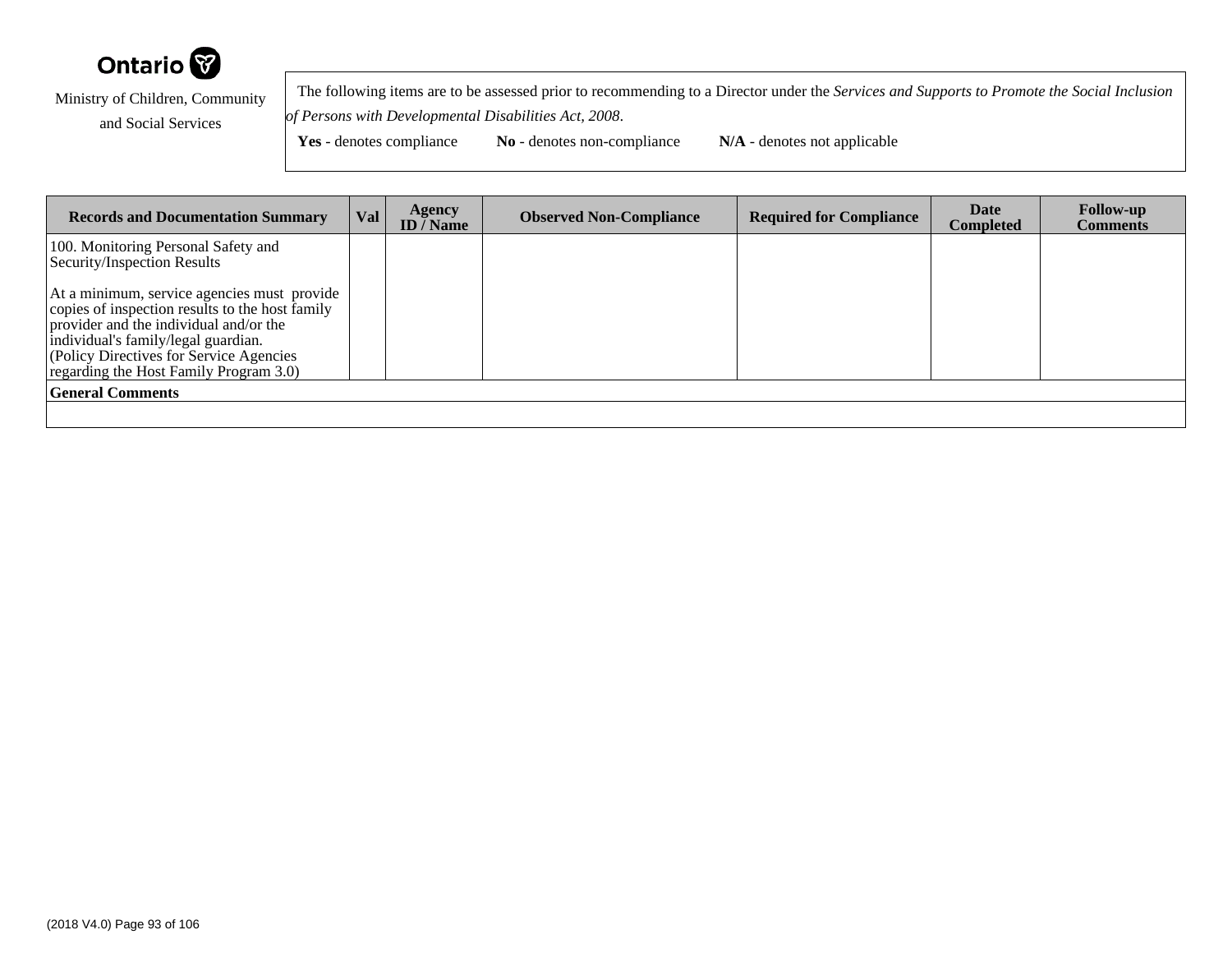

 The following items are to be assessed prior to recommending to a Director under the *Services and Supports to Promote the Social Inclusionof Persons with Developmental Disabilities Act, 2008*.

| <b>Records and Documentation Summary</b>                                                                                                                                                                                                                              | Val | Agency<br><b>ID</b> / Name | <b>Observed Non-Compliance</b> | <b>Required for Compliance</b> | Date<br>Completed | <b>Follow-up</b><br><b>Comments</b> |
|-----------------------------------------------------------------------------------------------------------------------------------------------------------------------------------------------------------------------------------------------------------------------|-----|----------------------------|--------------------------------|--------------------------------|-------------------|-------------------------------------|
| 100. Monitoring Personal Safety and<br>Security/Inspection Results                                                                                                                                                                                                    |     |                            |                                |                                |                   |                                     |
| At a minimum, service agencies must provide<br>copies of inspection results to the host family<br>provider and the individual and/or the<br>individual's family/legal guardian.<br>(Policy Directives for Service Agencies)<br>regarding the Host Family Program 3.0) |     |                            |                                |                                |                   |                                     |
| <b>General Comments</b>                                                                                                                                                                                                                                               |     |                            |                                |                                |                   |                                     |
|                                                                                                                                                                                                                                                                       |     |                            |                                |                                |                   |                                     |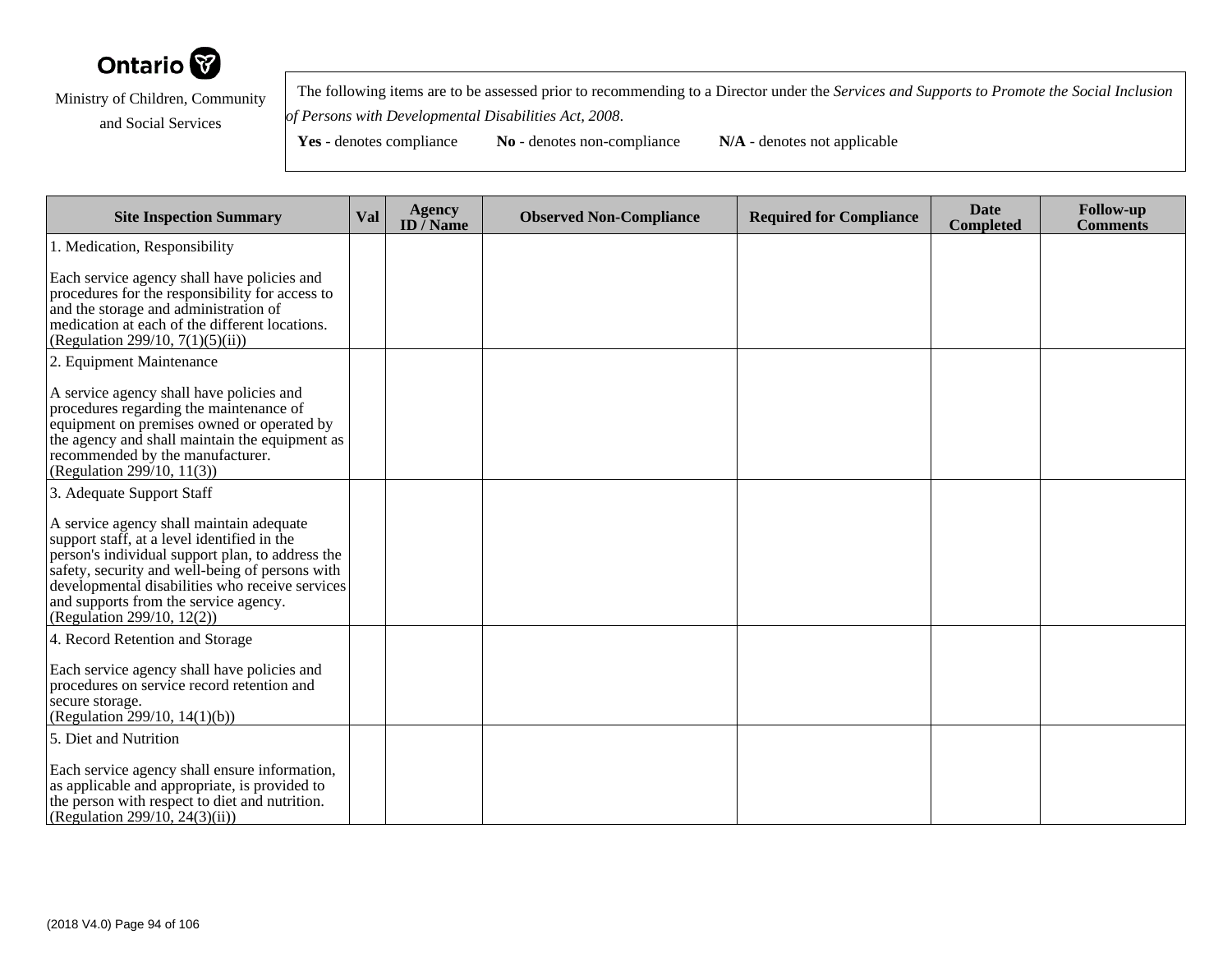

 The following items are to be assessed prior to recommending to a Director under the *Services and Supports to Promote the Social Inclusionof Persons with Developmental Disabilities Act, 2008*.

Yes - denotes compliance **No** - denotes non-compliance **N/A** - denotes not applicable

**Site Inspection Summary Val Agency ID / NameObserved Non-Compliance Required for Compliance Date Completed Follow-up Comments** 1. Medication, ResponsibilityEach service agency shall have policies and procedures for the responsibility for access toand the storage and administration of medication at each of the different locations.(Regulation 299/10, 7(1)(5)(ii))2. Equipment MaintenanceA service agency shall have policies and procedures regarding the maintenance of equipment on premises owned or operated by the agency and shall maintain the equipment asrecommended by the manufacturer.(Regulation 299/10, 11(3))3. Adequate Support StaffA service agency shall maintain adequatesupport staff, at a level identified in the person's individual support plan, to address the safety, security and well-being of persons with developmental disabilities who receive servicesand supports from the service agency.(Regulation 299/10, 12(2))4. Record Retention and StorageEach service agency shall have policies and procedures on service record retention andsecure storage. (Regulation 299/10, 14(1)(b))5. Diet and NutritionEach service agency shall ensure information,as applicable and appropriate, is provided to the person with respect to diet and nutrition.(Regulation 299/10, 24(3)(ii))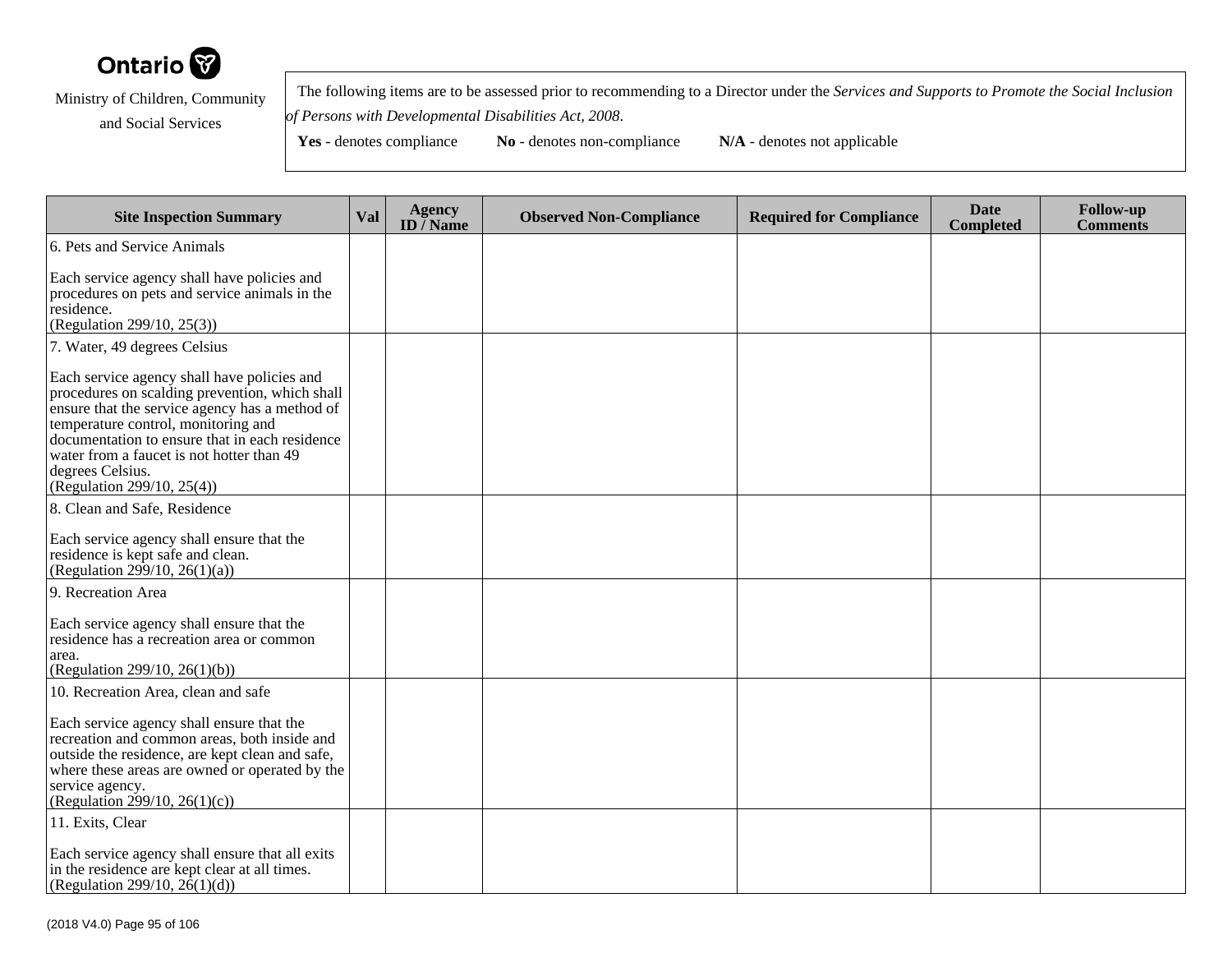

 The following items are to be assessed prior to recommending to a Director under the *Services and Supports to Promote the Social Inclusionof Persons with Developmental Disabilities Act, 2008*.

| <b>Site Inspection Summary</b>                                                                                                                                                                                                                                                                                                          | Val | <b>Agency</b><br>ID $\overline{}/$ Name | <b>Observed Non-Compliance</b> | <b>Required for Compliance</b> | <b>Date</b><br><b>Completed</b> | <b>Follow-up</b><br><b>Comments</b> |
|-----------------------------------------------------------------------------------------------------------------------------------------------------------------------------------------------------------------------------------------------------------------------------------------------------------------------------------------|-----|-----------------------------------------|--------------------------------|--------------------------------|---------------------------------|-------------------------------------|
| 6. Pets and Service Animals                                                                                                                                                                                                                                                                                                             |     |                                         |                                |                                |                                 |                                     |
| Each service agency shall have policies and<br>procedures on pets and service animals in the<br>residence.<br>(Regulation 299/10, 25(3))                                                                                                                                                                                                |     |                                         |                                |                                |                                 |                                     |
| 7. Water, 49 degrees Celsius                                                                                                                                                                                                                                                                                                            |     |                                         |                                |                                |                                 |                                     |
| Each service agency shall have policies and<br>procedures on scalding prevention, which shall<br>ensure that the service agency has a method of<br>temperature control, monitoring and<br>documentation to ensure that in each residence<br>water from a faucet is not hotter than 49<br>degrees Celsius.<br>(Regulation 299/10, 25(4)) |     |                                         |                                |                                |                                 |                                     |
| 8. Clean and Safe, Residence                                                                                                                                                                                                                                                                                                            |     |                                         |                                |                                |                                 |                                     |
| Each service agency shall ensure that the<br>residence is kept safe and clean.<br>(Regulation 299/10, 26(1)(a))                                                                                                                                                                                                                         |     |                                         |                                |                                |                                 |                                     |
| 9. Recreation Area                                                                                                                                                                                                                                                                                                                      |     |                                         |                                |                                |                                 |                                     |
| Each service agency shall ensure that the<br>residence has a recreation area or common<br>area.<br>(Regulation 299/10, 26(1)(b))                                                                                                                                                                                                        |     |                                         |                                |                                |                                 |                                     |
| 10. Recreation Area, clean and safe                                                                                                                                                                                                                                                                                                     |     |                                         |                                |                                |                                 |                                     |
| Each service agency shall ensure that the<br>recreation and common areas, both inside and<br>outside the residence, are kept clean and safe,<br>where these areas are owned or operated by the<br>service agency.<br>(Regulation 299/10, 26(1)(c))                                                                                      |     |                                         |                                |                                |                                 |                                     |
| 11. Exits, Clear<br>Each service agency shall ensure that all exits<br>in the residence are kept clear at all times.<br>(Regulation 299/10, $2\hat{6}(1)(d)$ )                                                                                                                                                                          |     |                                         |                                |                                |                                 |                                     |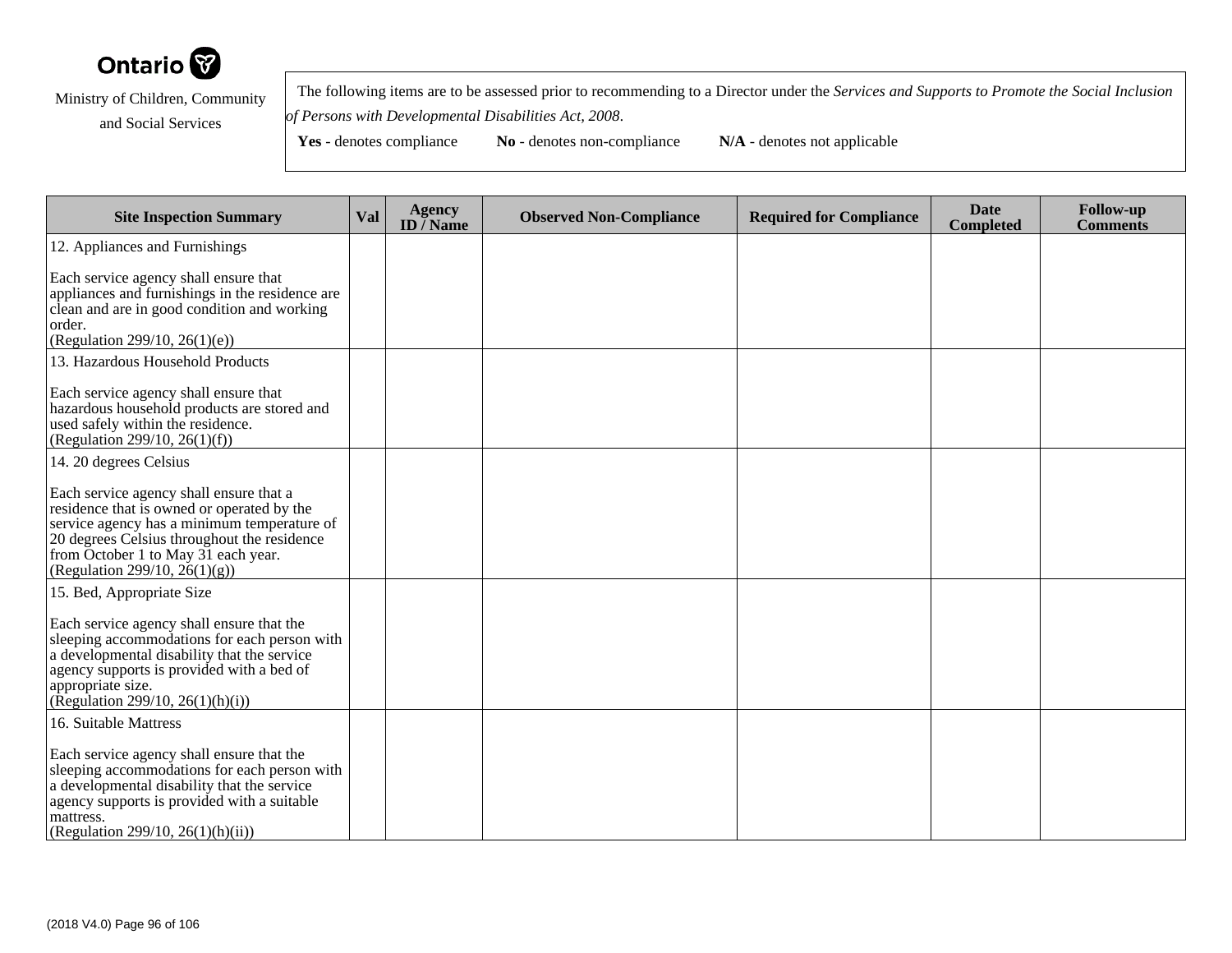

 The following items are to be assessed prior to recommending to a Director under the *Services and Supports to Promote the Social Inclusionof Persons with Developmental Disabilities Act, 2008*.

| <b>Site Inspection Summary</b>                                                                                                                                                                                                                                 | Val | <b>Agency</b><br>ID $\overline{/}$ Name | <b>Observed Non-Compliance</b> | <b>Required for Compliance</b> | <b>Date</b><br><b>Completed</b> | <b>Follow-up</b><br><b>Comments</b> |
|----------------------------------------------------------------------------------------------------------------------------------------------------------------------------------------------------------------------------------------------------------------|-----|-----------------------------------------|--------------------------------|--------------------------------|---------------------------------|-------------------------------------|
| 12. Appliances and Furnishings                                                                                                                                                                                                                                 |     |                                         |                                |                                |                                 |                                     |
| Each service agency shall ensure that<br>appliances and furnishings in the residence are<br>clean and are in good condition and working<br>order.<br>(Regulation 299/10, 26(1)(e))                                                                             |     |                                         |                                |                                |                                 |                                     |
| 13. Hazardous Household Products                                                                                                                                                                                                                               |     |                                         |                                |                                |                                 |                                     |
| Each service agency shall ensure that<br>hazardous household products are stored and<br>used safely within the residence.<br>(Regulation 299/10, 26(1)(f))                                                                                                     |     |                                         |                                |                                |                                 |                                     |
| 14. 20 degrees Celsius                                                                                                                                                                                                                                         |     |                                         |                                |                                |                                 |                                     |
| Each service agency shall ensure that a<br>residence that is owned or operated by the<br>service agency has a minimum temperature of<br>20 degrees Celsius throughout the residence<br>from October 1 to May 31 each year.<br>(Regulation 299/10, $26(1)(g)$ ) |     |                                         |                                |                                |                                 |                                     |
| 15. Bed, Appropriate Size                                                                                                                                                                                                                                      |     |                                         |                                |                                |                                 |                                     |
| Each service agency shall ensure that the<br>sleeping accommodations for each person with<br>a developmental disability that the service<br>agency supports is provided with a bed of<br>appropriate size.<br>(Regulation 299/10, 26(1)(h)(i))                 |     |                                         |                                |                                |                                 |                                     |
| 16. Suitable Mattress                                                                                                                                                                                                                                          |     |                                         |                                |                                |                                 |                                     |
| Each service agency shall ensure that the<br>sleeping accommodations for each person with<br>a developmental disability that the service<br>agency supports is provided with a suitable<br>mattress.<br>(Regulation 299/10, 26(1)(h)(ii))                      |     |                                         |                                |                                |                                 |                                     |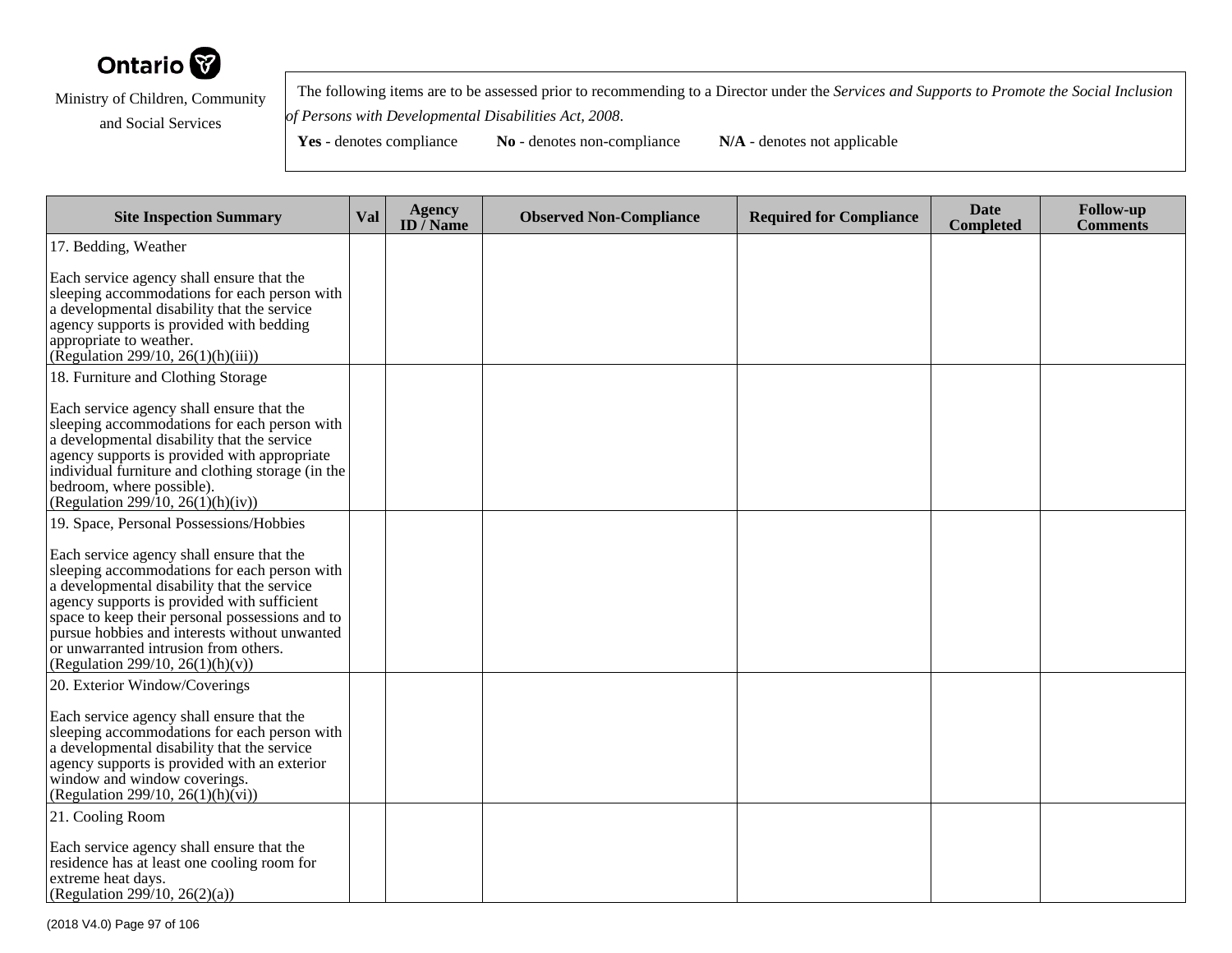

 The following items are to be assessed prior to recommending to a Director under the *Services and Supports to Promote the Social Inclusionof Persons with Developmental Disabilities Act, 2008*.

| <b>Site Inspection Summary</b>                                                                                                                                                                                                                                                                                                                                           | Val | <b>Agency</b><br>ID $\overline{}/$ Name | <b>Observed Non-Compliance</b> | <b>Required for Compliance</b> | <b>Date</b><br><b>Completed</b> | <b>Follow-up</b><br><b>Comments</b> |
|--------------------------------------------------------------------------------------------------------------------------------------------------------------------------------------------------------------------------------------------------------------------------------------------------------------------------------------------------------------------------|-----|-----------------------------------------|--------------------------------|--------------------------------|---------------------------------|-------------------------------------|
| 17. Bedding, Weather                                                                                                                                                                                                                                                                                                                                                     |     |                                         |                                |                                |                                 |                                     |
| Each service agency shall ensure that the<br>sleeping accommodations for each person with<br>a developmental disability that the service<br>agency supports is provided with bedding<br>appropriate to weather.<br>(Regulation 299/10, 26(1)(h)(iii))                                                                                                                    |     |                                         |                                |                                |                                 |                                     |
| 18. Furniture and Clothing Storage                                                                                                                                                                                                                                                                                                                                       |     |                                         |                                |                                |                                 |                                     |
| Each service agency shall ensure that the<br>sleeping accommodations for each person with<br>a developmental disability that the service<br>agency supports is provided with appropriate<br>individual furniture and clothing storage (in the<br>bedroom, where possible).<br>(Regulation 299/10, 26(1)(h)(iv))                                                          |     |                                         |                                |                                |                                 |                                     |
| 19. Space, Personal Possessions/Hobbies                                                                                                                                                                                                                                                                                                                                  |     |                                         |                                |                                |                                 |                                     |
| Each service agency shall ensure that the<br>sleeping accommodations for each person with<br>a developmental disability that the service<br>agency supports is provided with sufficient<br>space to keep their personal possessions and to<br>pursue hobbies and interests without unwanted<br>or unwarranted intrusion from others.<br>(Regulation 299/10, 26(1)(h)(v)) |     |                                         |                                |                                |                                 |                                     |
| 20. Exterior Window/Coverings                                                                                                                                                                                                                                                                                                                                            |     |                                         |                                |                                |                                 |                                     |
| Each service agency shall ensure that the<br>sleeping accommodations for each person with<br>a developmental disability that the service<br>agency supports is provided with an exterior<br>window and window coverings.<br>(Regulation 299/10, 26(1)(h)(vi))                                                                                                            |     |                                         |                                |                                |                                 |                                     |
| 21. Cooling Room                                                                                                                                                                                                                                                                                                                                                         |     |                                         |                                |                                |                                 |                                     |
| Each service agency shall ensure that the<br>residence has at least one cooling room for<br>extreme heat days.<br>(Regulation 299/10, 26(2)(a))                                                                                                                                                                                                                          |     |                                         |                                |                                |                                 |                                     |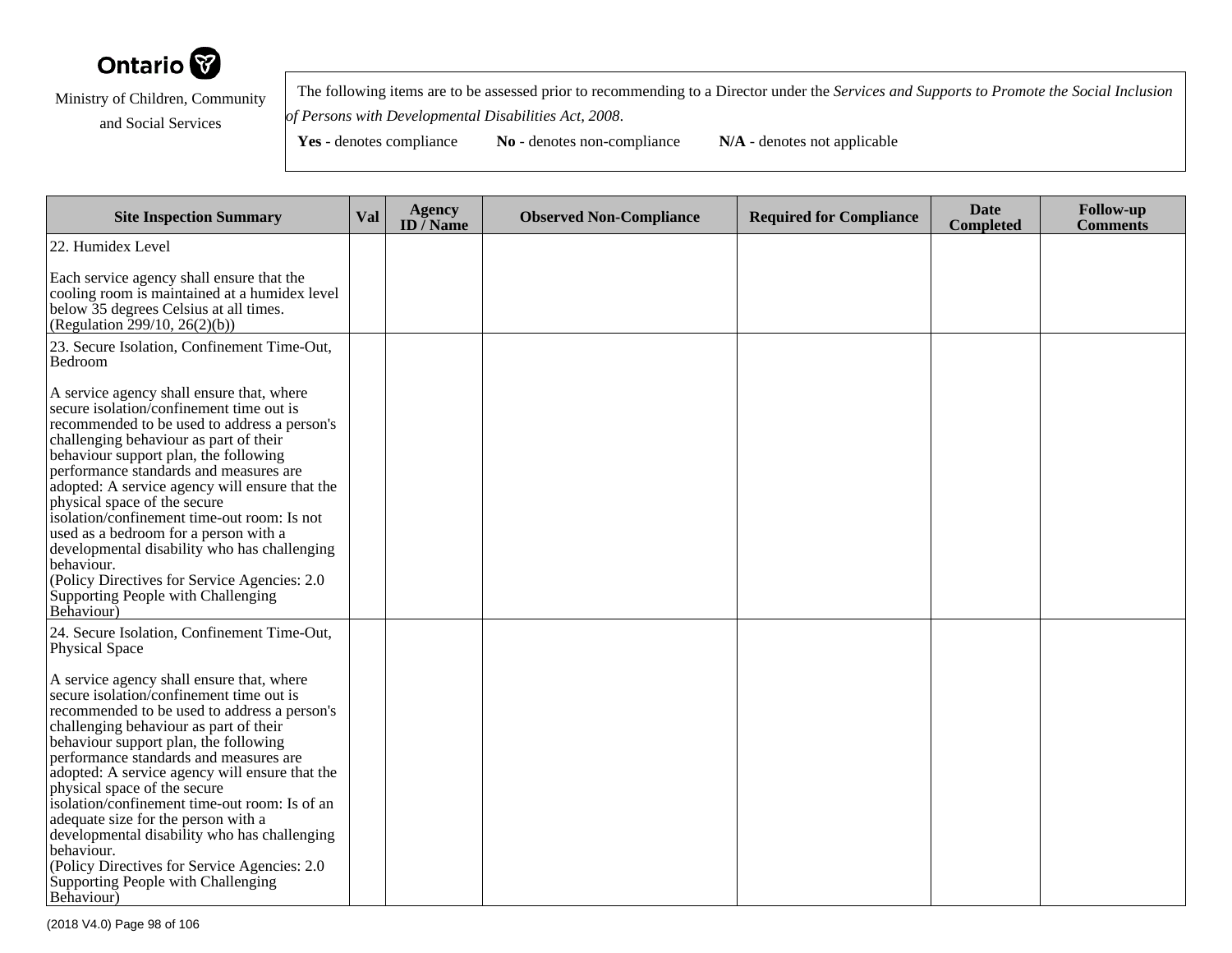

 The following items are to be assessed prior to recommending to a Director under the *Services and Supports to Promote the Social Inclusionof Persons with Developmental Disabilities Act, 2008*.

| <b>Site Inspection Summary</b>                                                                                                                                                                                                                                                                                                                                                                                                                                                                                                                                                                                  | <b>Val</b> | <b>Agency</b><br>ID $\overline{}/$ Name | <b>Observed Non-Compliance</b> | <b>Required for Compliance</b> | <b>Date</b><br><b>Completed</b> | <b>Follow-up</b><br><b>Comments</b> |
|-----------------------------------------------------------------------------------------------------------------------------------------------------------------------------------------------------------------------------------------------------------------------------------------------------------------------------------------------------------------------------------------------------------------------------------------------------------------------------------------------------------------------------------------------------------------------------------------------------------------|------------|-----------------------------------------|--------------------------------|--------------------------------|---------------------------------|-------------------------------------|
| 22. Humidex Level                                                                                                                                                                                                                                                                                                                                                                                                                                                                                                                                                                                               |            |                                         |                                |                                |                                 |                                     |
| Each service agency shall ensure that the<br>cooling room is maintained at a humidex level<br>below 35 degrees Celsius at all times.<br>(Regulation 299/10, 26(2)(b))                                                                                                                                                                                                                                                                                                                                                                                                                                           |            |                                         |                                |                                |                                 |                                     |
| 23. Secure Isolation, Confinement Time-Out,<br>Bedroom                                                                                                                                                                                                                                                                                                                                                                                                                                                                                                                                                          |            |                                         |                                |                                |                                 |                                     |
| A service agency shall ensure that, where<br>secure isolation/confinement time out is<br>recommended to be used to address a person's<br>challenging behaviour as part of their<br>behaviour support plan, the following<br>performance standards and measures are<br>adopted: A service agency will ensure that the<br>physical space of the secure<br>isolation/confinement time-out room: Is not<br>used as a bedroom for a person with a<br>developmental disability who has challenging<br>behaviour.<br>(Policy Directives for Service Agencies: 2.0)<br>Supporting People with Challenging<br>Behaviour) |            |                                         |                                |                                |                                 |                                     |
| 24. Secure Isolation, Confinement Time-Out,<br>Physical Space                                                                                                                                                                                                                                                                                                                                                                                                                                                                                                                                                   |            |                                         |                                |                                |                                 |                                     |
| A service agency shall ensure that, where<br>secure isolation/confinement time out is<br>recommended to be used to address a person's<br>challenging behaviour as part of their<br>behaviour support plan, the following<br>performance standards and measures are<br>adopted: A service agency will ensure that the<br>physical space of the secure<br>isolation/confinement time-out room: Is of an<br>adequate size for the person with a<br>developmental disability who has challenging<br>behaviour.<br>(Policy Directives for Service Agencies: 2.0)<br>Supporting People with Challenging<br>Behaviour) |            |                                         |                                |                                |                                 |                                     |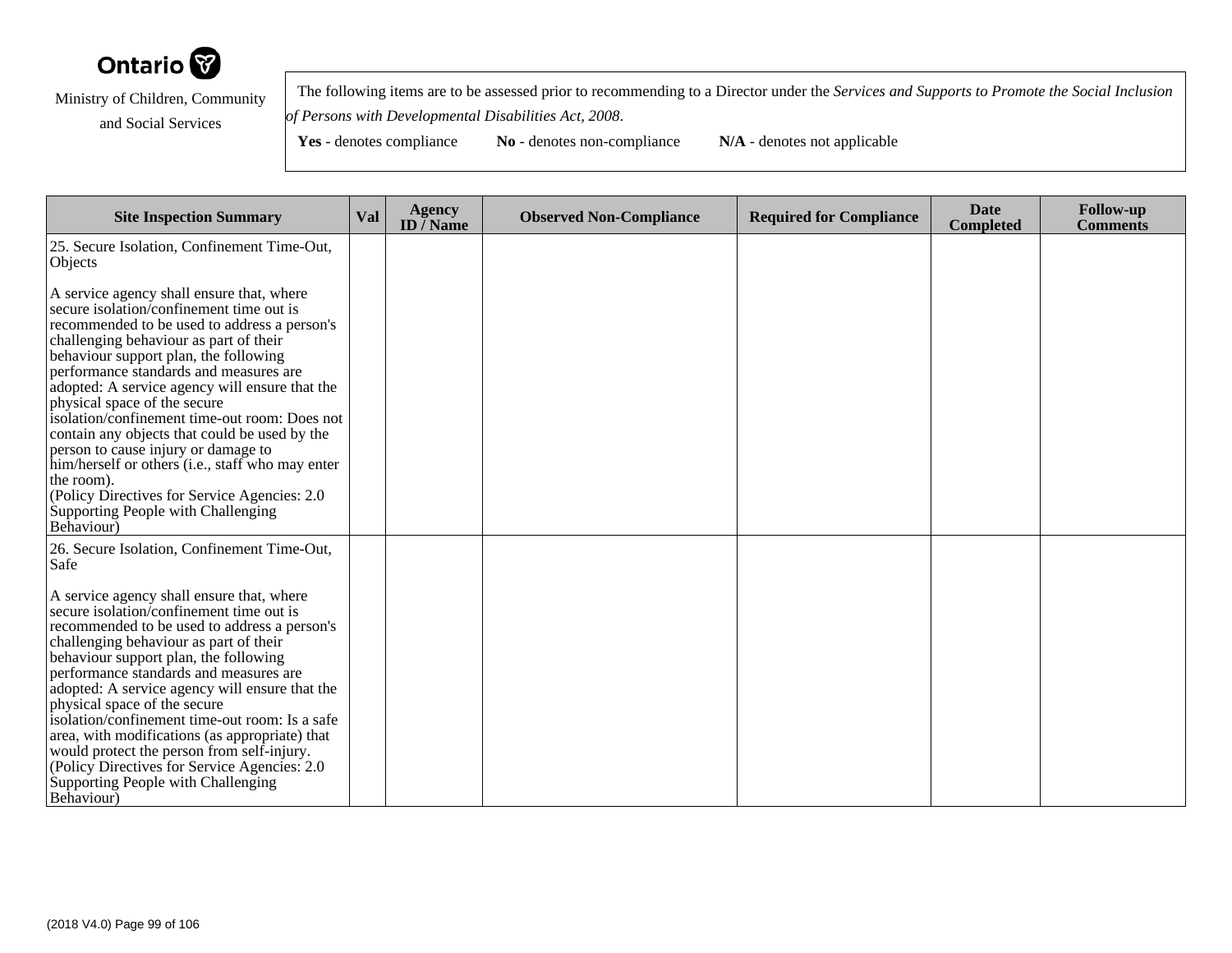

 The following items are to be assessed prior to recommending to a Director under the *Services and Supports to Promote the Social Inclusionof Persons with Developmental Disabilities Act, 2008*.

**Yes** - denotes compliance **No** - denotes non-compliance **N/A** - denotes not applicable

**Site Inspection Summary Val Agency ID / NameObserved Non-Compliance Required for Compliance Date Completed Follow-up Comments** 25. Secure Isolation, Confinement Time-Out,**Objects** A service agency shall ensure that, where secure isolation/confinement time out is recommended to be used to address a person'schallenging behaviour as part of their behaviour support plan, the following performance standards and measures are adopted: A service agency will ensure that thephysical space of the secure isolation/confinement time-out room: Does notcontain any objects that could be used by theperson to cause injury or damage to him/herself or others (i.e., staff who may enterthe room). (Policy Directives for Service Agencies: 2.0Supporting People with ChallengingBehaviour)26. Secure Isolation, Confinement Time-Out,SafeA service agency shall ensure that, where secure isolation/confinement time out is recommended to be used to address a person'schallenging behaviour as part of their behaviour support plan, the following performance standards and measures are adopted: A service agency will ensure that thephysical space of the secure isolation/confinement time-out room: Is a safe area, with modifications (as appropriate) thatwould protect the person from self-injury. (Policy Directives for Service Agencies: 2.0Supporting People with Challenging

Behaviour)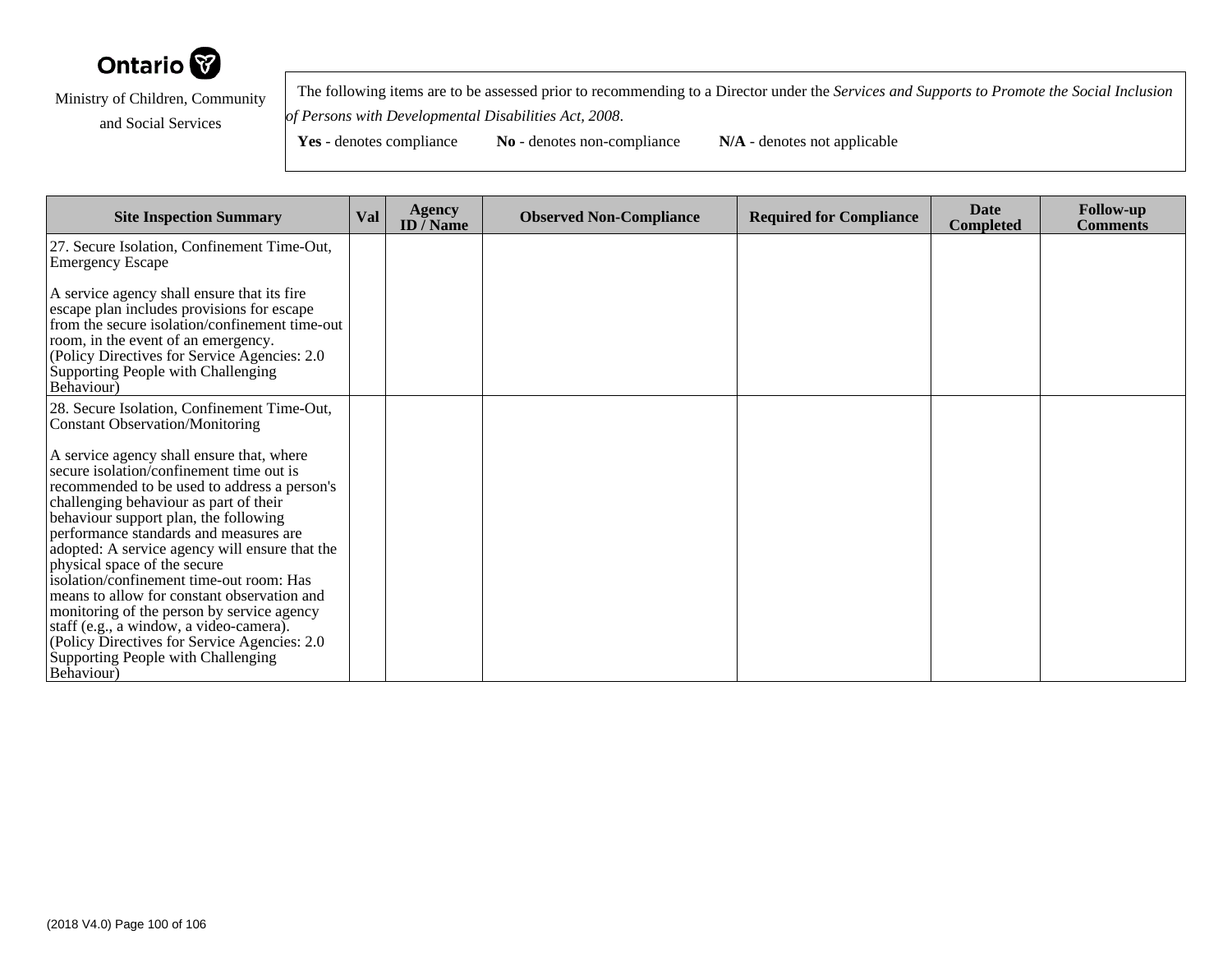

 The following items are to be assessed prior to recommending to a Director under the *Services and Supports to Promote the Social Inclusionof Persons with Developmental Disabilities Act, 2008*.

| <b>Site Inspection Summary</b>                                                                                                                                                                                                                                                                                                                                                                                                                                                                                                           | Val | <b>Agency</b><br>ID $\overline{I}$ Name | <b>Observed Non-Compliance</b> | <b>Required for Compliance</b> | <b>Date</b><br><b>Completed</b> | <b>Follow-up</b><br><b>Comments</b> |
|------------------------------------------------------------------------------------------------------------------------------------------------------------------------------------------------------------------------------------------------------------------------------------------------------------------------------------------------------------------------------------------------------------------------------------------------------------------------------------------------------------------------------------------|-----|-----------------------------------------|--------------------------------|--------------------------------|---------------------------------|-------------------------------------|
| 27. Secure Isolation, Confinement Time-Out,<br><b>Emergency Escape</b>                                                                                                                                                                                                                                                                                                                                                                                                                                                                   |     |                                         |                                |                                |                                 |                                     |
| A service agency shall ensure that its fire<br>escape plan includes provisions for escape<br>from the secure isolation/confinement time-out<br>room, in the event of an emergency.<br>(Policy Directives for Service Agencies: 2.0)<br>Supporting People with Challenging<br>Behaviour)                                                                                                                                                                                                                                                  |     |                                         |                                |                                |                                 |                                     |
| 28. Secure Isolation, Confinement Time-Out,<br>Constant Observation/Monitoring                                                                                                                                                                                                                                                                                                                                                                                                                                                           |     |                                         |                                |                                |                                 |                                     |
| A service agency shall ensure that, where<br>secure isolation/confinement time out is<br>recommended to be used to address a person's<br>challenging behaviour as part of their<br>behaviour support plan, the following<br>performance standards and measures are<br>adopted: A service agency will ensure that the<br>physical space of the secure<br>isolation/confinement time-out room: Has<br>means to allow for constant observation and<br>monitoring of the person by service agency<br>staff (e.g., a window, a video-camera). |     |                                         |                                |                                |                                 |                                     |
| (Policy Directives for Service Agencies: 2.0)<br>Supporting People with Challenging<br><b>Behaviour</b> )                                                                                                                                                                                                                                                                                                                                                                                                                                |     |                                         |                                |                                |                                 |                                     |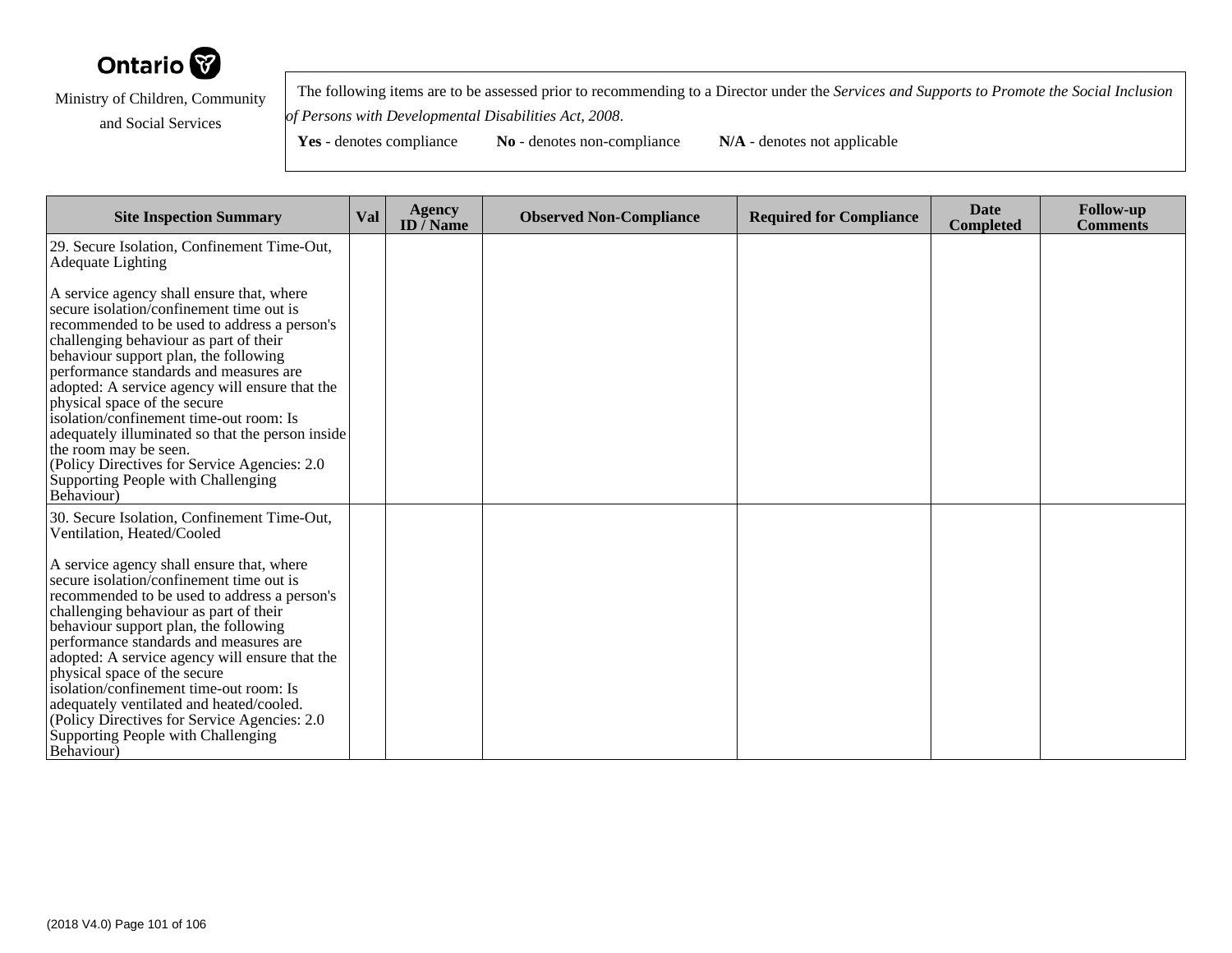

 The following items are to be assessed prior to recommending to a Director under the *Services and Supports to Promote the Social Inclusionof Persons with Developmental Disabilities Act, 2008*.

| <b>Site Inspection Summary</b>                                                                                                                                                                                                                                                                                                                                                                                                                                                                                                                                                   | <b>Val</b> | <b>Agency</b><br>ID $\bar{}/$ Name | <b>Observed Non-Compliance</b> | <b>Required for Compliance</b> | <b>Date</b><br><b>Completed</b> | <b>Follow-up</b><br><b>Comments</b> |
|----------------------------------------------------------------------------------------------------------------------------------------------------------------------------------------------------------------------------------------------------------------------------------------------------------------------------------------------------------------------------------------------------------------------------------------------------------------------------------------------------------------------------------------------------------------------------------|------------|------------------------------------|--------------------------------|--------------------------------|---------------------------------|-------------------------------------|
| 29. Secure Isolation, Confinement Time-Out,<br><b>Adequate Lighting</b>                                                                                                                                                                                                                                                                                                                                                                                                                                                                                                          |            |                                    |                                |                                |                                 |                                     |
| A service agency shall ensure that, where<br>secure isolation/confinement time out is<br>recommended to be used to address a person's<br>challenging behaviour as part of their<br>behaviour support plan, the following<br>performance standards and measures are<br>adopted: A service agency will ensure that the<br>physical space of the secure<br>isolation/confinement time-out room: Is<br>adequately illuminated so that the person inside<br>the room may be seen.<br>(Policy Directives for Service Agencies: 2.0<br>Supporting People with Challenging<br>Behaviour) |            |                                    |                                |                                |                                 |                                     |
| 30. Secure Isolation, Confinement Time-Out,<br>Ventilation, Heated/Cooled<br>A service agency shall ensure that, where<br>secure isolation/confinement time out is<br>recommended to be used to address a person's<br>challenging behaviour as part of their<br>behaviour support plan, the following<br>performance standards and measures are                                                                                                                                                                                                                                  |            |                                    |                                |                                |                                 |                                     |
| adopted: A service agency will ensure that the<br>physical space of the secure<br>isolation/confinement time-out room: Is<br>adequately ventilated and heated/cooled.<br>(Policy Directives for Service Agencies: 2.0)<br>Supporting People with Challenging<br>Behaviour)                                                                                                                                                                                                                                                                                                       |            |                                    |                                |                                |                                 |                                     |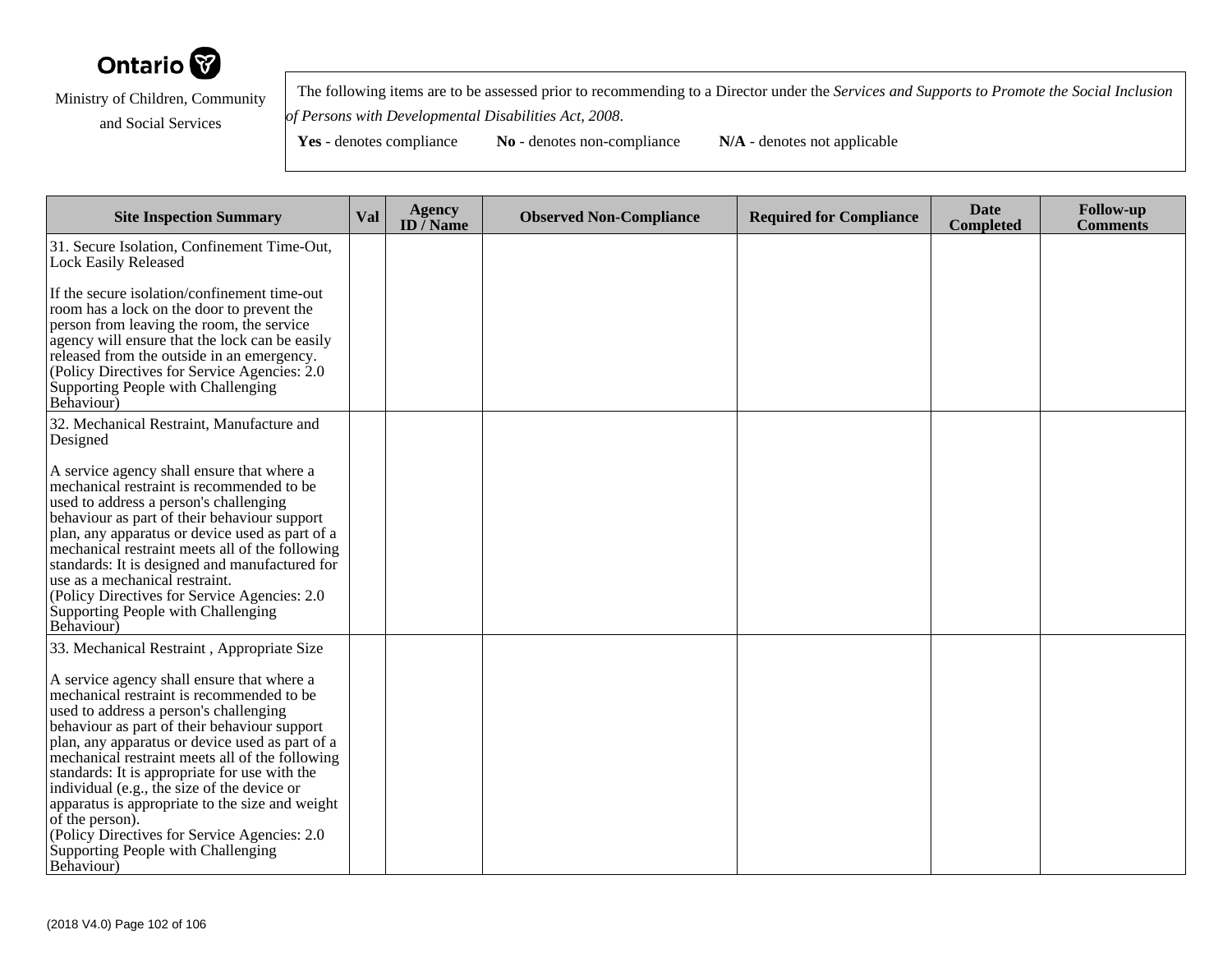

 The following items are to be assessed prior to recommending to a Director under the *Services and Supports to Promote the Social Inclusionof Persons with Developmental Disabilities Act, 2008*.

| <b>Site Inspection Summary</b>                                                                                                                                                                                                                                                                                                                                                                                                                                                                                                                                                                                   | <b>Val</b> | <b>Agency</b><br>ID $\bar{}/$ Name | <b>Observed Non-Compliance</b> | <b>Required for Compliance</b> | <b>Date</b><br><b>Completed</b> | <b>Follow-up</b><br><b>Comments</b> |
|------------------------------------------------------------------------------------------------------------------------------------------------------------------------------------------------------------------------------------------------------------------------------------------------------------------------------------------------------------------------------------------------------------------------------------------------------------------------------------------------------------------------------------------------------------------------------------------------------------------|------------|------------------------------------|--------------------------------|--------------------------------|---------------------------------|-------------------------------------|
| 31. Secure Isolation, Confinement Time-Out,<br><b>Lock Easily Released</b>                                                                                                                                                                                                                                                                                                                                                                                                                                                                                                                                       |            |                                    |                                |                                |                                 |                                     |
| If the secure isolation/confinement time-out<br>room has a lock on the door to prevent the<br>person from leaving the room, the service<br>agency will ensure that the lock can be easily<br>released from the outside in an emergency.<br>(Policy Directives for Service Agencies: 2.0)<br>Supporting People with Challenging<br>Behaviour)                                                                                                                                                                                                                                                                     |            |                                    |                                |                                |                                 |                                     |
| 32. Mechanical Restraint, Manufacture and<br>Designed                                                                                                                                                                                                                                                                                                                                                                                                                                                                                                                                                            |            |                                    |                                |                                |                                 |                                     |
| A service agency shall ensure that where a<br>mechanical restraint is recommended to be<br>used to address a person's challenging<br>behaviour as part of their behaviour support<br>plan, any apparatus or device used as part of a<br>mechanical restraint meets all of the following<br>standards: It is designed and manufactured for<br>use as a mechanical restraint.<br>(Policy Directives for Service Agencies: 2.0<br>Supporting People with Challenging<br>Behaviour)                                                                                                                                  |            |                                    |                                |                                |                                 |                                     |
| 33. Mechanical Restraint, Appropriate Size<br>A service agency shall ensure that where a<br>mechanical restraint is recommended to be<br>used to address a person's challenging<br>behaviour as part of their behaviour support<br>plan, any apparatus or device used as part of a<br>mechanical restraint meets all of the following<br>standards: It is appropriate for use with the<br>individual (e.g., the size of the device or<br>apparatus is appropriate to the size and weight<br>of the person).<br>(Policy Directives for Service Agencies: 2.0)<br>Supporting People with Challenging<br>Behaviour) |            |                                    |                                |                                |                                 |                                     |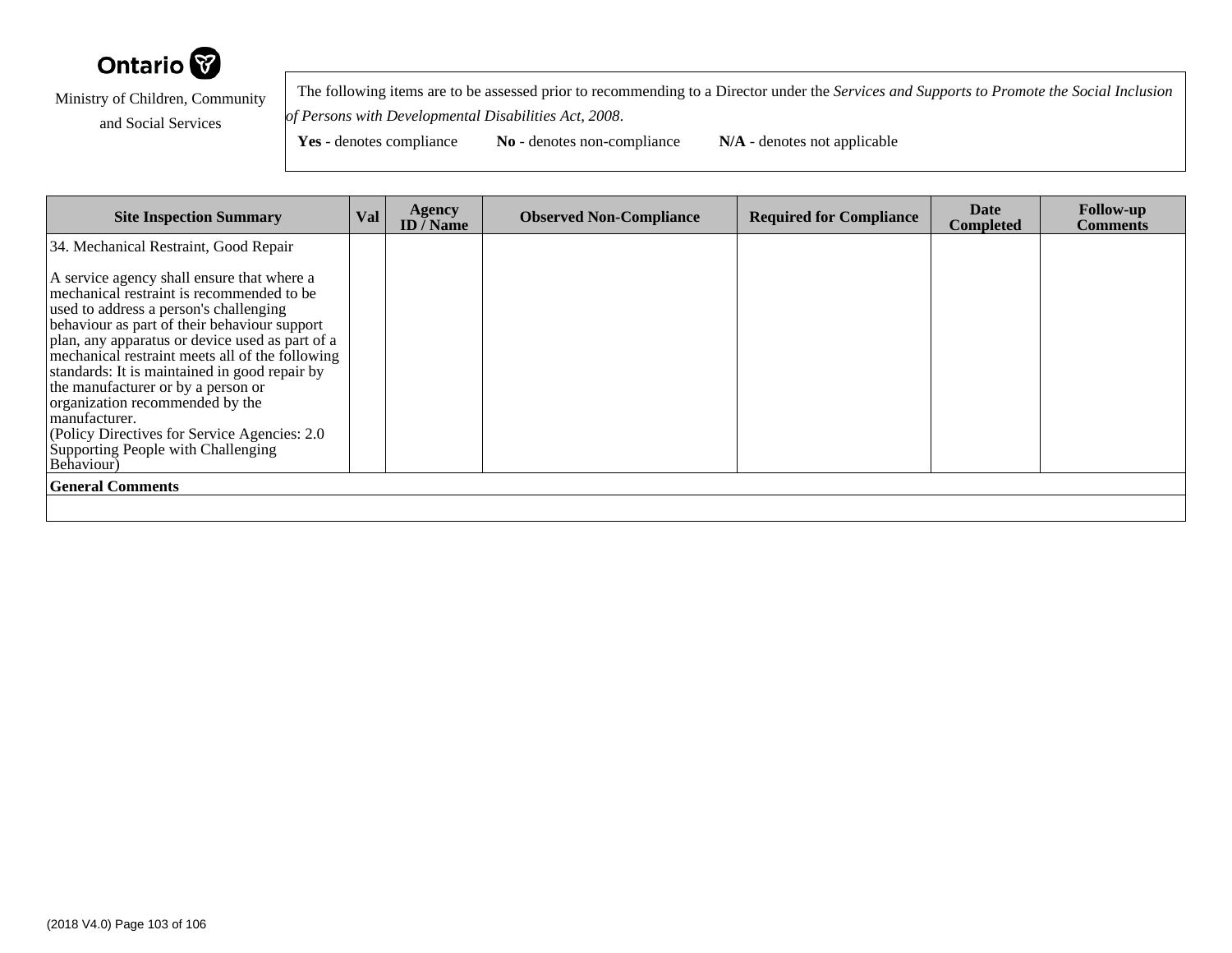

 The following items are to be assessed prior to recommending to a Director under the *Services and Supports to Promote the Social Inclusionof Persons with Developmental Disabilities Act, 2008*.

| <b>Site Inspection Summary</b>                                                                                                                                                                                                                                                                                                                                                                                                                                                                                                          | Val | <b>Agency</b><br>ID / Name | <b>Observed Non-Compliance</b> | <b>Required for Compliance</b> | Date<br><b>Completed</b> | <b>Follow-up</b><br><b>Comments</b> |
|-----------------------------------------------------------------------------------------------------------------------------------------------------------------------------------------------------------------------------------------------------------------------------------------------------------------------------------------------------------------------------------------------------------------------------------------------------------------------------------------------------------------------------------------|-----|----------------------------|--------------------------------|--------------------------------|--------------------------|-------------------------------------|
| 34. Mechanical Restraint, Good Repair                                                                                                                                                                                                                                                                                                                                                                                                                                                                                                   |     |                            |                                |                                |                          |                                     |
| A service agency shall ensure that where a<br>mechanical restraint is recommended to be<br>used to address a person's challenging<br>behaviour as part of their behaviour support<br>plan, any apparatus or device used as part of a<br>mechanical restraint meets all of the following<br>standards: It is maintained in good repair by<br>the manufacturer or by a person or<br>organization recommended by the<br>manufacturer.<br>(Policy Directives for Service Agencies: 2.0)<br>Supporting People with Challenging<br>Behaviour) |     |                            |                                |                                |                          |                                     |
| <b>General Comments</b>                                                                                                                                                                                                                                                                                                                                                                                                                                                                                                                 |     |                            |                                |                                |                          |                                     |
|                                                                                                                                                                                                                                                                                                                                                                                                                                                                                                                                         |     |                            |                                |                                |                          |                                     |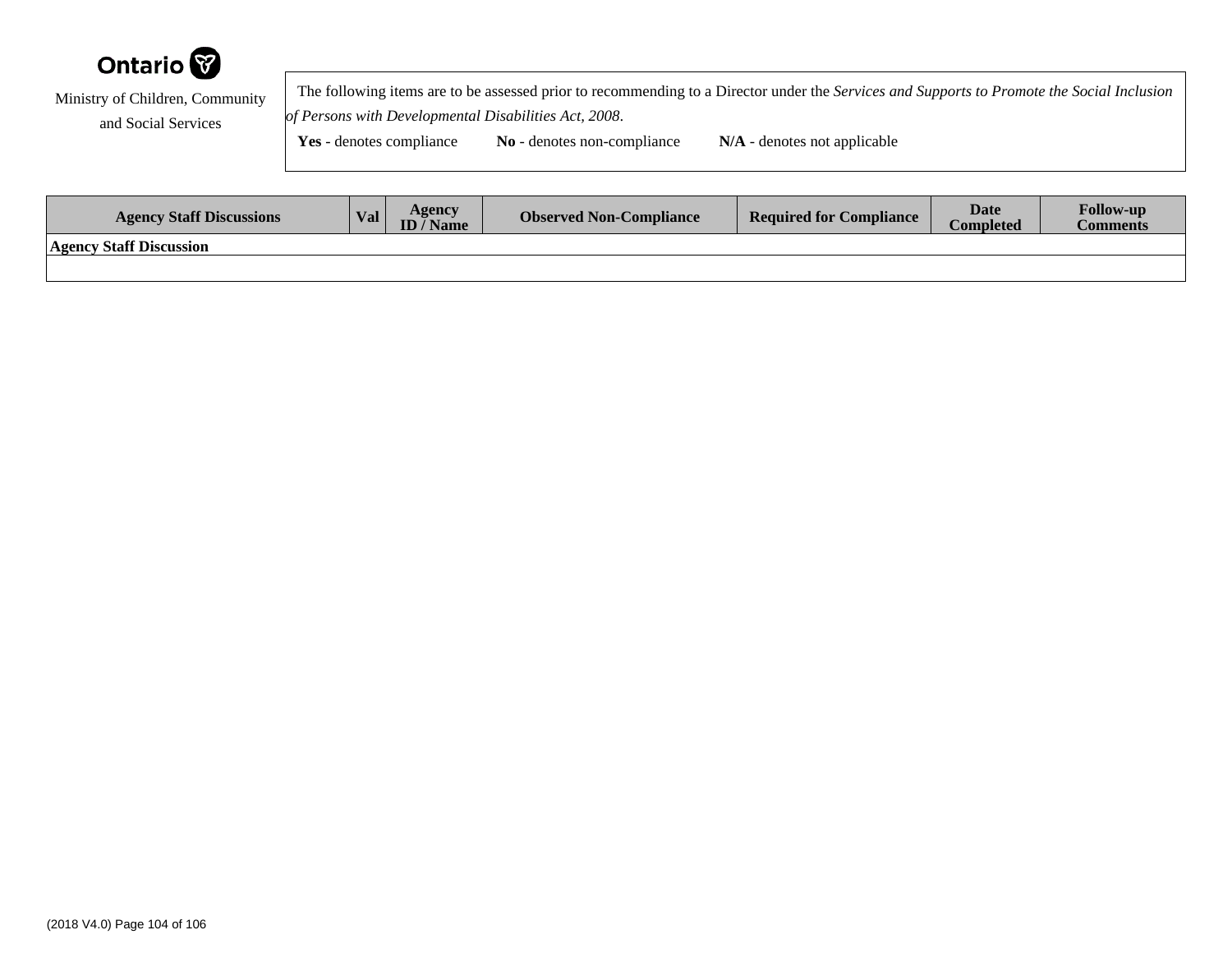

 The following items are to be assessed prior to recommending to a Director under the *Services and Supports to Promote the Social Inclusionof Persons with Developmental Disabilities Act, 2008*.

| <b>Agency Staff Discussions</b> | Val | Agencv<br>ID / Name | <b>Observed Non-Compliance</b> | <b>Required for Compliance</b> | <b>Date</b><br>$\mathop{\mathsf{Completely}}$ | <b>Follow-up</b><br><b>Comments</b> |
|---------------------------------|-----|---------------------|--------------------------------|--------------------------------|-----------------------------------------------|-------------------------------------|
| <b>Agency Staff Discussion</b>  |     |                     |                                |                                |                                               |                                     |
|                                 |     |                     |                                |                                |                                               |                                     |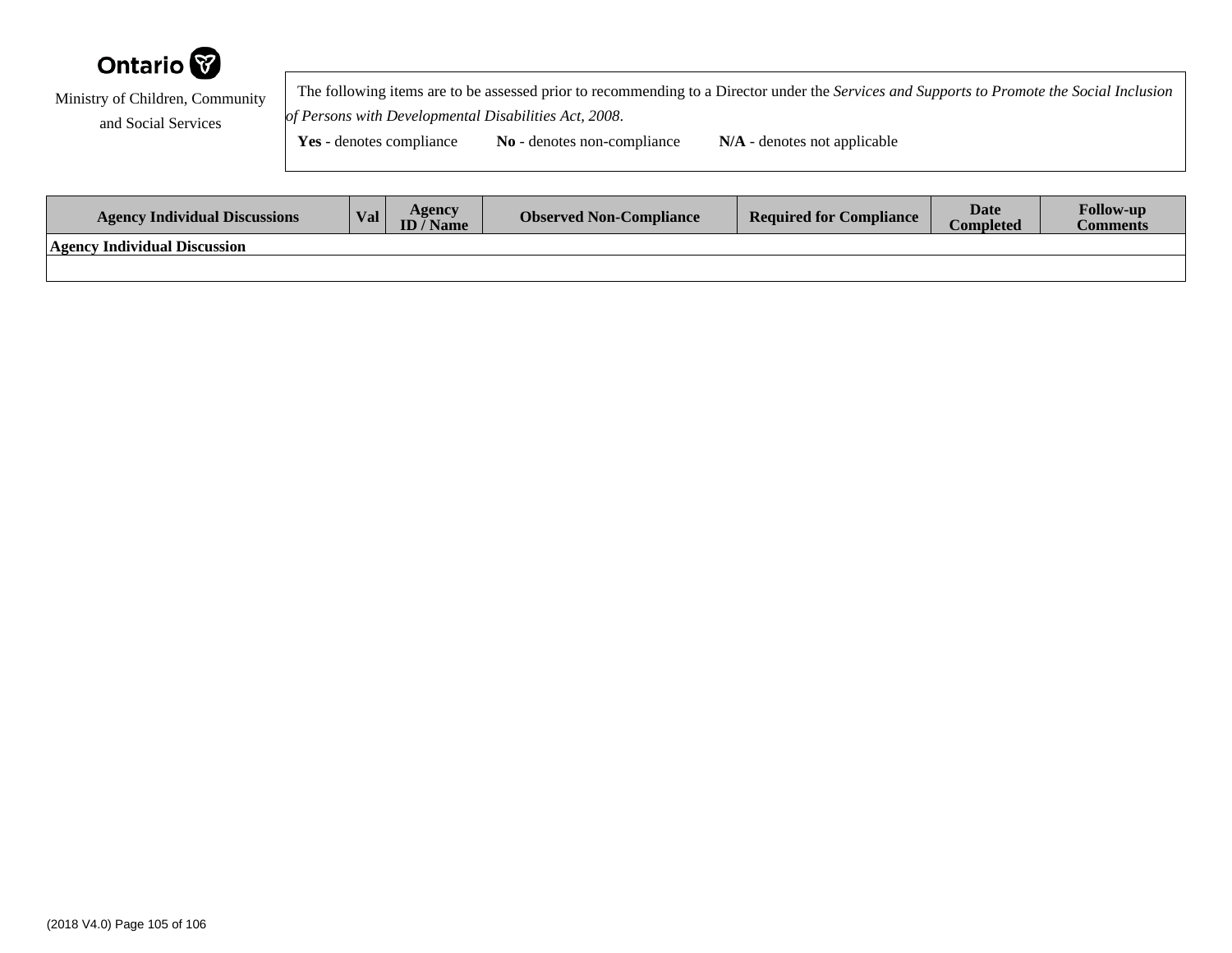

 The following items are to be assessed prior to recommending to a Director under the *Services and Supports to Promote the Social Inclusionof Persons with Developmental Disabilities Act, 2008*.

| <b>Agency Individual Discussions</b> | Val. | Agencv<br>'Name | <b>Observed Non-Compliance</b> | <b>Required for Compliance</b> | <b>Date</b><br><b>Completed</b> | <b>Follow-up</b><br>Comments |
|--------------------------------------|------|-----------------|--------------------------------|--------------------------------|---------------------------------|------------------------------|
| <b>Agency Individual Discussion</b>  |      |                 |                                |                                |                                 |                              |
|                                      |      |                 |                                |                                |                                 |                              |